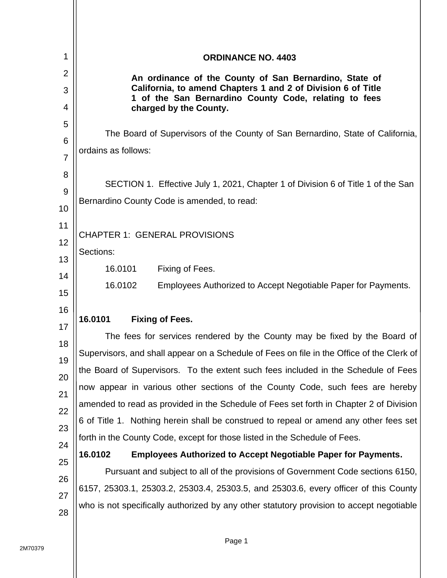| 1                                                                | <b>ORDINANCE NO. 4403</b>                                                                                                                                                                                                                                                                                                                                                                                                                                                                                                                                                                                                                                                                                                                                                            |  |
|------------------------------------------------------------------|--------------------------------------------------------------------------------------------------------------------------------------------------------------------------------------------------------------------------------------------------------------------------------------------------------------------------------------------------------------------------------------------------------------------------------------------------------------------------------------------------------------------------------------------------------------------------------------------------------------------------------------------------------------------------------------------------------------------------------------------------------------------------------------|--|
| $\overline{2}$<br>3<br>4                                         | An ordinance of the County of San Bernardino, State of<br>California, to amend Chapters 1 and 2 of Division 6 of Title<br>1 of the San Bernardino County Code, relating to fees                                                                                                                                                                                                                                                                                                                                                                                                                                                                                                                                                                                                      |  |
| 5<br>6<br>$\overline{7}$<br>8<br>9<br>10<br>11<br>12<br>13<br>14 | charged by the County.<br>The Board of Supervisors of the County of San Bernardino, State of California,<br>ordains as follows:<br>SECTION 1. Effective July 1, 2021, Chapter 1 of Division 6 of Title 1 of the San<br>Bernardino County Code is amended, to read:<br><b>CHAPTER 1: GENERAL PROVISIONS</b><br>Sections:<br>16.0101<br>Fixing of Fees.                                                                                                                                                                                                                                                                                                                                                                                                                                |  |
| 15<br>16                                                         | 16.0102<br>Employees Authorized to Accept Negotiable Paper for Payments.                                                                                                                                                                                                                                                                                                                                                                                                                                                                                                                                                                                                                                                                                                             |  |
|                                                                  | 16.0101<br><b>Fixing of Fees.</b>                                                                                                                                                                                                                                                                                                                                                                                                                                                                                                                                                                                                                                                                                                                                                    |  |
| 17<br>18<br>19<br>20<br>21<br>22<br>23<br>24<br>25               | The fees for services rendered by the County may be fixed by the Board of<br>Supervisors, and shall appear on a Schedule of Fees on file in the Office of the Clerk of<br>the Board of Supervisors. To the extent such fees included in the Schedule of Fees<br>now appear in various other sections of the County Code, such fees are hereby<br>amended to read as provided in the Schedule of Fees set forth in Chapter 2 of Division<br>6 of Title 1. Nothing herein shall be construed to repeal or amend any other fees set<br>forth in the County Code, except for those listed in the Schedule of Fees.<br>16.0102<br><b>Employees Authorized to Accept Negotiable Paper for Payments.</b><br>Pursuant and subject to all of the provisions of Government Code sections 6150, |  |
| 26<br>27<br>28                                                   | 6157, 25303.1, 25303.2, 25303.4, 25303.5, and 25303.6, every officer of this County<br>who is not specifically authorized by any other statutory provision to accept negotiable                                                                                                                                                                                                                                                                                                                                                                                                                                                                                                                                                                                                      |  |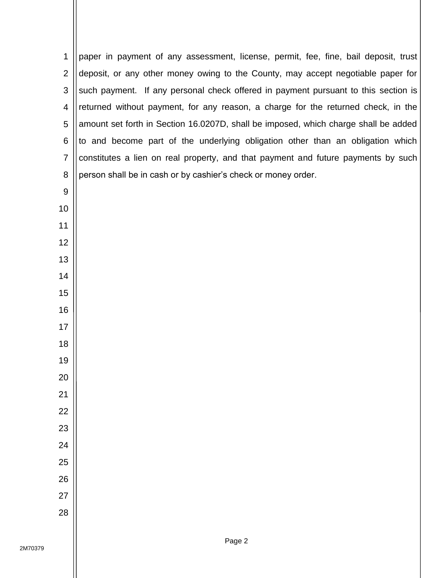| 1              | paper in payment of any assessment, license, permit, fee, fine, bail deposit, trust |
|----------------|-------------------------------------------------------------------------------------|
| $\overline{2}$ | deposit, or any other money owing to the County, may accept negotiable paper for    |
| 3              | such payment. If any personal check offered in payment pursuant to this section is  |
| 4              | returned without payment, for any reason, a charge for the returned check, in the   |
| 5              | amount set forth in Section 16.0207D, shall be imposed, which charge shall be added |
| 6              | to and become part of the underlying obligation other than an obligation which      |
| $\overline{7}$ | constitutes a lien on real property, and that payment and future payments by such   |
| 8              | person shall be in cash or by cashier's check or money order.                       |
| 9              |                                                                                     |
| 10             |                                                                                     |
| 11             |                                                                                     |
| 12             |                                                                                     |
| 13             |                                                                                     |
| 14             |                                                                                     |
| 15             |                                                                                     |
| 16             |                                                                                     |
| 17             |                                                                                     |
| 18             |                                                                                     |
| 19             |                                                                                     |
| <u>20</u>      |                                                                                     |
| 21             |                                                                                     |
| 22             |                                                                                     |
| 23             |                                                                                     |
| 24             |                                                                                     |
| 25             |                                                                                     |
| 26             |                                                                                     |
| 27             |                                                                                     |
| 28             |                                                                                     |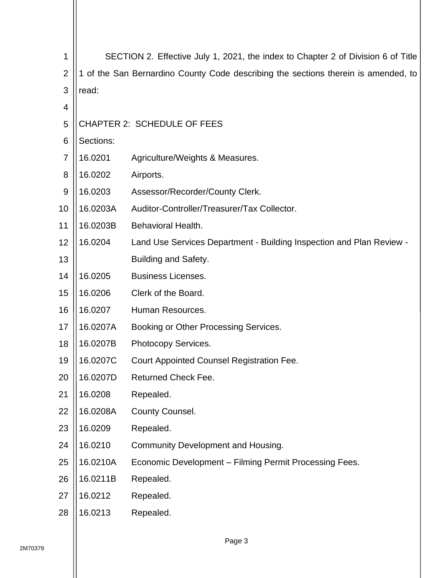| 1              | SECTION 2. Effective July 1, 2021, the index to Chapter 2 of Division 6 of Title   |                                                                      |  |  |  |  |  |  |
|----------------|------------------------------------------------------------------------------------|----------------------------------------------------------------------|--|--|--|--|--|--|
| $\overline{2}$ | 1 of the San Bernardino County Code describing the sections therein is amended, to |                                                                      |  |  |  |  |  |  |
| 3              | read:                                                                              |                                                                      |  |  |  |  |  |  |
| 4              |                                                                                    |                                                                      |  |  |  |  |  |  |
| 5              |                                                                                    | <b>CHAPTER 2: SCHEDULE OF FEES</b>                                   |  |  |  |  |  |  |
| 6              | Sections:                                                                          |                                                                      |  |  |  |  |  |  |
| 7              | 16.0201                                                                            | Agriculture/Weights & Measures.                                      |  |  |  |  |  |  |
| 8              | 16.0202                                                                            | Airports.                                                            |  |  |  |  |  |  |
| 9              | 16.0203                                                                            | Assessor/Recorder/County Clerk.                                      |  |  |  |  |  |  |
| 10             | 16.0203A                                                                           | Auditor-Controller/Treasurer/Tax Collector.                          |  |  |  |  |  |  |
| 11             | 16.0203B                                                                           | Behavioral Health.                                                   |  |  |  |  |  |  |
| 12             | 16.0204                                                                            | Land Use Services Department - Building Inspection and Plan Review - |  |  |  |  |  |  |
| 13             |                                                                                    | <b>Building and Safety.</b>                                          |  |  |  |  |  |  |
| 14             | 16.0205                                                                            | <b>Business Licenses.</b>                                            |  |  |  |  |  |  |
| 15             | 16.0206                                                                            | Clerk of the Board.                                                  |  |  |  |  |  |  |
| 16             | 16.0207                                                                            | Human Resources.                                                     |  |  |  |  |  |  |
| 17             | 16.0207A                                                                           | Booking or Other Processing Services.                                |  |  |  |  |  |  |
| 18             | 16.0207B                                                                           | Photocopy Services.                                                  |  |  |  |  |  |  |
| 19             | 16.0207C                                                                           | <b>Court Appointed Counsel Registration Fee</b>                      |  |  |  |  |  |  |
| 20             | 16.0207D                                                                           | Returned Check Fee.                                                  |  |  |  |  |  |  |
| 21             | 16.0208                                                                            | Repealed.                                                            |  |  |  |  |  |  |
| 22             | 16.0208A                                                                           | County Counsel.                                                      |  |  |  |  |  |  |
| 23             | 16.0209                                                                            | Repealed.                                                            |  |  |  |  |  |  |
| 24             | 16.0210                                                                            | Community Development and Housing.                                   |  |  |  |  |  |  |
| 25             | 16.0210A                                                                           | Economic Development - Filming Permit Processing Fees.               |  |  |  |  |  |  |
| 26             | 16.0211B                                                                           | Repealed.                                                            |  |  |  |  |  |  |
| 27             | 16.0212                                                                            | Repealed.                                                            |  |  |  |  |  |  |
| 28             | 16.0213                                                                            | Repealed.                                                            |  |  |  |  |  |  |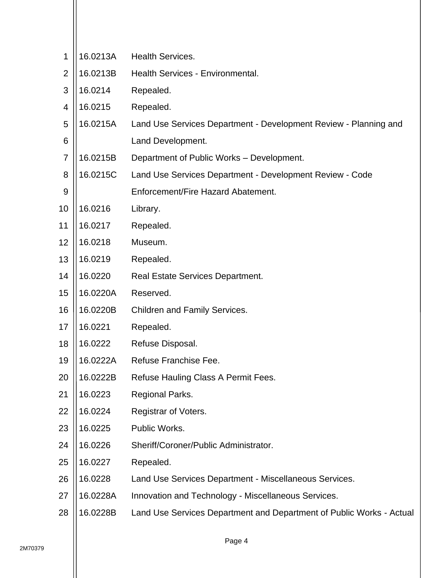| 1              | 16.0213A | <b>Health Services.</b>                                              |
|----------------|----------|----------------------------------------------------------------------|
| $\overline{2}$ | 16.0213B | Health Services - Environmental.                                     |
| 3              | 16.0214  | Repealed.                                                            |
| 4              | 16.0215  | Repealed.                                                            |
| 5              | 16.0215A | Land Use Services Department - Development Review - Planning and     |
| 6              |          | Land Development.                                                    |
| 7              | 16.0215B | Department of Public Works - Development.                            |
| 8              | 16.0215C | Land Use Services Department - Development Review - Code             |
| 9              |          | Enforcement/Fire Hazard Abatement.                                   |
| 10             | 16.0216  | Library.                                                             |
| 11             | 16.0217  | Repealed.                                                            |
| 12             | 16.0218  | Museum.                                                              |
| 13             | 16.0219  | Repealed.                                                            |
| 14             | 16.0220  | <b>Real Estate Services Department.</b>                              |
| 15             | 16.0220A | Reserved.                                                            |
| 16             | 16.0220B | Children and Family Services.                                        |
| 17             | 16.0221  | Repealed.                                                            |
| 18             | 16.0222  | Refuse Disposal.                                                     |
| 19             | 16.0222A | Refuse Franchise Fee.                                                |
| 20             | 16.0222B | Refuse Hauling Class A Permit Fees.                                  |
| 21             | 16.0223  | Regional Parks.                                                      |
| 22             | 16.0224  | Registrar of Voters.                                                 |
| 23             | 16.0225  | Public Works.                                                        |
| 24             | 16.0226  | Sheriff/Coroner/Public Administrator.                                |
| 25             | 16.0227  | Repealed.                                                            |
| 26             | 16.0228  | Land Use Services Department - Miscellaneous Services.               |
| 27             | 16.0228A | Innovation and Technology - Miscellaneous Services.                  |
| 28             | 16.0228B | Land Use Services Department and Department of Public Works - Actual |
|                |          |                                                                      |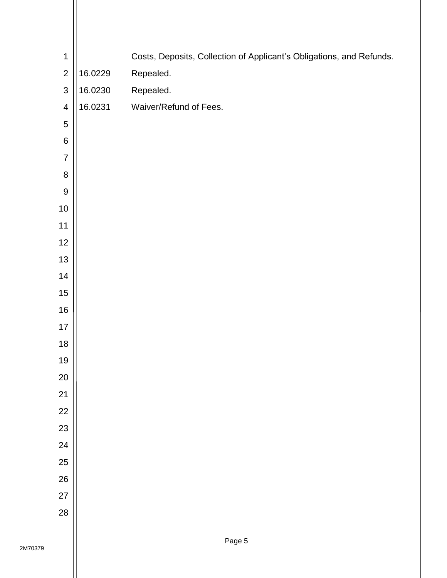| $\mathbf 1$             |         | Costs, Deposits, Collection of Applicant's Obligations, and Refunds. |
|-------------------------|---------|----------------------------------------------------------------------|
| $\mathbf 2$             | 16.0229 | Repealed.                                                            |
| $\mathsf 3$             | 16.0230 | Repealed.                                                            |
| $\overline{\mathbf{4}}$ | 16.0231 | Waiver/Refund of Fees.                                               |
| $\bf 5$                 |         |                                                                      |
| $\,$ 6 $\,$             |         |                                                                      |
| $\boldsymbol{7}$        |         |                                                                      |
| $\bf 8$                 |         |                                                                      |
| $\boldsymbol{9}$        |         |                                                                      |
| $10$                    |         |                                                                      |
| $11$                    |         |                                                                      |
| 12                      |         |                                                                      |
| $13$                    |         |                                                                      |
| 14                      |         |                                                                      |
| $15\,$                  |         |                                                                      |
| $16\,$                  |         |                                                                      |
| $17$                    |         |                                                                      |
| 18                      |         |                                                                      |
| 19                      |         |                                                                      |
| 20                      |         |                                                                      |
| 21                      |         |                                                                      |
| 22                      |         |                                                                      |
| 23                      |         |                                                                      |
| 24                      |         |                                                                      |
| 25                      |         |                                                                      |
| 26                      |         |                                                                      |
| 27                      |         |                                                                      |
| 28                      |         |                                                                      |
|                         |         |                                                                      |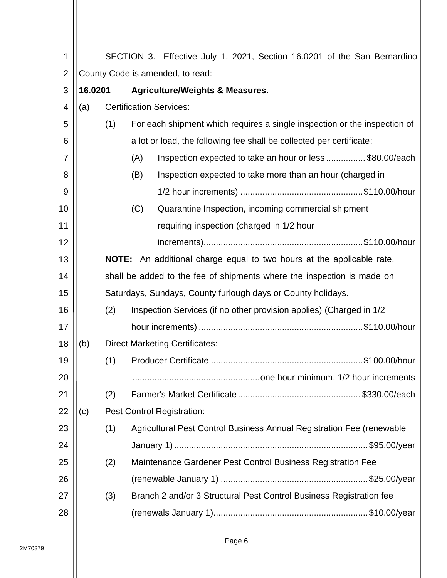| 1              |                                  | SECTION 3. Effective July 1, 2021, Section 16.0201 of the San Bernardino |     |                                                                              |  |  |  |  |  |
|----------------|----------------------------------|--------------------------------------------------------------------------|-----|------------------------------------------------------------------------------|--|--|--|--|--|
| $\overline{2}$ | County Code is amended, to read: |                                                                          |     |                                                                              |  |  |  |  |  |
| 3              | 16.0201                          |                                                                          |     | <b>Agriculture/Weights &amp; Measures.</b>                                   |  |  |  |  |  |
| 4              | (a)                              |                                                                          |     | <b>Certification Services:</b>                                               |  |  |  |  |  |
| 5              |                                  | (1)                                                                      |     | For each shipment which requires a single inspection or the inspection of    |  |  |  |  |  |
| 6              |                                  |                                                                          |     | a lot or load, the following fee shall be collected per certificate:         |  |  |  |  |  |
| 7              |                                  |                                                                          | (A) | Inspection expected to take an hour or less \$80.00/each                     |  |  |  |  |  |
| 8              |                                  |                                                                          | (B) | Inspection expected to take more than an hour (charged in                    |  |  |  |  |  |
| 9              |                                  |                                                                          |     |                                                                              |  |  |  |  |  |
| 10             |                                  |                                                                          | (C) | Quarantine Inspection, incoming commercial shipment                          |  |  |  |  |  |
| 11             |                                  |                                                                          |     | requiring inspection (charged in 1/2 hour                                    |  |  |  |  |  |
| 12             |                                  |                                                                          |     |                                                                              |  |  |  |  |  |
| 13             |                                  |                                                                          |     | <b>NOTE:</b> An additional charge equal to two hours at the applicable rate, |  |  |  |  |  |
| 14             |                                  |                                                                          |     | shall be added to the fee of shipments where the inspection is made on       |  |  |  |  |  |
| 15             |                                  |                                                                          |     | Saturdays, Sundays, County furlough days or County holidays.                 |  |  |  |  |  |
| 16             |                                  | (2)                                                                      |     | Inspection Services (if no other provision applies) (Charged in 1/2          |  |  |  |  |  |
| 17             |                                  |                                                                          |     |                                                                              |  |  |  |  |  |
| 18             | (b)                              |                                                                          |     | <b>Direct Marketing Certificates:</b>                                        |  |  |  |  |  |
| 19             |                                  | (1)                                                                      |     |                                                                              |  |  |  |  |  |
| 20             |                                  |                                                                          |     |                                                                              |  |  |  |  |  |
| 21             |                                  | (2)                                                                      |     |                                                                              |  |  |  |  |  |
| 22             | (c)                              |                                                                          |     | <b>Pest Control Registration:</b>                                            |  |  |  |  |  |
| 23             |                                  | (1)                                                                      |     | Agricultural Pest Control Business Annual Registration Fee (renewable        |  |  |  |  |  |
| 24             |                                  |                                                                          |     |                                                                              |  |  |  |  |  |
| 25             |                                  | (2)                                                                      |     | Maintenance Gardener Pest Control Business Registration Fee                  |  |  |  |  |  |
| 26             |                                  |                                                                          |     |                                                                              |  |  |  |  |  |
| 27             |                                  | (3)                                                                      |     | Branch 2 and/or 3 Structural Pest Control Business Registration fee          |  |  |  |  |  |
| 28             |                                  |                                                                          |     |                                                                              |  |  |  |  |  |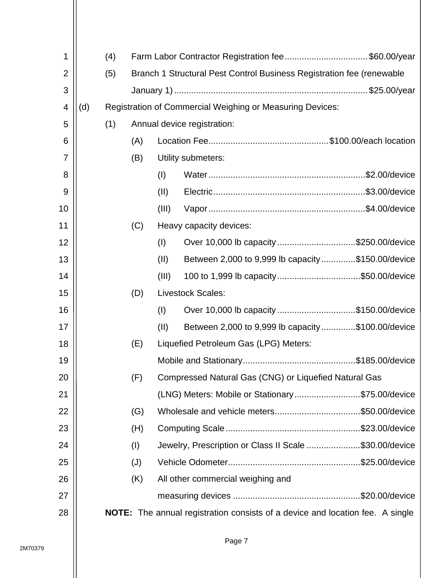| $\mathbf 1$    |     | (4) |     |       | Farm Labor Contractor Registration fee\$60.00/year                            |
|----------------|-----|-----|-----|-------|-------------------------------------------------------------------------------|
| $\overline{2}$ |     | (5) |     |       | Branch 1 Structural Pest Control Business Registration fee (renewable         |
| 3              |     |     |     |       |                                                                               |
| 4              | (d) |     |     |       | <b>Registration of Commercial Weighing or Measuring Devices:</b>              |
| 5              |     | (1) |     |       | Annual device registration:                                                   |
| 6              |     |     | (A) |       |                                                                               |
| $\overline{7}$ |     |     | (B) |       | Utility submeters:                                                            |
| 8              |     |     |     | (I)   |                                                                               |
| 9              |     |     |     | (11)  |                                                                               |
| 10             |     |     |     | (III) |                                                                               |
| 11             |     |     | (C) |       | Heavy capacity devices:                                                       |
| 12             |     |     |     | (I)   | Over 10,000 lb capacity \$250.00/device                                       |
| 13             |     |     |     | (11)  | Between 2,000 to 9,999 lb capacity\$150.00/device                             |
| 14             |     |     |     | (III) | 100 to 1,999 lb capacity\$50.00/device                                        |
| 15             |     |     | (D) |       | <b>Livestock Scales:</b>                                                      |
| 16             |     |     |     | (I)   | Over 10,000 lb capacity \$150.00/device                                       |
| 17             |     |     |     | (11)  | Between 2,000 to 9,999 lb capacity\$100.00/device                             |
| 18             |     |     | (E) |       | Liquefied Petroleum Gas (LPG) Meters:                                         |
| 19             |     |     |     |       |                                                                               |
| 20             |     |     | (F) |       | Compressed Natural Gas (CNG) or Liquefied Natural Gas                         |
| 21             |     |     |     |       | (LNG) Meters: Mobile or Stationary\$75.00/device                              |
| 22             |     |     | (G) |       |                                                                               |
| 23             |     |     | (H) |       |                                                                               |
| 24             |     |     | (1) |       | Jewelry, Prescription or Class II Scale \$30.00/device                        |
| 25             |     |     | (J) |       |                                                                               |
| 26             |     |     | (K) |       | All other commercial weighing and                                             |
| 27             |     |     |     |       |                                                                               |
| 28             |     |     |     |       | NOTE: The annual registration consists of a device and location fee. A single |
|                |     |     |     |       |                                                                               |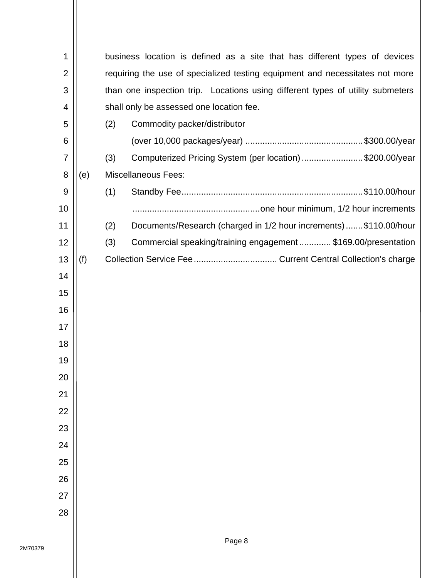| 1              |     |     | business location is defined as a site that has different types of devices     |  |  |  |  |  |  |  |
|----------------|-----|-----|--------------------------------------------------------------------------------|--|--|--|--|--|--|--|
| $\overline{2}$ |     |     | requiring the use of specialized testing equipment and necessitates not more   |  |  |  |  |  |  |  |
| 3              |     |     | than one inspection trip. Locations using different types of utility submeters |  |  |  |  |  |  |  |
| 4              |     |     | shall only be assessed one location fee.                                       |  |  |  |  |  |  |  |
| 5              |     | (2) | Commodity packer/distributor                                                   |  |  |  |  |  |  |  |
| 6              |     |     |                                                                                |  |  |  |  |  |  |  |
| $\overline{7}$ |     | (3) | Computerized Pricing System (per location) \$200.00/year                       |  |  |  |  |  |  |  |
| 8              | (e) |     | <b>Miscellaneous Fees:</b>                                                     |  |  |  |  |  |  |  |
| 9              |     | (1) |                                                                                |  |  |  |  |  |  |  |
| 10             |     |     |                                                                                |  |  |  |  |  |  |  |
| 11             |     | (2) | Documents/Research (charged in 1/2 hour increments)  \$110.00/hour             |  |  |  |  |  |  |  |
| 12             |     | (3) | Commercial speaking/training engagement\$169.00/presentation                   |  |  |  |  |  |  |  |
| 13             | (f) |     |                                                                                |  |  |  |  |  |  |  |
| 14             |     |     |                                                                                |  |  |  |  |  |  |  |
| 15             |     |     |                                                                                |  |  |  |  |  |  |  |
| 16             |     |     |                                                                                |  |  |  |  |  |  |  |
| 17             |     |     |                                                                                |  |  |  |  |  |  |  |
| 18             |     |     |                                                                                |  |  |  |  |  |  |  |
| 19             |     |     |                                                                                |  |  |  |  |  |  |  |
| 20             |     |     |                                                                                |  |  |  |  |  |  |  |
| 21             |     |     |                                                                                |  |  |  |  |  |  |  |
| 22             |     |     |                                                                                |  |  |  |  |  |  |  |
| 23             |     |     |                                                                                |  |  |  |  |  |  |  |
| 24             |     |     |                                                                                |  |  |  |  |  |  |  |
| 25             |     |     |                                                                                |  |  |  |  |  |  |  |
| 26             |     |     |                                                                                |  |  |  |  |  |  |  |
| 27             |     |     |                                                                                |  |  |  |  |  |  |  |
| 28             |     |     |                                                                                |  |  |  |  |  |  |  |
|                |     |     |                                                                                |  |  |  |  |  |  |  |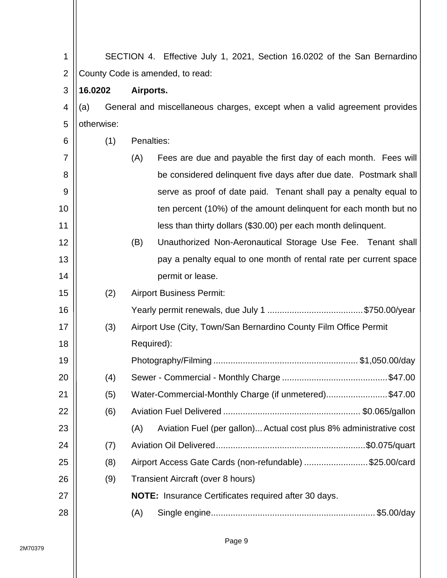| 1              | SECTION 4. Effective July 1, 2021, Section 16.0202 of the San Bernardino |     |            |                                                                           |  |  |  |
|----------------|--------------------------------------------------------------------------|-----|------------|---------------------------------------------------------------------------|--|--|--|
| $\overline{2}$ | County Code is amended, to read:                                         |     |            |                                                                           |  |  |  |
| 3              | 16.0202                                                                  |     | Airports.  |                                                                           |  |  |  |
| 4              | (a)                                                                      |     |            | General and miscellaneous charges, except when a valid agreement provides |  |  |  |
| 5              | otherwise:                                                               |     |            |                                                                           |  |  |  |
| 6              |                                                                          | (1) | Penalties: |                                                                           |  |  |  |
| 7              |                                                                          |     | (A)        | Fees are due and payable the first day of each month. Fees will           |  |  |  |
| 8              |                                                                          |     |            | be considered delinquent five days after due date. Postmark shall         |  |  |  |
| 9              |                                                                          |     |            | serve as proof of date paid. Tenant shall pay a penalty equal to          |  |  |  |
| 10             |                                                                          |     |            | ten percent (10%) of the amount delinguent for each month but no          |  |  |  |
| 11             |                                                                          |     |            | less than thirty dollars (\$30.00) per each month delinquent.             |  |  |  |
| 12             |                                                                          |     | (B)        | Unauthorized Non-Aeronautical Storage Use Fee. Tenant shall               |  |  |  |
| 13             |                                                                          |     |            | pay a penalty equal to one month of rental rate per current space         |  |  |  |
| 14             |                                                                          |     |            | permit or lease.                                                          |  |  |  |
| 15             |                                                                          | (2) |            | <b>Airport Business Permit:</b>                                           |  |  |  |
| 16             |                                                                          |     |            |                                                                           |  |  |  |
| 17             |                                                                          | (3) |            | Airport Use (City, Town/San Bernardino County Film Office Permit          |  |  |  |
| 18             |                                                                          |     | Required): |                                                                           |  |  |  |
| 19             |                                                                          |     |            |                                                                           |  |  |  |
| 20             |                                                                          | (4) |            |                                                                           |  |  |  |
| 21             |                                                                          | (5) |            | Water-Commercial-Monthly Charge (if unmetered)\$47.00                     |  |  |  |
| 22             |                                                                          | (6) |            |                                                                           |  |  |  |
| 23             |                                                                          |     | (A)        | Aviation Fuel (per gallon) Actual cost plus 8% administrative cost        |  |  |  |
| 24             |                                                                          | (7) |            |                                                                           |  |  |  |
| 25             |                                                                          | (8) |            | Airport Access Gate Cards (non-refundable) \$25.00/card                   |  |  |  |
| 26             |                                                                          | (9) |            | Transient Aircraft (over 8 hours)                                         |  |  |  |
| 27             |                                                                          |     |            | <b>NOTE:</b> Insurance Certificates required after 30 days.               |  |  |  |
| 28             |                                                                          |     | (A)        |                                                                           |  |  |  |
|                |                                                                          |     |            |                                                                           |  |  |  |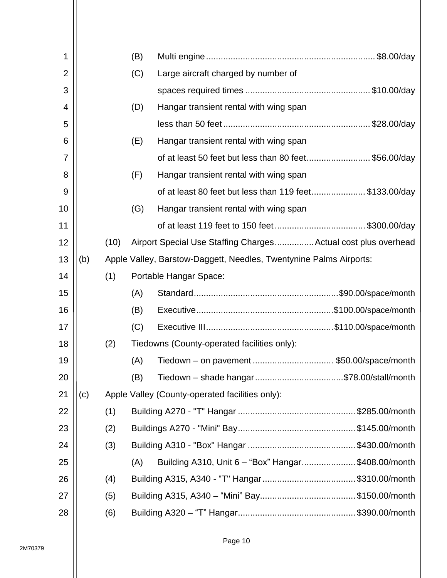| 1  |     |      | (B) |                                                                    |  |
|----|-----|------|-----|--------------------------------------------------------------------|--|
| 2  |     |      | (C) | Large aircraft charged by number of                                |  |
| 3  |     |      |     |                                                                    |  |
| 4  |     |      | (D) | Hangar transient rental with wing span                             |  |
| 5  |     |      |     |                                                                    |  |
| 6  |     |      | (E) | Hangar transient rental with wing span                             |  |
| 7  |     |      |     | of at least 50 feet but less than 80 feet\$56.00/day               |  |
| 8  |     |      | (F) | Hangar transient rental with wing span                             |  |
| 9  |     |      |     | of at least 80 feet but less than 119 feet\$133.00/day             |  |
| 10 |     |      | (G) | Hangar transient rental with wing span                             |  |
| 11 |     |      |     |                                                                    |  |
| 12 |     | (10) |     | Airport Special Use Staffing Charges Actual cost plus overhead     |  |
| 13 | (b) |      |     | Apple Valley, Barstow-Daggett, Needles, Twentynine Palms Airports: |  |
| 14 |     | (1)  |     | Portable Hangar Space:                                             |  |
| 15 |     |      | (A) |                                                                    |  |
| 16 |     |      | (B) |                                                                    |  |
| 17 |     |      | (C) |                                                                    |  |
| 18 |     | (2)  |     | Tiedowns (County-operated facilities only):                        |  |
| 19 |     |      | (A) | Tiedown – on pavement \$50.00/space/month                          |  |
| 20 |     |      | (B) | Tiedown - shade hangar\$78.00/stall/month                          |  |
| 21 | (c) |      |     | Apple Valley (County-operated facilities only):                    |  |
| 22 |     | (1)  |     |                                                                    |  |
| 23 |     | (2)  |     |                                                                    |  |
| 24 |     | (3)  |     |                                                                    |  |
| 25 |     |      | (A) | Building A310, Unit 6 - "Box" Hangar\$408.00/month                 |  |
| 26 |     | (4)  |     |                                                                    |  |
| 27 |     | (5)  |     |                                                                    |  |
| 28 |     | (6)  |     |                                                                    |  |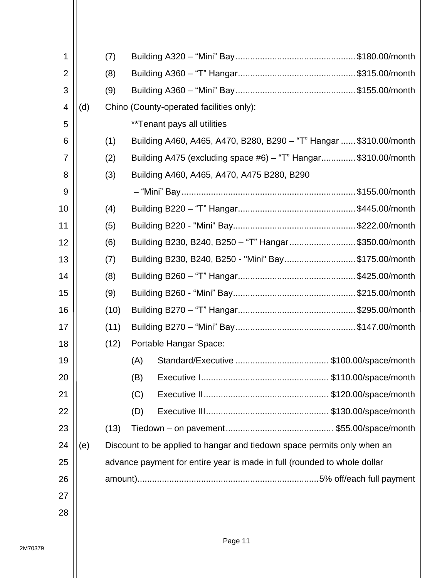| 1              |     | (7)  |                                                                          |
|----------------|-----|------|--------------------------------------------------------------------------|
| $\overline{2}$ |     | (8)  |                                                                          |
| 3              |     | (9)  |                                                                          |
| 4              | (d) |      | Chino (County-operated facilities only):                                 |
| 5              |     |      | <i>**</i> Tenant pays all utilities                                      |
| 6              |     | (1)  | Building A460, A465, A470, B280, B290 - "T" Hangar  \$310.00/month       |
| $\overline{7}$ |     | (2)  | Building A475 (excluding space #6) – "T" Hangar\$310.00/month            |
| 8              |     | (3)  | Building A460, A465, A470, A475 B280, B290                               |
| 9              |     |      |                                                                          |
| 10             |     | (4)  |                                                                          |
| 11             |     | (5)  |                                                                          |
| 12             |     | (6)  | Building B230, B240, B250 - "T" Hangar\$350.00/month                     |
| 13             |     | (7)  | Building B230, B240, B250 - "Mini" Bay\$175.00/month                     |
| 14             |     | (8)  |                                                                          |
| 15             |     | (9)  |                                                                          |
| 16             |     | (10) |                                                                          |
| 17             |     | (11) |                                                                          |
| 18             |     | (12) | Portable Hangar Space:                                                   |
| 19             |     |      | (A)                                                                      |
| 20             |     |      | (B)                                                                      |
| 21             |     |      | (C)                                                                      |
| 22             |     |      | (D)                                                                      |
| 23             |     | (13) |                                                                          |
| 24             | (e) |      | Discount to be applied to hangar and tiedown space permits only when an  |
| 25             |     |      | advance payment for entire year is made in full (rounded to whole dollar |
| 26             |     |      |                                                                          |
| 27             |     |      |                                                                          |
| 28             |     |      |                                                                          |
|                |     |      |                                                                          |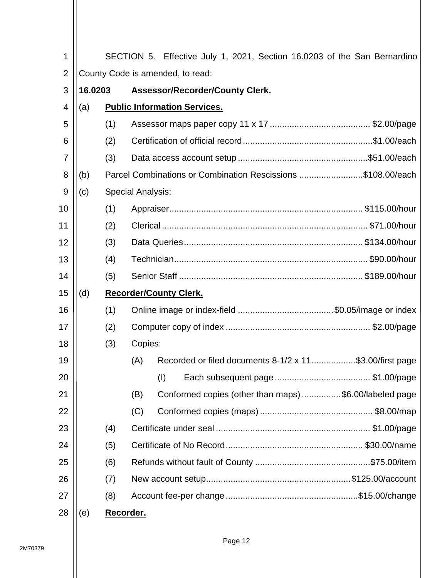| 1              |                                  | SECTION 5. Effective July 1, 2021, Section 16.0203 of the San Bernardino |                                                                |  |  |  |  |
|----------------|----------------------------------|--------------------------------------------------------------------------|----------------------------------------------------------------|--|--|--|--|
| $\overline{2}$ | County Code is amended, to read: |                                                                          |                                                                |  |  |  |  |
| 3              | 16.0203                          |                                                                          | <b>Assessor/Recorder/County Clerk.</b>                         |  |  |  |  |
| 4              | (a)                              |                                                                          | <b>Public Information Services.</b>                            |  |  |  |  |
| 5              |                                  | (1)                                                                      |                                                                |  |  |  |  |
| 6              |                                  | (2)                                                                      |                                                                |  |  |  |  |
| 7              |                                  | (3)                                                                      |                                                                |  |  |  |  |
| 8              | (b)                              |                                                                          | Parcel Combinations or Combination Rescissions \$108.00/each   |  |  |  |  |
| 9              | (c)                              |                                                                          | <b>Special Analysis:</b>                                       |  |  |  |  |
| 10             |                                  | (1)                                                                      |                                                                |  |  |  |  |
| 11             |                                  | (2)                                                                      |                                                                |  |  |  |  |
| 12             |                                  | (3)                                                                      |                                                                |  |  |  |  |
| 13             |                                  | (4)                                                                      |                                                                |  |  |  |  |
| 14             |                                  | (5)                                                                      |                                                                |  |  |  |  |
| 15             | (d)                              |                                                                          | <b>Recorder/County Clerk.</b>                                  |  |  |  |  |
| 16             |                                  | (1)                                                                      |                                                                |  |  |  |  |
| 17             |                                  | (2)                                                                      |                                                                |  |  |  |  |
| 18             |                                  | (3)                                                                      | Copies:                                                        |  |  |  |  |
| 19             |                                  |                                                                          | Recorded or filed documents 8-1/2 x 11\$3.00/first page<br>(A) |  |  |  |  |
| 20             |                                  |                                                                          | (1)                                                            |  |  |  |  |
| 21             |                                  |                                                                          | Conformed copies (other than maps) \$6.00/labeled page<br>(B)  |  |  |  |  |
| 22             |                                  |                                                                          | (C)                                                            |  |  |  |  |
| 23             |                                  | (4)                                                                      |                                                                |  |  |  |  |
| 24             |                                  | (5)                                                                      |                                                                |  |  |  |  |
| 25             |                                  | (6)                                                                      |                                                                |  |  |  |  |
| 26             |                                  | (7)                                                                      |                                                                |  |  |  |  |
| 27             |                                  | (8)                                                                      |                                                                |  |  |  |  |
| 28             | (e)                              | Recorder.                                                                |                                                                |  |  |  |  |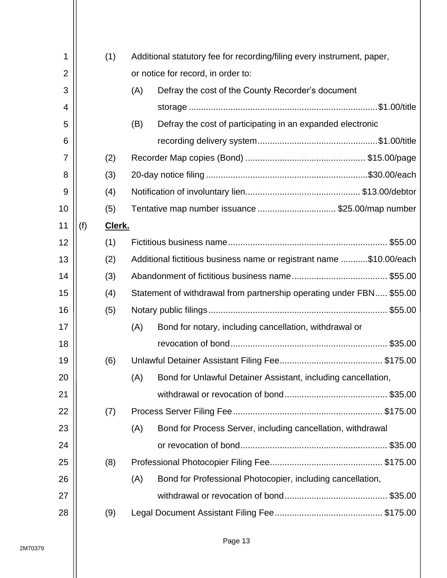| 1              |     | (1)    |     | Additional statutory fee for recording/filing every instrument, paper, |  |  |  |  |
|----------------|-----|--------|-----|------------------------------------------------------------------------|--|--|--|--|
| $\overline{2}$ |     |        |     | or notice for record, in order to:                                     |  |  |  |  |
| 3              |     |        | (A) | Defray the cost of the County Recorder's document                      |  |  |  |  |
| 4              |     |        |     |                                                                        |  |  |  |  |
| 5              |     |        | (B) | Defray the cost of participating in an expanded electronic             |  |  |  |  |
| 6              |     |        |     |                                                                        |  |  |  |  |
| 7              |     | (2)    |     |                                                                        |  |  |  |  |
| 8              |     | (3)    |     |                                                                        |  |  |  |  |
| 9              |     | (4)    |     |                                                                        |  |  |  |  |
| 10             |     | (5)    |     | Tentative map number issuance \$25.00/map number                       |  |  |  |  |
| 11             | (f) | Clerk. |     |                                                                        |  |  |  |  |
| 12             |     | (1)    |     |                                                                        |  |  |  |  |
| 13             |     | (2)    |     | Additional fictitious business name or registrant name \$10.00/each    |  |  |  |  |
| 14             |     | (3)    |     |                                                                        |  |  |  |  |
| 15             |     | (4)    |     | Statement of withdrawal from partnership operating under FBN \$55.00   |  |  |  |  |
| 16             |     | (5)    |     |                                                                        |  |  |  |  |
| 17             |     |        | (A) | Bond for notary, including cancellation, withdrawal or                 |  |  |  |  |
| 18             |     |        |     |                                                                        |  |  |  |  |
| 19             |     | (6)    |     |                                                                        |  |  |  |  |
| 20             |     |        | (A) | Bond for Unlawful Detainer Assistant, including cancellation,          |  |  |  |  |
| 21             |     |        |     |                                                                        |  |  |  |  |
| 22             |     | (7)    |     |                                                                        |  |  |  |  |
| 23             |     |        | (A) | Bond for Process Server, including cancellation, withdrawal            |  |  |  |  |
| 24             |     |        |     |                                                                        |  |  |  |  |
| 25             |     | (8)    |     |                                                                        |  |  |  |  |
| 26             |     |        | (A) | Bond for Professional Photocopier, including cancellation,             |  |  |  |  |
| 27             |     |        |     |                                                                        |  |  |  |  |
| 28             |     | (9)    |     |                                                                        |  |  |  |  |
|                |     |        |     |                                                                        |  |  |  |  |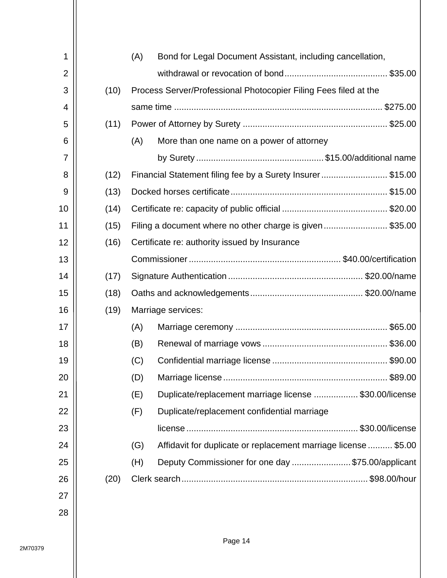| 1              |      | (A) | Bond for Legal Document Assistant, including cancellation,       |  |  |
|----------------|------|-----|------------------------------------------------------------------|--|--|
| $\overline{2}$ |      |     |                                                                  |  |  |
| 3              | (10) |     | Process Server/Professional Photocopier Filing Fees filed at the |  |  |
| 4              |      |     |                                                                  |  |  |
| 5              | (11) |     |                                                                  |  |  |
| 6              |      | (A) | More than one name on a power of attorney                        |  |  |
| 7              |      |     |                                                                  |  |  |
| 8              | (12) |     | Financial Statement filing fee by a Surety Insurer\$15.00        |  |  |
| 9              | (13) |     |                                                                  |  |  |
| 10             | (14) |     |                                                                  |  |  |
| 11             | (15) |     | Filing a document where no other charge is given\$35.00          |  |  |
| 12             | (16) |     | Certificate re: authority issued by Insurance                    |  |  |
| 13             |      |     |                                                                  |  |  |
| 14             | (17) |     |                                                                  |  |  |
| 15             | (18) |     |                                                                  |  |  |
| 16             | (19) |     | Marriage services:                                               |  |  |
| 17             |      | (A) |                                                                  |  |  |
| 18             |      | (B) |                                                                  |  |  |
| 19             |      | (C) |                                                                  |  |  |
| 20             |      | (D) |                                                                  |  |  |
| 21             |      | (E) | Duplicate/replacement marriage license \$30.00/license           |  |  |
| 22             |      | (F) | Duplicate/replacement confidential marriage                      |  |  |
| 23             |      |     |                                                                  |  |  |
| 24             |      | (G) | Affidavit for duplicate or replacement marriage license  \$5.00  |  |  |
| 25             |      | (H) | Deputy Commissioner for one day \$75.00/applicant                |  |  |
| 26             | (20) |     |                                                                  |  |  |
| 27             |      |     |                                                                  |  |  |
| 28             |      |     |                                                                  |  |  |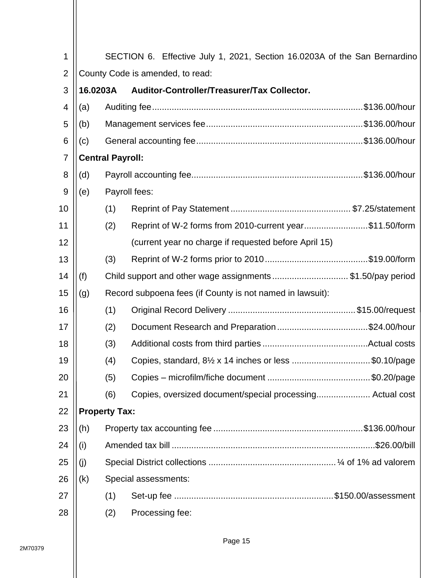| 1              |                                  |                         | SECTION 6. Effective July 1, 2021, Section 16.0203A of the San Bernardino |  |  |  |
|----------------|----------------------------------|-------------------------|---------------------------------------------------------------------------|--|--|--|
| $\overline{2}$ | County Code is amended, to read: |                         |                                                                           |  |  |  |
| 3              |                                  |                         | 16.0203A Auditor-Controller/Treasurer/Tax Collector.                      |  |  |  |
| $\overline{4}$ | (a)                              |                         |                                                                           |  |  |  |
| 5              | (b)                              |                         |                                                                           |  |  |  |
| 6              | (c)                              |                         |                                                                           |  |  |  |
| $\overline{7}$ |                                  | <b>Central Payroll:</b> |                                                                           |  |  |  |
| 8              | (d)                              |                         |                                                                           |  |  |  |
| $\overline{9}$ | (e)                              |                         | Payroll fees:                                                             |  |  |  |
| 10             |                                  | (1)                     |                                                                           |  |  |  |
| 11             |                                  | (2)                     | Reprint of W-2 forms from 2010-current year\$11.50/form                   |  |  |  |
| 12             |                                  |                         | (current year no charge if requested before April 15)                     |  |  |  |
| 13             |                                  | (3)                     |                                                                           |  |  |  |
| 14             | (f)                              |                         | Child support and other wage assignments \$1.50/pay period                |  |  |  |
| 15             | (g)                              |                         | Record subpoena fees (if County is not named in lawsuit):                 |  |  |  |
| 16             |                                  | (1)                     |                                                                           |  |  |  |
| 17             |                                  | (2)                     |                                                                           |  |  |  |
| 18             |                                  | (3)                     |                                                                           |  |  |  |
| 19             |                                  | (4)                     | Copies, standard, 81/2 x 14 inches or less \$0.10/page                    |  |  |  |
| 20             |                                  | (5)                     |                                                                           |  |  |  |
| 21             |                                  | (6)                     | Copies, oversized document/special processing Actual cost                 |  |  |  |
| 22             |                                  | <b>Property Tax:</b>    |                                                                           |  |  |  |
| 23             | (h)                              |                         |                                                                           |  |  |  |
| 24             | (i)                              |                         | .\$26.00/bill.                                                            |  |  |  |
| 25             | (j)                              |                         |                                                                           |  |  |  |
| 26             | (k)                              |                         | Special assessments:                                                      |  |  |  |
| 27             |                                  | (1)                     |                                                                           |  |  |  |
| 28             |                                  | (2)                     | Processing fee:                                                           |  |  |  |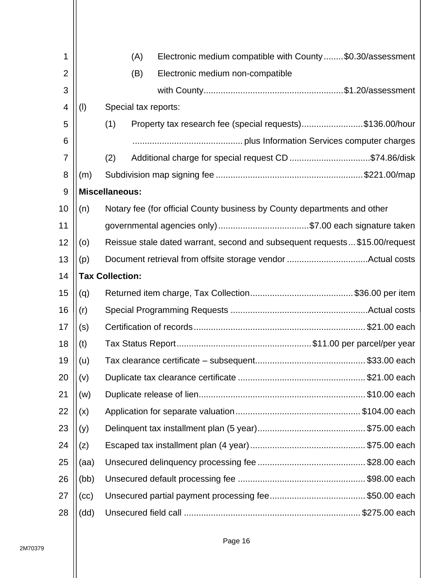| 1              |      | Electronic medium compatible with County\$0.30/assessment<br>(A)           |  |  |  |  |
|----------------|------|----------------------------------------------------------------------------|--|--|--|--|
| $\overline{2}$ |      | (B)<br>Electronic medium non-compatible                                    |  |  |  |  |
| 3              |      |                                                                            |  |  |  |  |
| 4              | (1)  | Special tax reports:                                                       |  |  |  |  |
| 5              |      | (1)<br>Property tax research fee (special requests)\$136.00/hour           |  |  |  |  |
| 6              |      |                                                                            |  |  |  |  |
| 7              |      | Additional charge for special request CD \$74.86/disk<br>(2)               |  |  |  |  |
| 8              | (m)  |                                                                            |  |  |  |  |
| 9              |      | <b>Miscellaneous:</b>                                                      |  |  |  |  |
| 10             | (n)  | Notary fee (for official County business by County departments and other   |  |  |  |  |
| 11             |      | governmental agencies only) \$7.00 each signature taken                    |  |  |  |  |
| 12             | (0)  | Reissue stale dated warrant, second and subsequent requests\$15.00/request |  |  |  |  |
| 13             | (p)  |                                                                            |  |  |  |  |
| 14             |      | <b>Tax Collection:</b>                                                     |  |  |  |  |
| 15             | (q)  |                                                                            |  |  |  |  |
| 16             | (r)  |                                                                            |  |  |  |  |
| 17             | (s)  |                                                                            |  |  |  |  |
| 18             | (t)  |                                                                            |  |  |  |  |
| 19             | (u)  |                                                                            |  |  |  |  |
| 20             | (v)  |                                                                            |  |  |  |  |
| 21             | (w)  |                                                                            |  |  |  |  |
| 22             | (x)  |                                                                            |  |  |  |  |
| 23             | (y)  |                                                                            |  |  |  |  |
| 24             | (z)  |                                                                            |  |  |  |  |
| 25             | (aa) |                                                                            |  |  |  |  |
| 26             | (bb) |                                                                            |  |  |  |  |
| 27             | (cc) |                                                                            |  |  |  |  |
| 28             | (dd) |                                                                            |  |  |  |  |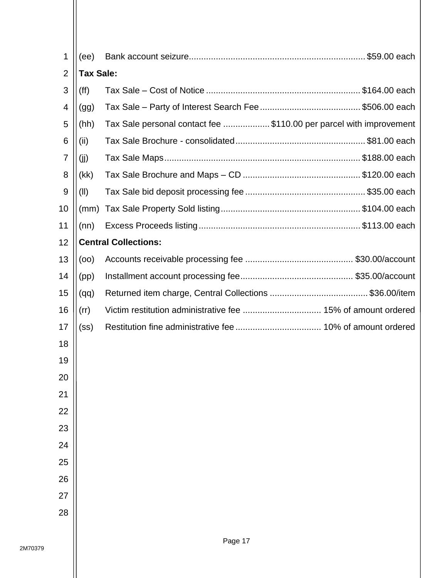| 1              | (ee)              |                                                                    |  |  |  |  |  |
|----------------|-------------------|--------------------------------------------------------------------|--|--|--|--|--|
| $\overline{2}$ | <b>Tax Sale:</b>  |                                                                    |  |  |  |  |  |
| 3              | (ff)              |                                                                    |  |  |  |  |  |
| 4              | (gg)              |                                                                    |  |  |  |  |  |
| 5              | (hh)              | Tax Sale personal contact fee \$110.00 per parcel with improvement |  |  |  |  |  |
| 6              | (ii)              |                                                                    |  |  |  |  |  |
| $\overline{7}$ | (i)               |                                                                    |  |  |  |  |  |
| 8              | (kk)              |                                                                    |  |  |  |  |  |
| 9              | (II)              |                                                                    |  |  |  |  |  |
| 10             | (mm)              |                                                                    |  |  |  |  |  |
| 11             | (nn)              |                                                                    |  |  |  |  |  |
| 12             |                   | <b>Central Collections:</b>                                        |  |  |  |  |  |
| 13             | (00)              |                                                                    |  |  |  |  |  |
| 14             | (pp)              |                                                                    |  |  |  |  |  |
| 15             | (qq)              |                                                                    |  |  |  |  |  |
| 16             | (rr)              |                                                                    |  |  |  |  |  |
| 17             | (s <sub>S</sub> ) |                                                                    |  |  |  |  |  |
| 18             |                   |                                                                    |  |  |  |  |  |
| 19             |                   |                                                                    |  |  |  |  |  |
| 20             |                   |                                                                    |  |  |  |  |  |
| 21             |                   |                                                                    |  |  |  |  |  |
| 22             |                   |                                                                    |  |  |  |  |  |
| 23             |                   |                                                                    |  |  |  |  |  |
| 24             |                   |                                                                    |  |  |  |  |  |
| 25             |                   |                                                                    |  |  |  |  |  |
| 26             |                   |                                                                    |  |  |  |  |  |
| 27             |                   |                                                                    |  |  |  |  |  |
| 28             |                   |                                                                    |  |  |  |  |  |
|                |                   |                                                                    |  |  |  |  |  |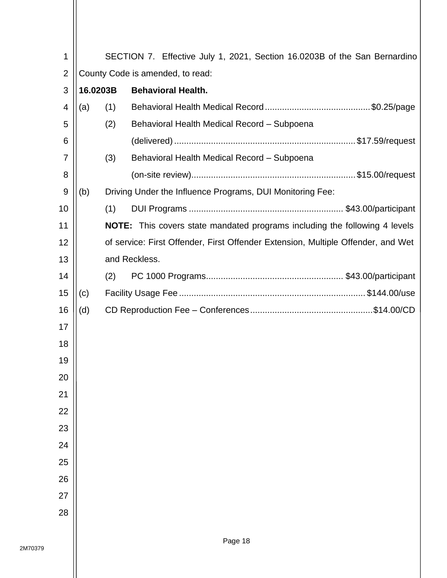| 1              |                                  |     | SECTION 7. Effective July 1, 2021, Section 16.0203B of the San Bernardino         |  |  |  |
|----------------|----------------------------------|-----|-----------------------------------------------------------------------------------|--|--|--|
| $\overline{2}$ | County Code is amended, to read: |     |                                                                                   |  |  |  |
| 3              | 16.0203B                         |     | <b>Behavioral Health.</b>                                                         |  |  |  |
| 4              | (a)                              | (1) |                                                                                   |  |  |  |
| 5              |                                  | (2) | Behavioral Health Medical Record - Subpoena                                       |  |  |  |
| 6              |                                  |     |                                                                                   |  |  |  |
| $\overline{7}$ |                                  | (3) | Behavioral Health Medical Record - Subpoena                                       |  |  |  |
| 8              |                                  |     |                                                                                   |  |  |  |
| 9              | (b)                              |     | Driving Under the Influence Programs, DUI Monitoring Fee:                         |  |  |  |
| 10             |                                  | (1) |                                                                                   |  |  |  |
| 11             |                                  |     | <b>NOTE:</b> This covers state mandated programs including the following 4 levels |  |  |  |
| 12             |                                  |     | of service: First Offender, First Offender Extension, Multiple Offender, and Wet  |  |  |  |
| 13             |                                  |     | and Reckless.                                                                     |  |  |  |
| 14             |                                  | (2) |                                                                                   |  |  |  |
| 15             | (c)                              |     |                                                                                   |  |  |  |
| 16             | (d)                              |     |                                                                                   |  |  |  |
| 17             |                                  |     |                                                                                   |  |  |  |
| 18             |                                  |     |                                                                                   |  |  |  |
| 19             |                                  |     |                                                                                   |  |  |  |
| 20             |                                  |     |                                                                                   |  |  |  |
| 21             |                                  |     |                                                                                   |  |  |  |
| 22             |                                  |     |                                                                                   |  |  |  |
| 23             |                                  |     |                                                                                   |  |  |  |
| 24             |                                  |     |                                                                                   |  |  |  |
| 25             |                                  |     |                                                                                   |  |  |  |
| 26             |                                  |     |                                                                                   |  |  |  |
| 27             |                                  |     |                                                                                   |  |  |  |
| 28             |                                  |     |                                                                                   |  |  |  |
|                |                                  |     |                                                                                   |  |  |  |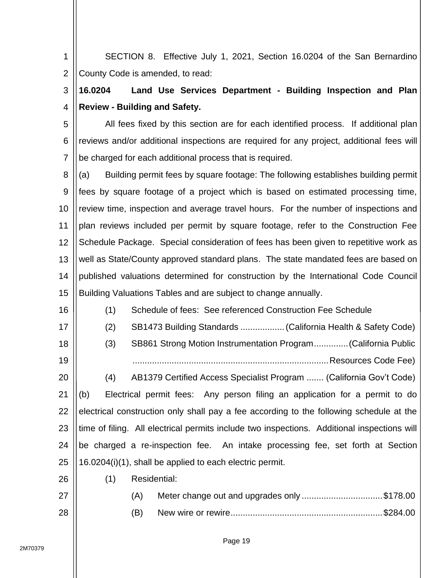1 2 SECTION 8. Effective July 1, 2021, Section 16.0204 of the San Bernardino County Code is amended, to read:

## 3 4 **16.0204 Land Use Services Department - Building Inspection and Plan Review - Building and Safety.**

5 6 7 All fees fixed by this section are for each identified process. If additional plan reviews and/or additional inspections are required for any project, additional fees will be charged for each additional process that is required.

8 9 10 11 12 13 14 15 (a) Building permit fees by square footage: The following establishes building permit fees by square footage of a project which is based on estimated processing time, review time, inspection and average travel hours. For the number of inspections and plan reviews included per permit by square footage, refer to the Construction Fee Schedule Package. Special consideration of fees has been given to repetitive work as well as State/County approved standard plans. The state mandated fees are based on published valuations determined for construction by the International Code Council Building Valuations Tables and are subject to change annually.

16 17 18 19 20 21 22 23 24 25 (1) Schedule of fees: See referenced Construction Fee Schedule (2) SB1473 Building Standards ..................(California Health & Safety Code) (3) SB861 Strong Motion Instrumentation Program..............(California Public ................................................................................Resources Code Fee) (4) AB1379 Certified Access Specialist Program ....... (California Gov't Code) (b) Electrical permit fees: Any person filing an application for a permit to do electrical construction only shall pay a fee according to the following schedule at the time of filing. All electrical permits include two inspections. Additional inspections will be charged a re-inspection fee. An intake processing fee, set forth at Section 16.0204(i)(1), shall be applied to each electric permit.

(1) Residential:

| 27 | (A) | Meter change out and upgrades only \$178.00 |  |
|----|-----|---------------------------------------------|--|
| 28 | (B) |                                             |  |

26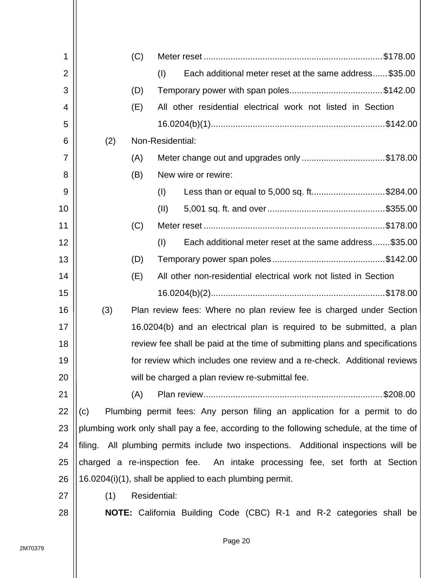| 1              |     | (C) |                                                                                         |
|----------------|-----|-----|-----------------------------------------------------------------------------------------|
| $\overline{2}$ |     |     | Each additional meter reset at the same address \$35.00<br>(I)                          |
| 3              |     | (D) |                                                                                         |
| 4              |     | (E) | All other residential electrical work not listed in Section                             |
| 5              |     |     |                                                                                         |
| 6              | (2) |     | Non-Residential:                                                                        |
| $\overline{7}$ |     | (A) | Meter change out and upgrades only \$178.00                                             |
| 8              |     | (B) | New wire or rewire:                                                                     |
| 9              |     |     | Less than or equal to 5,000 sq. ft\$284.00<br>(I)                                       |
| 10             |     |     | (II)                                                                                    |
| 11             |     | (C) |                                                                                         |
| 12             |     |     | (1)<br>Each additional meter reset at the same address\$35.00                           |
| 13             |     | (D) |                                                                                         |
| 14             |     | (E) | All other non-residential electrical work not listed in Section                         |
| 15             |     |     |                                                                                         |
| 16             | (3) |     | Plan review fees: Where no plan review fee is charged under Section                     |
| 17             |     |     | 16.0204(b) and an electrical plan is required to be submitted, a plan                   |
| 18             |     |     | review fee shall be paid at the time of submitting plans and specifications             |
| 19             |     |     | for review which includes one review and a re-check. Additional reviews                 |
| 20             |     |     | will be charged a plan review re-submittal fee.                                         |
| 21             |     | (A) | \$208.00                                                                                |
| 22             | (c) |     | Plumbing permit fees: Any person filing an application for a permit to do               |
| 23             |     |     | plumbing work only shall pay a fee, according to the following schedule, at the time of |
| 24             |     |     | filing. All plumbing permits include two inspections. Additional inspections will be    |
| 25             |     |     | charged a re-inspection fee. An intake processing fee, set forth at Section             |
| 26             |     |     | 16.0204(i)(1), shall be applied to each plumbing permit.                                |
| 27             | (1) |     | Residential:                                                                            |
| 28             |     |     | NOTE: California Building Code (CBC) R-1 and R-2 categories shall be                    |
|                |     |     |                                                                                         |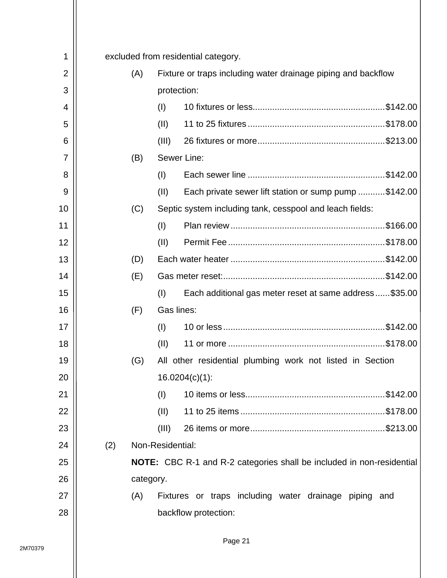| 1              |     | excluded from residential category. |                                                                              |  |  |
|----------------|-----|-------------------------------------|------------------------------------------------------------------------------|--|--|
| $\overline{2}$ | (A) |                                     | Fixture or traps including water drainage piping and backflow                |  |  |
| 3              |     |                                     | protection:                                                                  |  |  |
| 4              |     | (1)                                 |                                                                              |  |  |
| 5              |     | (II)                                |                                                                              |  |  |
| 6              |     | (III)                               |                                                                              |  |  |
| 7              | (B) |                                     | Sewer Line:                                                                  |  |  |
| 8              |     | (1)                                 |                                                                              |  |  |
| 9              |     | (II)                                | Each private sewer lift station or sump pump \$142.00                        |  |  |
| 10             | (C) |                                     | Septic system including tank, cesspool and leach fields:                     |  |  |
| 11             |     | (1)                                 |                                                                              |  |  |
| 12             |     | (II)                                |                                                                              |  |  |
| 13             | (D) |                                     |                                                                              |  |  |
| 14             | (E) |                                     |                                                                              |  |  |
| 15             |     | (1)                                 | Each additional gas meter reset at same address\$35.00                       |  |  |
| 16             | (F) | Gas lines:                          |                                                                              |  |  |
| 17             |     | (1)                                 |                                                                              |  |  |
| 18             |     | (II)                                |                                                                              |  |  |
| 19             | (G) |                                     | All other residential plumbing work not listed in Section                    |  |  |
| 20             |     |                                     | $16.0204(c)(1)$ :                                                            |  |  |
| 21             |     | (I)                                 |                                                                              |  |  |
| 22             |     | (11)                                |                                                                              |  |  |
| 23             |     | (III)                               |                                                                              |  |  |
| 24             | (2) | Non-Residential:                    |                                                                              |  |  |
| 25             |     |                                     | <b>NOTE:</b> CBC R-1 and R-2 categories shall be included in non-residential |  |  |
| 26             |     | category.                           |                                                                              |  |  |
| 27             | (A) |                                     | Fixtures or traps including water drainage piping and                        |  |  |
| 28             |     |                                     | backflow protection:                                                         |  |  |
|                |     |                                     |                                                                              |  |  |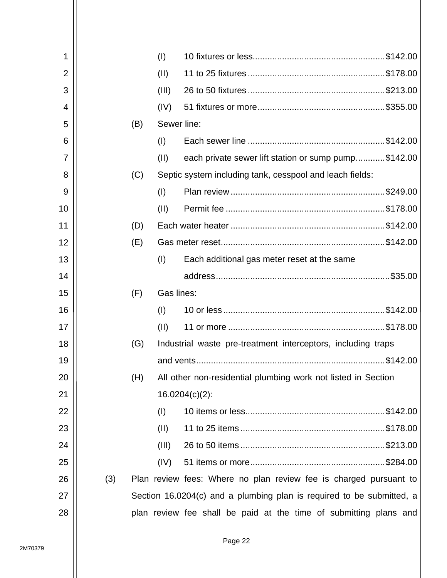|     |     | (1)   |                                                                   |                                                                                                                                                                                                                                                                                                                                                                                                                                                   |
|-----|-----|-------|-------------------------------------------------------------------|---------------------------------------------------------------------------------------------------------------------------------------------------------------------------------------------------------------------------------------------------------------------------------------------------------------------------------------------------------------------------------------------------------------------------------------------------|
|     |     | (II)  |                                                                   |                                                                                                                                                                                                                                                                                                                                                                                                                                                   |
|     |     | (III) |                                                                   |                                                                                                                                                                                                                                                                                                                                                                                                                                                   |
|     |     | (IV)  |                                                                   |                                                                                                                                                                                                                                                                                                                                                                                                                                                   |
|     | (B) |       |                                                                   |                                                                                                                                                                                                                                                                                                                                                                                                                                                   |
|     |     | (1)   |                                                                   |                                                                                                                                                                                                                                                                                                                                                                                                                                                   |
|     |     | (II)  |                                                                   |                                                                                                                                                                                                                                                                                                                                                                                                                                                   |
|     | (C) |       |                                                                   |                                                                                                                                                                                                                                                                                                                                                                                                                                                   |
|     |     | (1)   |                                                                   |                                                                                                                                                                                                                                                                                                                                                                                                                                                   |
|     |     | (II)  |                                                                   |                                                                                                                                                                                                                                                                                                                                                                                                                                                   |
|     | (D) |       |                                                                   |                                                                                                                                                                                                                                                                                                                                                                                                                                                   |
|     | (E) |       |                                                                   |                                                                                                                                                                                                                                                                                                                                                                                                                                                   |
|     |     | (1)   | Each additional gas meter reset at the same                       |                                                                                                                                                                                                                                                                                                                                                                                                                                                   |
|     |     |       |                                                                   |                                                                                                                                                                                                                                                                                                                                                                                                                                                   |
|     | (F) |       |                                                                   |                                                                                                                                                                                                                                                                                                                                                                                                                                                   |
|     |     | (1)   |                                                                   |                                                                                                                                                                                                                                                                                                                                                                                                                                                   |
|     |     | (II)  |                                                                   |                                                                                                                                                                                                                                                                                                                                                                                                                                                   |
|     | (G) |       |                                                                   |                                                                                                                                                                                                                                                                                                                                                                                                                                                   |
|     |     |       |                                                                   |                                                                                                                                                                                                                                                                                                                                                                                                                                                   |
|     | (H) |       |                                                                   |                                                                                                                                                                                                                                                                                                                                                                                                                                                   |
|     |     |       |                                                                   |                                                                                                                                                                                                                                                                                                                                                                                                                                                   |
|     |     | (1)   |                                                                   |                                                                                                                                                                                                                                                                                                                                                                                                                                                   |
|     |     | (II)  |                                                                   |                                                                                                                                                                                                                                                                                                                                                                                                                                                   |
|     |     | (III) |                                                                   |                                                                                                                                                                                                                                                                                                                                                                                                                                                   |
|     |     | (IV)  |                                                                   |                                                                                                                                                                                                                                                                                                                                                                                                                                                   |
| (3) |     |       |                                                                   |                                                                                                                                                                                                                                                                                                                                                                                                                                                   |
|     |     |       |                                                                   |                                                                                                                                                                                                                                                                                                                                                                                                                                                   |
|     |     |       | plan review fee shall be paid at the time of submitting plans and |                                                                                                                                                                                                                                                                                                                                                                                                                                                   |
|     |     |       |                                                                   | Sewer line:<br>each private sewer lift station or sump pump\$142.00<br>Septic system including tank, cesspool and leach fields:<br>Gas lines:<br>Industrial waste pre-treatment interceptors, including traps<br>All other non-residential plumbing work not listed in Section<br>$16.0204(c)(2)$ :<br>Plan review fees: Where no plan review fee is charged pursuant to<br>Section 16.0204(c) and a plumbing plan is required to be submitted, a |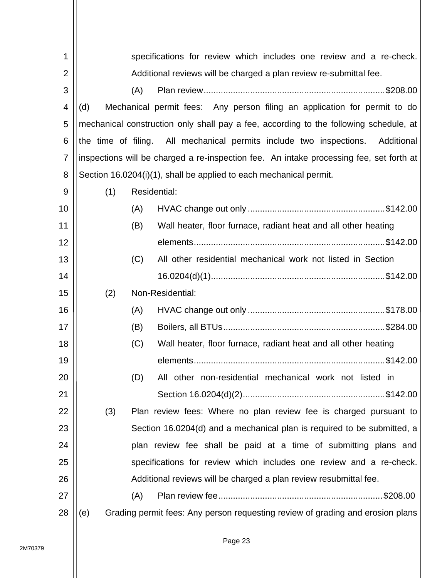| 1              | specifications for review which includes one review and a re-check.                     |
|----------------|-----------------------------------------------------------------------------------------|
| $\overline{2}$ | Additional reviews will be charged a plan review re-submittal fee.                      |
| 3              | (A)                                                                                     |
| 4              | Mechanical permit fees: Any person filing an application for permit to do<br>(d)        |
| 5              | mechanical construction only shall pay a fee, according to the following schedule, at   |
| 6              | the time of filing. All mechanical permits include two inspections.<br>Additional       |
| 7              | inspections will be charged a re-inspection fee. An intake processing fee, set forth at |
| 8              | Section 16.0204(i)(1), shall be applied to each mechanical permit.                      |
| 9              | (1)<br>Residential:                                                                     |
| 10             | (A)                                                                                     |
| 11             | (B)<br>Wall heater, floor furnace, radiant heat and all other heating                   |
| 12             |                                                                                         |
| 13             | (C)<br>All other residential mechanical work not listed in Section                      |
| 14             |                                                                                         |
| 15             | Non-Residential:<br>(2)                                                                 |
| 16             | (A)                                                                                     |
| 17             | (B)                                                                                     |
| 18             | Wall heater, floor furnace, radiant heat and all other heating<br>(C)                   |
| 19             |                                                                                         |
| 20             | other non-residential mechanical work not listed in<br>(D)<br>All                       |
| 21             |                                                                                         |
| 22             | (3)<br>Plan review fees: Where no plan review fee is charged pursuant to                |
| 23             | Section 16.0204(d) and a mechanical plan is required to be submitted, a                 |
| 24             | plan review fee shall be paid at a time of submitting plans and                         |
| 25             | specifications for review which includes one review and a re-check.                     |
| 26             | Additional reviews will be charged a plan review resubmittal fee.                       |
| 27             | (A)                                                                                     |
| 28             | Grading permit fees: Any person requesting review of grading and erosion plans<br>(e)   |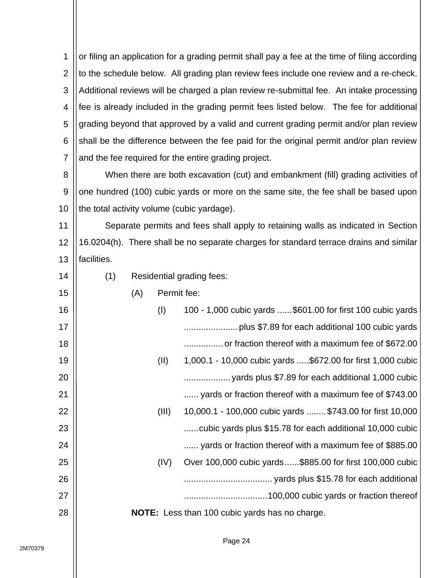1 2 3 4 5 6 7 or filing an application for a grading permit shall pay a fee at the time of filing according to the schedule below. All grading plan review fees include one review and a re-check. Additional reviews will be charged a plan review re-submittal fee. An intake processing fee is already included in the grading permit fees listed below. The fee for additional grading beyond that approved by a valid and current grading permit and/or plan review shall be the difference between the fee paid for the original permit and/or plan review and the fee required for the entire grading project.

8 9 10 When there are both excavation (cut) and embankment (fill) grading activities of one hundred (100) cubic yards or more on the same site, the fee shall be based upon the total activity volume (cubic yardage).

11 12 13 Separate permits and fees shall apply to retaining walls as indicated in Section 16.0204(h). There shall be no separate charges for standard terrace drains and similar facilities.

(1) Residential grading fees:

 $(\Lambda)$  Pormit foo:

| L GITTIIT IGG' |                                                             |
|----------------|-------------------------------------------------------------|
| (1)            | 100 - 1,000 cubic yards  \$601.00 for first 100 cubic yards |
|                |                                                             |
|                | or fraction thereof with a maximum fee of \$672.00          |
| (II)           | 1,000.1 - 10,000 cubic yards \$672.00 for first 1,000 cubic |
|                | yards plus \$7.89 for each additional 1,000 cubic           |
|                | yards or fraction thereof with a maximum fee of \$743.00    |
| (III)          | 10,000.1 - 100,000 cubic yards  \$743.00 for first 10,000   |
|                | cubic yards plus \$15.78 for each additional 10,000 cubic   |
|                | yards or fraction thereof with a maximum fee of \$885.00    |
| (IV)           | Over 100,000 cubic yards\$885.00 for first 100,000 cubic    |
|                |                                                             |
|                |                                                             |
|                | NOTE: Less than 100 cubic yards has no charge.              |
| (M)            |                                                             |

14

15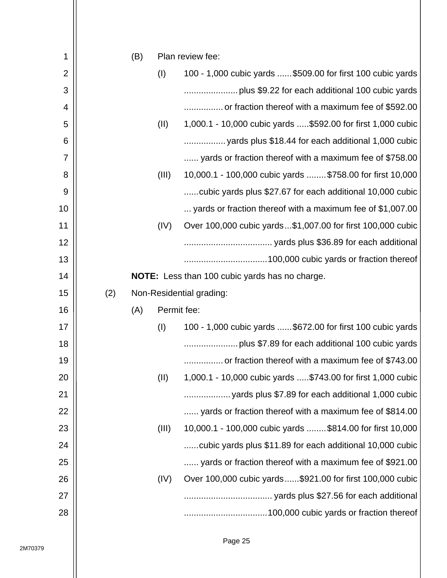| 1              |     | (B) |             | Plan review fee:                                             |
|----------------|-----|-----|-------------|--------------------------------------------------------------|
| $\overline{2}$ |     |     | (1)         | 100 - 1,000 cubic yards  \$509.00 for first 100 cubic yards  |
| 3              |     |     |             |                                                              |
| 4              |     |     |             | or fraction thereof with a maximum fee of \$592.00           |
| 5              |     |     | (II)        | 1,000.1 - 10,000 cubic yards  \$592.00 for first 1,000 cubic |
| 6              |     |     |             |                                                              |
| $\overline{7}$ |     |     |             | yards or fraction thereof with a maximum fee of \$758.00     |
| 8              |     |     | (III)       | 10,000.1 - 100,000 cubic yards  \$758.00 for first 10,000    |
| 9              |     |     |             | cubic yards plus \$27.67 for each additional 10,000 cubic    |
| 10             |     |     |             | yards or fraction thereof with a maximum fee of \$1,007.00   |
| 11             |     |     | (IV)        | Over 100,000 cubic yards\$1,007.00 for first 100,000 cubic   |
| 12             |     |     |             |                                                              |
| 13             |     |     |             |                                                              |
| 14             |     |     |             | NOTE: Less than 100 cubic yards has no charge.               |
| 15             | (2) |     |             | Non-Residential grading:                                     |
| 16             |     | (A) | Permit fee: |                                                              |
| 17             |     |     | (I)         | 100 - 1,000 cubic yards  \$672.00 for first 100 cubic yards  |
| 18             |     |     |             |                                                              |
| 19             |     |     |             | or fraction thereof with a maximum fee of \$743.00           |
| 20             |     |     | (II)        | 1,000.1 - 10,000 cubic yards \$743.00 for first 1,000 cubic  |
| 21             |     |     |             | yards plus \$7.89 for each additional 1,000 cubic            |
| 22             |     |     |             | yards or fraction thereof with a maximum fee of \$814.00     |
| 23             |     |     | (III)       | 10,000.1 - 100,000 cubic yards  \$814.00 for first 10,000    |
| 24             |     |     |             | cubic yards plus \$11.89 for each additional 10,000 cubic    |
| 25             |     |     |             | yards or fraction thereof with a maximum fee of \$921.00     |
| 26             |     |     | (IV)        | Over 100,000 cubic yards\$921.00 for first 100,000 cubic     |
| 27             |     |     |             |                                                              |
| 28             |     |     |             |                                                              |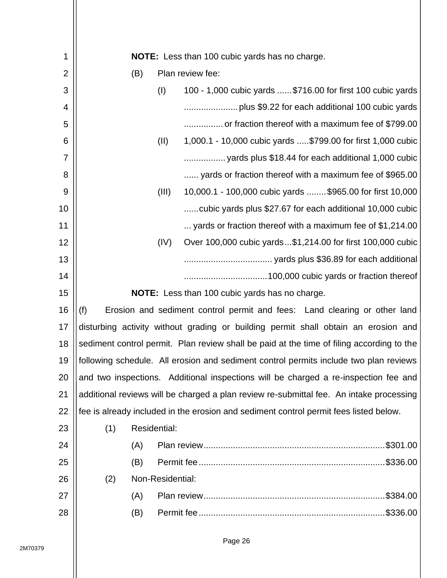| 1              | <b>NOTE:</b> Less than 100 cubic yards has no charge. |     |                  |                                                                                           |  |  |
|----------------|-------------------------------------------------------|-----|------------------|-------------------------------------------------------------------------------------------|--|--|
| $\overline{2}$ |                                                       | (B) |                  | Plan review fee:                                                                          |  |  |
| 3              |                                                       |     | (1)              | 100 - 1,000 cubic yards  \$716.00 for first 100 cubic yards                               |  |  |
| 4              |                                                       |     |                  |                                                                                           |  |  |
| 5              |                                                       |     |                  | or fraction thereof with a maximum fee of \$799.00                                        |  |  |
| 6              |                                                       |     | (II)             | 1,000.1 - 10,000 cubic yards \$799.00 for first 1,000 cubic                               |  |  |
| 7              |                                                       |     |                  |                                                                                           |  |  |
| 8              |                                                       |     |                  | yards or fraction thereof with a maximum fee of \$965.00                                  |  |  |
| 9              |                                                       |     | (III)            | 10,000.1 - 100,000 cubic yards  \$965.00 for first 10,000                                 |  |  |
| 10             |                                                       |     |                  | cubic yards plus \$27.67 for each additional 10,000 cubic                                 |  |  |
| 11             |                                                       |     |                  | yards or fraction thereof with a maximum fee of \$1,214.00                                |  |  |
| 12             |                                                       |     | (IV)             | Over 100,000 cubic yards\$1,214.00 for first 100,000 cubic                                |  |  |
| 13             |                                                       |     |                  |                                                                                           |  |  |
| 14             |                                                       |     |                  |                                                                                           |  |  |
| 15             |                                                       |     |                  | <b>NOTE:</b> Less than 100 cubic yards has no charge.                                     |  |  |
| 16             | (f)                                                   |     |                  | Erosion and sediment control permit and fees: Land clearing or other land                 |  |  |
| 17             |                                                       |     |                  | disturbing activity without grading or building permit shall obtain an erosion and        |  |  |
| 18             |                                                       |     |                  | sediment control permit. Plan review shall be paid at the time of filing according to the |  |  |
| 19             |                                                       |     |                  | following schedule. All erosion and sediment control permits include two plan reviews     |  |  |
| 20             |                                                       |     |                  | and two inspections. Additional inspections will be charged a re-inspection fee and       |  |  |
| 21             |                                                       |     |                  | additional reviews will be charged a plan review re-submittal fee. An intake processing   |  |  |
| 22             |                                                       |     |                  | fee is already included in the erosion and sediment control permit fees listed below.     |  |  |
| 23             | (1)                                                   |     | Residential:     |                                                                                           |  |  |
| 24             |                                                       | (A) |                  |                                                                                           |  |  |
| 25             |                                                       | (B) |                  |                                                                                           |  |  |
| 26             | (2)                                                   |     | Non-Residential: |                                                                                           |  |  |
| 27             |                                                       | (A) |                  |                                                                                           |  |  |
| 28             |                                                       | (B) |                  |                                                                                           |  |  |
|                |                                                       |     |                  |                                                                                           |  |  |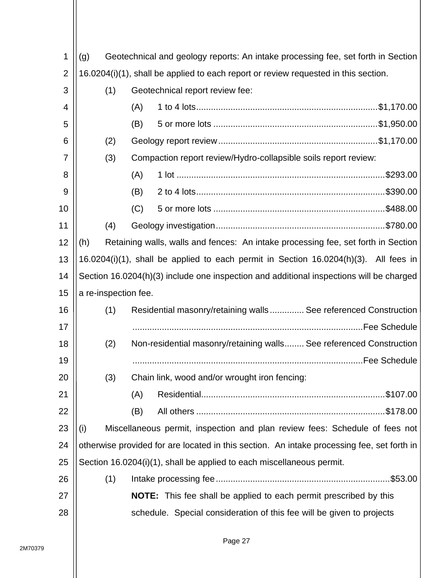| 1              | (g)                                                                                 | Geotechnical and geology reports: An intake processing fee, set forth in Section |                      |                                                                                            |  |  |  |  |
|----------------|-------------------------------------------------------------------------------------|----------------------------------------------------------------------------------|----------------------|--------------------------------------------------------------------------------------------|--|--|--|--|
| $\overline{2}$ | 16.0204(i)(1), shall be applied to each report or review requested in this section. |                                                                                  |                      |                                                                                            |  |  |  |  |
| 3              |                                                                                     | (1)                                                                              |                      | Geotechnical report review fee:                                                            |  |  |  |  |
| 4              |                                                                                     |                                                                                  | (A)                  |                                                                                            |  |  |  |  |
| 5              |                                                                                     |                                                                                  | (B)                  |                                                                                            |  |  |  |  |
| 6              |                                                                                     | (2)                                                                              |                      |                                                                                            |  |  |  |  |
| 7              |                                                                                     | (3)                                                                              |                      | Compaction report review/Hydro-collapsible soils report review:                            |  |  |  |  |
| 8              |                                                                                     |                                                                                  | (A)                  |                                                                                            |  |  |  |  |
| 9              |                                                                                     |                                                                                  | (B)                  |                                                                                            |  |  |  |  |
| 10             |                                                                                     |                                                                                  | (C)                  |                                                                                            |  |  |  |  |
| 11             |                                                                                     | (4)                                                                              |                      |                                                                                            |  |  |  |  |
| 12             | (h)                                                                                 |                                                                                  |                      | Retaining walls, walls and fences: An intake processing fee, set forth in Section          |  |  |  |  |
| 13             |                                                                                     |                                                                                  |                      | 16.0204(i)(1), shall be applied to each permit in Section 16.0204(h)(3). All fees in       |  |  |  |  |
| 14             |                                                                                     |                                                                                  |                      | Section 16.0204(h)(3) include one inspection and additional inspections will be charged    |  |  |  |  |
| 15             |                                                                                     |                                                                                  | a re-inspection fee. |                                                                                            |  |  |  |  |
| 16             |                                                                                     | (1)                                                                              |                      | Residential masonry/retaining walls See referenced Construction                            |  |  |  |  |
| 17             |                                                                                     |                                                                                  |                      |                                                                                            |  |  |  |  |
| 18             |                                                                                     | (2)                                                                              |                      | Non-residential masonry/retaining walls See referenced Construction                        |  |  |  |  |
| 19             |                                                                                     |                                                                                  |                      |                                                                                            |  |  |  |  |
| 20             |                                                                                     | (3)                                                                              |                      | Chain link, wood and/or wrought iron fencing:                                              |  |  |  |  |
| 21             |                                                                                     |                                                                                  | (A)                  |                                                                                            |  |  |  |  |
| 22             |                                                                                     |                                                                                  | (B)                  |                                                                                            |  |  |  |  |
| 23             | (i)                                                                                 |                                                                                  |                      | Miscellaneous permit, inspection and plan review fees: Schedule of fees not                |  |  |  |  |
| 24             |                                                                                     |                                                                                  |                      | otherwise provided for are located in this section. An intake processing fee, set forth in |  |  |  |  |
| 25             |                                                                                     |                                                                                  |                      | Section 16.0204(i)(1), shall be applied to each miscellaneous permit.                      |  |  |  |  |
| 26             |                                                                                     | (1)                                                                              |                      |                                                                                            |  |  |  |  |
| 27             |                                                                                     |                                                                                  |                      | NOTE: This fee shall be applied to each permit prescribed by this                          |  |  |  |  |
|                |                                                                                     |                                                                                  |                      | schedule. Special consideration of this fee will be given to projects                      |  |  |  |  |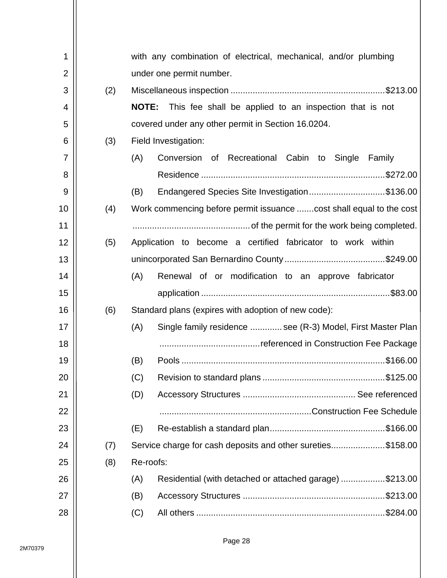|     | with any combination of electrical, mechanical, and/or plumbing        |
|-----|------------------------------------------------------------------------|
|     | under one permit number.                                               |
| (2) |                                                                        |
|     | <b>NOTE:</b><br>This fee shall be applied to an inspection that is not |
|     | covered under any other permit in Section 16.0204.                     |
| (3) | Field Investigation:                                                   |
|     | Recreational Cabin to<br>(A)<br>Conversion<br>0f<br>Single<br>Family   |
|     |                                                                        |
|     | (B)<br>Endangered Species Site Investigation\$136.00                   |
| (4) | Work commencing before permit issuance  cost shall equal to the cost   |
|     |                                                                        |
| (5) | Application to become a certified fabricator to work within            |
|     |                                                                        |
|     | (A)<br>Renewal of or modification to an approve fabricator             |
|     |                                                                        |
|     |                                                                        |
| (6) | Standard plans (expires with adoption of new code):                    |
|     | Single family residence  see (R-3) Model, First Master Plan<br>(A)     |
|     |                                                                        |
|     | (B)                                                                    |
|     | (C)                                                                    |
|     | (D)                                                                    |
|     |                                                                        |
|     | (E)                                                                    |
| (7) | Service charge for cash deposits and other sureties\$158.00            |
| (8) | Re-roofs:                                                              |
|     | Residential (with detached or attached garage) \$213.00<br>(A)         |
|     | (B)                                                                    |
|     |                                                                        |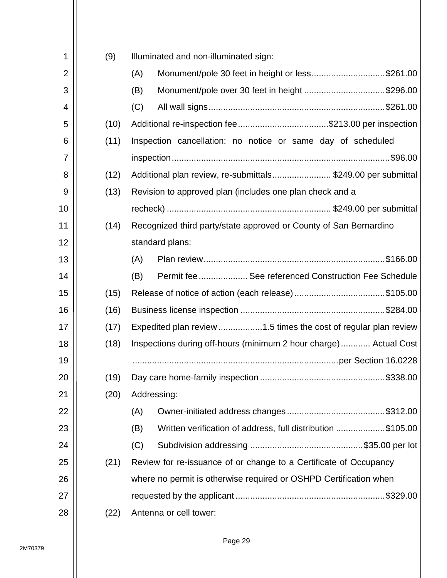| 1              | (9)  | Illuminated and non-illuminated sign:                              |
|----------------|------|--------------------------------------------------------------------|
| $\overline{2}$ |      | Monument/pole 30 feet in height or less\$261.00<br>(A)             |
| 3              |      | Monument/pole over 30 feet in height \$296.00<br>(B)               |
| 4              |      | (C)                                                                |
| 5              | (10) |                                                                    |
| 6              | (11) | Inspection cancellation: no notice or same day of scheduled        |
| 7              |      | .\$96.00                                                           |
| 8              | (12) | Additional plan review, re-submittals\$249.00 per submittal        |
| 9              | (13) | Revision to approved plan (includes one plan check and a           |
| 10             |      |                                                                    |
| 11             | (14) | Recognized third party/state approved or County of San Bernardino  |
| 12             |      | standard plans:                                                    |
| 13             |      | (A)                                                                |
| 14             |      | Permit fee  See referenced Construction Fee Schedule<br>(B)        |
| 15             | (15) |                                                                    |
| 16             | (16) |                                                                    |
| 17             | (17) | Expedited plan review 1.5 times the cost of regular plan review    |
| 18             | (18) | Inspections during off-hours (minimum 2 hour charge) Actual Cost   |
| 19             |      |                                                                    |
| 20             | (19) |                                                                    |
| 21             | (20) | Addressing:                                                        |
| <u>22</u>      |      | (A)                                                                |
| 23             |      | (B)<br>Written verification of address, full distribution \$105.00 |
| 24             |      | (C)                                                                |
| 25             | (21) | Review for re-issuance of or change to a Certificate of Occupancy  |
| 26             |      | where no permit is otherwise required or OSHPD Certification when  |
| 27             |      |                                                                    |
| 28             | (22) | Antenna or cell tower:                                             |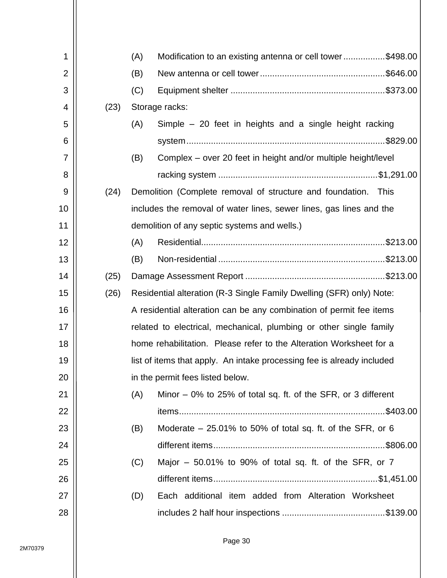| 1              |      | (A)            | Modification to an existing antenna or cell tower\$498.00              |          |
|----------------|------|----------------|------------------------------------------------------------------------|----------|
| $\overline{2}$ |      | (B)            |                                                                        |          |
| 3              |      | (C)            |                                                                        |          |
| 4              | (23) | Storage racks: |                                                                        |          |
| 5              |      | (A)            | Simple - 20 feet in heights and a single height racking                |          |
| 6              |      |                |                                                                        |          |
| 7              |      | (B)            | Complex – over 20 feet in height and/or multiple height/level          |          |
| 8              |      |                |                                                                        |          |
| 9              | (24) |                | Demolition (Complete removal of structure and foundation. This         |          |
| 10             |      |                | includes the removal of water lines, sewer lines, gas lines and the    |          |
| 11             |      |                | demolition of any septic systems and wells.)                           |          |
| 12             |      | (A)            |                                                                        |          |
| 13             |      | (B)            |                                                                        |          |
| 14             | (25) |                |                                                                        |          |
| 15             | (26) |                | Residential alteration (R-3 Single Family Dwelling (SFR) only) Note:   |          |
| 16             |      |                | A residential alteration can be any combination of permit fee items    |          |
| 17             |      |                | related to electrical, mechanical, plumbing or other single family     |          |
| 18             |      |                | home rehabilitation. Please refer to the Alteration Worksheet for a    |          |
| 19             |      |                | list of items that apply. An intake processing fee is already included |          |
| 20             |      |                | in the permit fees listed below.                                       |          |
| 21             |      | (A)            | Minor $-0\%$ to 25% of total sq. ft. of the SFR, or 3 different        |          |
| 22             |      |                |                                                                        | \$403.00 |
| 23             |      | (B)            | Moderate $-25.01\%$ to 50% of total sq. ft. of the SFR, or 6           |          |
| 24             |      |                |                                                                        |          |
| 25             |      | (C)            | Major $-50.01\%$ to 90% of total sq. ft. of the SFR, or 7              |          |
| 26             |      |                |                                                                        |          |
| 27             |      | (D)            | Each additional item added from Alteration Worksheet                   |          |
| 28             |      |                |                                                                        |          |
|                |      |                |                                                                        |          |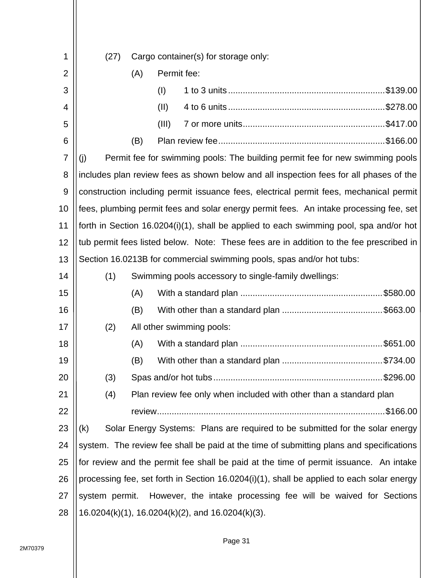| 1              | (27) |     |             | Cargo container(s) for storage only:                                                      |
|----------------|------|-----|-------------|-------------------------------------------------------------------------------------------|
| $\overline{2}$ |      | (A) | Permit fee: |                                                                                           |
| 3              |      |     | (1)         |                                                                                           |
| 4              |      |     | (II)        |                                                                                           |
| 5              |      |     | (III)       |                                                                                           |
| 6              |      | (B) |             |                                                                                           |
| 7              | (i)  |     |             | Permit fee for swimming pools: The building permit fee for new swimming pools             |
| 8              |      |     |             | includes plan review fees as shown below and all inspection fees for all phases of the    |
| 9              |      |     |             | construction including permit issuance fees, electrical permit fees, mechanical permit    |
| 10             |      |     |             | fees, plumbing permit fees and solar energy permit fees. An intake processing fee, set    |
| 11             |      |     |             | forth in Section 16.0204(i)(1), shall be applied to each swimming pool, spa and/or hot    |
| 12             |      |     |             | tub permit fees listed below. Note: These fees are in addition to the fee prescribed in   |
| 13             |      |     |             | Section 16.0213B for commercial swimming pools, spas and/or hot tubs:                     |
| 14             | (1)  |     |             | Swimming pools accessory to single-family dwellings:                                      |
| 15             |      | (A) |             |                                                                                           |
| 16             |      | (B) |             |                                                                                           |
| 17             | (2)  |     |             | All other swimming pools:                                                                 |
| 18             |      | (A) |             |                                                                                           |
| 19             |      | (B) |             |                                                                                           |
| 20             | (3)  |     |             |                                                                                           |
| 21             | (4)  |     |             | Plan review fee only when included with other than a standard plan                        |
| 22             |      |     |             |                                                                                           |
| 23             | (k)  |     |             | Solar Energy Systems: Plans are required to be submitted for the solar energy             |
| 24             |      |     |             | system. The review fee shall be paid at the time of submitting plans and specifications   |
| 25             |      |     |             | for review and the permit fee shall be paid at the time of permit issuance. An intake     |
| 26             |      |     |             | processing fee, set forth in Section 16.0204(i)(1), shall be applied to each solar energy |
| 27             |      |     |             | system permit. However, the intake processing fee will be waived for Sections             |
| 28             |      |     |             | 16.0204(k)(1), 16.0204(k)(2), and 16.0204(k)(3).                                          |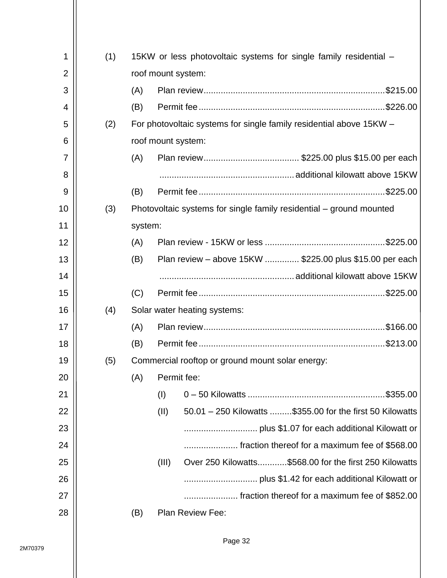| 1              |     |         |                    |                                                                     |
|----------------|-----|---------|--------------------|---------------------------------------------------------------------|
|                | (1) |         |                    | 15KW or less photovoltaic systems for single family residential –   |
| $\overline{2}$ |     |         | roof mount system: |                                                                     |
| 3              |     | (A)     |                    |                                                                     |
| 4              |     | (B)     |                    |                                                                     |
| 5              | (2) |         |                    | For photovoltaic systems for single family residential above 15KW - |
| 6              |     |         | roof mount system: |                                                                     |
| 7              |     | (A)     |                    |                                                                     |
| 8              |     |         |                    |                                                                     |
| 9              |     | (B)     |                    |                                                                     |
| 10             | (3) |         |                    | Photovoltaic systems for single family residential – ground mounted |
| 11             |     | system: |                    |                                                                     |
| 12             |     | (A)     |                    |                                                                     |
| 13             |     | (B)     |                    | Plan review – above 15KW  \$225.00 plus \$15.00 per each            |
| 14             |     |         |                    |                                                                     |
|                |     | (C)     |                    |                                                                     |
| 15             |     |         |                    |                                                                     |
| 16             | (4) |         |                    | Solar water heating systems:                                        |
| 17             |     | (A)     |                    |                                                                     |
| 18             |     | (B)     |                    |                                                                     |
| 19             | (5) |         |                    | Commercial rooftop or ground mount solar energy:                    |
| 20             |     | (A)     | Permit fee:        |                                                                     |
| 21             |     |         | (1)                |                                                                     |
| 22             |     |         | (II)               | 50.01 - 250 Kilowatts \$355.00 for the first 50 Kilowatts           |
| 23             |     |         |                    |                                                                     |
| 24             |     |         |                    | fraction thereof for a maximum fee of \$568.00                      |
| 25             |     |         | (III)              | Over 250 Kilowatts\$568.00 for the first 250 Kilowatts              |
| 26             |     |         |                    |                                                                     |
| 27             |     |         |                    | fraction thereof for a maximum fee of \$852.00                      |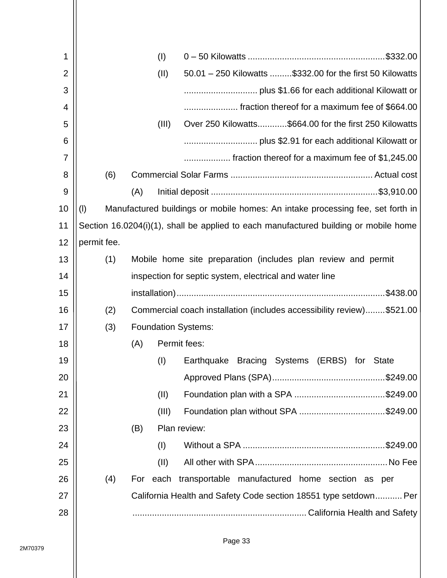| 1              |             | (1)                        |                                                                                      |
|----------------|-------------|----------------------------|--------------------------------------------------------------------------------------|
| 2              |             | (II)                       | 50.01 - 250 Kilowatts \$332.00 for the first 50 Kilowatts                            |
| 3              |             |                            |                                                                                      |
| 4              |             |                            | fraction thereof for a maximum fee of \$664.00                                       |
| 5              |             | (III)                      | Over 250 Kilowatts\$664.00 for the first 250 Kilowatts                               |
| 6              |             |                            |                                                                                      |
| $\overline{7}$ |             |                            | fraction thereof for a maximum fee of \$1,245.00                                     |
| 8              | (6)         |                            |                                                                                      |
| 9              |             | (A)                        |                                                                                      |
| 10             | (1)         |                            | Manufactured buildings or mobile homes: An intake processing fee, set forth in       |
| 11             |             |                            | Section 16.0204(i)(1), shall be applied to each manufactured building or mobile home |
| 12             | permit fee. |                            |                                                                                      |
| 13             | (1)         |                            | Mobile home site preparation (includes plan review and permit                        |
| 14             |             |                            | inspection for septic system, electrical and water line                              |
| 15             |             |                            |                                                                                      |
| 16             | (2)         |                            | Commercial coach installation (includes accessibility review)\$521.00                |
| 17             | (3)         | <b>Foundation Systems:</b> |                                                                                      |
| 18             |             | (A)                        | Permit fees:                                                                         |
| 19             |             | (1)                        | Earthquake Bracing Systems (ERBS) for<br><b>State</b>                                |
| 20             |             |                            |                                                                                      |
| 21             |             | (II)                       |                                                                                      |
| 22             |             | (III)                      |                                                                                      |
| 23             |             | (B)                        | Plan review:                                                                         |
| 24             |             | (1)                        |                                                                                      |
| 25             |             | (II)                       |                                                                                      |
| 26             | (4)         |                            | For each transportable manufactured home section as per                              |
| 27             |             |                            | California Health and Safety Code section 18551 type setdown Per                     |
| 28             |             |                            |                                                                                      |
|                |             |                            |                                                                                      |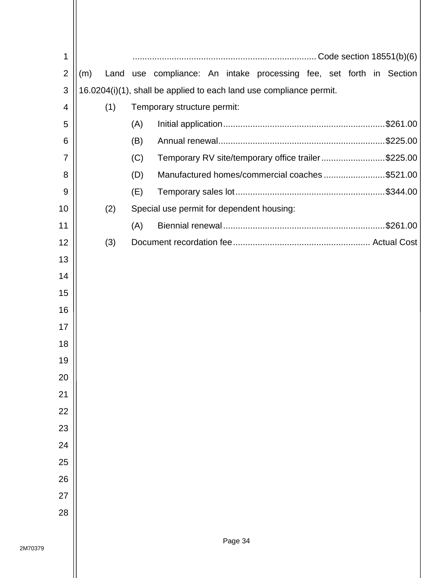| 1              |     |     |     |                                           |                                                                     |  |  |  |
|----------------|-----|-----|-----|-------------------------------------------|---------------------------------------------------------------------|--|--|--|
| $\overline{2}$ | (m) |     |     |                                           | Land use compliance: An intake processing fee, set forth in Section |  |  |  |
| 3              |     |     |     |                                           | 16.0204(i)(1), shall be applied to each land use compliance permit. |  |  |  |
| 4              |     | (1) |     | Temporary structure permit:               |                                                                     |  |  |  |
| 5              |     |     | (A) |                                           |                                                                     |  |  |  |
| 6              |     |     | (B) |                                           |                                                                     |  |  |  |
| $\overline{7}$ |     |     | (C) |                                           | Temporary RV site/temporary office trailer\$225.00                  |  |  |  |
| 8              |     |     | (D) |                                           | Manufactured homes/commercial coaches\$521.00                       |  |  |  |
| 9              |     |     | (E) |                                           |                                                                     |  |  |  |
| 10             |     | (2) |     | Special use permit for dependent housing: |                                                                     |  |  |  |
| 11             |     |     | (A) |                                           |                                                                     |  |  |  |
| 12             |     | (3) |     |                                           |                                                                     |  |  |  |
| 13             |     |     |     |                                           |                                                                     |  |  |  |
| 14             |     |     |     |                                           |                                                                     |  |  |  |
| 15             |     |     |     |                                           |                                                                     |  |  |  |
| 16             |     |     |     |                                           |                                                                     |  |  |  |
| 17             |     |     |     |                                           |                                                                     |  |  |  |
| 18             |     |     |     |                                           |                                                                     |  |  |  |
| 19             |     |     |     |                                           |                                                                     |  |  |  |
| 20             |     |     |     |                                           |                                                                     |  |  |  |
| 21             |     |     |     |                                           |                                                                     |  |  |  |
| 22             |     |     |     |                                           |                                                                     |  |  |  |
| 23             |     |     |     |                                           |                                                                     |  |  |  |
| 24             |     |     |     |                                           |                                                                     |  |  |  |
| 25             |     |     |     |                                           |                                                                     |  |  |  |
| 26             |     |     |     |                                           |                                                                     |  |  |  |
| 27             |     |     |     |                                           |                                                                     |  |  |  |
| 28             |     |     |     |                                           |                                                                     |  |  |  |
|                |     |     |     |                                           |                                                                     |  |  |  |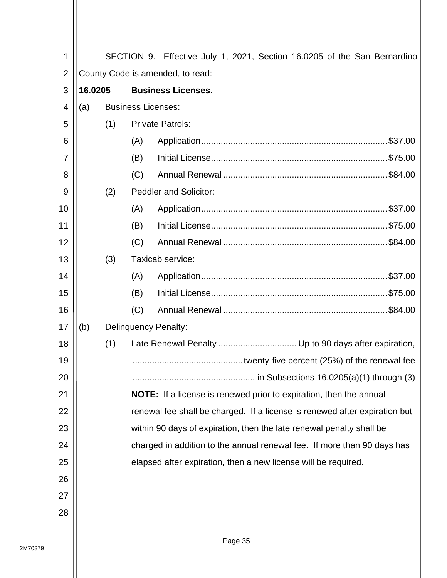| 1              |                                      |     |                           | SECTION 9. Effective July 1, 2021, Section 16.0205 of the San Bernardino   |  |  |  |
|----------------|--------------------------------------|-----|---------------------------|----------------------------------------------------------------------------|--|--|--|
| $\overline{2}$ | County Code is amended, to read:     |     |                           |                                                                            |  |  |  |
| 3              | 16.0205<br><b>Business Licenses.</b> |     |                           |                                                                            |  |  |  |
| 4              | (a)                                  |     | <b>Business Licenses:</b> |                                                                            |  |  |  |
| 5              |                                      | (1) |                           | <b>Private Patrols:</b>                                                    |  |  |  |
| 6              |                                      |     | (A)                       |                                                                            |  |  |  |
| $\overline{7}$ |                                      |     | (B)                       |                                                                            |  |  |  |
| 8              |                                      |     | (C)                       |                                                                            |  |  |  |
| 9              |                                      | (2) |                           | <b>Peddler and Solicitor:</b>                                              |  |  |  |
| 10             |                                      |     | (A)                       |                                                                            |  |  |  |
| 11             |                                      |     | (B)                       |                                                                            |  |  |  |
| 12             |                                      |     | (C)                       |                                                                            |  |  |  |
| 13             |                                      | (3) |                           | Taxicab service:                                                           |  |  |  |
| 14             |                                      |     | (A)                       |                                                                            |  |  |  |
| 15             |                                      |     | (B)                       |                                                                            |  |  |  |
| 16             |                                      |     | (C)                       |                                                                            |  |  |  |
| 17             | (b)                                  |     |                           | <b>Delinquency Penalty:</b>                                                |  |  |  |
| 18             |                                      | (1) |                           | Late Renewal Penalty  Up to 90 days after expiration,                      |  |  |  |
| 19             |                                      |     |                           |                                                                            |  |  |  |
| 20             |                                      |     |                           |                                                                            |  |  |  |
| 21             |                                      |     |                           | <b>NOTE:</b> If a license is renewed prior to expiration, then the annual  |  |  |  |
| 22             |                                      |     |                           | renewal fee shall be charged. If a license is renewed after expiration but |  |  |  |
| 23             |                                      |     |                           | within 90 days of expiration, then the late renewal penalty shall be       |  |  |  |
| 24             |                                      |     |                           | charged in addition to the annual renewal fee. If more than 90 days has    |  |  |  |
| 25             |                                      |     |                           | elapsed after expiration, then a new license will be required.             |  |  |  |
| 26             |                                      |     |                           |                                                                            |  |  |  |
| 27             |                                      |     |                           |                                                                            |  |  |  |
| 28             |                                      |     |                           |                                                                            |  |  |  |
|                |                                      |     |                           |                                                                            |  |  |  |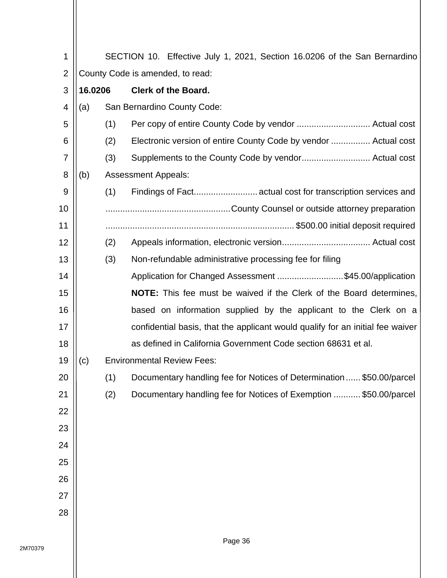| 1              | SECTION 10. Effective July 1, 2021, Section 16.0206 of the San Bernardino |     |                                                                                |  |  |  |  |  |
|----------------|---------------------------------------------------------------------------|-----|--------------------------------------------------------------------------------|--|--|--|--|--|
| $\overline{2}$ | County Code is amended, to read:                                          |     |                                                                                |  |  |  |  |  |
| 3              | 16.0206                                                                   |     | <b>Clerk of the Board.</b>                                                     |  |  |  |  |  |
| $\overline{4}$ | (a)                                                                       |     | San Bernardino County Code:                                                    |  |  |  |  |  |
| 5              |                                                                           | (1) |                                                                                |  |  |  |  |  |
| 6              |                                                                           | (2) | Electronic version of entire County Code by vendor  Actual cost                |  |  |  |  |  |
| 7              |                                                                           | (3) |                                                                                |  |  |  |  |  |
| 8              | (b)                                                                       |     | <b>Assessment Appeals:</b>                                                     |  |  |  |  |  |
| 9              |                                                                           | (1) | Findings of Fact actual cost for transcription services and                    |  |  |  |  |  |
| 10             |                                                                           |     |                                                                                |  |  |  |  |  |
| 11             |                                                                           |     |                                                                                |  |  |  |  |  |
| 12             |                                                                           | (2) |                                                                                |  |  |  |  |  |
| 13             |                                                                           | (3) | Non-refundable administrative processing fee for filing                        |  |  |  |  |  |
| 14             |                                                                           |     | Application for Changed Assessment \$45.00/application                         |  |  |  |  |  |
| 15             |                                                                           |     | <b>NOTE:</b> This fee must be waived if the Clerk of the Board determines,     |  |  |  |  |  |
| 16             |                                                                           |     | based on information supplied by the applicant to the Clerk on a               |  |  |  |  |  |
| 17             |                                                                           |     | confidential basis, that the applicant would qualify for an initial fee waiver |  |  |  |  |  |
| 18             |                                                                           |     | as defined in California Government Code section 68631 et al.                  |  |  |  |  |  |
| 19             | (c)                                                                       |     | <b>Environmental Review Fees:</b>                                              |  |  |  |  |  |
| 20             |                                                                           | (1) | Documentary handling fee for Notices of Determination  \$50.00/parcel          |  |  |  |  |  |
| 21             |                                                                           | (2) | Documentary handling fee for Notices of Exemption  \$50.00/parcel              |  |  |  |  |  |
| 22             |                                                                           |     |                                                                                |  |  |  |  |  |
| 23             |                                                                           |     |                                                                                |  |  |  |  |  |
| 24             |                                                                           |     |                                                                                |  |  |  |  |  |
| 25             |                                                                           |     |                                                                                |  |  |  |  |  |
| 26             |                                                                           |     |                                                                                |  |  |  |  |  |
| 27             |                                                                           |     |                                                                                |  |  |  |  |  |
| 28             |                                                                           |     |                                                                                |  |  |  |  |  |
|                |                                                                           |     |                                                                                |  |  |  |  |  |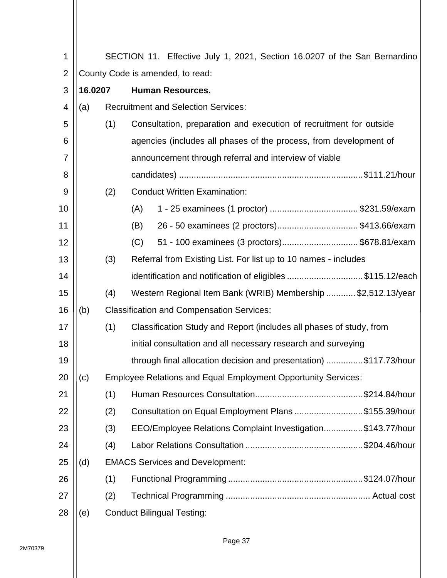| 1              | SECTION 11. Effective July 1, 2021, Section 16.0207 of the San Bernardino |                                   |                                                                      |  |  |  |  |  |  |
|----------------|---------------------------------------------------------------------------|-----------------------------------|----------------------------------------------------------------------|--|--|--|--|--|--|
| $\overline{2}$ | County Code is amended, to read:                                          |                                   |                                                                      |  |  |  |  |  |  |
| 3              | 16.0207                                                                   |                                   | <b>Human Resources.</b>                                              |  |  |  |  |  |  |
| 4              | (a)                                                                       |                                   | <b>Recruitment and Selection Services:</b>                           |  |  |  |  |  |  |
| 5              |                                                                           | (1)                               | Consultation, preparation and execution of recruitment for outside   |  |  |  |  |  |  |
| 6              |                                                                           |                                   | agencies (includes all phases of the process, from development of    |  |  |  |  |  |  |
| $\overline{7}$ |                                                                           |                                   | announcement through referral and interview of viable                |  |  |  |  |  |  |
| 8              |                                                                           |                                   |                                                                      |  |  |  |  |  |  |
| 9              |                                                                           | (2)                               | <b>Conduct Written Examination:</b>                                  |  |  |  |  |  |  |
| 10             |                                                                           |                                   | 1 - 25 examinees (1 proctor) \$231.59/exam<br>(A)                    |  |  |  |  |  |  |
| 11             |                                                                           |                                   | 26 - 50 examinees (2 proctors)\$413.66/exam<br>(B)                   |  |  |  |  |  |  |
| 12             |                                                                           |                                   | 51 - 100 examinees (3 proctors)\$678.81/exam<br>(C)                  |  |  |  |  |  |  |
| 13             |                                                                           | (3)                               | Referral from Existing List. For list up to 10 names - includes      |  |  |  |  |  |  |
| 14             |                                                                           |                                   | identification and notification of eligibles \$115.12/each           |  |  |  |  |  |  |
| 15             |                                                                           | (4)                               | Western Regional Item Bank (WRIB) Membership \$2,512.13/year         |  |  |  |  |  |  |
| 16             | (b)                                                                       |                                   | <b>Classification and Compensation Services:</b>                     |  |  |  |  |  |  |
| 17             |                                                                           | (1)                               | Classification Study and Report (includes all phases of study, from  |  |  |  |  |  |  |
| 18             |                                                                           |                                   | initial consultation and all necessary research and surveying        |  |  |  |  |  |  |
| 19             |                                                                           |                                   | through final allocation decision and presentation) \$117.73/hour    |  |  |  |  |  |  |
| 20             | (c)                                                                       |                                   | <b>Employee Relations and Equal Employment Opportunity Services:</b> |  |  |  |  |  |  |
| 21             |                                                                           | (1)                               |                                                                      |  |  |  |  |  |  |
| 22             |                                                                           | (2)                               | Consultation on Equal Employment Plans\$155.39/hour                  |  |  |  |  |  |  |
| 23             |                                                                           | (3)                               | EEO/Employee Relations Complaint Investigation\$143.77/hour          |  |  |  |  |  |  |
| 24             |                                                                           | (4)                               |                                                                      |  |  |  |  |  |  |
| 25             | (d)                                                                       |                                   | <b>EMACS Services and Development:</b>                               |  |  |  |  |  |  |
| 26             |                                                                           | (1)                               |                                                                      |  |  |  |  |  |  |
| 27             |                                                                           | (2)                               |                                                                      |  |  |  |  |  |  |
| 28             | (e)                                                                       | <b>Conduct Bilingual Testing:</b> |                                                                      |  |  |  |  |  |  |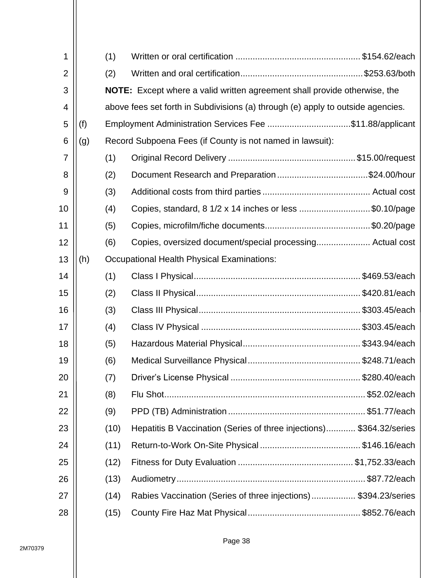|     | (1)  |                                                                                                                                                                                                                                                                                                                                                                                                                                                                                     |
|-----|------|-------------------------------------------------------------------------------------------------------------------------------------------------------------------------------------------------------------------------------------------------------------------------------------------------------------------------------------------------------------------------------------------------------------------------------------------------------------------------------------|
|     | (2)  |                                                                                                                                                                                                                                                                                                                                                                                                                                                                                     |
|     |      |                                                                                                                                                                                                                                                                                                                                                                                                                                                                                     |
|     |      |                                                                                                                                                                                                                                                                                                                                                                                                                                                                                     |
| (f) |      |                                                                                                                                                                                                                                                                                                                                                                                                                                                                                     |
| (g) |      |                                                                                                                                                                                                                                                                                                                                                                                                                                                                                     |
|     | (1)  |                                                                                                                                                                                                                                                                                                                                                                                                                                                                                     |
|     | (2)  |                                                                                                                                                                                                                                                                                                                                                                                                                                                                                     |
|     | (3)  |                                                                                                                                                                                                                                                                                                                                                                                                                                                                                     |
|     | (4)  |                                                                                                                                                                                                                                                                                                                                                                                                                                                                                     |
|     | (5)  |                                                                                                                                                                                                                                                                                                                                                                                                                                                                                     |
|     | (6)  |                                                                                                                                                                                                                                                                                                                                                                                                                                                                                     |
| (h) |      |                                                                                                                                                                                                                                                                                                                                                                                                                                                                                     |
|     | (1)  |                                                                                                                                                                                                                                                                                                                                                                                                                                                                                     |
|     | (2)  |                                                                                                                                                                                                                                                                                                                                                                                                                                                                                     |
|     | (3)  |                                                                                                                                                                                                                                                                                                                                                                                                                                                                                     |
|     | (4)  |                                                                                                                                                                                                                                                                                                                                                                                                                                                                                     |
|     | (5)  |                                                                                                                                                                                                                                                                                                                                                                                                                                                                                     |
|     | (6)  |                                                                                                                                                                                                                                                                                                                                                                                                                                                                                     |
|     | (7)  |                                                                                                                                                                                                                                                                                                                                                                                                                                                                                     |
|     | (8)  |                                                                                                                                                                                                                                                                                                                                                                                                                                                                                     |
|     | (9)  |                                                                                                                                                                                                                                                                                                                                                                                                                                                                                     |
|     | (10) |                                                                                                                                                                                                                                                                                                                                                                                                                                                                                     |
|     | (11) |                                                                                                                                                                                                                                                                                                                                                                                                                                                                                     |
|     | (12) |                                                                                                                                                                                                                                                                                                                                                                                                                                                                                     |
|     | (13) |                                                                                                                                                                                                                                                                                                                                                                                                                                                                                     |
|     | (14) |                                                                                                                                                                                                                                                                                                                                                                                                                                                                                     |
|     | (15) |                                                                                                                                                                                                                                                                                                                                                                                                                                                                                     |
|     |      | <b>NOTE:</b> Except where a valid written agreement shall provide otherwise, the<br>above fees set forth in Subdivisions (a) through (e) apply to outside agencies.<br>Record Subpoena Fees (if County is not named in lawsuit):<br>Copies, standard, 8 1/2 x 14 inches or less \$0.10/page<br>Occupational Health Physical Examinations:<br>Hepatitis B Vaccination (Series of three injections) \$364.32/series<br>Rabies Vaccination (Series of three injections)\$394.23/series |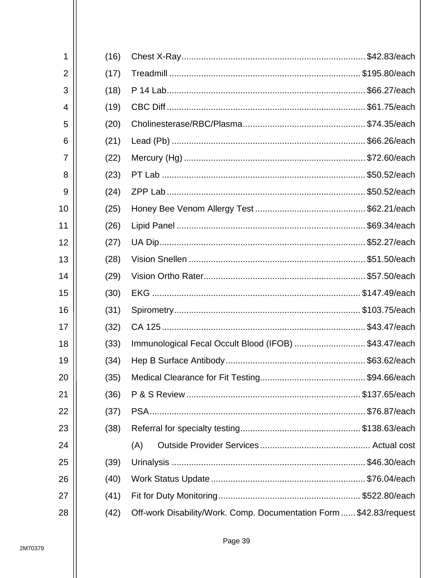| 1              | (16) |                                                                     |
|----------------|------|---------------------------------------------------------------------|
| $\overline{2}$ | (17) |                                                                     |
| 3              | (18) |                                                                     |
| 4              | (19) |                                                                     |
| 5              | (20) |                                                                     |
| 6              | (21) |                                                                     |
| 7              | (22) |                                                                     |
| 8              | (23) |                                                                     |
| 9              | (24) |                                                                     |
| 10             | (25) |                                                                     |
| 11             | (26) |                                                                     |
| 12             | (27) |                                                                     |
| 13             | (28) |                                                                     |
| 14             | (29) |                                                                     |
| 15             | (30) |                                                                     |
| 16             | (31) |                                                                     |
| 17             | (32) |                                                                     |
| 18             | (33) | Immunological Fecal Occult Blood (IFOB) \$43.47/each                |
| 19             | (34) |                                                                     |
| 20             | (35) |                                                                     |
| 21             | (36) |                                                                     |
| 22             | (37) |                                                                     |
| 23             | (38) |                                                                     |
| 24             |      | (A)                                                                 |
| 25             | (39) |                                                                     |
| 26             | (40) |                                                                     |
| 27             | (41) |                                                                     |
|                |      | Off-work Disability/Work. Comp. Documentation Form  \$42.83/request |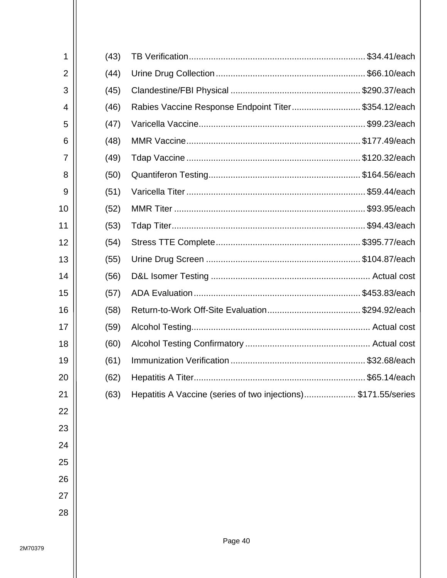| 1              | (43) |                                                               |
|----------------|------|---------------------------------------------------------------|
| $\overline{2}$ | (44) |                                                               |
| 3              | (45) |                                                               |
| 4              | (46) | Rabies Vaccine Response Endpoint Titer \$354.12/each          |
| 5              | (47) |                                                               |
| 6              | (48) |                                                               |
| 7              | (49) |                                                               |
| 8              | (50) |                                                               |
| 9              | (51) |                                                               |
| 10             | (52) |                                                               |
| 11             | (53) |                                                               |
| 12             | (54) |                                                               |
| 13             | (55) |                                                               |
| 14             | (56) |                                                               |
| 15             | (57) |                                                               |
| 16             | (58) |                                                               |
| 17             | (59) |                                                               |
| 18             | (60) |                                                               |
| 19             | (61) |                                                               |
| 20             | (62) | \$65.14/each                                                  |
| 21             | (63) | Hepatitis A Vaccine (series of two injections)\$171.55/series |
| 22             |      |                                                               |
| 23             |      |                                                               |
| 24             |      |                                                               |
| 25             |      |                                                               |
| 26             |      |                                                               |
| 27             |      |                                                               |
| 28             |      |                                                               |
|                |      |                                                               |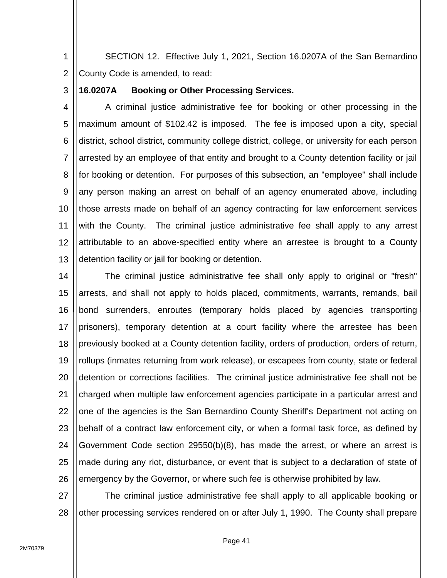1 2 SECTION 12. Effective July 1, 2021, Section 16.0207A of the San Bernardino County Code is amended, to read:

3

## **16.0207A Booking or Other Processing Services.**

4 5 6 7 8 9 10 11 12 13 A criminal justice administrative fee for booking or other processing in the maximum amount of \$102.42 is imposed. The fee is imposed upon a city, special district, school district, community college district, college, or university for each person arrested by an employee of that entity and brought to a County detention facility or jail for booking or detention. For purposes of this subsection, an "employee" shall include any person making an arrest on behalf of an agency enumerated above, including those arrests made on behalf of an agency contracting for law enforcement services with the County. The criminal justice administrative fee shall apply to any arrest attributable to an above-specified entity where an arrestee is brought to a County detention facility or jail for booking or detention.

14 15 16 17 18 19 20 21 22 23 24 25 26 The criminal justice administrative fee shall only apply to original or "fresh" arrests, and shall not apply to holds placed, commitments, warrants, remands, bail bond surrenders, enroutes (temporary holds placed by agencies transporting prisoners), temporary detention at a court facility where the arrestee has been previously booked at a County detention facility, orders of production, orders of return, rollups (inmates returning from work release), or escapees from county, state or federal detention or corrections facilities. The criminal justice administrative fee shall not be charged when multiple law enforcement agencies participate in a particular arrest and one of the agencies is the San Bernardino County Sheriff's Department not acting on behalf of a contract law enforcement city, or when a formal task force, as defined by Government Code section 29550(b)(8), has made the arrest, or where an arrest is made during any riot, disturbance, or event that is subject to a declaration of state of emergency by the Governor, or where such fee is otherwise prohibited by law.

27 28 The criminal justice administrative fee shall apply to all applicable booking or other processing services rendered on or after July 1, 1990. The County shall prepare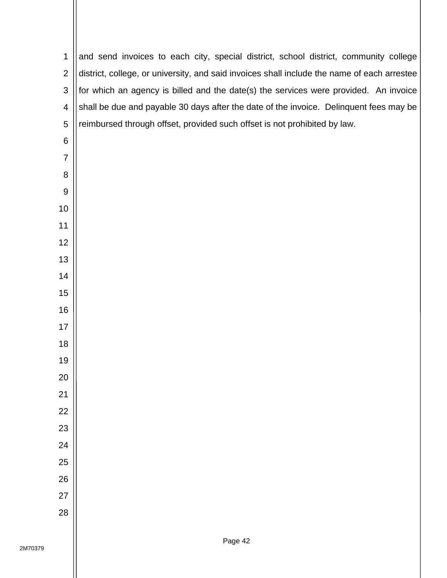| $\mathbf 1$    | and send invoices to each city, special district, school district, community college        |
|----------------|---------------------------------------------------------------------------------------------|
| $\overline{2}$ | district, college, or university, and said invoices shall include the name of each arrestee |
| $\mathfrak{B}$ | for which an agency is billed and the date(s) the services were provided. An invoice        |
| 4              | shall be due and payable 30 days after the date of the invoice. Delinquent fees may be      |
| $\sqrt{5}$     | reimbursed through offset, provided such offset is not prohibited by law.                   |
| $\,6$          |                                                                                             |
| 7              |                                                                                             |
| 8              |                                                                                             |
| 9              |                                                                                             |
| 10             |                                                                                             |
| 11             |                                                                                             |
| 12             |                                                                                             |
| 13             |                                                                                             |
| 14             |                                                                                             |
| 15             |                                                                                             |
| 16             |                                                                                             |
| 17             |                                                                                             |
| 18             |                                                                                             |
| 19             |                                                                                             |
| 20             |                                                                                             |
| 21             |                                                                                             |
| 22             |                                                                                             |
| 23             |                                                                                             |
| 24             |                                                                                             |
| 25             |                                                                                             |
| 26             |                                                                                             |
| 27             |                                                                                             |
| 28             |                                                                                             |
|                |                                                                                             |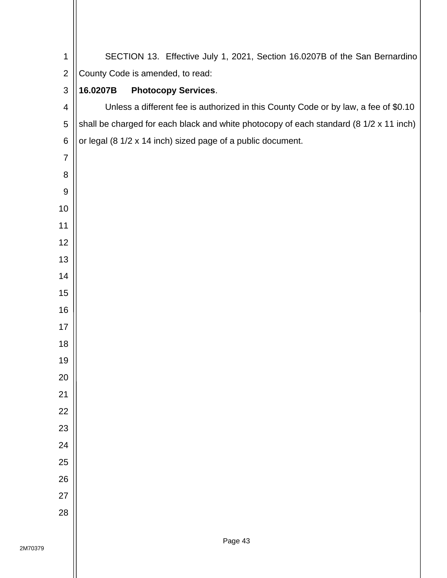| 1              | SECTION 13. Effective July 1, 2021, Section 16.0207B of the San Bernardino             |  |  |  |  |  |  |  |  |
|----------------|----------------------------------------------------------------------------------------|--|--|--|--|--|--|--|--|
| $\mathbf{2}$   | County Code is amended, to read:                                                       |  |  |  |  |  |  |  |  |
| $\sqrt{3}$     | 16.0207B<br><b>Photocopy Services.</b>                                                 |  |  |  |  |  |  |  |  |
| 4              | Unless a different fee is authorized in this County Code or by law, a fee of \$0.10    |  |  |  |  |  |  |  |  |
| $\sqrt{5}$     | shall be charged for each black and white photocopy of each standard (8 1/2 x 11 inch) |  |  |  |  |  |  |  |  |
| $\,6$          | or legal (8 1/2 x 14 inch) sized page of a public document.                            |  |  |  |  |  |  |  |  |
| $\overline{7}$ |                                                                                        |  |  |  |  |  |  |  |  |
| 8              |                                                                                        |  |  |  |  |  |  |  |  |
| $9\,$          |                                                                                        |  |  |  |  |  |  |  |  |
| 10             |                                                                                        |  |  |  |  |  |  |  |  |
| 11             |                                                                                        |  |  |  |  |  |  |  |  |
| 12             |                                                                                        |  |  |  |  |  |  |  |  |
| 13             |                                                                                        |  |  |  |  |  |  |  |  |
| 14             |                                                                                        |  |  |  |  |  |  |  |  |
| 15             |                                                                                        |  |  |  |  |  |  |  |  |
| 16             |                                                                                        |  |  |  |  |  |  |  |  |
| 17             |                                                                                        |  |  |  |  |  |  |  |  |
| 18             |                                                                                        |  |  |  |  |  |  |  |  |
| 19             |                                                                                        |  |  |  |  |  |  |  |  |
| 20             |                                                                                        |  |  |  |  |  |  |  |  |
| 21             |                                                                                        |  |  |  |  |  |  |  |  |
| 22             |                                                                                        |  |  |  |  |  |  |  |  |
| 23             |                                                                                        |  |  |  |  |  |  |  |  |
| 24             |                                                                                        |  |  |  |  |  |  |  |  |
| 25             |                                                                                        |  |  |  |  |  |  |  |  |
| 26             |                                                                                        |  |  |  |  |  |  |  |  |
| 27             |                                                                                        |  |  |  |  |  |  |  |  |
| 28             |                                                                                        |  |  |  |  |  |  |  |  |
|                |                                                                                        |  |  |  |  |  |  |  |  |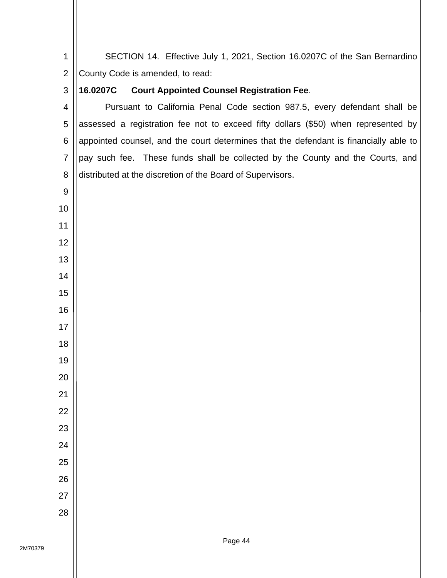SECTION 14. Effective July 1, 2021, Section 16.0207C of the San Bernardino County Code is amended, to read: **16.0207C Court Appointed Counsel Registration Fee**. Pursuant to California Penal Code section 987.5, every defendant shall be assessed a registration fee not to exceed fifty dollars (\$50) when represented by appointed counsel, and the court determines that the defendant is financially able to pay such fee. These funds shall be collected by the County and the Courts, and distributed at the discretion of the Board of Supervisors.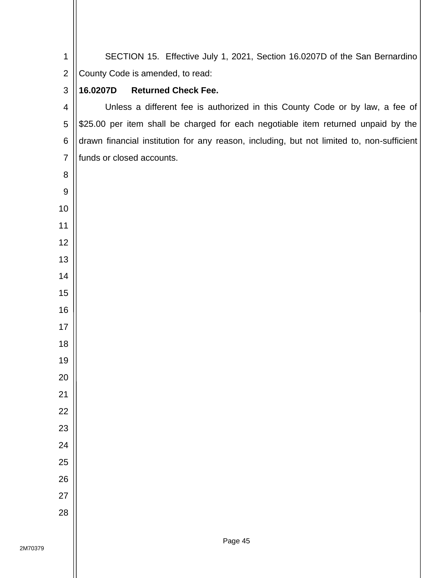SECTION 15. Effective July 1, 2021, Section 16.0207D of the San Bernardino County Code is amended, to read: **16.0207D Returned Check Fee.** Unless a different fee is authorized in this County Code or by law, a fee of \$25.00 per item shall be charged for each negotiable item returned unpaid by the drawn financial institution for any reason, including, but not limited to, non-sufficient funds or closed accounts.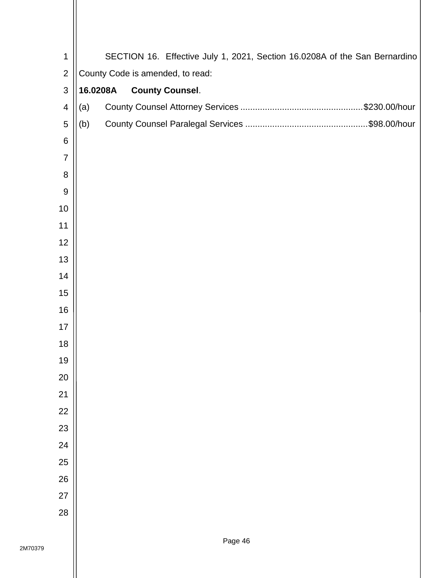| 1                | SECTION 16. Effective July 1, 2021, Section 16.0208A of the San Bernardino |  |  |  |  |  |  |  |  |
|------------------|----------------------------------------------------------------------------|--|--|--|--|--|--|--|--|
| $\overline{2}$   | County Code is amended, to read:                                           |  |  |  |  |  |  |  |  |
| 3                | 16.0208A<br><b>County Counsel.</b>                                         |  |  |  |  |  |  |  |  |
| $\overline{4}$   | (a)                                                                        |  |  |  |  |  |  |  |  |
| 5                | (b)                                                                        |  |  |  |  |  |  |  |  |
| $\,6$            |                                                                            |  |  |  |  |  |  |  |  |
| $\overline{7}$   |                                                                            |  |  |  |  |  |  |  |  |
| 8                |                                                                            |  |  |  |  |  |  |  |  |
| $\boldsymbol{9}$ |                                                                            |  |  |  |  |  |  |  |  |
| 10               |                                                                            |  |  |  |  |  |  |  |  |
| 11               |                                                                            |  |  |  |  |  |  |  |  |
| 12               |                                                                            |  |  |  |  |  |  |  |  |
| 13               |                                                                            |  |  |  |  |  |  |  |  |
| 14               |                                                                            |  |  |  |  |  |  |  |  |
| 15               |                                                                            |  |  |  |  |  |  |  |  |
| 16               |                                                                            |  |  |  |  |  |  |  |  |
| 17               |                                                                            |  |  |  |  |  |  |  |  |
| 18               |                                                                            |  |  |  |  |  |  |  |  |
| 19               |                                                                            |  |  |  |  |  |  |  |  |
| 20               |                                                                            |  |  |  |  |  |  |  |  |
| 21               |                                                                            |  |  |  |  |  |  |  |  |
| 22               |                                                                            |  |  |  |  |  |  |  |  |
| 23               |                                                                            |  |  |  |  |  |  |  |  |
| 24               |                                                                            |  |  |  |  |  |  |  |  |
| 25               |                                                                            |  |  |  |  |  |  |  |  |
| 26               |                                                                            |  |  |  |  |  |  |  |  |
| 27<br>28         |                                                                            |  |  |  |  |  |  |  |  |
|                  |                                                                            |  |  |  |  |  |  |  |  |
|                  |                                                                            |  |  |  |  |  |  |  |  |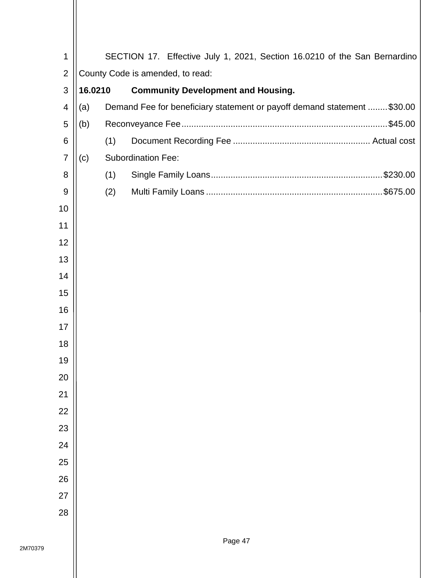| 1              |                                  |     | SECTION 17. Effective July 1, 2021, Section 16.0210 of the San Bernardino |  |  |  |  |  |  |  |
|----------------|----------------------------------|-----|---------------------------------------------------------------------------|--|--|--|--|--|--|--|
| $\overline{2}$ | County Code is amended, to read: |     |                                                                           |  |  |  |  |  |  |  |
| 3              | 16.0210                          |     | <b>Community Development and Housing.</b>                                 |  |  |  |  |  |  |  |
| 4              | (a)                              |     | Demand Fee for beneficiary statement or payoff demand statement  \$30.00  |  |  |  |  |  |  |  |
| 5              | (b)                              |     |                                                                           |  |  |  |  |  |  |  |
| $\,6$          |                                  | (1) |                                                                           |  |  |  |  |  |  |  |
| $\overline{7}$ | (c)                              |     | <b>Subordination Fee:</b>                                                 |  |  |  |  |  |  |  |
| 8              |                                  | (1) |                                                                           |  |  |  |  |  |  |  |
| $9$            |                                  | (2) |                                                                           |  |  |  |  |  |  |  |
| 10             |                                  |     |                                                                           |  |  |  |  |  |  |  |
| 11             |                                  |     |                                                                           |  |  |  |  |  |  |  |
| 12             |                                  |     |                                                                           |  |  |  |  |  |  |  |
| 13             |                                  |     |                                                                           |  |  |  |  |  |  |  |
| 14             |                                  |     |                                                                           |  |  |  |  |  |  |  |
| 15             |                                  |     |                                                                           |  |  |  |  |  |  |  |
| 16             |                                  |     |                                                                           |  |  |  |  |  |  |  |
| 17             |                                  |     |                                                                           |  |  |  |  |  |  |  |
| 18             |                                  |     |                                                                           |  |  |  |  |  |  |  |
| 19             |                                  |     |                                                                           |  |  |  |  |  |  |  |
| 20             |                                  |     |                                                                           |  |  |  |  |  |  |  |
| 21             |                                  |     |                                                                           |  |  |  |  |  |  |  |
| 22             |                                  |     |                                                                           |  |  |  |  |  |  |  |
| 23             |                                  |     |                                                                           |  |  |  |  |  |  |  |
| 24             |                                  |     |                                                                           |  |  |  |  |  |  |  |
| 25             |                                  |     |                                                                           |  |  |  |  |  |  |  |
| 26             |                                  |     |                                                                           |  |  |  |  |  |  |  |
| 27             |                                  |     |                                                                           |  |  |  |  |  |  |  |
| 28             |                                  |     |                                                                           |  |  |  |  |  |  |  |
|                |                                  |     |                                                                           |  |  |  |  |  |  |  |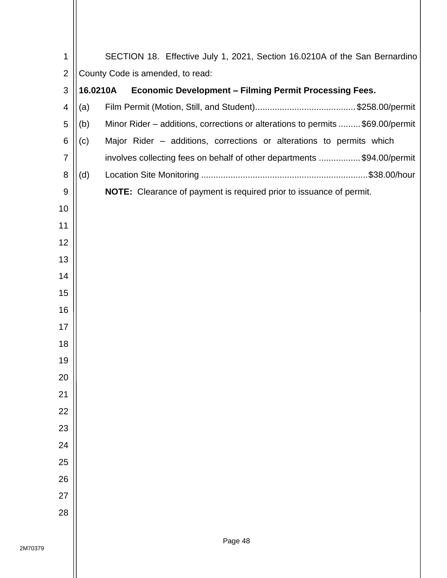| 1               |          | SECTION 18. Effective July 1, 2021, Section 16.0210A of the San Bernardino     |
|-----------------|----------|--------------------------------------------------------------------------------|
| $\overline{2}$  |          | County Code is amended, to read:                                               |
| 3               | 16.0210A | <b>Economic Development - Filming Permit Processing Fees.</b>                  |
| $\overline{4}$  | (a)      |                                                                                |
| 5               | (b)      | Minor Rider – additions, corrections or alterations to permits  \$69.00/permit |
| $6\phantom{1}6$ | (c)      | Major Rider - additions, corrections or alterations to permits which           |
| $\overline{7}$  |          | involves collecting fees on behalf of other departments \$94.00/permit         |
| 8               | (d)      |                                                                                |
| 9               |          | NOTE: Clearance of payment is required prior to issuance of permit.            |
| 10              |          |                                                                                |
| 11              |          |                                                                                |
| 12              |          |                                                                                |
| 13              |          |                                                                                |
| 14              |          |                                                                                |
| 15              |          |                                                                                |
| 16              |          |                                                                                |
| 17              |          |                                                                                |
| 18              |          |                                                                                |
| 19              |          |                                                                                |
| 20              |          |                                                                                |
| 21              |          |                                                                                |
| 22              |          |                                                                                |
| 23              |          |                                                                                |
| 24<br>25        |          |                                                                                |
| 26              |          |                                                                                |
| 27              |          |                                                                                |
| 28              |          |                                                                                |
|                 |          |                                                                                |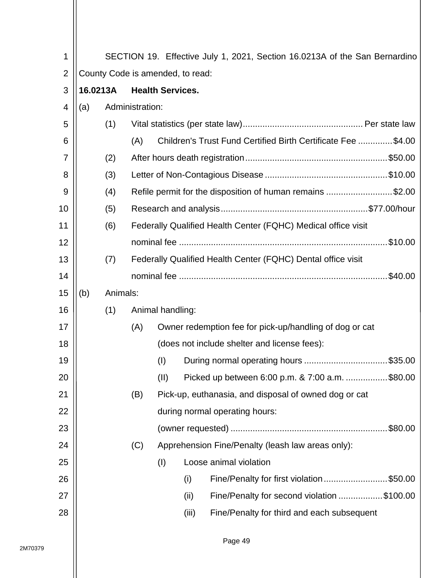| 1              |                                     |          |                 |                  |       | SECTION 19. Effective July 1, 2021, Section 16.0213A of the San Bernardino |
|----------------|-------------------------------------|----------|-----------------|------------------|-------|----------------------------------------------------------------------------|
| $\overline{2}$ | County Code is amended, to read:    |          |                 |                  |       |                                                                            |
| 3              | 16.0213A<br><b>Health Services.</b> |          |                 |                  |       |                                                                            |
| 4              | (a)                                 |          | Administration: |                  |       |                                                                            |
| 5              |                                     | (1)      |                 |                  |       |                                                                            |
| 6              |                                     |          | (A)             |                  |       | Children's Trust Fund Certified Birth Certificate Fee \$4.00               |
| 7              |                                     | (2)      |                 |                  |       |                                                                            |
| 8              |                                     | (3)      |                 |                  |       |                                                                            |
| 9              |                                     | (4)      |                 |                  |       | Refile permit for the disposition of human remains \$2.00                  |
| 10             |                                     | (5)      |                 |                  |       |                                                                            |
| 11             |                                     | (6)      |                 |                  |       | Federally Qualified Health Center (FQHC) Medical office visit              |
| 12             |                                     |          |                 |                  |       |                                                                            |
| 13             |                                     | (7)      |                 |                  |       | Federally Qualified Health Center (FQHC) Dental office visit               |
| 14             |                                     |          |                 |                  |       | .\$40.00                                                                   |
| 15             | (b)                                 | Animals: |                 |                  |       |                                                                            |
| 16             |                                     | (1)      |                 | Animal handling: |       |                                                                            |
| 17             |                                     |          | (A)             |                  |       | Owner redemption fee for pick-up/handling of dog or cat                    |
| 18             |                                     |          |                 |                  |       | (does not include shelter and license fees):                               |
| 19             |                                     |          |                 | (1)              |       | During normal operating hours \$35.00                                      |
| 20             |                                     |          |                 | (II)             |       | Picked up between 6:00 p.m. & 7:00 a.m. \$80.00                            |
| 21             |                                     |          | (B)             |                  |       | Pick-up, euthanasia, and disposal of owned dog or cat                      |
| 22             |                                     |          |                 |                  |       | during normal operating hours:                                             |
| 23             |                                     |          |                 |                  |       | .\$80.00                                                                   |
| 24             |                                     |          | (C)             |                  |       | Apprehension Fine/Penalty (leash law areas only):                          |
| 25             |                                     |          |                 | (1)              |       | Loose animal violation                                                     |
| 26             |                                     |          |                 |                  | (i)   | Fine/Penalty for first violation\$50.00                                    |
| 27             |                                     |          |                 |                  | (ii)  | Fine/Penalty for second violation \$100.00                                 |
| 28             |                                     |          |                 |                  | (iii) | Fine/Penalty for third and each subsequent                                 |
|                |                                     |          |                 |                  |       |                                                                            |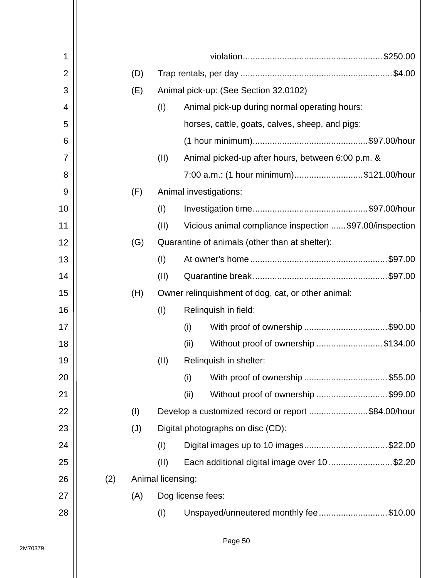| 1              |     |                   |                                                         |
|----------------|-----|-------------------|---------------------------------------------------------|
| $\overline{2}$ | (D) |                   |                                                         |
| 3              | (E) |                   | Animal pick-up: (See Section 32.0102)                   |
| 4              |     | (1)               | Animal pick-up during normal operating hours:           |
| 5              |     |                   | horses, cattle, goats, calves, sheep, and pigs:         |
| 6              |     |                   |                                                         |
| 7              |     | (II)              | Animal picked-up after hours, between 6:00 p.m. &       |
| 8              |     |                   | 7:00 a.m.: (1 hour minimum)\$121.00/hour                |
| 9              | (F) |                   | Animal investigations:                                  |
| 10             |     | (1)               |                                                         |
| 11             |     | (II)              | Vicious animal compliance inspection \$97.00/inspection |
| 12             | (G) |                   | Quarantine of animals (other than at shelter):          |
| 13             |     | (I)               |                                                         |
| 14             |     | (II)              |                                                         |
| 15             | (H) |                   | Owner relinguishment of dog, cat, or other animal:      |
| 16             |     | (1)               | Relinquish in field:                                    |
| 17             |     |                   | With proof of ownership \$90.00<br>(i)                  |
| 18             |     |                   | Without proof of ownership \$134.00<br>(ii)             |
| 19             |     | (II)              | Relinquish in shelter:                                  |
| 20             |     |                   | With proof of ownership \$55.00<br>(i)                  |
| 21             |     |                   | Without proof of ownership \$99.00<br>(ii)              |
| 22             | (1) |                   | Develop a customized record or report \$84.00/hour      |
| 23             | (J) |                   | Digital photographs on disc (CD):                       |
| 24             |     | (1)               | Digital images up to 10 images\$22.00                   |
| 25             |     | (11)              | Each additional digital image over 10\$2.20             |
| 26             | (2) | Animal licensing: |                                                         |
| 27             | (A) |                   | Dog license fees:                                       |
| 28             |     | (1)               | Unspayed/unneutered monthly fee\$10.00                  |
|                |     |                   |                                                         |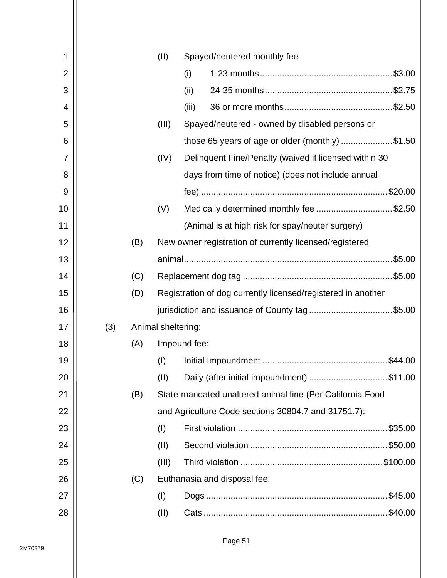| 1              |     |     | (II)                                                         | Spayed/neutered monthly fee                               |  |
|----------------|-----|-----|--------------------------------------------------------------|-----------------------------------------------------------|--|
| $\overline{2}$ |     |     |                                                              | (i)                                                       |  |
| 3              |     |     |                                                              | (ii)                                                      |  |
| 4              |     |     |                                                              | (iii)                                                     |  |
| 5              |     |     | (III)                                                        | Spayed/neutered - owned by disabled persons or            |  |
| 6              |     |     |                                                              | those 65 years of age or older (monthly) \$1.50           |  |
| 7              |     |     | (IV)                                                         | Delinquent Fine/Penalty (waived if licensed within 30     |  |
| 8              |     |     |                                                              | days from time of notice) (does not include annual        |  |
| 9              |     |     |                                                              |                                                           |  |
| 10             |     |     | (V)                                                          | Medically determined monthly fee \$2.50                   |  |
| 11             |     |     |                                                              | (Animal is at high risk for spay/neuter surgery)          |  |
| 12             |     | (B) |                                                              | New owner registration of currently licensed/registered   |  |
| 13             |     |     |                                                              |                                                           |  |
| 14             |     | (C) |                                                              |                                                           |  |
| 15             |     | (D) | Registration of dog currently licensed/registered in another |                                                           |  |
| 16             |     |     |                                                              | jurisdiction and issuance of County tag\$5.00             |  |
| 17             | (3) |     | Animal sheltering:                                           |                                                           |  |
| 18             |     | (A) |                                                              | Impound fee:                                              |  |
| 19             |     |     | (1)                                                          |                                                           |  |
| 20             |     |     | (II)                                                         | Daily (after initial impoundment) \$11.00                 |  |
| 21             |     | (B) |                                                              | State-mandated unaltered animal fine (Per California Food |  |
| 22             |     |     |                                                              | and Agriculture Code sections 30804.7 and 31751.7):       |  |
| 23             |     |     | (I)                                                          |                                                           |  |
| 24             |     |     | (II)                                                         |                                                           |  |
| 25             |     |     | (III)                                                        |                                                           |  |
| 26             |     | (C) |                                                              | Euthanasia and disposal fee:                              |  |
| 27             |     |     | (I)                                                          |                                                           |  |
| 28             |     |     | (II)                                                         | $.$ \$40.00                                               |  |
|                |     |     |                                                              |                                                           |  |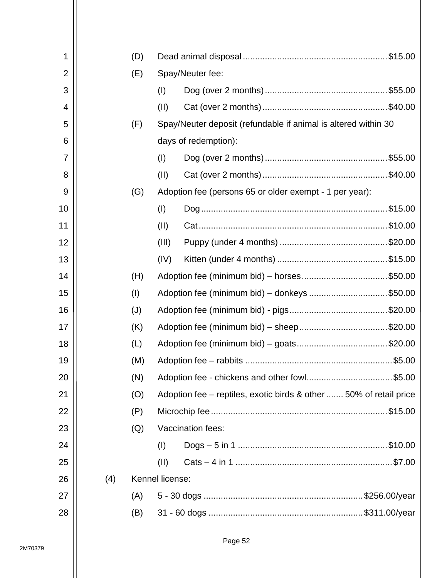| 1              |     | (D) |                 |                                                                    |  |  |
|----------------|-----|-----|-----------------|--------------------------------------------------------------------|--|--|
| $\overline{2}$ |     | (E) |                 | Spay/Neuter fee:                                                   |  |  |
| 3              |     |     | (1)             |                                                                    |  |  |
| 4              |     |     | (II)            |                                                                    |  |  |
| 5              |     | (F) |                 | Spay/Neuter deposit (refundable if animal is altered within 30     |  |  |
| 6              |     |     |                 | days of redemption):                                               |  |  |
| $\overline{7}$ |     |     | (1)             |                                                                    |  |  |
| 8              |     |     | (II)            |                                                                    |  |  |
| 9              |     | (G) |                 | Adoption fee (persons 65 or older exempt - 1 per year):            |  |  |
| 10             |     |     | (1)             |                                                                    |  |  |
| 11             |     |     | (II)            |                                                                    |  |  |
| 12             |     |     | (III)           |                                                                    |  |  |
| 13             |     |     | (IV)            |                                                                    |  |  |
| 14             |     | (H) |                 | Adoption fee (minimum bid) – horses\$50.00                         |  |  |
| 15             |     | (1) |                 | Adoption fee (minimum bid) – donkeys \$50.00                       |  |  |
| 16             |     | (J) |                 |                                                                    |  |  |
| 17             |     | (K) |                 |                                                                    |  |  |
| 18             |     | (L) |                 |                                                                    |  |  |
| 19             |     | (M) |                 |                                                                    |  |  |
| 20             |     | (N) |                 | Adoption fee - chickens and other fowl\$5.00                       |  |  |
| 21             |     | (O) |                 | Adoption fee – reptiles, exotic birds & other  50% of retail price |  |  |
| 22             |     | (P) |                 |                                                                    |  |  |
| 23             |     | (Q) |                 | Vaccination fees:                                                  |  |  |
| 24             |     |     | (I)             |                                                                    |  |  |
| 25             |     |     | (II)            |                                                                    |  |  |
| 26             | (4) |     | Kennel license: |                                                                    |  |  |
| 27             |     | (A) |                 |                                                                    |  |  |
| 28             |     | (B) |                 |                                                                    |  |  |
|                |     |     |                 |                                                                    |  |  |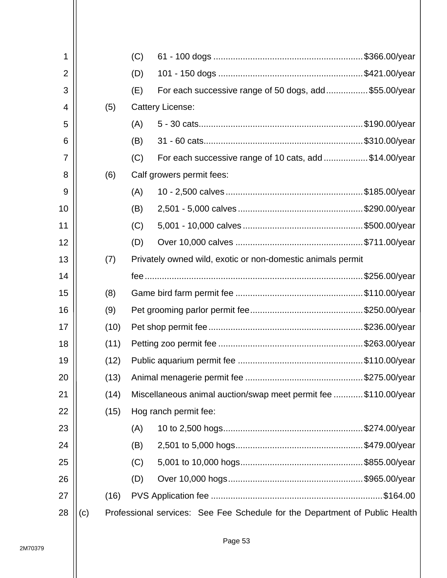| 1              |     |      | (C) |                                                                             |  |
|----------------|-----|------|-----|-----------------------------------------------------------------------------|--|
| $\overline{2}$ |     |      | (D) |                                                                             |  |
| 3              |     |      | (E) | For each successive range of 50 dogs, add\$55.00/year                       |  |
| 4              |     | (5)  |     | <b>Cattery License:</b>                                                     |  |
| 5              |     |      | (A) |                                                                             |  |
| 6              |     |      | (B) |                                                                             |  |
| 7              |     |      | (C) | For each successive range of 10 cats, add \$14.00/year                      |  |
| 8              |     | (6)  |     | Calf growers permit fees:                                                   |  |
| 9              |     |      | (A) |                                                                             |  |
| 10             |     |      | (B) |                                                                             |  |
| 11             |     |      | (C) |                                                                             |  |
| 12             |     |      | (D) |                                                                             |  |
| 13             |     | (7)  |     | Privately owned wild, exotic or non-domestic animals permit                 |  |
| 14             |     |      |     |                                                                             |  |
| 15             |     | (8)  |     |                                                                             |  |
| 16             |     | (9)  |     |                                                                             |  |
| 17             |     | (10) |     |                                                                             |  |
| 18             |     | (11) |     |                                                                             |  |
| 19             |     | (12) |     |                                                                             |  |
| 20             |     | (13) |     |                                                                             |  |
| 21             |     | (14) |     | Miscellaneous animal auction/swap meet permit fee \$110.00/year             |  |
| 22             |     | (15) |     | Hog ranch permit fee:                                                       |  |
| 23             |     |      | (A) |                                                                             |  |
| 24             |     |      | (B) |                                                                             |  |
| 25             |     |      | (C) |                                                                             |  |
| 26             |     |      | (D) |                                                                             |  |
| 27             |     | (16) |     |                                                                             |  |
| 28             | (c) |      |     | Professional services: See Fee Schedule for the Department of Public Health |  |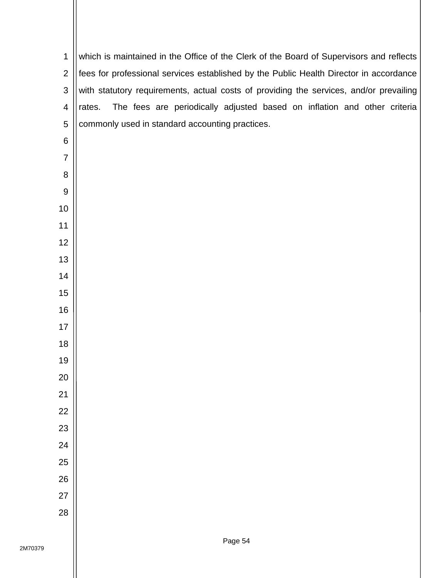| $\mathbf 1$              | which is maintained in the Office of the Clerk of the Board of Supervisors and reflects |
|--------------------------|-----------------------------------------------------------------------------------------|
| $\overline{2}$           | fees for professional services established by the Public Health Director in accordance  |
| 3                        | with statutory requirements, actual costs of providing the services, and/or prevailing  |
| $\overline{\mathcal{A}}$ | The fees are periodically adjusted based on inflation and other criteria<br>rates.      |
| 5                        | commonly used in standard accounting practices.                                         |
| 6                        |                                                                                         |
| $\overline{7}$           |                                                                                         |
| 8                        |                                                                                         |
| $\boldsymbol{9}$         |                                                                                         |
| 10                       |                                                                                         |
| 11                       |                                                                                         |
| 12                       |                                                                                         |
| 13                       |                                                                                         |
| 14                       |                                                                                         |
| 15                       |                                                                                         |
| 16                       |                                                                                         |
| 17                       |                                                                                         |
| 18                       |                                                                                         |
| 19                       |                                                                                         |
| 20                       |                                                                                         |
| 21                       |                                                                                         |
| 22                       |                                                                                         |
| 23                       |                                                                                         |
| 24                       |                                                                                         |
| 25                       |                                                                                         |
| 26                       |                                                                                         |
| 27                       |                                                                                         |
| 28                       |                                                                                         |
|                          |                                                                                         |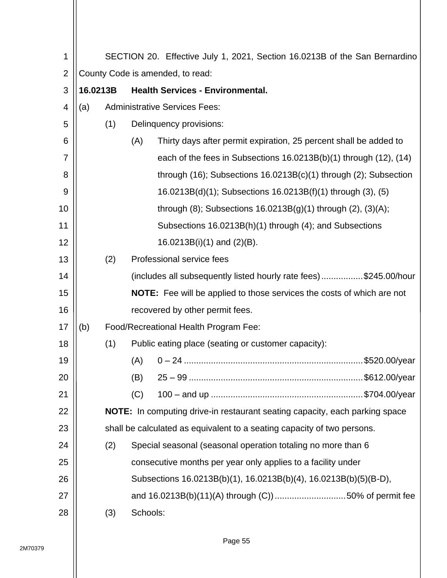| 1              | SECTION 20. Effective July 1, 2021, Section 16.0213B of the San Bernardino |     |                                                                               |  |  |  |  |  |  |  |  |
|----------------|----------------------------------------------------------------------------|-----|-------------------------------------------------------------------------------|--|--|--|--|--|--|--|--|
| $\overline{2}$ | County Code is amended, to read:                                           |     |                                                                               |  |  |  |  |  |  |  |  |
| 3              | <b>Health Services - Environmental.</b><br>16.0213B                        |     |                                                                               |  |  |  |  |  |  |  |  |
| 4              | (a)                                                                        |     | <b>Administrative Services Fees:</b>                                          |  |  |  |  |  |  |  |  |
| 5              |                                                                            | (1) | Delinquency provisions:                                                       |  |  |  |  |  |  |  |  |
| 6              |                                                                            |     | (A)<br>Thirty days after permit expiration, 25 percent shall be added to      |  |  |  |  |  |  |  |  |
| 7              |                                                                            |     | each of the fees in Subsections 16.0213B(b)(1) through (12), (14)             |  |  |  |  |  |  |  |  |
| 8              |                                                                            |     | through $(16)$ ; Subsections $16.0213B(c)(1)$ through $(2)$ ; Subsection      |  |  |  |  |  |  |  |  |
| 9              |                                                                            |     | 16.0213B(d)(1); Subsections 16.0213B(f)(1) through (3), (5)                   |  |  |  |  |  |  |  |  |
| 10             |                                                                            |     | through $(8)$ ; Subsections 16.0213B $(g)(1)$ through $(2)$ , $(3)(A)$ ;      |  |  |  |  |  |  |  |  |
| 11             |                                                                            |     | Subsections 16.0213B(h)(1) through (4); and Subsections                       |  |  |  |  |  |  |  |  |
| 12             |                                                                            |     | $16.0213B(i)(1)$ and $(2)(B)$ .                                               |  |  |  |  |  |  |  |  |
| 13             |                                                                            | (2) | Professional service fees                                                     |  |  |  |  |  |  |  |  |
| 14             |                                                                            |     | (includes all subsequently listed hourly rate fees)\$245.00/hour              |  |  |  |  |  |  |  |  |
| 15             |                                                                            |     | <b>NOTE:</b> Fee will be applied to those services the costs of which are not |  |  |  |  |  |  |  |  |
| 16             |                                                                            |     | recovered by other permit fees.                                               |  |  |  |  |  |  |  |  |
| 17             | (b)                                                                        |     | Food/Recreational Health Program Fee:                                         |  |  |  |  |  |  |  |  |
| 18             |                                                                            | (1) | Public eating place (seating or customer capacity):                           |  |  |  |  |  |  |  |  |
| 19             |                                                                            |     | (A)                                                                           |  |  |  |  |  |  |  |  |
| 20             |                                                                            |     | (B)                                                                           |  |  |  |  |  |  |  |  |
| 21             |                                                                            |     | (C)                                                                           |  |  |  |  |  |  |  |  |
| 22             |                                                                            |     | NOTE: In computing drive-in restaurant seating capacity, each parking space   |  |  |  |  |  |  |  |  |
| 23             |                                                                            |     | shall be calculated as equivalent to a seating capacity of two persons.       |  |  |  |  |  |  |  |  |
| 24             |                                                                            | (2) | Special seasonal (seasonal operation totaling no more than 6                  |  |  |  |  |  |  |  |  |
| 25             |                                                                            |     | consecutive months per year only applies to a facility under                  |  |  |  |  |  |  |  |  |
| 26             |                                                                            |     | Subsections 16.0213B(b)(1), 16.0213B(b)(4), 16.0213B(b)(5)(B-D),              |  |  |  |  |  |  |  |  |
| 27             |                                                                            |     | and 16.0213B(b)(11)(A) through (C)) 50% of permit fee                         |  |  |  |  |  |  |  |  |
| 28             |                                                                            | (3) | Schools:                                                                      |  |  |  |  |  |  |  |  |
|                |                                                                            |     |                                                                               |  |  |  |  |  |  |  |  |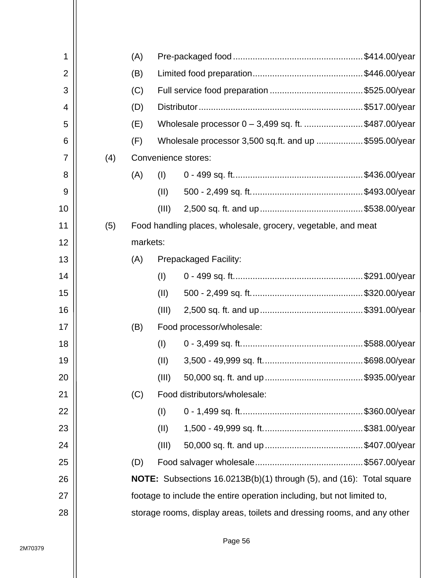| 1              |     | (A)      |       |                                                                             |  |  |  |
|----------------|-----|----------|-------|-----------------------------------------------------------------------------|--|--|--|
| $\overline{2}$ |     | (B)      |       |                                                                             |  |  |  |
| 3              |     | (C)      |       |                                                                             |  |  |  |
| 4              |     | (D)      |       |                                                                             |  |  |  |
| 5              |     | (E)      |       | Wholesale processor 0 - 3,499 sq. ft. \$487.00/year                         |  |  |  |
| 6              |     | (F)      |       | Wholesale processor 3,500 sq.ft. and up \$595.00/year                       |  |  |  |
| 7              | (4) |          |       | Convenience stores:                                                         |  |  |  |
| 8              |     | (A)      | (I)   |                                                                             |  |  |  |
| 9              |     |          | (11)  |                                                                             |  |  |  |
| 10             |     |          | (III) |                                                                             |  |  |  |
| 11             | (5) |          |       | Food handling places, wholesale, grocery, vegetable, and meat               |  |  |  |
| 12             |     | markets: |       |                                                                             |  |  |  |
| 13             |     | (A)      |       | <b>Prepackaged Facility:</b>                                                |  |  |  |
| 14             |     |          | (I)   |                                                                             |  |  |  |
| 15             |     |          | (11)  |                                                                             |  |  |  |
| 16             |     |          | (III) |                                                                             |  |  |  |
| 17             |     | (B)      |       | Food processor/wholesale:                                                   |  |  |  |
| 18             |     |          | (1)   |                                                                             |  |  |  |
| 19             |     |          | (II)  |                                                                             |  |  |  |
| 20             |     |          | (III) |                                                                             |  |  |  |
| 21             |     | (C)      |       | Food distributors/wholesale:                                                |  |  |  |
| 22             |     |          | (I)   |                                                                             |  |  |  |
| 23             |     |          | (II)  |                                                                             |  |  |  |
| 24             |     |          | (III) |                                                                             |  |  |  |
| 25             |     | (D)      |       |                                                                             |  |  |  |
| 26             |     |          |       | <b>NOTE:</b> Subsections 16.0213B(b)(1) through (5), and (16): Total square |  |  |  |
| 27             |     |          |       | footage to include the entire operation including, but not limited to,      |  |  |  |
| 28             |     |          |       | storage rooms, display areas, toilets and dressing rooms, and any other     |  |  |  |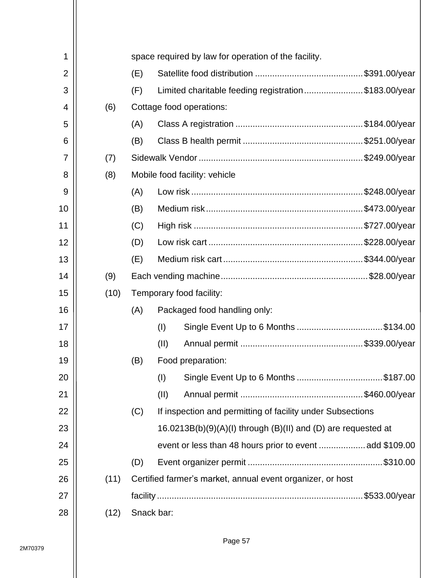| 1  |      |     |            | space required by law for operation of the facility.                |
|----|------|-----|------------|---------------------------------------------------------------------|
| 2  |      | (E) |            |                                                                     |
| 3  |      | (F) |            | Limited charitable feeding registration\$183.00/year                |
| 4  | (6)  |     |            | Cottage food operations:                                            |
| 5  |      | (A) |            |                                                                     |
| 6  |      | (B) |            |                                                                     |
| 7  | (7)  |     |            |                                                                     |
| 8  | (8)  |     |            | Mobile food facility: vehicle                                       |
| 9  |      | (A) |            |                                                                     |
| 10 |      | (B) |            |                                                                     |
| 11 |      | (C) |            |                                                                     |
| 12 |      | (D) |            |                                                                     |
| 13 |      | (E) |            |                                                                     |
| 14 | (9)  |     |            |                                                                     |
| 15 | (10) |     |            | Temporary food facility:                                            |
| 16 |      | (A) |            | Packaged food handling only:                                        |
| 17 |      |     | (1)        | Single Event Up to 6 Months \$134.00                                |
| 18 |      |     | (II)       |                                                                     |
| 19 |      | (B) |            | Food preparation:                                                   |
| 20 |      |     | (1)        | Single Event Up to 6 Months \$187.00                                |
| 21 |      |     | (II)       |                                                                     |
| 22 |      | (C) |            | If inspection and permitting of facility under Subsections          |
| 23 |      |     |            | $16.0213B(b)(9)(A)(I)$ through $(B)(II)$ and $(D)$ are requested at |
| 24 |      |     |            |                                                                     |
| 25 |      | (D) |            |                                                                     |
| 26 | (11) |     |            | Certified farmer's market, annual event organizer, or host          |
| 27 |      |     |            |                                                                     |
| 28 | (12) |     | Snack bar: |                                                                     |
|    |      |     |            |                                                                     |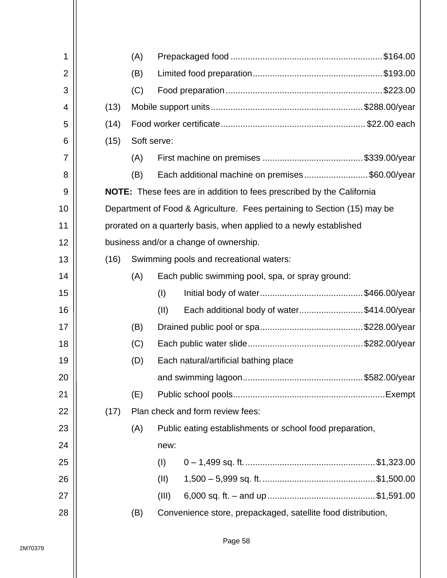| 1              |                                                                              | (A)                                                                      |                                                  |                                                              |  |  |  |  |  |  |
|----------------|------------------------------------------------------------------------------|--------------------------------------------------------------------------|--------------------------------------------------|--------------------------------------------------------------|--|--|--|--|--|--|
| $\overline{2}$ |                                                                              | (B)                                                                      |                                                  |                                                              |  |  |  |  |  |  |
| 3              |                                                                              | (C)                                                                      |                                                  |                                                              |  |  |  |  |  |  |
| 4              | (13)                                                                         |                                                                          |                                                  |                                                              |  |  |  |  |  |  |
| 5              | (14)                                                                         |                                                                          |                                                  |                                                              |  |  |  |  |  |  |
| 6              | (15)                                                                         |                                                                          | Soft serve:                                      |                                                              |  |  |  |  |  |  |
| $\overline{7}$ |                                                                              | (A)                                                                      |                                                  |                                                              |  |  |  |  |  |  |
| 8              |                                                                              | (B)                                                                      |                                                  | Each additional machine on premises\$60.00/year              |  |  |  |  |  |  |
| 9              | <b>NOTE:</b> These fees are in addition to fees prescribed by the California |                                                                          |                                                  |                                                              |  |  |  |  |  |  |
| 10             |                                                                              | Department of Food & Agriculture. Fees pertaining to Section (15) may be |                                                  |                                                              |  |  |  |  |  |  |
| 11             |                                                                              | prorated on a quarterly basis, when applied to a newly established       |                                                  |                                                              |  |  |  |  |  |  |
| 12             |                                                                              | business and/or a change of ownership.                                   |                                                  |                                                              |  |  |  |  |  |  |
| 13             | (16)                                                                         |                                                                          | Swimming pools and recreational waters:          |                                                              |  |  |  |  |  |  |
| 14             |                                                                              | (A)                                                                      | Each public swimming pool, spa, or spray ground: |                                                              |  |  |  |  |  |  |
| 15             |                                                                              |                                                                          | (1)                                              |                                                              |  |  |  |  |  |  |
| 16             |                                                                              |                                                                          | (11)                                             | Each additional body of water\$414.00/year                   |  |  |  |  |  |  |
| 17             |                                                                              | (B)                                                                      |                                                  |                                                              |  |  |  |  |  |  |
| 18             |                                                                              | (C)                                                                      |                                                  |                                                              |  |  |  |  |  |  |
| 19             |                                                                              | (D)                                                                      |                                                  | Each natural/artificial bathing place                        |  |  |  |  |  |  |
| 20             |                                                                              |                                                                          |                                                  |                                                              |  |  |  |  |  |  |
| 21             |                                                                              | (E)                                                                      |                                                  |                                                              |  |  |  |  |  |  |
| 22             | (17)                                                                         |                                                                          |                                                  | Plan check and form review fees:                             |  |  |  |  |  |  |
| 23             |                                                                              | (A)                                                                      |                                                  | Public eating establishments or school food preparation,     |  |  |  |  |  |  |
| 24             |                                                                              |                                                                          | new:                                             |                                                              |  |  |  |  |  |  |
| 25             |                                                                              |                                                                          | (1)                                              |                                                              |  |  |  |  |  |  |
| 26             |                                                                              |                                                                          | (II)                                             |                                                              |  |  |  |  |  |  |
| 27             |                                                                              |                                                                          | (III)                                            |                                                              |  |  |  |  |  |  |
| 28             |                                                                              | (B)                                                                      |                                                  | Convenience store, prepackaged, satellite food distribution, |  |  |  |  |  |  |
|                |                                                                              |                                                                          |                                                  |                                                              |  |  |  |  |  |  |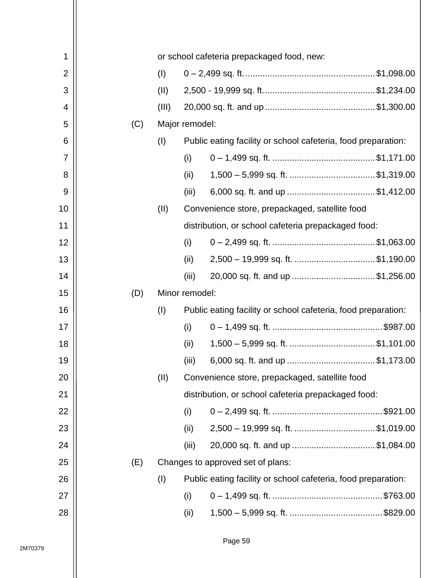| 1              |     |       | or school cafeteria prepackaged food, new: |                                                               |  |  |  |
|----------------|-----|-------|--------------------------------------------|---------------------------------------------------------------|--|--|--|
| $\overline{2}$ |     | (1)   |                                            |                                                               |  |  |  |
| 3              |     | (II)  |                                            |                                                               |  |  |  |
| 4              |     | (III) |                                            |                                                               |  |  |  |
| 5              | (C) |       | Major remodel:                             |                                                               |  |  |  |
| 6              |     | (1)   |                                            | Public eating facility or school cafeteria, food preparation: |  |  |  |
| 7              |     |       | (i)                                        |                                                               |  |  |  |
| 8              |     |       | (ii)                                       |                                                               |  |  |  |
| 9              |     |       | (iii)                                      | 6,000 sq. ft. and up \$1,412.00                               |  |  |  |
| 10             |     | (11)  |                                            | Convenience store, prepackaged, satellite food                |  |  |  |
| 11             |     |       |                                            | distribution, or school cafeteria prepackaged food:           |  |  |  |
| 12             |     |       | (i)                                        |                                                               |  |  |  |
| 13             |     |       | (ii)                                       | 2,500 - 19,999 sq. ft. \$1,190.00                             |  |  |  |
| 14             |     |       | (iii)                                      | 20,000 sq. ft. and up \$1,256.00                              |  |  |  |
| 15             | (D) |       | Minor remodel:                             |                                                               |  |  |  |
| 16             |     | (1)   |                                            | Public eating facility or school cafeteria, food preparation: |  |  |  |
| 17             |     |       | (i)                                        |                                                               |  |  |  |
| 18             |     |       | (ii)                                       |                                                               |  |  |  |
| 19             |     |       | (iii)                                      | 6,000 sq. ft. and up \$1,173.00                               |  |  |  |
| 20             |     | (II)  |                                            | Convenience store, prepackaged, satellite food                |  |  |  |
| 21             |     |       |                                            | distribution, or school cafeteria prepackaged food:           |  |  |  |
| 22             |     |       | (i)                                        |                                                               |  |  |  |
| 23             |     |       | (ii)                                       | 2,500 - 19,999 sq. ft. \$1,019.00                             |  |  |  |
|                |     |       |                                            |                                                               |  |  |  |
| 24             |     |       | (iii)                                      | 20,000 sq. ft. and up \$1,084.00                              |  |  |  |
| 25             | (E) |       |                                            | Changes to approved set of plans:                             |  |  |  |
| 26             |     | (1)   |                                            | Public eating facility or school cafeteria, food preparation: |  |  |  |
| 27             |     |       | (i)                                        |                                                               |  |  |  |
| 28             |     |       | (ii)                                       |                                                               |  |  |  |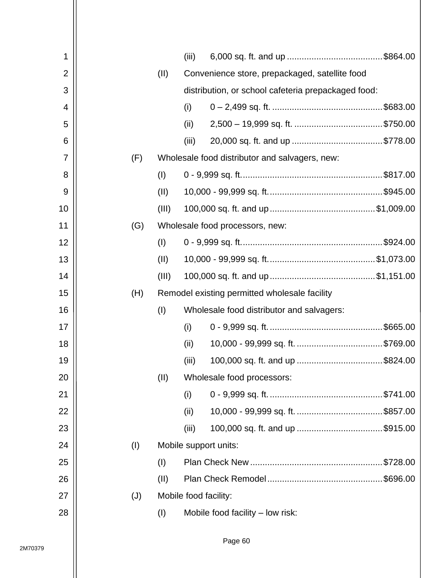| 1              |     |       | (iii) |                                                     |  |  |  |  |
|----------------|-----|-------|-------|-----------------------------------------------------|--|--|--|--|
| $\overline{2}$ |     | (II)  |       | Convenience store, prepackaged, satellite food      |  |  |  |  |
| 3              |     |       |       | distribution, or school cafeteria prepackaged food: |  |  |  |  |
| 4              |     |       | (i)   |                                                     |  |  |  |  |
| 5              |     |       | (ii)  |                                                     |  |  |  |  |
| 6              |     |       | (iii) |                                                     |  |  |  |  |
| 7              | (F) |       |       | Wholesale food distributor and salvagers, new:      |  |  |  |  |
| 8              |     | (1)   |       |                                                     |  |  |  |  |
| 9              |     | (II)  |       |                                                     |  |  |  |  |
| 10             |     | (III) |       |                                                     |  |  |  |  |
| 11             | (G) |       |       | Wholesale food processors, new:                     |  |  |  |  |
| 12             |     | (1)   |       |                                                     |  |  |  |  |
| 13             |     | (II)  |       |                                                     |  |  |  |  |
| 14             |     | (III) |       |                                                     |  |  |  |  |
| 15             | (H) |       |       | Remodel existing permitted wholesale facility       |  |  |  |  |
| 16             |     | (I)   |       | Wholesale food distributor and salvagers:           |  |  |  |  |
| 17             |     |       | (i)   |                                                     |  |  |  |  |
| 18             |     |       | (ii)  |                                                     |  |  |  |  |
| 19             |     |       | (iii) | 100,000 sq. ft. and up \$824.00                     |  |  |  |  |
| 20             |     | (II)  |       | Wholesale food processors:                          |  |  |  |  |
| 21             |     |       | (i)   |                                                     |  |  |  |  |
| 22             |     |       | (ii)  |                                                     |  |  |  |  |
| 23             |     |       | (iii) | 100,000 sq. ft. and up \$915.00                     |  |  |  |  |
| 24             | (I) |       |       | Mobile support units:                               |  |  |  |  |
| 25             |     | (1)   |       |                                                     |  |  |  |  |
| 26             |     | (II)  |       |                                                     |  |  |  |  |
| 27             | (J) |       |       | Mobile food facility:                               |  |  |  |  |
| 28             |     | (I)   |       | Mobile food facility - low risk:                    |  |  |  |  |
|                |     |       |       |                                                     |  |  |  |  |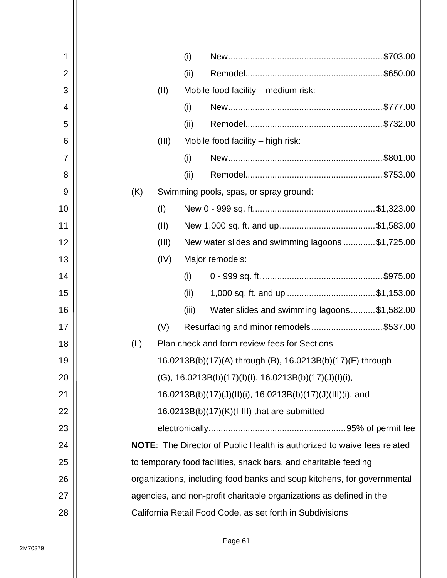| 1              | (i)   |                                                                                |
|----------------|-------|--------------------------------------------------------------------------------|
| $\overline{2}$ | (ii)  |                                                                                |
| 3              | (II)  | Mobile food facility – medium risk:                                            |
| 4              | (i)   |                                                                                |
| 5              | (ii)  |                                                                                |
| 6              | (III) | Mobile food facility – high risk:                                              |
| 7              | (i)   |                                                                                |
| 8              | (ii)  |                                                                                |
| 9              | (K)   | Swimming pools, spas, or spray ground:                                         |
| 10             | (1)   |                                                                                |
| 11             | (II)  |                                                                                |
| 12             | (III) | New water slides and swimming lagoons \$1,725.00                               |
| 13             | (IV)  | Major remodels:                                                                |
| 14             | (i)   |                                                                                |
| 15             | (ii)  |                                                                                |
| 16             | (iii) | Water slides and swimming lagoons\$1,582.00                                    |
| 17             | (V)   | Resurfacing and minor remodels\$537.00                                         |
| 18             | (L)   | Plan check and form review fees for Sections                                   |
| 19             |       | 16.0213B(b)(17)(A) through (B), 16.0213B(b)(17)(F) through                     |
| 20             |       | $(G)$ , 16.0213B(b)(17)(l)(l), 16.0213B(b)(17)(J)(l)(i),                       |
| 21             |       | 16.0213B(b)(17)(J)(II)(i), 16.0213B(b)(17)(J)(III)(i), and                     |
| 22             |       | 16.0213B(b)(17)(K)(I-III) that are submitted                                   |
| 23             |       |                                                                                |
| 24             |       | <b>NOTE:</b> The Director of Public Health is authorized to waive fees related |
| 25             |       | to temporary food facilities, snack bars, and charitable feeding               |
| 26             |       | organizations, including food banks and soup kitchens, for governmental        |
| 27             |       | agencies, and non-profit charitable organizations as defined in the            |
| 28             |       | California Retail Food Code, as set forth in Subdivisions                      |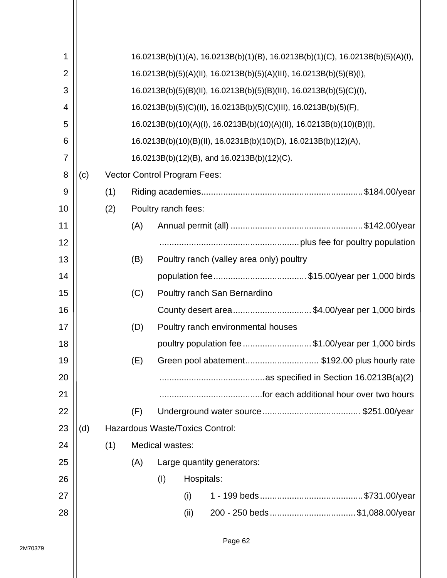| 1              | 16.0213B(b)(1)(A), 16.0213B(b)(1)(B), 16.0213B(b)(1)(C), 16.0213B(b)(5)(A)(l), |                                                                      |                                                                   |                 |                                     |                                                                       |  |  |  |  |
|----------------|--------------------------------------------------------------------------------|----------------------------------------------------------------------|-------------------------------------------------------------------|-----------------|-------------------------------------|-----------------------------------------------------------------------|--|--|--|--|
| $\overline{2}$ | 16.0213B(b)(5)(A)(II), 16.0213B(b)(5)(A)(III), 16.0213B(b)(5)(B)(I),           |                                                                      |                                                                   |                 |                                     |                                                                       |  |  |  |  |
| 3              |                                                                                | 16.0213B(b)(5)(B)(II), 16.0213B(b)(5)(B)(III), 16.0213B(b)(5)(C)(I), |                                                                   |                 |                                     |                                                                       |  |  |  |  |
| 4              |                                                                                |                                                                      | 16.0213B(b)(5)(C)(II), 16.0213B(b)(5)(C)(III), 16.0213B(b)(5)(F), |                 |                                     |                                                                       |  |  |  |  |
| 5              |                                                                                |                                                                      |                                                                   |                 |                                     | 16.0213B(b)(10)(A)(l), 16.0213B(b)(10)(A)(ll), 16.0213B(b)(10)(B)(l), |  |  |  |  |
| 6              |                                                                                |                                                                      |                                                                   |                 |                                     | 16.0213B(b)(10)(B)(II), 16.0231B(b)(10)(D), 16.0213B(b)(12)(A),       |  |  |  |  |
| 7              |                                                                                |                                                                      |                                                                   |                 |                                     | 16.0213B(b)(12)(B), and 16.0213B(b)(12)(C).                           |  |  |  |  |
| 8              | (c)                                                                            |                                                                      |                                                                   |                 | <b>Vector Control Program Fees:</b> |                                                                       |  |  |  |  |
| 9              |                                                                                | (1)                                                                  |                                                                   |                 |                                     |                                                                       |  |  |  |  |
| 10             |                                                                                | (2)                                                                  |                                                                   |                 | Poultry ranch fees:                 |                                                                       |  |  |  |  |
| 11             |                                                                                |                                                                      | (A)                                                               |                 |                                     |                                                                       |  |  |  |  |
| 12             |                                                                                |                                                                      |                                                                   |                 |                                     |                                                                       |  |  |  |  |
| 13             |                                                                                |                                                                      | (B)                                                               |                 |                                     | Poultry ranch (valley area only) poultry                              |  |  |  |  |
| 14             |                                                                                |                                                                      |                                                                   |                 |                                     |                                                                       |  |  |  |  |
| 15             |                                                                                |                                                                      | (C)                                                               |                 |                                     | Poultry ranch San Bernardino                                          |  |  |  |  |
| 16             |                                                                                |                                                                      |                                                                   |                 |                                     | County desert area\$4.00/year per 1,000 birds                         |  |  |  |  |
| 17             |                                                                                |                                                                      | (D)                                                               |                 |                                     | Poultry ranch environmental houses                                    |  |  |  |  |
| 18             |                                                                                |                                                                      |                                                                   |                 |                                     | poultry population fee \$1.00/year per 1,000 birds                    |  |  |  |  |
| 19             |                                                                                |                                                                      | (E)                                                               |                 |                                     | Green pool abatement \$192.00 plus hourly rate                        |  |  |  |  |
| 20             |                                                                                |                                                                      |                                                                   |                 |                                     |                                                                       |  |  |  |  |
| 21             |                                                                                |                                                                      |                                                                   |                 |                                     |                                                                       |  |  |  |  |
| 22             |                                                                                |                                                                      | (F)                                                               |                 |                                     |                                                                       |  |  |  |  |
| 23             | (d)                                                                            |                                                                      |                                                                   |                 | Hazardous Waste/Toxics Control:     |                                                                       |  |  |  |  |
| 24             |                                                                                | (1)                                                                  |                                                                   | Medical wastes: |                                     |                                                                       |  |  |  |  |
| 25             |                                                                                |                                                                      | (A)                                                               |                 |                                     | Large quantity generators:                                            |  |  |  |  |
| 26             |                                                                                |                                                                      |                                                                   | (1)             | Hospitals:                          |                                                                       |  |  |  |  |
| 27             |                                                                                |                                                                      |                                                                   |                 | (i)                                 |                                                                       |  |  |  |  |
| 28             |                                                                                |                                                                      |                                                                   |                 | (ii)                                | 200 - 250 beds \$1,088.00/year                                        |  |  |  |  |
|                |                                                                                |                                                                      |                                                                   |                 |                                     |                                                                       |  |  |  |  |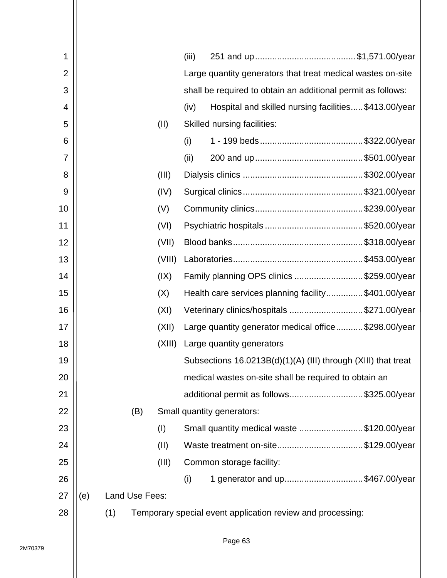| 1              |     |     |                |        | (iii)                                     |                                                               |  |  |  |  |
|----------------|-----|-----|----------------|--------|-------------------------------------------|---------------------------------------------------------------|--|--|--|--|
| $\overline{2}$ |     |     |                |        |                                           | Large quantity generators that treat medical wastes on-site   |  |  |  |  |
| 3              |     |     |                |        |                                           | shall be required to obtain an additional permit as follows:  |  |  |  |  |
| 4              |     |     |                |        | (iv)                                      | Hospital and skilled nursing facilities\$413.00/year          |  |  |  |  |
| 5              |     |     |                | (II)   |                                           | Skilled nursing facilities:                                   |  |  |  |  |
| 6              |     |     |                |        | (i)                                       |                                                               |  |  |  |  |
| 7              |     |     |                |        | (ii)                                      |                                                               |  |  |  |  |
| 8              |     |     |                | (III)  |                                           |                                                               |  |  |  |  |
| 9              |     |     |                | (IV)   |                                           |                                                               |  |  |  |  |
| 10             |     |     |                | (V)    |                                           |                                                               |  |  |  |  |
| 11             |     |     |                | (VI)   |                                           |                                                               |  |  |  |  |
| 12             |     |     |                | (VII)  |                                           |                                                               |  |  |  |  |
| 13             |     |     |                | (VIII) |                                           |                                                               |  |  |  |  |
| 14             |     |     |                | (IX)   | Family planning OPS clinics \$259.00/year |                                                               |  |  |  |  |
| 15             |     |     |                | (X)    |                                           | Health care services planning facility\$401.00/year           |  |  |  |  |
| 16             |     |     |                | (XI)   |                                           | Veterinary clinics/hospitals \$271.00/year                    |  |  |  |  |
| 17             |     |     |                | (XII)  |                                           | Large quantity generator medical office\$298.00/year          |  |  |  |  |
| 18             |     |     |                | (XIII) |                                           | Large quantity generators                                     |  |  |  |  |
| 19             |     |     |                |        |                                           | Subsections 16.0213B(d)(1)(A) (III) through (XIII) that treat |  |  |  |  |
| 20             |     |     |                |        |                                           | medical wastes on-site shall be required to obtain an         |  |  |  |  |
| 21             |     |     |                |        |                                           | additional permit as follows\$325.00/year                     |  |  |  |  |
| 22             |     |     | (B)            |        |                                           | Small quantity generators:                                    |  |  |  |  |
| 23             |     |     |                | (I)    |                                           | Small quantity medical waste \$120.00/year                    |  |  |  |  |
| 24             |     |     |                | (II)   |                                           | Waste treatment on-site\$129.00/year                          |  |  |  |  |
| 25             |     |     |                | (III)  |                                           | Common storage facility:                                      |  |  |  |  |
| 26             |     |     |                |        | (i)                                       | 1 generator and up\$467.00/year                               |  |  |  |  |
| 27             | (e) |     | Land Use Fees: |        |                                           |                                                               |  |  |  |  |
| 28             |     | (1) |                |        |                                           | Temporary special event application review and processing:    |  |  |  |  |
|                |     |     |                |        |                                           |                                                               |  |  |  |  |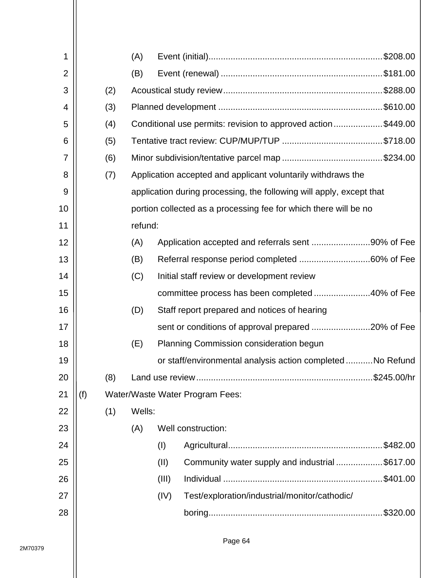| 1              |     |     | (A)     |       |                                                                      |  |  |  |  |  |  |
|----------------|-----|-----|---------|-------|----------------------------------------------------------------------|--|--|--|--|--|--|
| $\overline{2}$ |     |     | (B)     |       |                                                                      |  |  |  |  |  |  |
| 3              |     | (2) |         |       |                                                                      |  |  |  |  |  |  |
| 4              |     | (3) |         |       |                                                                      |  |  |  |  |  |  |
| 5              |     | (4) |         |       | Conditional use permits: revision to approved action\$449.00         |  |  |  |  |  |  |
| 6              |     | (5) |         |       |                                                                      |  |  |  |  |  |  |
| $\overline{7}$ |     | (6) |         |       |                                                                      |  |  |  |  |  |  |
| 8              |     | (7) |         |       | Application accepted and applicant voluntarily withdraws the         |  |  |  |  |  |  |
| 9              |     |     |         |       | application during processing, the following will apply, except that |  |  |  |  |  |  |
| 10             |     |     |         |       | portion collected as a processing fee for which there will be no     |  |  |  |  |  |  |
| 11             |     |     | refund: |       |                                                                      |  |  |  |  |  |  |
| 12             |     |     | (A)     |       | Application accepted and referrals sent 90% of Fee                   |  |  |  |  |  |  |
| 13             |     |     | (B)     |       |                                                                      |  |  |  |  |  |  |
| 14             |     |     | (C)     |       | Initial staff review or development review                           |  |  |  |  |  |  |
| 15             |     |     |         |       | committee process has been completed 40% of Fee                      |  |  |  |  |  |  |
| 16             |     |     | (D)     |       | Staff report prepared and notices of hearing                         |  |  |  |  |  |  |
| 17             |     |     |         |       | sent or conditions of approval prepared 20% of Fee                   |  |  |  |  |  |  |
| 18             |     |     | (E)     |       | Planning Commission consideration begun                              |  |  |  |  |  |  |
| 19             |     |     |         |       | or staff/environmental analysis action completedNo Refund            |  |  |  |  |  |  |
| 20             |     | (8) |         |       |                                                                      |  |  |  |  |  |  |
| 21             | (f) |     |         |       | Water/Waste Water Program Fees:                                      |  |  |  |  |  |  |
| 22             |     | (1) | Wells:  |       |                                                                      |  |  |  |  |  |  |
| 23             |     |     | (A)     |       | Well construction:                                                   |  |  |  |  |  |  |
| 24             |     |     |         | (1)   |                                                                      |  |  |  |  |  |  |
| 25             |     |     |         | (II)  | Community water supply and industrial \$617.00                       |  |  |  |  |  |  |
| 26             |     |     |         | (III) |                                                                      |  |  |  |  |  |  |
| 27             |     |     |         | (IV)  | Test/exploration/industrial/monitor/cathodic/                        |  |  |  |  |  |  |
| 28             |     |     |         |       |                                                                      |  |  |  |  |  |  |
|                |     |     |         |       |                                                                      |  |  |  |  |  |  |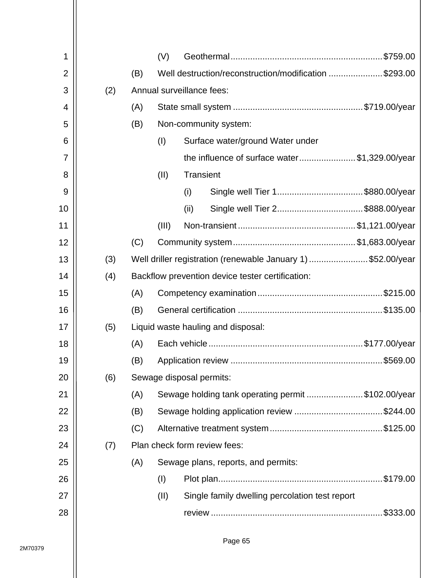| 1              |     |     | (V)                       |      |                                                              |  |  |
|----------------|-----|-----|---------------------------|------|--------------------------------------------------------------|--|--|
| $\overline{2}$ |     | (B) |                           |      | Well destruction/reconstruction/modification \$293.00        |  |  |
| 3              | (2) |     | Annual surveillance fees: |      |                                                              |  |  |
| 4              |     | (A) |                           |      |                                                              |  |  |
| 5              |     | (B) |                           |      | Non-community system:                                        |  |  |
| 6              |     |     | (1)                       |      | Surface water/ground Water under                             |  |  |
| 7              |     |     |                           |      | the influence of surface water\$1,329.00/year                |  |  |
| 8              |     |     | (II)                      |      | Transient                                                    |  |  |
| 9              |     |     |                           | (i)  | Single well Tier 1\$880.00/year                              |  |  |
| 10             |     |     |                           | (ii) | Single well Tier 2\$888.00/year                              |  |  |
| 11             |     |     | (III)                     |      |                                                              |  |  |
| 12             |     | (C) |                           |      |                                                              |  |  |
| 13             | (3) |     |                           |      | Well driller registration (renewable January 1) \$52.00/year |  |  |
| 14             | (4) |     |                           |      | Backflow prevention device tester certification:             |  |  |
| 15             |     | (A) |                           |      |                                                              |  |  |
| 16             |     | (B) |                           |      |                                                              |  |  |
| 17             | (5) |     |                           |      | Liquid waste hauling and disposal:                           |  |  |
| 18             |     | (A) |                           |      |                                                              |  |  |
| 19             |     | (B) |                           |      |                                                              |  |  |
| 20             | (6) |     |                           |      | Sewage disposal permits:                                     |  |  |
| 21             |     | (A) |                           |      | Sewage holding tank operating permit \$102.00/year           |  |  |
| 22             |     | (B) |                           |      |                                                              |  |  |
| 23             |     | (C) |                           |      |                                                              |  |  |
| 24             | (7) |     |                           |      | Plan check form review fees:                                 |  |  |
| 25             |     | (A) |                           |      | Sewage plans, reports, and permits:                          |  |  |
| 26             |     |     | (I)                       |      |                                                              |  |  |
| 27             |     |     | (II)                      |      | Single family dwelling percolation test report               |  |  |
| 28             |     |     |                           |      |                                                              |  |  |
|                |     |     |                           |      |                                                              |  |  |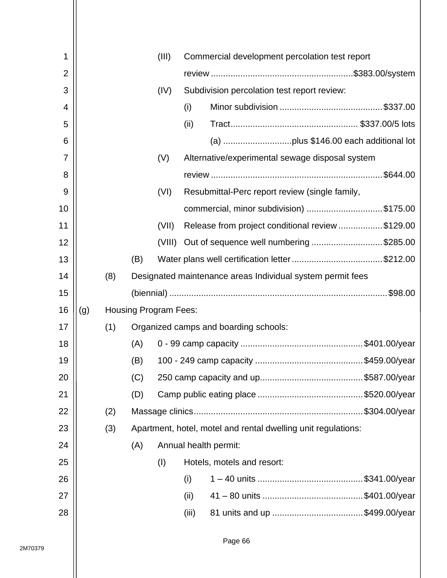| 1              |     |     |     | (III)                        | Commercial development percolation test report                |
|----------------|-----|-----|-----|------------------------------|---------------------------------------------------------------|
| $\overline{2}$ |     |     |     |                              |                                                               |
| 3              |     |     |     | (IV)                         | Subdivision percolation test report review:                   |
| 4              |     |     |     |                              | (i)                                                           |
| 5              |     |     |     |                              | (ii)                                                          |
| 6              |     |     |     |                              |                                                               |
| 7              |     |     |     | (V)                          | Alternative/experimental sewage disposal system               |
| 8              |     |     |     |                              |                                                               |
| 9              |     |     |     | (VI)                         | Resubmittal-Perc report review (single family,                |
| 10             |     |     |     |                              | commercial, minor subdivision) \$175.00                       |
| 11             |     |     |     | (VII)                        | Release from project conditional review \$129.00              |
| 12             |     |     |     |                              | (VIII) Out of sequence well numbering \$285.00                |
| 13             |     |     | (B) |                              |                                                               |
| 14             |     | (8) |     |                              | Designated maintenance areas Individual system permit fees    |
| 15             |     |     |     |                              |                                                               |
|                |     |     |     |                              |                                                               |
| 16             | (g) |     |     | <b>Housing Program Fees:</b> |                                                               |
| 17             |     | (1) |     |                              | Organized camps and boarding schools:                         |
| 18             |     |     | (A) |                              |                                                               |
| 19             |     |     | (B) |                              |                                                               |
| 20             |     |     | (C) |                              |                                                               |
| 21             |     |     | (D) |                              |                                                               |
| 22             |     | (2) |     |                              |                                                               |
| 23             |     | (3) |     |                              | Apartment, hotel, motel and rental dwelling unit regulations: |
| 24             |     |     | (A) |                              | Annual health permit:                                         |
| 25             |     |     |     | (1)                          | Hotels, motels and resort:                                    |
| 26             |     |     |     |                              | (i)                                                           |
| 27             |     |     |     |                              | (ii)                                                          |
| 28             |     |     |     |                              | (iii)                                                         |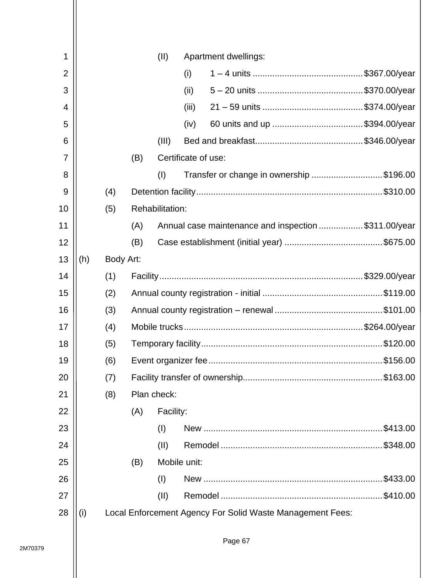| 1              |     |           |     | (II)            |                     | Apartment dwellings:                                      |           |  |  |
|----------------|-----|-----------|-----|-----------------|---------------------|-----------------------------------------------------------|-----------|--|--|
| $\overline{2}$ |     |           |     |                 | (i)                 |                                                           |           |  |  |
| 3              |     |           |     |                 | (ii)                |                                                           |           |  |  |
| 4              |     |           |     |                 | (iii)               |                                                           |           |  |  |
| 5              |     |           |     |                 | (iv)                |                                                           |           |  |  |
| 6              |     |           |     | (III)           |                     |                                                           |           |  |  |
| $\overline{7}$ |     |           | (B) |                 | Certificate of use: |                                                           |           |  |  |
| 8              |     |           |     | (1)             |                     | Transfer or change in ownership \$196.00                  |           |  |  |
| 9              |     | (4)       |     |                 |                     |                                                           |           |  |  |
| 10             |     | (5)       |     | Rehabilitation: |                     |                                                           |           |  |  |
| 11             |     |           | (A) |                 |                     | Annual case maintenance and inspection \$311.00/year      |           |  |  |
| 12             |     |           | (B) |                 |                     |                                                           |           |  |  |
| 13             | (h) | Body Art: |     |                 |                     |                                                           |           |  |  |
| 14             |     | (1)       |     |                 |                     |                                                           |           |  |  |
| 15             |     | (2)       |     |                 |                     |                                                           |           |  |  |
| 16             |     | (3)       |     |                 |                     |                                                           |           |  |  |
| 17             |     | (4)       |     |                 |                     |                                                           |           |  |  |
| 18             |     | (5)       |     |                 |                     |                                                           |           |  |  |
| 19             |     | (6)       |     |                 |                     |                                                           |           |  |  |
| 20             |     | (7)       |     |                 |                     |                                                           |           |  |  |
| 21             |     | (8)       |     | Plan check:     |                     |                                                           |           |  |  |
| 22             |     |           | (A) | Facility:       |                     |                                                           |           |  |  |
| 23             |     |           |     | (1)             |                     |                                                           | .\$413.00 |  |  |
| 24             |     |           |     | (II)            |                     |                                                           |           |  |  |
| 25             |     |           | (B) |                 | Mobile unit:        |                                                           |           |  |  |
| 26             |     |           |     | (1)             |                     |                                                           |           |  |  |
| 27             |     |           |     | (II)            |                     |                                                           |           |  |  |
| 28             | (i) |           |     |                 |                     | Local Enforcement Agency For Solid Waste Management Fees: |           |  |  |
|                |     |           |     |                 |                     |                                                           |           |  |  |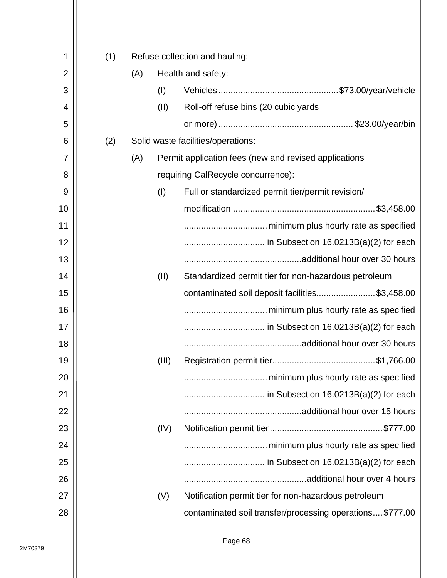| 1              |     |     |       |                                                           |
|----------------|-----|-----|-------|-----------------------------------------------------------|
|                | (1) |     |       | Refuse collection and hauling:                            |
| $\overline{2}$ |     | (A) |       | Health and safety:                                        |
| 3              |     |     | (1)   |                                                           |
| 4              |     |     | (II)  | Roll-off refuse bins (20 cubic yards                      |
| 5              |     |     |       |                                                           |
| 6              | (2) |     |       | Solid waste facilities/operations:                        |
| 7              |     | (A) |       | Permit application fees (new and revised applications     |
| 8              |     |     |       | requiring CalRecycle concurrence):                        |
| 9              |     |     | (1)   | Full or standardized permit tier/permit revision/         |
| 10             |     |     |       |                                                           |
| 11             |     |     |       |                                                           |
| 12             |     |     |       |                                                           |
| 13             |     |     |       |                                                           |
| 14             |     |     | (II)  | Standardized permit tier for non-hazardous petroleum      |
| 15             |     |     |       | contaminated soil deposit facilities\$3,458.00            |
| 16             |     |     |       |                                                           |
| 17             |     |     |       |                                                           |
| 18             |     |     |       |                                                           |
| 19             |     |     | (III) |                                                           |
| 20             |     |     |       |                                                           |
| 21             |     |     |       |                                                           |
| 22             |     |     |       |                                                           |
| 23             |     |     | (IV)  |                                                           |
| 24             |     |     |       |                                                           |
| 25             |     |     |       |                                                           |
| 26             |     |     |       |                                                           |
| 27             |     |     | (V)   | Notification permit tier for non-hazardous petroleum      |
| 28             |     |     |       | contaminated soil transfer/processing operations \$777.00 |
|                |     |     |       |                                                           |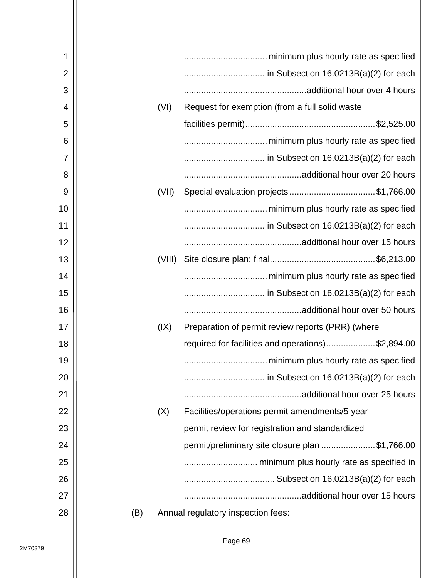| 1              |        |                                                   |
|----------------|--------|---------------------------------------------------|
| $\overline{2}$ |        |                                                   |
| 3              |        |                                                   |
| 4              | (VI)   | Request for exemption (from a full solid waste    |
| 5              |        |                                                   |
| 6              |        |                                                   |
| 7              |        |                                                   |
| 8              |        |                                                   |
| 9              | (VII)  |                                                   |
| 10             |        |                                                   |
| 11             |        |                                                   |
| 12             |        |                                                   |
| 13             | (VIII) |                                                   |
| 14             |        |                                                   |
| 15             |        |                                                   |
| 16             |        |                                                   |
| 17             | (IX)   | Preparation of permit review reports (PRR) (where |
| 18             |        | required for facilities and operations)\$2,894.00 |
| 19             |        | minimum plus hourly rate as specified             |
| 20             |        |                                                   |
| 21             |        |                                                   |
| 22             | (X)    | Facilities/operations permit amendments/5 year    |
| 23             |        | permit review for registration and standardized   |
| 24             |        | permit/preliminary site closure plan \$1,766.00   |
| 25             |        |                                                   |
| 26             |        |                                                   |
| 27             |        |                                                   |
| 28             | (B)    | Annual regulatory inspection fees:                |
|                |        |                                                   |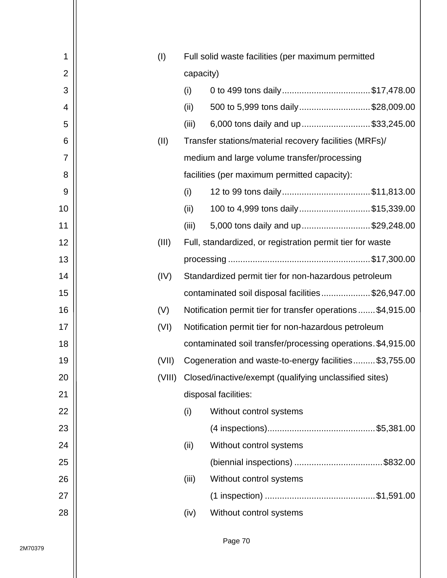| 1              | (I)    |           | Full solid waste facilities (per maximum permitted           |
|----------------|--------|-----------|--------------------------------------------------------------|
| $\overline{2}$ |        | capacity) |                                                              |
| 3              |        | (i)       | 0 to 499 tons daily\$17,478.00                               |
| 4              |        | (ii)      | 500 to 5,999 tons daily\$28,009.00                           |
| 5              |        | (iii)     | 6,000 tons daily and up \$33,245.00                          |
| 6              | (II)   |           | Transfer stations/material recovery facilities (MRFs)/       |
| 7              |        |           | medium and large volume transfer/processing                  |
| 8              |        |           | facilities (per maximum permitted capacity):                 |
| 9              |        | (i)       | 12 to 99 tons daily\$11,813.00                               |
| 10             |        | (ii)      | 100 to 4,999 tons daily\$15,339.00                           |
| 11             |        | (iii)     | 5,000 tons daily and up\$29,248.00                           |
| 12             | (III)  |           | Full, standardized, or registration permit tier for waste    |
| 13             |        |           |                                                              |
| 14             | (IV)   |           | Standardized permit tier for non-hazardous petroleum         |
| 15             |        |           | contaminated soil disposal facilities\$26,947.00             |
| 16             | (V)    |           | Notification permit tier for transfer operations \$4,915.00  |
| 17             | (VI)   |           | Notification permit tier for non-hazardous petroleum         |
| 18             |        |           | contaminated soil transfer/processing operations. \$4,915.00 |
| 19             | (VII)  |           | Cogeneration and waste-to-energy facilities\$3,755.00        |
| 20             | (VIII) |           | Closed/inactive/exempt (qualifying unclassified sites)       |
| 21             |        |           | disposal facilities:                                         |
| 22             |        | (i)       | Without control systems                                      |
| 23             |        |           |                                                              |
| 24             |        | (ii)      | Without control systems                                      |
| 25             |        |           |                                                              |
| 26             |        | (iii)     | Without control systems                                      |
| 27             |        |           |                                                              |
| 28             |        | (iv)      | Without control systems                                      |
|                |        |           |                                                              |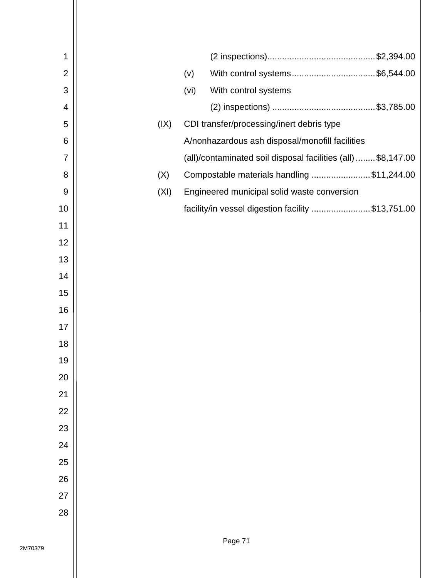| 1              |      |      |                                                               |
|----------------|------|------|---------------------------------------------------------------|
| $\overline{2}$ |      | (v)  | With control systems\$6,544.00                                |
| 3              |      | (vi) | With control systems                                          |
| 4              |      |      |                                                               |
| 5              | (IX) |      | CDI transfer/processing/inert debris type                     |
| 6              |      |      | A/nonhazardous ash disposal/monofill facilities               |
| 7              |      |      | (all)/contaminated soil disposal facilities (all)  \$8,147.00 |
| 8              | (X)  |      | Compostable materials handling \$11,244.00                    |
| 9              | (XI) |      | Engineered municipal solid waste conversion                   |
| 10             |      |      | facility/in vessel digestion facility \$13,751.00             |
| 11             |      |      |                                                               |
| 12             |      |      |                                                               |
| 13             |      |      |                                                               |
| 14             |      |      |                                                               |
| 15             |      |      |                                                               |
| 16             |      |      |                                                               |
| 17             |      |      |                                                               |
| 18             |      |      |                                                               |
| 19             |      |      |                                                               |
| 20             |      |      |                                                               |
| 21             |      |      |                                                               |
| 22             |      |      |                                                               |
| 23             |      |      |                                                               |
| 24             |      |      |                                                               |
| 25             |      |      |                                                               |
| 26             |      |      |                                                               |
| 27             |      |      |                                                               |
| 28             |      |      |                                                               |
|                |      |      |                                                               |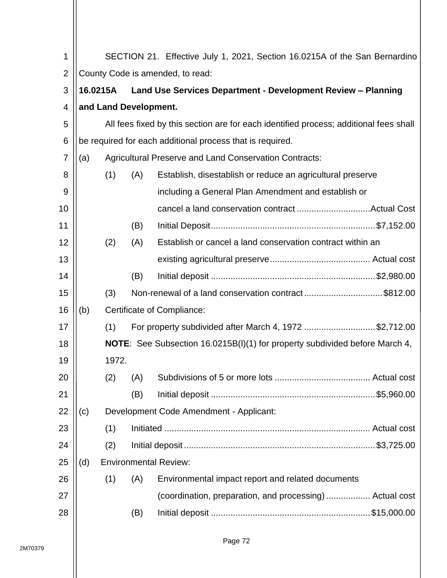| 1              |                                                                       |                       |     | SECTION 21. Effective July 1, 2021, Section 16.0215A of the San Bernardino            |  |  |  |  |  |
|----------------|-----------------------------------------------------------------------|-----------------------|-----|---------------------------------------------------------------------------------------|--|--|--|--|--|
| $\overline{2}$ | County Code is amended, to read:                                      |                       |     |                                                                                       |  |  |  |  |  |
| 3              | 16.0215A Land Use Services Department - Development Review - Planning |                       |     |                                                                                       |  |  |  |  |  |
| $\overline{4}$ |                                                                       | and Land Development. |     |                                                                                       |  |  |  |  |  |
| 5              |                                                                       |                       |     | All fees fixed by this section are for each identified process; additional fees shall |  |  |  |  |  |
| 6              |                                                                       |                       |     | be required for each additional process that is required.                             |  |  |  |  |  |
| $\overline{7}$ | (a)                                                                   |                       |     | <b>Agricultural Preserve and Land Conservation Contracts:</b>                         |  |  |  |  |  |
| 8              |                                                                       | (1)                   | (A) | Establish, disestablish or reduce an agricultural preserve                            |  |  |  |  |  |
| 9              |                                                                       |                       |     | including a General Plan Amendment and establish or                                   |  |  |  |  |  |
| 10             |                                                                       |                       |     |                                                                                       |  |  |  |  |  |
| 11             |                                                                       |                       | (B) |                                                                                       |  |  |  |  |  |
| 12             |                                                                       | (2)                   | (A) | Establish or cancel a land conservation contract within an                            |  |  |  |  |  |
| 13             |                                                                       |                       |     |                                                                                       |  |  |  |  |  |
| 14             |                                                                       |                       | (B) |                                                                                       |  |  |  |  |  |
| 15             |                                                                       | (3)                   |     | Non-renewal of a land conservation contract\$812.00                                   |  |  |  |  |  |
| 16             | (b)                                                                   |                       |     | Certificate of Compliance:                                                            |  |  |  |  |  |
| 17             |                                                                       | (1)                   |     | For property subdivided after March 4, 1972 \$2,712.00                                |  |  |  |  |  |
| 18             |                                                                       |                       |     | <b>NOTE:</b> See Subsection 16.0215B(I)(1) for property subdivided before March 4,    |  |  |  |  |  |
| 19             |                                                                       | 1972.                 |     |                                                                                       |  |  |  |  |  |
| 20             |                                                                       | (2)                   | (A) |                                                                                       |  |  |  |  |  |
| 21             |                                                                       |                       | (B) |                                                                                       |  |  |  |  |  |
| 22             | (c)                                                                   |                       |     | Development Code Amendment - Applicant:                                               |  |  |  |  |  |
| 23             |                                                                       | (1)                   |     |                                                                                       |  |  |  |  |  |
| 24             |                                                                       | (2)                   |     |                                                                                       |  |  |  |  |  |
| 25             | (d)                                                                   |                       |     | <b>Environmental Review:</b>                                                          |  |  |  |  |  |
| 26             |                                                                       | (1)                   | (A) | Environmental impact report and related documents                                     |  |  |  |  |  |
| 27             |                                                                       |                       |     | (coordination, preparation, and processing) Actual cost                               |  |  |  |  |  |
| 28             |                                                                       |                       | (B) |                                                                                       |  |  |  |  |  |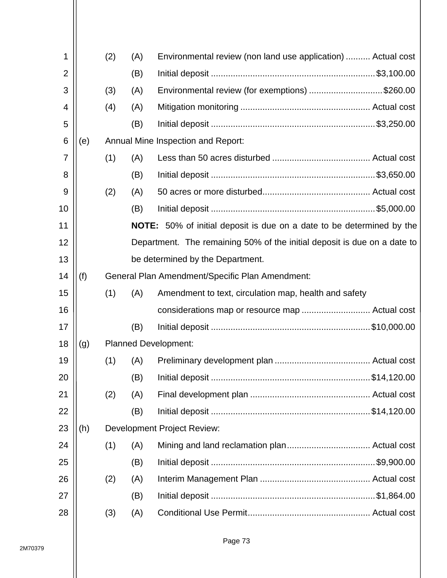| 1              |     | (2) | (A) | Environmental review (non land use application)  Actual cost                 |
|----------------|-----|-----|-----|------------------------------------------------------------------------------|
| $\overline{2}$ |     |     | (B) |                                                                              |
| 3              |     | (3) | (A) | Environmental review (for exemptions) \$260.00                               |
| 4              |     | (4) | (A) |                                                                              |
| 5              |     |     | (B) |                                                                              |
| 6              | (e) |     |     | <b>Annual Mine Inspection and Report:</b>                                    |
| 7              |     | (1) | (A) |                                                                              |
| 8              |     |     | (B) |                                                                              |
| 9              |     | (2) | (A) |                                                                              |
| 10             |     |     | (B) |                                                                              |
| 11             |     |     |     | <b>NOTE:</b> 50% of initial deposit is due on a date to be determined by the |
| 12             |     |     |     | Department. The remaining 50% of the initial deposit is due on a date to     |
| 13             |     |     |     | be determined by the Department.                                             |
| 14             | (f) |     |     | General Plan Amendment/Specific Plan Amendment:                              |
| 15             |     | (1) | (A) | Amendment to text, circulation map, health and safety                        |
| 16             |     |     |     | considerations map or resource map  Actual cost                              |
| 17             |     |     | (B) |                                                                              |
| 18             | (g) |     |     | <b>Planned Development:</b>                                                  |
| 19             |     | (1) | (A) |                                                                              |
| 20             |     |     | (B) |                                                                              |
| 21             |     | (2) | (A) |                                                                              |
| 22             |     |     | (B) |                                                                              |
| 23             | (h) |     |     | <b>Development Project Review:</b>                                           |
| 24             |     | (1) | (A) |                                                                              |
| 25             |     |     | (B) |                                                                              |
| 26             |     | (2) | (A) |                                                                              |
| 27             |     |     | (B) |                                                                              |
| 28             |     | (3) | (A) |                                                                              |
|                |     |     |     |                                                                              |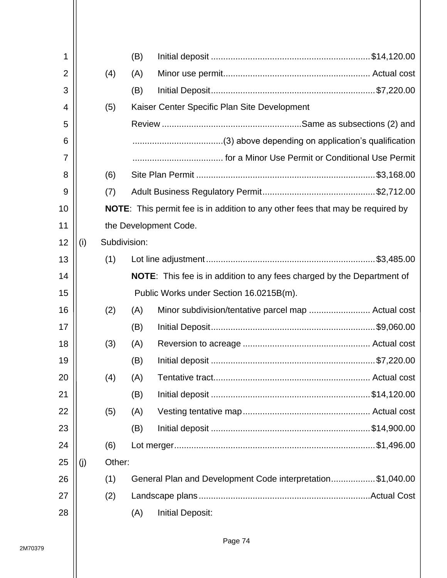| 1              |     |              | (B) |                                                                                       |  |
|----------------|-----|--------------|-----|---------------------------------------------------------------------------------------|--|
| $\overline{2}$ |     | (4)          | (A) |                                                                                       |  |
| 3              |     |              | (B) |                                                                                       |  |
| 4              |     | (5)          |     | Kaiser Center Specific Plan Site Development                                          |  |
| 5              |     |              |     |                                                                                       |  |
| 6              |     |              |     |                                                                                       |  |
| 7              |     |              |     |                                                                                       |  |
| 8              |     | (6)          |     |                                                                                       |  |
| 9              |     | (7)          |     |                                                                                       |  |
| 10             |     |              |     | <b>NOTE:</b> This permit fee is in addition to any other fees that may be required by |  |
| 11             |     |              |     | the Development Code.                                                                 |  |
| 12             | (i) | Subdivision: |     |                                                                                       |  |
| 13             |     | (1)          |     |                                                                                       |  |
| 14             |     |              |     | <b>NOTE:</b> This fee is in addition to any fees charged by the Department of         |  |
| 15             |     |              |     | Public Works under Section 16.0215B(m).                                               |  |
| 16             |     | (2)          | (A) |                                                                                       |  |
| 17             |     |              | (B) |                                                                                       |  |
| 18             |     | (3)          | (A) |                                                                                       |  |
| 19             |     |              | (B) |                                                                                       |  |
| 20             |     | (4)          | (A) |                                                                                       |  |
| 21             |     |              | (B) |                                                                                       |  |
| 22             |     | (5)          | (A) |                                                                                       |  |
| 23             |     |              | (B) |                                                                                       |  |
| 24             |     | (6)          |     |                                                                                       |  |
| 25             | (j) | Other:       |     |                                                                                       |  |
| 26             |     | (1)          |     | General Plan and Development Code interpretation\$1,040.00                            |  |
| 27             |     | (2)          |     |                                                                                       |  |
| 28             |     |              | (A) | <b>Initial Deposit:</b>                                                               |  |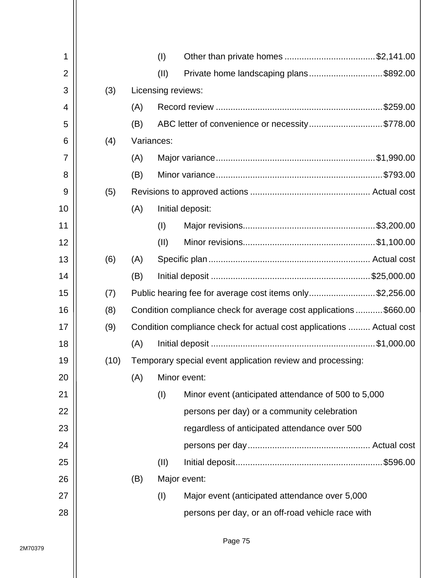| 1              |      |     | (1)                | Other than private homes \$2,141.00                                  |
|----------------|------|-----|--------------------|----------------------------------------------------------------------|
| $\overline{2}$ |      |     | (II)               | Private home landscaping plans\$892.00                               |
| 3              | (3)  |     | Licensing reviews: |                                                                      |
| 4              |      | (A) |                    |                                                                      |
| 5              |      | (B) |                    | ABC letter of convenience or necessity\$778.00                       |
| 6              | (4)  |     | Variances:         |                                                                      |
| 7              |      | (A) |                    |                                                                      |
| 8              |      | (B) |                    |                                                                      |
| 9              | (5)  |     |                    |                                                                      |
| 10             |      | (A) |                    | Initial deposit:                                                     |
| 11             |      |     | (1)                |                                                                      |
| 12             |      |     | (11)               |                                                                      |
| 13             | (6)  | (A) |                    |                                                                      |
| 14             |      | (B) |                    |                                                                      |
| 15             | (7)  |     |                    | Public hearing fee for average cost items only\$2,256.00             |
| 16             | (8)  |     |                    | Condition compliance check for average cost applications\$660.00     |
| 17             | (9)  |     |                    | Condition compliance check for actual cost applications  Actual cost |
| 18             |      | (A) |                    |                                                                      |
| 19             | (10) |     |                    | Temporary special event application review and processing:           |
| 20             |      | (A) |                    | Minor event:                                                         |
| 21             |      |     | (I)                | Minor event (anticipated attendance of 500 to 5,000                  |
| 22             |      |     |                    | persons per day) or a community celebration                          |
| 23             |      |     |                    | regardless of anticipated attendance over 500                        |
| 24             |      |     |                    |                                                                      |
| 25             |      |     | (II)               |                                                                      |
| 26             |      | (B) |                    | Major event:                                                         |
| 27             |      |     | (1)                | Major event (anticipated attendance over 5,000                       |
| 28             |      |     |                    | persons per day, or an off-road vehicle race with                    |
|                |      |     |                    |                                                                      |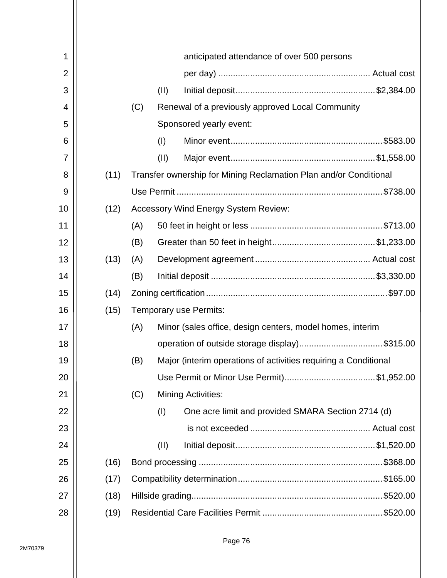| 1              |      |     |      | anticipated attendance of over 500 persons                        |
|----------------|------|-----|------|-------------------------------------------------------------------|
| $\overline{2}$ |      |     |      |                                                                   |
| 3              |      |     | (11) |                                                                   |
| 4              |      | (C) |      | Renewal of a previously approved Local Community                  |
| 5              |      |     |      | Sponsored yearly event:                                           |
| 6              |      |     | (1)  |                                                                   |
| 7              |      |     | (11) |                                                                   |
| 8              | (11) |     |      | Transfer ownership for Mining Reclamation Plan and/or Conditional |
| 9              |      |     |      |                                                                   |
| 10             | (12) |     |      | <b>Accessory Wind Energy System Review:</b>                       |
| 11             |      | (A) |      |                                                                   |
| 12             |      | (B) |      |                                                                   |
| 13             | (13) | (A) |      |                                                                   |
| 14             |      | (B) |      |                                                                   |
| 15             | (14) |     |      |                                                                   |
| 16             | (15) |     |      | Temporary use Permits:                                            |
| 17             |      | (A) |      | Minor (sales office, design centers, model homes, interim         |
| 18             |      |     |      | operation of outside storage display)\$315.00                     |
| 19             |      | (B) |      | Major (interim operations of activities requiring a Conditional   |
| 20             |      |     |      |                                                                   |
| 21             |      | (C) |      | <b>Mining Activities:</b>                                         |
| 22             |      |     | (1)  | One acre limit and provided SMARA Section 2714 (d)                |
| 23             |      |     |      |                                                                   |
| 24             |      |     | (II) |                                                                   |
| 25             | (16) |     |      |                                                                   |
| 26             | (17) |     |      |                                                                   |
| 27             | (18) |     |      |                                                                   |
| 28             | (19) |     |      |                                                                   |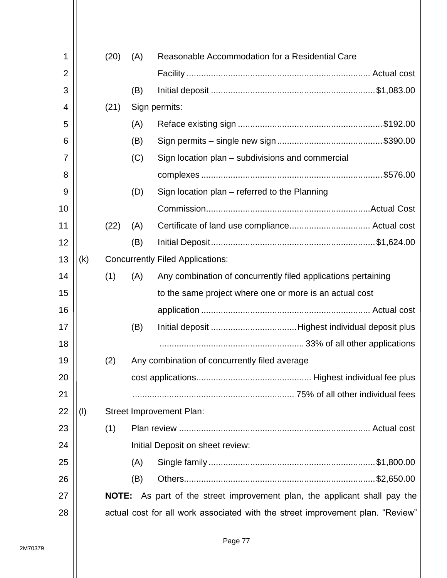| 1              |     | (20)         | (A) | Reasonable Accommodation for a Residential Care                                |  |
|----------------|-----|--------------|-----|--------------------------------------------------------------------------------|--|
| $\overline{2}$ |     |              |     |                                                                                |  |
| 3              |     |              | (B) |                                                                                |  |
| 4              |     | (21)         |     | Sign permits:                                                                  |  |
| 5              |     |              | (A) |                                                                                |  |
| 6              |     |              | (B) |                                                                                |  |
| 7              |     |              | (C) | Sign location plan – subdivisions and commercial                               |  |
| 8              |     |              |     |                                                                                |  |
| 9              |     |              | (D) | Sign location plan - referred to the Planning                                  |  |
| 10             |     |              |     |                                                                                |  |
| 11             |     | (22)         | (A) |                                                                                |  |
| 12             |     |              | (B) |                                                                                |  |
| 13             | (k) |              |     | <b>Concurrently Filed Applications:</b>                                        |  |
| 14             |     | (1)          | (A) | Any combination of concurrently filed applications pertaining                  |  |
| 15             |     |              |     | to the same project where one or more is an actual cost                        |  |
| 16             |     |              |     |                                                                                |  |
| 17             |     |              | (B) |                                                                                |  |
| 18             |     |              |     |                                                                                |  |
| 19             |     | (2)          |     | Any combination of concurrently filed average                                  |  |
| 20             |     |              |     |                                                                                |  |
| 21             |     |              |     |                                                                                |  |
| 22             | (1) |              |     | <b>Street Improvement Plan:</b>                                                |  |
| 23             |     | (1)          |     |                                                                                |  |
| 24             |     |              |     | Initial Deposit on sheet review:                                               |  |
| 25             |     |              | (A) |                                                                                |  |
| 26             |     |              | (B) |                                                                                |  |
| 27             |     | <b>NOTE:</b> |     | As part of the street improvement plan, the applicant shall pay the            |  |
| 28             |     |              |     | actual cost for all work associated with the street improvement plan. "Review" |  |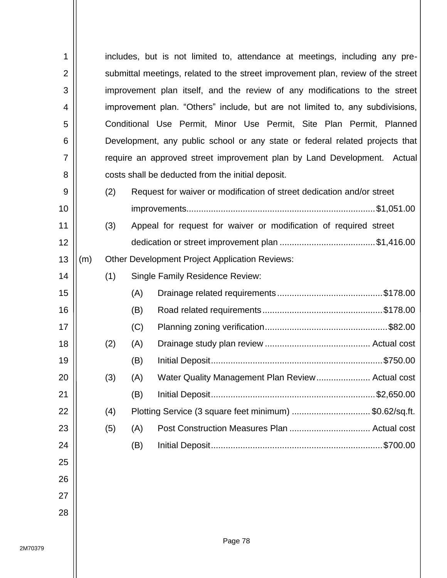| 1              |     |     |                                                                                  | includes, but is not limited to, attendance at meetings, including any pre-   |  |  |  |
|----------------|-----|-----|----------------------------------------------------------------------------------|-------------------------------------------------------------------------------|--|--|--|
| $\overline{2}$ |     |     | submittal meetings, related to the street improvement plan, review of the street |                                                                               |  |  |  |
| 3              |     |     | improvement plan itself, and the review of any modifications to the street       |                                                                               |  |  |  |
| 4              |     |     |                                                                                  | improvement plan. "Others" include, but are not limited to, any subdivisions, |  |  |  |
| 5              |     |     |                                                                                  | Conditional Use Permit, Minor Use Permit, Site Plan Permit, Planned           |  |  |  |
| 6              |     |     |                                                                                  | Development, any public school or any state or federal related projects that  |  |  |  |
| $\overline{7}$ |     |     |                                                                                  | require an approved street improvement plan by Land Development. Actual       |  |  |  |
| 8              |     |     |                                                                                  | costs shall be deducted from the initial deposit.                             |  |  |  |
| 9              |     | (2) |                                                                                  | Request for waiver or modification of street dedication and/or street         |  |  |  |
| 10             |     |     |                                                                                  |                                                                               |  |  |  |
| 11             |     | (3) |                                                                                  | Appeal for request for waiver or modification of required street              |  |  |  |
| 12             |     |     |                                                                                  |                                                                               |  |  |  |
| 13             | (m) |     |                                                                                  | <b>Other Development Project Application Reviews:</b>                         |  |  |  |
| 14             |     | (1) |                                                                                  | <b>Single Family Residence Review:</b>                                        |  |  |  |
| 15             |     |     | (A)                                                                              |                                                                               |  |  |  |
| 16             |     |     | (B)                                                                              |                                                                               |  |  |  |
| 17             |     |     | (C)                                                                              |                                                                               |  |  |  |
| 18             |     | (2) | (A)                                                                              |                                                                               |  |  |  |
| 19             |     |     | (B)                                                                              |                                                                               |  |  |  |
| 20             |     | (3) | (A)                                                                              | Water Quality Management Plan Review Actual cost                              |  |  |  |
| 21             |     |     | (B)                                                                              |                                                                               |  |  |  |
| 22             |     | (4) |                                                                                  | Plotting Service (3 square feet minimum) \$0.62/sq.ft.                        |  |  |  |
| 23             |     | (5) | (A)                                                                              |                                                                               |  |  |  |
| 24             |     |     | (B)                                                                              | \$700.00                                                                      |  |  |  |
| 25             |     |     |                                                                                  |                                                                               |  |  |  |
| 26             |     |     |                                                                                  |                                                                               |  |  |  |
| 27             |     |     |                                                                                  |                                                                               |  |  |  |
| 28             |     |     |                                                                                  |                                                                               |  |  |  |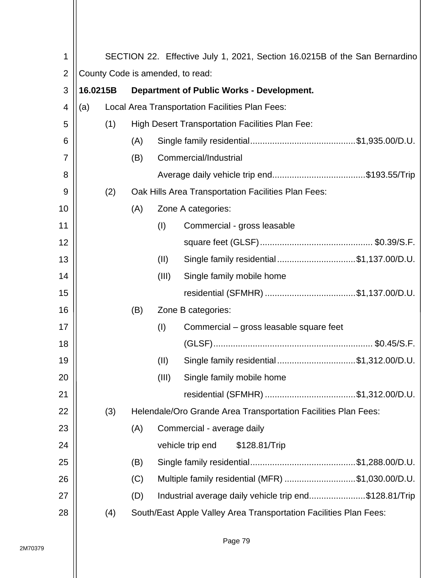| 1              | SECTION 22. Effective July 1, 2021, Section 16.0215B of the San Bernardino |     |                                                  |       |                                                                   |  |
|----------------|----------------------------------------------------------------------------|-----|--------------------------------------------------|-------|-------------------------------------------------------------------|--|
| $\overline{2}$ | County Code is amended, to read:                                           |     |                                                  |       |                                                                   |  |
| 3              | 16.0215B                                                                   |     | <b>Department of Public Works - Development.</b> |       |                                                                   |  |
| 4              | (a)                                                                        |     |                                                  |       | Local Area Transportation Facilities Plan Fees:                   |  |
| 5              |                                                                            | (1) |                                                  |       | <b>High Desert Transportation Facilities Plan Fee:</b>            |  |
| 6              |                                                                            |     | (A)                                              |       |                                                                   |  |
| 7              |                                                                            |     | (B)                                              |       | Commercial/Industrial                                             |  |
| 8              |                                                                            |     |                                                  |       |                                                                   |  |
| 9              |                                                                            | (2) |                                                  |       | Oak Hills Area Transportation Facilities Plan Fees:               |  |
| 10             |                                                                            |     | (A)                                              |       | Zone A categories:                                                |  |
| 11             |                                                                            |     |                                                  | (1)   | Commercial - gross leasable                                       |  |
| 12             |                                                                            |     |                                                  |       |                                                                   |  |
| 13             |                                                                            |     |                                                  | (II)  | Single family residential\$1,137.00/D.U.                          |  |
| 14             |                                                                            |     |                                                  | (III) | Single family mobile home                                         |  |
| 15             |                                                                            |     |                                                  |       | residential (SFMHR) \$1,137.00/D.U.                               |  |
| 16             |                                                                            |     | (B)                                              |       | Zone B categories:                                                |  |
| 17             |                                                                            |     |                                                  | (1)   | Commercial – gross leasable square feet                           |  |
| 18             |                                                                            |     |                                                  |       |                                                                   |  |
| 19             |                                                                            |     |                                                  | (II)  | Single family residential\$1,312.00/D.U.                          |  |
| 20             |                                                                            |     |                                                  | (III) | Single family mobile home                                         |  |
| 21             |                                                                            |     |                                                  |       | residential (SFMHR) \$1,312.00/D.U.                               |  |
| 22             |                                                                            | (3) |                                                  |       | Helendale/Oro Grande Area Transportation Facilities Plan Fees:    |  |
| 23             |                                                                            |     | (A)                                              |       | Commercial - average daily                                        |  |
| 24             |                                                                            |     |                                                  |       | vehicle trip end<br>\$128.81/Trip                                 |  |
| 25             |                                                                            |     | (B)                                              |       |                                                                   |  |
| 26             |                                                                            |     | (C)                                              |       | Multiple family residential (MFR) \$1,030.00/D.U.                 |  |
| 27             |                                                                            |     | (D)                                              |       | Industrial average daily vehicle trip end\$128.81/Trip            |  |
| 28             |                                                                            | (4) |                                                  |       | South/East Apple Valley Area Transportation Facilities Plan Fees: |  |
|                |                                                                            |     |                                                  |       |                                                                   |  |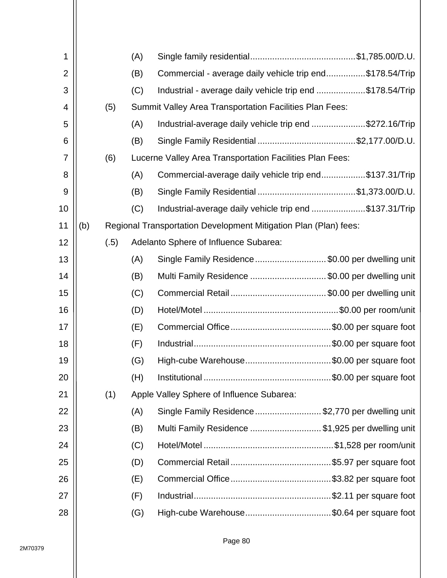| 1              |     |      | (A) |                                                                  |
|----------------|-----|------|-----|------------------------------------------------------------------|
| $\overline{2}$ |     |      | (B) | Commercial - average daily vehicle trip end\$178.54/Trip         |
| 3              |     |      | (C) | Industrial - average daily vehicle trip end \$178.54/Trip        |
| 4              |     | (5)  |     | <b>Summit Valley Area Transportation Facilities Plan Fees:</b>   |
| 5              |     |      | (A) | Industrial-average daily vehicle trip end \$272.16/Trip          |
| 6              |     |      | (B) |                                                                  |
| 7              |     | (6)  |     | Lucerne Valley Area Transportation Facilities Plan Fees:         |
| 8              |     |      | (A) | Commercial-average daily vehicle trip end\$137.31/Trip           |
| 9              |     |      | (B) |                                                                  |
| 10             |     |      | (C) | Industrial-average daily vehicle trip end \$137.31/Trip          |
| 11             | (b) |      |     | Regional Transportation Development Mitigation Plan (Plan) fees: |
| 12             |     | (.5) |     | Adelanto Sphere of Influence Subarea:                            |
| 13             |     |      | (A) | Single Family Residence \$0.00 per dwelling unit                 |
| 14             |     |      | (B) | Multi Family Residence \$0.00 per dwelling unit                  |
| 15             |     |      | (C) |                                                                  |
| 16             |     |      | (D) |                                                                  |
| 17             |     |      | (E) |                                                                  |
| 18             |     |      | (F) |                                                                  |
| 19             |     |      | (G) | High-cube Warehouse\$0.00 per square foot                        |
| 20             |     |      | (H) |                                                                  |
| 21             |     | (1)  |     | Apple Valley Sphere of Influence Subarea:                        |
| 22             |     |      | (A) | Single Family Residence \$2,770 per dwelling unit                |
| 23             |     |      | (B) | Multi Family Residence \$1,925 per dwelling unit                 |
| 24             |     |      | (C) |                                                                  |
| 25             |     |      | (D) |                                                                  |
| 26             |     |      | (E) |                                                                  |
| 27             |     |      | (F) |                                                                  |
| 28             |     |      | (G) | High-cube Warehouse\$0.64 per square foot                        |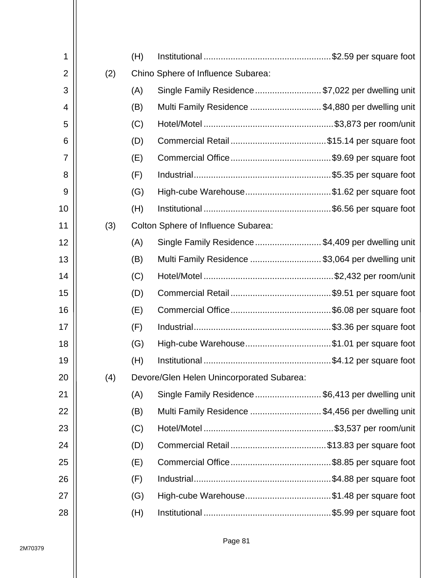| 1              |     | (H) |                                                   |  |
|----------------|-----|-----|---------------------------------------------------|--|
| $\overline{2}$ | (2) |     | Chino Sphere of Influence Subarea:                |  |
| 3              |     | (A) | Single Family Residence \$7,022 per dwelling unit |  |
| 4              |     | (B) | Multi Family Residence \$4,880 per dwelling unit  |  |
| 5              |     | (C) |                                                   |  |
| 6              |     | (D) |                                                   |  |
| 7              |     | (E) |                                                   |  |
| 8              |     | (F) |                                                   |  |
| 9              |     | (G) | High-cube Warehouse\$1.62 per square foot         |  |
| 10             |     | (H) |                                                   |  |
| 11             | (3) |     | <b>Colton Sphere of Influence Subarea:</b>        |  |
| 12             |     | (A) | Single Family Residence \$4,409 per dwelling unit |  |
| 13             |     | (B) | Multi Family Residence \$3,064 per dwelling unit  |  |
| 14             |     | (C) |                                                   |  |
| 15             |     | (D) |                                                   |  |
| 16             |     | (E) |                                                   |  |
| 17             |     | (F) |                                                   |  |
| 18             |     | (G) | High-cube Warehouse\$1.01 per square foot         |  |
| 19             |     | (H) |                                                   |  |
| 20             | (4) |     | Devore/Glen Helen Unincorporated Subarea:         |  |
| 21             |     | (A) | Single Family Residence \$6,413 per dwelling unit |  |
| 22             |     | (B) | Multi Family Residence \$4,456 per dwelling unit  |  |
| 23             |     | (C) |                                                   |  |
| 24             |     | (D) |                                                   |  |
| 25             |     | (E) |                                                   |  |
| 26             |     | (F) |                                                   |  |
| 27             |     | (G) | High-cube Warehouse\$1.48 per square foot         |  |
| 28             |     | (H) |                                                   |  |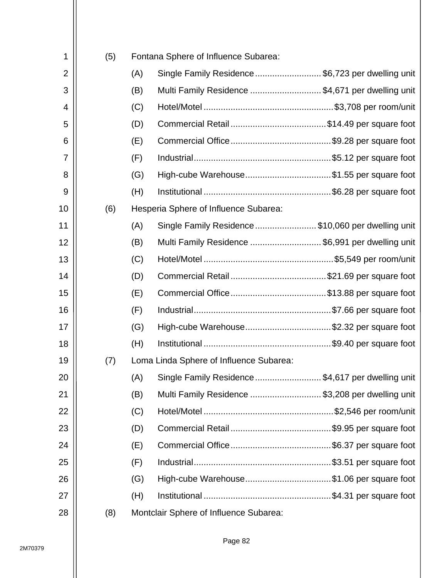| 1              | (5) |     | Fontana Sphere of Influence Subarea:               |  |
|----------------|-----|-----|----------------------------------------------------|--|
| $\overline{2}$ |     | (A) | Single Family Residence \$6,723 per dwelling unit  |  |
| 3              |     | (B) | Multi Family Residence  \$4,671 per dwelling unit  |  |
| 4              |     | (C) |                                                    |  |
| 5              |     | (D) |                                                    |  |
| 6              |     | (E) |                                                    |  |
| 7              |     | (F) |                                                    |  |
| 8              |     | (G) | High-cube Warehouse\$1.55 per square foot          |  |
| 9              |     | (H) |                                                    |  |
| 10             | (6) |     | Hesperia Sphere of Influence Subarea:              |  |
| 11             |     | (A) | Single Family Residence \$10,060 per dwelling unit |  |
| 12             |     | (B) | Multi Family Residence \$6,991 per dwelling unit   |  |
| 13             |     | (C) |                                                    |  |
| 14             |     | (D) |                                                    |  |
| 15             |     | (E) |                                                    |  |
| 16             |     | (F) |                                                    |  |
| 17             |     | (G) | High-cube Warehouse\$2.32 per square foot          |  |
| 18             |     | (H) |                                                    |  |
| 19             | (7) |     | Loma Linda Sphere of Influence Subarea:            |  |
| 20             |     | (A) | Single Family Residence \$4,617 per dwelling unit  |  |
| 21             |     | (B) | Multi Family Residence \$3,208 per dwelling unit   |  |
| 22             |     | (C) |                                                    |  |
| 23             |     | (D) |                                                    |  |
| 24             |     | (E) |                                                    |  |
| 25             |     | (F) |                                                    |  |
| 26             |     | (G) | High-cube Warehouse\$1.06 per square foot          |  |
| 27             |     | (H) |                                                    |  |
| 28             | (8) |     | Montclair Sphere of Influence Subarea:             |  |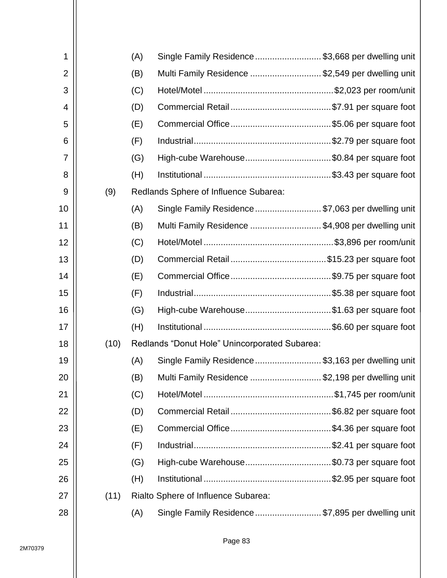| 1              |      | (A) | Single Family Residence  \$3,668 per dwelling unit |  |
|----------------|------|-----|----------------------------------------------------|--|
| $\overline{2}$ |      | (B) | Multi Family Residence \$2,549 per dwelling unit   |  |
| 3              |      | (C) |                                                    |  |
| 4              |      | (D) |                                                    |  |
| 5              |      | (E) |                                                    |  |
| 6              |      | (F) |                                                    |  |
| 7              |      | (G) | High-cube Warehouse\$0.84 per square foot          |  |
| 8              |      | (H) |                                                    |  |
| 9              | (9)  |     | Redlands Sphere of Influence Subarea:              |  |
| 10             |      | (A) | Single Family Residence  \$7,063 per dwelling unit |  |
| 11             |      | (B) | Multi Family Residence \$4,908 per dwelling unit   |  |
| 12             |      | (C) |                                                    |  |
| 13             |      | (D) |                                                    |  |
| 14             |      | (E) |                                                    |  |
| 15             |      | (F) |                                                    |  |
| 16             |      | (G) | High-cube Warehouse\$1.63 per square foot          |  |
| 17             |      | (H) |                                                    |  |
| 18             | (10) |     | Redlands "Donut Hole" Unincorporated Subarea:      |  |
| 19             |      | (A) | Single Family Residence \$3,163 per dwelling unit  |  |
| 20             |      | (B) | Multi Family Residence \$2,198 per dwelling unit   |  |
| 21             |      | (C) |                                                    |  |
| 22             |      | (D) |                                                    |  |
| 23             |      | (E) |                                                    |  |
| 24             |      | (F) |                                                    |  |
| 25             |      | (G) | High-cube Warehouse\$0.73 per square foot          |  |
| 26             |      | (H) |                                                    |  |
| 27             | (11) |     | Rialto Sphere of Influence Subarea:                |  |
| 28             |      | (A) | Single Family Residence \$7,895 per dwelling unit  |  |
|                |      |     |                                                    |  |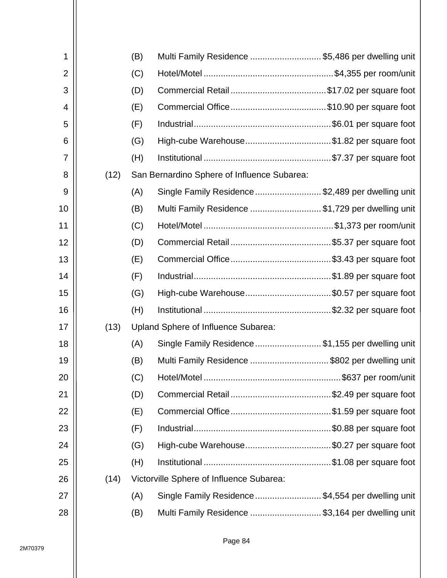| 1              |      | (B) | Multi Family Residence \$5,486 per dwelling unit   |  |
|----------------|------|-----|----------------------------------------------------|--|
| $\overline{2}$ |      | (C) |                                                    |  |
| 3              |      | (D) |                                                    |  |
| 4              |      | (E) |                                                    |  |
| 5              |      | (F) |                                                    |  |
| 6              |      | (G) | High-cube Warehouse\$1.82 per square foot          |  |
| 7              |      | (H) |                                                    |  |
| 8              | (12) |     | San Bernardino Sphere of Influence Subarea:        |  |
| 9              |      | (A) | Single Family Residence \$2,489 per dwelling unit  |  |
| 10             |      | (B) | Multi Family Residence \$1,729 per dwelling unit   |  |
| 11             |      | (C) |                                                    |  |
| 12             |      | (D) |                                                    |  |
| 13             |      | (E) |                                                    |  |
| 14             |      | (F) |                                                    |  |
| 15             |      | (G) | High-cube Warehouse\$0.57 per square foot          |  |
| 16             |      | (H) |                                                    |  |
| 17             | (13) |     | Upland Sphere of Influence Subarea:                |  |
| 18             |      | (A) | Single Family Residence \$1,155 per dwelling unit  |  |
| 19             |      | (B) | Multi Family Residence \$802 per dwelling unit     |  |
| 20             |      | (C) |                                                    |  |
| 21             |      | (D) |                                                    |  |
| 22             |      | (E) |                                                    |  |
| 23             |      | (F) |                                                    |  |
| 24             |      | (G) | High-cube Warehouse\$0.27 per square foot          |  |
| 25             |      | (H) |                                                    |  |
| 26             | (14) |     | Victorville Sphere of Influence Subarea:           |  |
| 27             |      | (A) | Single Family Residence  \$4,554 per dwelling unit |  |
| 28             |      | (B) | Multi Family Residence \$3,164 per dwelling unit   |  |
|                |      |     |                                                    |  |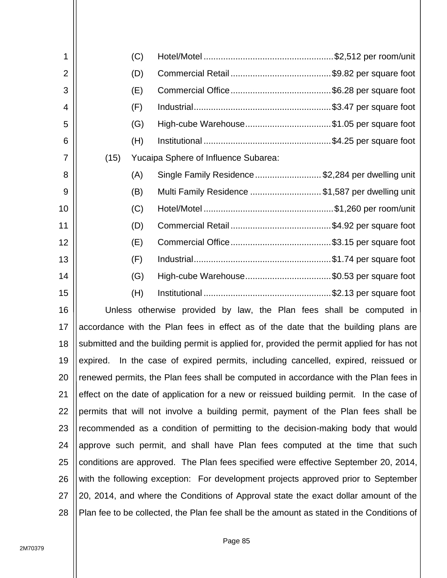| 1              |      | (C) |                                                                                           |
|----------------|------|-----|-------------------------------------------------------------------------------------------|
| $\overline{2}$ |      | (D) |                                                                                           |
| 3              |      | (E) |                                                                                           |
| 4              |      | (F) |                                                                                           |
| 5              |      | (G) | High-cube Warehouse\$1.05 per square foot                                                 |
| 6              |      | (H) |                                                                                           |
| 7              | (15) |     | Yucaipa Sphere of Influence Subarea:                                                      |
| 8              |      | (A) | Single Family Residence \$2,284 per dwelling unit                                         |
| 9              |      | (B) | Multi Family Residence \$1,587 per dwelling unit                                          |
| 10             |      | (C) |                                                                                           |
| 11             |      | (D) |                                                                                           |
| 12             |      | (E) |                                                                                           |
| 13             |      | (F) |                                                                                           |
| 14             |      | (G) | High-cube Warehouse\$0.53 per square foot                                                 |
| 15             |      | (H) |                                                                                           |
| 16             |      |     | Unless otherwise provided by law, the Plan fees shall be computed in                      |
| 17             |      |     | accordance with the Plan fees in effect as of the date that the building plans are        |
| 18             |      |     | submitted and the building permit is applied for, provided the permit applied for has not |
| 19             |      |     | expired. In the case of expired permits, including cancelled, expired, reissued or        |
| 20             |      |     | renewed permits, the Plan fees shall be computed in accordance with the Plan fees in      |
| 21             |      |     | effect on the date of application for a new or reissued building permit. In the case of   |
| 22             |      |     | permits that will not involve a building permit, payment of the Plan fees shall be        |
| 23             |      |     | recommended as a condition of permitting to the decision-making body that would           |
| 24             |      |     | approve such permit, and shall have Plan fees computed at the time that such              |
| 25             |      |     | conditions are approved. The Plan fees specified were effective September 20, 2014,       |
| 26             |      |     | with the following exception: For development projects approved prior to September        |
| 27             |      |     | 20, 2014, and where the Conditions of Approval state the exact dollar amount of the       |
| 28             |      |     | Plan fee to be collected, the Plan fee shall be the amount as stated in the Conditions of |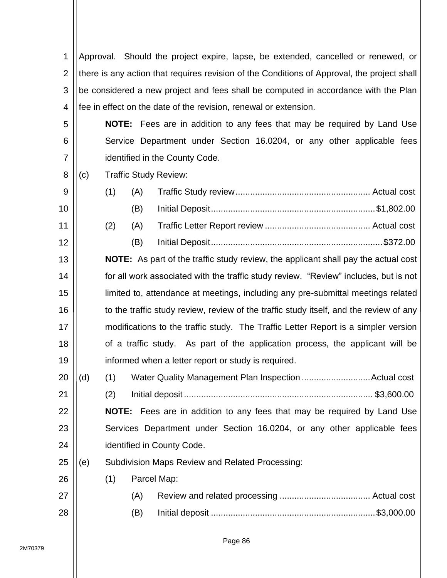1 2 3 4 Approval. Should the project expire, lapse, be extended, cancelled or renewed, or there is any action that requires revision of the Conditions of Approval, the project shall be considered a new project and fees shall be computed in accordance with the Plan fee in effect on the date of the revision, renewal or extension.

**NOTE:** Fees are in addition to any fees that may be required by Land Use Service Department under Section 16.0204, or any other applicable fees identified in the County Code.

8 (c) Traffic Study Review:

5

6

7

| 9              |  |  |
|----------------|--|--|
| 10             |  |  |
| 11 $\parallel$ |  |  |
| $12 \parallel$ |  |  |

13 14 15 16 17 18 19 **NOTE:** As part of the traffic study review, the applicant shall pay the actual cost for all work associated with the traffic study review. "Review" includes, but is not limited to, attendance at meetings, including any pre-submittal meetings related to the traffic study review, review of the traffic study itself, and the review of any modifications to the traffic study. The Traffic Letter Report is a simpler version of a traffic study. As part of the application process, the applicant will be informed when a letter report or study is required.

20 (d) (1) Water Quality Management Plan Inspection ............................Actual cost

21 22 23 (2) Initial deposit ............................................................................. \$3,600.00 **NOTE:** Fees are in addition to any fees that may be required by Land Use Services Department under Section 16.0204, or any other applicable fees

24 identified in County Code.

25 (e) Subdivision Maps Review and Related Processing:

26 (1) Parcel Map:

| (B) |  |
|-----|--|

27

28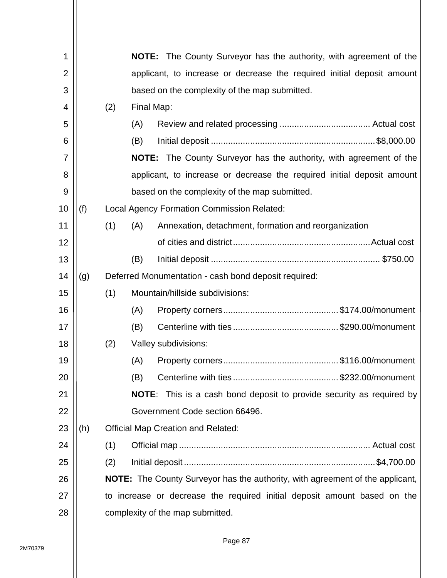| 1  |     |     |                      | <b>NOTE:</b> The County Surveyor has the authority, with agreement of the            |
|----|-----|-----|----------------------|--------------------------------------------------------------------------------------|
| 2  |     |     |                      | applicant, to increase or decrease the required initial deposit amount               |
| 3  |     |     |                      | based on the complexity of the map submitted.                                        |
| 4  |     | (2) | Final Map:           |                                                                                      |
| 5  |     |     | (A)                  |                                                                                      |
| 6  |     |     | (B)                  |                                                                                      |
| 7  |     |     |                      | <b>NOTE:</b> The County Surveyor has the authority, with agreement of the            |
| 8  |     |     |                      | applicant, to increase or decrease the required initial deposit amount               |
| 9  |     |     |                      | based on the complexity of the map submitted.                                        |
| 10 | (f) |     |                      | <b>Local Agency Formation Commission Related:</b>                                    |
| 11 |     | (1) | (A)                  | Annexation, detachment, formation and reorganization                                 |
| 12 |     |     |                      |                                                                                      |
| 13 |     |     | (B)                  |                                                                                      |
| 14 | (g) |     |                      | Deferred Monumentation - cash bond deposit required:                                 |
| 15 |     | (1) |                      | Mountain/hillside subdivisions:                                                      |
| 16 |     |     | (A)                  |                                                                                      |
| 17 |     |     | (B)                  |                                                                                      |
| 18 |     | (2) | Valley subdivisions: |                                                                                      |
| 19 |     |     | (A)                  |                                                                                      |
| 20 |     |     | (B)                  |                                                                                      |
| 21 |     |     |                      | NOTE: This is a cash bond deposit to provide security as required by                 |
| 22 |     |     |                      | Government Code section 66496.                                                       |
| 23 | (h) |     |                      | <b>Official Map Creation and Related:</b>                                            |
| 24 |     | (1) |                      |                                                                                      |
| 25 |     | (2) |                      |                                                                                      |
| 26 |     |     |                      | <b>NOTE:</b> The County Surveyor has the authority, with agreement of the applicant, |
| 27 |     |     |                      | to increase or decrease the required initial deposit amount based on the             |
| 28 |     |     |                      | complexity of the map submitted.                                                     |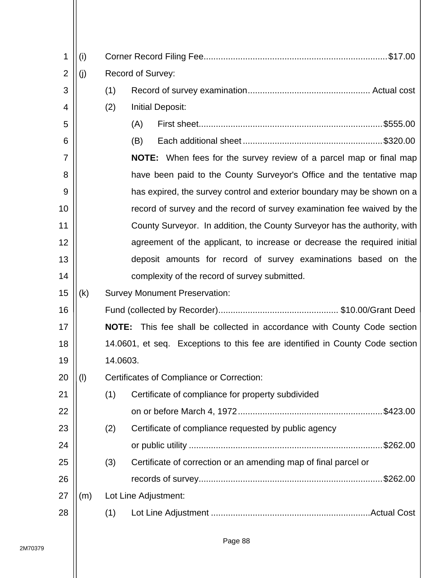| 1              | (i) |          |                                                                                 |  |  |  |  |  |  |  |
|----------------|-----|----------|---------------------------------------------------------------------------------|--|--|--|--|--|--|--|
| $\overline{2}$ | (j) |          | Record of Survey:                                                               |  |  |  |  |  |  |  |
| 3              |     | (1)      |                                                                                 |  |  |  |  |  |  |  |
| 4              |     | (2)      | <b>Initial Deposit:</b>                                                         |  |  |  |  |  |  |  |
| 5              |     |          | (A)                                                                             |  |  |  |  |  |  |  |
| 6              |     |          | (B)                                                                             |  |  |  |  |  |  |  |
| 7              |     |          | <b>NOTE:</b> When fees for the survey review of a parcel map or final map       |  |  |  |  |  |  |  |
| 8              |     |          | have been paid to the County Surveyor's Office and the tentative map            |  |  |  |  |  |  |  |
| 9              |     |          | has expired, the survey control and exterior boundary may be shown on a         |  |  |  |  |  |  |  |
| 10             |     |          | record of survey and the record of survey examination fee waived by the         |  |  |  |  |  |  |  |
| 11             |     |          | County Surveyor. In addition, the County Surveyor has the authority, with       |  |  |  |  |  |  |  |
| 12             |     |          | agreement of the applicant, to increase or decrease the required initial        |  |  |  |  |  |  |  |
| 13             |     |          | deposit amounts for record of survey examinations based on the                  |  |  |  |  |  |  |  |
| 14             |     |          | complexity of the record of survey submitted.                                   |  |  |  |  |  |  |  |
| 15             | (k) |          | <b>Survey Monument Preservation:</b>                                            |  |  |  |  |  |  |  |
| 16             |     |          |                                                                                 |  |  |  |  |  |  |  |
| 17             |     |          | <b>NOTE:</b> This fee shall be collected in accordance with County Code section |  |  |  |  |  |  |  |
| 18             |     |          | 14.0601, et seq. Exceptions to this fee are identified in County Code section   |  |  |  |  |  |  |  |
| 19             |     | 14.0603. |                                                                                 |  |  |  |  |  |  |  |
| 20             | (1) |          | Certificates of Compliance or Correction:                                       |  |  |  |  |  |  |  |
| 21             |     | (1)      | Certificate of compliance for property subdivided                               |  |  |  |  |  |  |  |
| 22             |     |          | \$423.00                                                                        |  |  |  |  |  |  |  |
| 23             |     | (2)      | Certificate of compliance requested by public agency                            |  |  |  |  |  |  |  |
| 24             |     |          |                                                                                 |  |  |  |  |  |  |  |
| 25             |     | (3)      | Certificate of correction or an amending map of final parcel or                 |  |  |  |  |  |  |  |
| 26             |     |          | \$262.00                                                                        |  |  |  |  |  |  |  |
| 27             | (m) |          | Lot Line Adjustment:                                                            |  |  |  |  |  |  |  |
| 28             |     | (1)      | Actual Cost                                                                     |  |  |  |  |  |  |  |
|                |     |          |                                                                                 |  |  |  |  |  |  |  |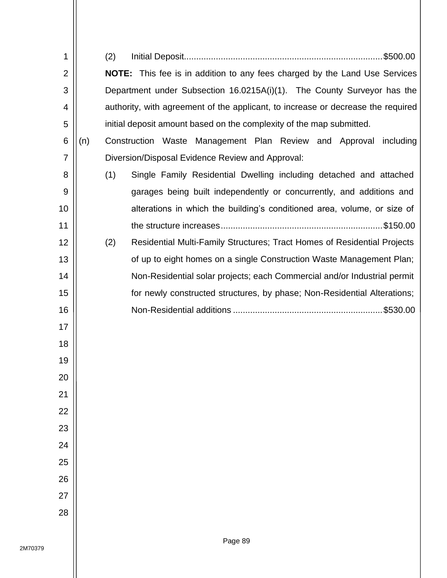| 1              |     | (2)                                                                               |
|----------------|-----|-----------------------------------------------------------------------------------|
| $\overline{2}$ |     | <b>NOTE:</b> This fee is in addition to any fees charged by the Land Use Services |
| 3              |     | Department under Subsection 16.0215A(i)(1). The County Surveyor has the           |
| 4              |     | authority, with agreement of the applicant, to increase or decrease the required  |
| 5              |     | initial deposit amount based on the complexity of the map submitted.              |
| 6              | (n) | Construction Waste Management Plan Review and Approval<br>including               |
| 7              |     | Diversion/Disposal Evidence Review and Approval:                                  |
| 8              |     | (1)<br>Single Family Residential Dwelling including detached and attached         |
| 9              |     | garages being built independently or concurrently, and additions and              |
| 10             |     | alterations in which the building's conditioned area, volume, or size of          |
| 11             |     |                                                                                   |
| 12             |     | (2)<br>Residential Multi-Family Structures; Tract Homes of Residential Projects   |
| 13             |     | of up to eight homes on a single Construction Waste Management Plan;              |
| 14             |     | Non-Residential solar projects; each Commercial and/or Industrial permit          |
| 15             |     | for newly constructed structures, by phase; Non-Residential Alterations;          |
| 16             |     |                                                                                   |
| 17             |     |                                                                                   |
| 18             |     |                                                                                   |
| 19             |     |                                                                                   |
| 20             |     |                                                                                   |
| 21             |     |                                                                                   |
| 22             |     |                                                                                   |
| 23             |     |                                                                                   |
| 24             |     |                                                                                   |
| 25             |     |                                                                                   |
| 26             |     |                                                                                   |
| 27             |     |                                                                                   |
| 28             |     |                                                                                   |
|                |     |                                                                                   |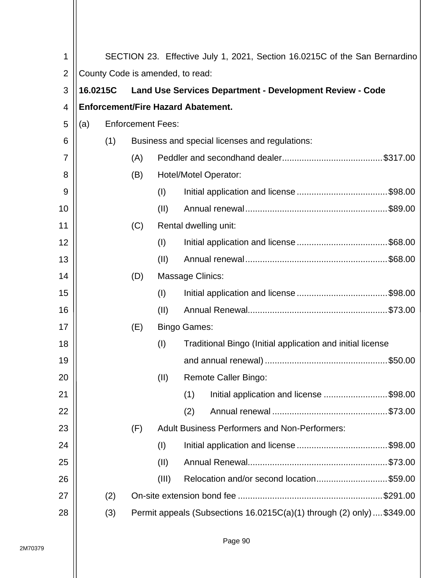| 1              |                                  |     |     |       |                         | SECTION 23. Effective July 1, 2021, Section 16.0215C of the San Bernardino |  |
|----------------|----------------------------------|-----|-----|-------|-------------------------|----------------------------------------------------------------------------|--|
| $\overline{2}$ | County Code is amended, to read: |     |     |       |                         |                                                                            |  |
| 3              | 16.0215C                         |     |     |       |                         | <b>Land Use Services Department - Development Review - Code</b>            |  |
| 4              |                                  |     |     |       |                         | <b>Enforcement/Fire Hazard Abatement.</b>                                  |  |
| 5              | <b>Enforcement Fees:</b><br>(a)  |     |     |       |                         |                                                                            |  |
| 6              |                                  | (1) |     |       |                         | Business and special licenses and regulations:                             |  |
| 7              |                                  |     | (A) |       |                         |                                                                            |  |
| 8              |                                  |     | (B) |       |                         | Hotel/Motel Operator:                                                      |  |
| 9              |                                  |     |     | (1)   |                         |                                                                            |  |
| 10             |                                  |     |     | (II)  |                         |                                                                            |  |
| 11             |                                  |     | (C) |       |                         | Rental dwelling unit:                                                      |  |
| 12             |                                  |     |     | (1)   |                         |                                                                            |  |
| 13             |                                  |     |     | (II)  |                         |                                                                            |  |
| 14             |                                  |     | (D) |       | <b>Massage Clinics:</b> |                                                                            |  |
| 15             |                                  |     |     | (1)   |                         |                                                                            |  |
| 16             |                                  |     |     | (II)  |                         |                                                                            |  |
| 17             |                                  |     | (E) |       | <b>Bingo Games:</b>     |                                                                            |  |
| 18             |                                  |     |     | (1)   |                         | Traditional Bingo (Initial application and initial license                 |  |
| 19             |                                  |     |     |       |                         |                                                                            |  |
| 20             |                                  |     |     | (II)  |                         | <b>Remote Caller Bingo:</b>                                                |  |
| 21             |                                  |     |     |       | (1)                     | Initial application and license \$98.00                                    |  |
| 22             |                                  |     |     |       | (2)                     |                                                                            |  |
| 23             |                                  |     | (F) |       |                         | <b>Adult Business Performers and Non-Performers:</b>                       |  |
| 24             |                                  |     |     | (1)   |                         |                                                                            |  |
| 25             |                                  |     |     | (II)  |                         |                                                                            |  |
| 26             |                                  |     |     | (III) |                         | Relocation and/or second location \$59.00                                  |  |
| 27             |                                  | (2) |     |       |                         |                                                                            |  |
| 28             |                                  | (3) |     |       |                         | Permit appeals (Subsections 16.0215C(a)(1) through (2) only)  \$349.00     |  |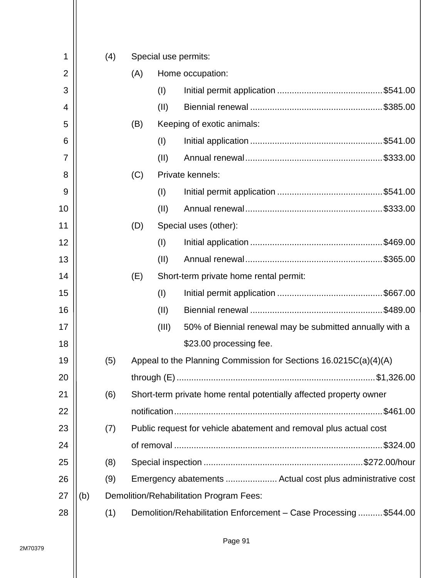| 1              |     | (4) | Special use permits: |       |                                                                    |  |  |  |
|----------------|-----|-----|----------------------|-------|--------------------------------------------------------------------|--|--|--|
| $\overline{2}$ |     |     | (A)                  |       | Home occupation:                                                   |  |  |  |
| 3              |     |     |                      | (1)   |                                                                    |  |  |  |
| 4              |     |     |                      | (II)  |                                                                    |  |  |  |
| 5              |     |     | (B)                  |       | Keeping of exotic animals:                                         |  |  |  |
| 6              |     |     |                      | (1)   |                                                                    |  |  |  |
| 7              |     |     |                      | (II)  |                                                                    |  |  |  |
| 8              |     |     | (C)                  |       | Private kennels:                                                   |  |  |  |
| 9              |     |     |                      | (1)   |                                                                    |  |  |  |
| 10             |     |     |                      | (II)  |                                                                    |  |  |  |
| 11             |     |     | (D)                  |       | Special uses (other):                                              |  |  |  |
| 12             |     |     |                      | (1)   |                                                                    |  |  |  |
| 13             |     |     |                      | (II)  |                                                                    |  |  |  |
| 14             |     |     | (E)                  |       | Short-term private home rental permit:                             |  |  |  |
| 15             |     |     |                      | (I)   |                                                                    |  |  |  |
| 16             |     |     |                      | (II)  |                                                                    |  |  |  |
| 17             |     |     |                      | (III) | 50% of Biennial renewal may be submitted annually with a           |  |  |  |
| 18             |     |     |                      |       | \$23.00 processing fee.                                            |  |  |  |
| 19             |     | (5) |                      |       | Appeal to the Planning Commission for Sections 16.0215C(a)(4)(A)   |  |  |  |
| 20             |     |     |                      |       |                                                                    |  |  |  |
| 21             |     | (6) |                      |       | Short-term private home rental potentially affected property owner |  |  |  |
| 22             |     |     |                      |       | \$461.00                                                           |  |  |  |
| 23             |     | (7) |                      |       | Public request for vehicle abatement and removal plus actual cost  |  |  |  |
| 24             |     |     |                      |       | \$324.00                                                           |  |  |  |
| 25             |     | (8) |                      |       |                                                                    |  |  |  |
| 26             |     | (9) |                      |       | Emergency abatements  Actual cost plus administrative cost         |  |  |  |
| 27             | (b) |     |                      |       | Demolition/Rehabilitation Program Fees:                            |  |  |  |
| 28             |     | (1) |                      |       | Demolition/Rehabilitation Enforcement - Case Processing  \$544.00  |  |  |  |
|                |     |     |                      |       |                                                                    |  |  |  |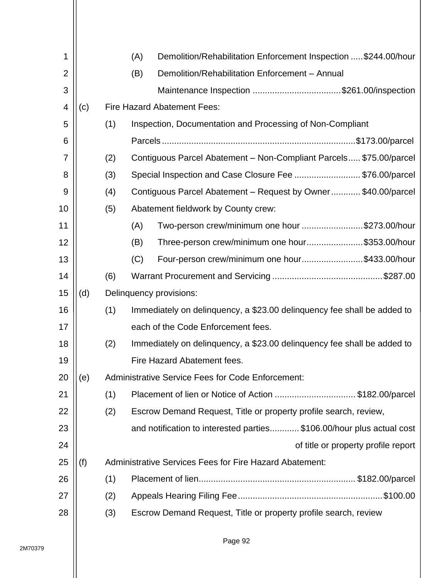| 1              |     |     | Demolition/Rehabilitation Enforcement Inspection  \$244.00/hour<br>(A)  |
|----------------|-----|-----|-------------------------------------------------------------------------|
| $\overline{2}$ |     |     | Demolition/Rehabilitation Enforcement - Annual<br>(B)                   |
| 3              |     |     | Maintenance Inspection \$261.00/inspection                              |
| 4              | (c) |     | <b>Fire Hazard Abatement Fees:</b>                                      |
| 5              |     | (1) | Inspection, Documentation and Processing of Non-Compliant               |
| 6              |     |     |                                                                         |
| 7              |     | (2) | Contiguous Parcel Abatement - Non-Compliant Parcels \$75.00/parcel      |
| 8              |     | (3) | Special Inspection and Case Closure Fee \$76.00/parcel                  |
| 9              |     | (4) | Contiguous Parcel Abatement – Request by Owner\$40.00/parcel            |
| 10             |     | (5) | Abatement fieldwork by County crew:                                     |
| 11             |     |     | Two-person crew/minimum one hour \$273.00/hour<br>(A)                   |
| 12             |     |     | Three-person crew/minimum one hour\$353.00/hour<br>(B)                  |
| 13             |     |     | Four-person crew/minimum one hour\$433.00/hour<br>(C)                   |
| 14             |     | (6) |                                                                         |
| 15             | (d) |     | Delinquency provisions:                                                 |
| 16             |     | (1) | Immediately on delinquency, a \$23.00 delinquency fee shall be added to |
| 17             |     |     | each of the Code Enforcement fees.                                      |
| 18             |     | (2) | Immediately on delinguency, a \$23.00 delinguency fee shall be added to |
| 19             |     |     | Fire Hazard Abatement fees.                                             |
| 20             | (e) |     | <b>Administrative Service Fees for Code Enforcement:</b>                |
| 21             |     | (1) | Placement of lien or Notice of Action \$182.00/parcel                   |
| 22             |     | (2) | Escrow Demand Request, Title or property profile search, review,        |
| 23             |     |     | and notification to interested parties\$106.00/hour plus actual cost    |
| 24             |     |     | of title or property profile report                                     |
| 25             | (f) |     | Administrative Services Fees for Fire Hazard Abatement:                 |
| 26             |     | (1) |                                                                         |
| 27             |     | (2) |                                                                         |
| 28             |     | (3) | Escrow Demand Request, Title or property profile search, review         |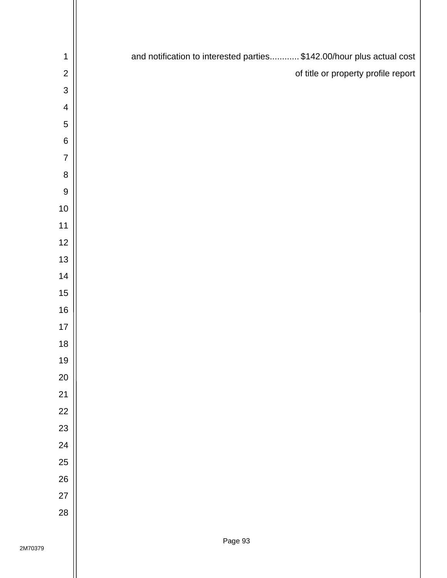| $\mathbf 1$             | and notification to interested parties \$142.00/hour plus actual cost |
|-------------------------|-----------------------------------------------------------------------|
| $\mathbf 2$             | of title or property profile report                                   |
| $\mathsf 3$             |                                                                       |
| $\overline{\mathbf{4}}$ |                                                                       |
| $\mathbf 5$             |                                                                       |
| $\,6$                   |                                                                       |
| $\overline{7}$          |                                                                       |
| $\bf 8$                 |                                                                       |
| $\overline{9}$          |                                                                       |
| $10$                    |                                                                       |
| $11$                    |                                                                       |
| 12                      |                                                                       |
| $13$                    |                                                                       |
| 14                      |                                                                       |
| 15                      |                                                                       |
| 16                      |                                                                       |
| $17$                    |                                                                       |
| $18$                    |                                                                       |
| 19                      |                                                                       |
| 20                      |                                                                       |
| 21                      |                                                                       |
| 22                      |                                                                       |
| 23                      |                                                                       |
| 24                      |                                                                       |
| 25                      |                                                                       |
| 26                      |                                                                       |
| 27                      |                                                                       |
| 28                      |                                                                       |
|                         |                                                                       |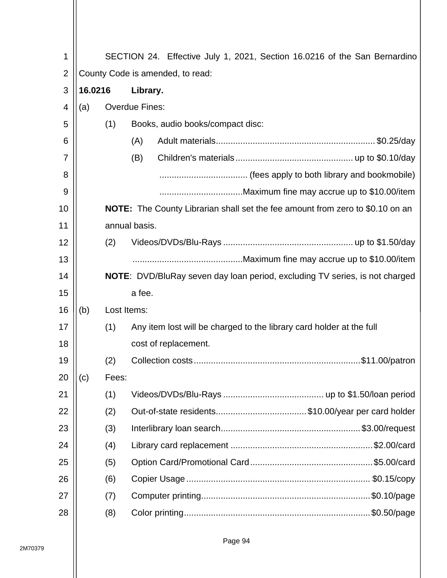| 1              |                                                                                                               |             |                       |  |                                                                                      |  |  |  |  |  |  |  |
|----------------|---------------------------------------------------------------------------------------------------------------|-------------|-----------------------|--|--------------------------------------------------------------------------------------|--|--|--|--|--|--|--|
| $\overline{2}$ | SECTION 24. Effective July 1, 2021, Section 16.0216 of the San Bernardino<br>County Code is amended, to read: |             |                       |  |                                                                                      |  |  |  |  |  |  |  |
| 3              | 16.0216                                                                                                       | Library.    |                       |  |                                                                                      |  |  |  |  |  |  |  |
| 4              | (a)                                                                                                           |             | <b>Overdue Fines:</b> |  |                                                                                      |  |  |  |  |  |  |  |
| 5              |                                                                                                               | (1)         |                       |  | Books, audio books/compact disc:                                                     |  |  |  |  |  |  |  |
| 6              |                                                                                                               |             | (A)                   |  |                                                                                      |  |  |  |  |  |  |  |
| 7              |                                                                                                               |             | (B)                   |  |                                                                                      |  |  |  |  |  |  |  |
| 8              |                                                                                                               |             |                       |  |                                                                                      |  |  |  |  |  |  |  |
| 9              |                                                                                                               |             |                       |  |                                                                                      |  |  |  |  |  |  |  |
| 10             |                                                                                                               |             |                       |  | <b>NOTE:</b> The County Librarian shall set the fee amount from zero to \$0.10 on an |  |  |  |  |  |  |  |
| 11             |                                                                                                               |             | annual basis.         |  |                                                                                      |  |  |  |  |  |  |  |
| 12             |                                                                                                               | (2)         |                       |  |                                                                                      |  |  |  |  |  |  |  |
| 13             |                                                                                                               |             |                       |  |                                                                                      |  |  |  |  |  |  |  |
| 14             |                                                                                                               |             |                       |  | <b>NOTE:</b> DVD/BluRay seven day loan period, excluding TV series, is not charged   |  |  |  |  |  |  |  |
| 15             |                                                                                                               |             | a fee.                |  |                                                                                      |  |  |  |  |  |  |  |
| 16             | (b)                                                                                                           | Lost Items: |                       |  |                                                                                      |  |  |  |  |  |  |  |
| 17             |                                                                                                               | (1)         |                       |  | Any item lost will be charged to the library card holder at the full                 |  |  |  |  |  |  |  |
| 18             |                                                                                                               |             |                       |  | cost of replacement.                                                                 |  |  |  |  |  |  |  |
| 19             |                                                                                                               | (2)         |                       |  |                                                                                      |  |  |  |  |  |  |  |
| 20             | (c)                                                                                                           | Fees:       |                       |  |                                                                                      |  |  |  |  |  |  |  |
| 21             |                                                                                                               | (1)         |                       |  |                                                                                      |  |  |  |  |  |  |  |
| 22             |                                                                                                               | (2)         |                       |  | Out-of-state residents\$10.00/year per card holder                                   |  |  |  |  |  |  |  |
| 23             |                                                                                                               | (3)         |                       |  |                                                                                      |  |  |  |  |  |  |  |
| 24             |                                                                                                               | (4)         |                       |  |                                                                                      |  |  |  |  |  |  |  |
| 25             |                                                                                                               | (5)         |                       |  |                                                                                      |  |  |  |  |  |  |  |
| 26             |                                                                                                               | (6)         |                       |  |                                                                                      |  |  |  |  |  |  |  |
| 27             |                                                                                                               | (7)         |                       |  |                                                                                      |  |  |  |  |  |  |  |
| 28             |                                                                                                               | (8)         |                       |  |                                                                                      |  |  |  |  |  |  |  |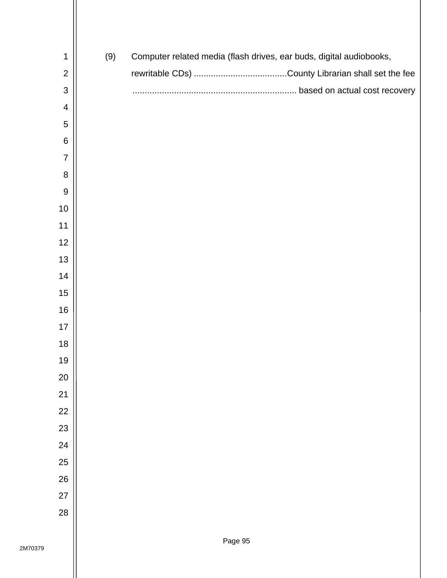| 1              | (9) | Computer related media (flash drives, ear buds, digital audiobooks, |
|----------------|-----|---------------------------------------------------------------------|
| $\overline{c}$ |     |                                                                     |
| $\mathsf 3$    |     |                                                                     |
| 4              |     |                                                                     |
| 5              |     |                                                                     |
| $\,6$          |     |                                                                     |
| $\overline{7}$ |     |                                                                     |
| 8              |     |                                                                     |
| 9              |     |                                                                     |
| $10$           |     |                                                                     |
| 11             |     |                                                                     |
| 12             |     |                                                                     |
| 13             |     |                                                                     |
| 14             |     |                                                                     |
| 15             |     |                                                                     |
| $16$           |     |                                                                     |
| 17             |     |                                                                     |
| $18$           |     |                                                                     |
| 19             |     |                                                                     |
| $20\,$         |     |                                                                     |
| 21             |     |                                                                     |
| 22             |     |                                                                     |
| 23             |     |                                                                     |
| 24             |     |                                                                     |
| 25             |     |                                                                     |
| 26             |     |                                                                     |
| 27             |     |                                                                     |
| 28             |     |                                                                     |
|                |     |                                                                     |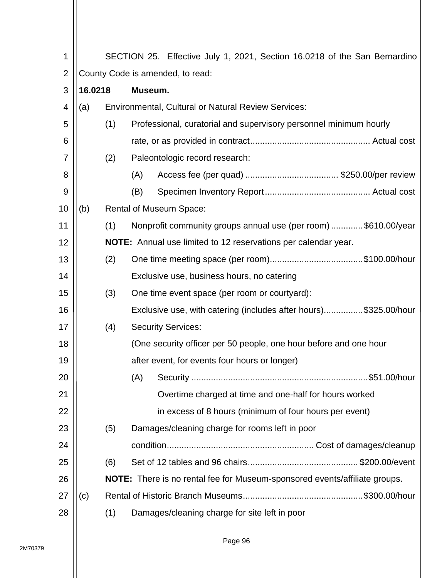| 1              |         | SECTION 25. Effective July 1, 2021, Section 16.0218 of the San Bernardino |                                                                            |  |  |  |  |  |
|----------------|---------|---------------------------------------------------------------------------|----------------------------------------------------------------------------|--|--|--|--|--|
| $\overline{2}$ |         |                                                                           | County Code is amended, to read:                                           |  |  |  |  |  |
| 3              | 16.0218 |                                                                           | Museum.                                                                    |  |  |  |  |  |
| 4              | (a)     |                                                                           | <b>Environmental, Cultural or Natural Review Services:</b>                 |  |  |  |  |  |
| 5              |         | (1)                                                                       | Professional, curatorial and supervisory personnel minimum hourly          |  |  |  |  |  |
| 6              |         |                                                                           |                                                                            |  |  |  |  |  |
| 7              |         | (2)                                                                       | Paleontologic record research:                                             |  |  |  |  |  |
| 8              |         |                                                                           | (A)                                                                        |  |  |  |  |  |
| 9              |         |                                                                           | (B)                                                                        |  |  |  |  |  |
| 10             | (b)     |                                                                           | <b>Rental of Museum Space:</b>                                             |  |  |  |  |  |
| 11             |         | (1)                                                                       | Nonprofit community groups annual use (per room) \$610.00/year             |  |  |  |  |  |
| 12             |         |                                                                           | <b>NOTE:</b> Annual use limited to 12 reservations per calendar year.      |  |  |  |  |  |
| 13             |         | (2)                                                                       |                                                                            |  |  |  |  |  |
| 14             |         |                                                                           | Exclusive use, business hours, no catering                                 |  |  |  |  |  |
| 15             |         | (3)                                                                       | One time event space (per room or courtyard):                              |  |  |  |  |  |
| 16             |         |                                                                           | Exclusive use, with catering (includes after hours)\$325.00/hour           |  |  |  |  |  |
| 17             |         | (4)                                                                       | <b>Security Services:</b>                                                  |  |  |  |  |  |
| 18             |         |                                                                           | (One security officer per 50 people, one hour before and one hour          |  |  |  |  |  |
| 19             |         |                                                                           | after event, for events four hours or longer)                              |  |  |  |  |  |
| 20             |         |                                                                           | (A)                                                                        |  |  |  |  |  |
| 21             |         |                                                                           | Overtime charged at time and one-half for hours worked                     |  |  |  |  |  |
| 22             |         |                                                                           | in excess of 8 hours (minimum of four hours per event)                     |  |  |  |  |  |
| 23             |         | (5)                                                                       | Damages/cleaning charge for rooms left in poor                             |  |  |  |  |  |
| 24             |         |                                                                           |                                                                            |  |  |  |  |  |
| 25             |         | (6)                                                                       |                                                                            |  |  |  |  |  |
| 26             |         |                                                                           | NOTE: There is no rental fee for Museum-sponsored events/affiliate groups. |  |  |  |  |  |
| 27             | (c)     |                                                                           |                                                                            |  |  |  |  |  |
| 28             |         | (1)                                                                       | Damages/cleaning charge for site left in poor                              |  |  |  |  |  |
|                |         |                                                                           |                                                                            |  |  |  |  |  |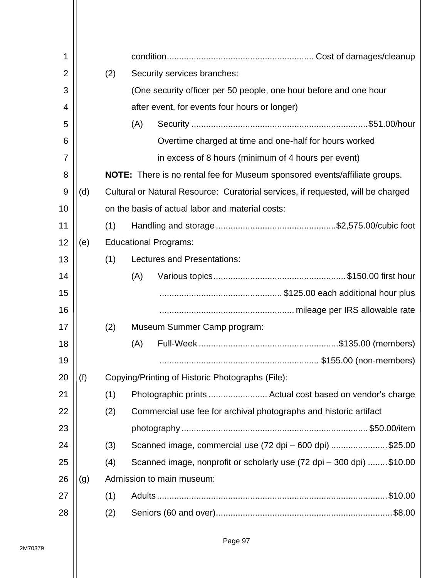| 1              |     |     |                                                                                   |  |  |  |  |
|----------------|-----|-----|-----------------------------------------------------------------------------------|--|--|--|--|
| $\overline{2}$ |     | (2) | Security services branches:                                                       |  |  |  |  |
| 3              |     |     | (One security officer per 50 people, one hour before and one hour                 |  |  |  |  |
| 4              |     |     | after event, for events four hours or longer)                                     |  |  |  |  |
| 5              |     |     | (A)                                                                               |  |  |  |  |
| 6              |     |     | Overtime charged at time and one-half for hours worked                            |  |  |  |  |
| 7              |     |     | in excess of 8 hours (minimum of 4 hours per event)                               |  |  |  |  |
| 8              |     |     | <b>NOTE:</b> There is no rental fee for Museum sponsored events/affiliate groups. |  |  |  |  |
| 9              | (d) |     | Cultural or Natural Resource: Curatorial services, if requested, will be charged  |  |  |  |  |
| 10             |     |     | on the basis of actual labor and material costs:                                  |  |  |  |  |
| 11             |     | (1) |                                                                                   |  |  |  |  |
| 12             | (e) |     | <b>Educational Programs:</b>                                                      |  |  |  |  |
| 13             |     | (1) | Lectures and Presentations:                                                       |  |  |  |  |
| 14             |     |     | (A)                                                                               |  |  |  |  |
| 15             |     |     |                                                                                   |  |  |  |  |
| 16             |     |     |                                                                                   |  |  |  |  |
| 17             |     | (2) | Museum Summer Camp program:                                                       |  |  |  |  |
| 18             |     |     | (A)                                                                               |  |  |  |  |
| 19             |     |     |                                                                                   |  |  |  |  |
| 20             | (f) |     | Copying/Printing of Historic Photographs (File):                                  |  |  |  |  |
| 21             |     | (1) | Photographic prints  Actual cost based on vendor's charge                         |  |  |  |  |
| 22             |     | (2) | Commercial use fee for archival photographs and historic artifact                 |  |  |  |  |
| 23             |     |     |                                                                                   |  |  |  |  |
| 24             |     | (3) | Scanned image, commercial use (72 dpi - 600 dpi) \$25.00                          |  |  |  |  |
| 25             |     | (4) | Scanned image, nonprofit or scholarly use (72 dpi – 300 dpi) \$10.00              |  |  |  |  |
| 26             | (g) |     | Admission to main museum:                                                         |  |  |  |  |
| 27             |     | (1) |                                                                                   |  |  |  |  |
| 28             |     | (2) | .\$8.00                                                                           |  |  |  |  |
|                |     |     |                                                                                   |  |  |  |  |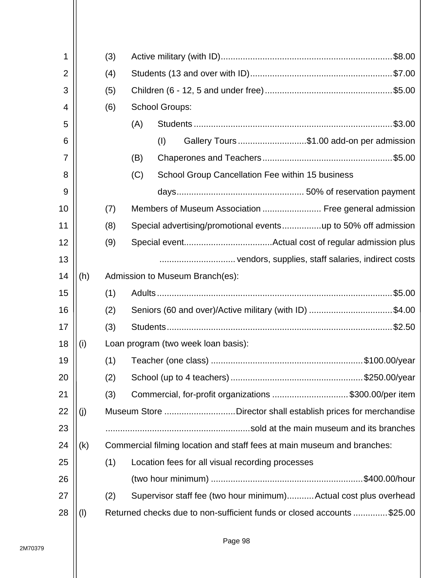| 1              |     | (3) |                                                                         |  |  |  |  |
|----------------|-----|-----|-------------------------------------------------------------------------|--|--|--|--|
| $\overline{2}$ |     | (4) |                                                                         |  |  |  |  |
| 3              |     | (5) |                                                                         |  |  |  |  |
| 4              |     | (6) | <b>School Groups:</b>                                                   |  |  |  |  |
| 5              |     |     | (A)                                                                     |  |  |  |  |
| 6              |     |     | Gallery Tours \$1.00 add-on per admission<br>(1)                        |  |  |  |  |
| 7              |     |     | (B)                                                                     |  |  |  |  |
| 8              |     |     | School Group Cancellation Fee within 15 business<br>(C)                 |  |  |  |  |
| 9              |     |     |                                                                         |  |  |  |  |
| 10             |     | (7) | Members of Museum Association  Free general admission                   |  |  |  |  |
| 11             |     | (8) |                                                                         |  |  |  |  |
| 12             |     | (9) |                                                                         |  |  |  |  |
| 13             |     |     |                                                                         |  |  |  |  |
| 14             | (h) |     | Admission to Museum Branch(es):                                         |  |  |  |  |
| 15             |     | (1) |                                                                         |  |  |  |  |
| 16             |     | (2) | Seniors (60 and over)/Active military (with ID) \$4.00                  |  |  |  |  |
| 17             |     | (3) |                                                                         |  |  |  |  |
| 18             | (i) |     | Loan program (two week loan basis):                                     |  |  |  |  |
| 19             |     | (1) |                                                                         |  |  |  |  |
| 20             |     | (2) |                                                                         |  |  |  |  |
| 21             |     | (3) | Commercial, for-profit organizations \$300.00/per item                  |  |  |  |  |
| 22             | (j) |     | Museum Store Director shall establish prices for merchandise            |  |  |  |  |
| 23             |     |     |                                                                         |  |  |  |  |
| 24             | (k) |     | Commercial filming location and staff fees at main museum and branches: |  |  |  |  |
| 25             |     | (1) | Location fees for all visual recording processes                        |  |  |  |  |
| 26             |     |     |                                                                         |  |  |  |  |
| 27             |     | (2) | Supervisor staff fee (two hour minimum) Actual cost plus overhead       |  |  |  |  |
| 28             | (1) |     | Returned checks due to non-sufficient funds or closed accounts \$25.00  |  |  |  |  |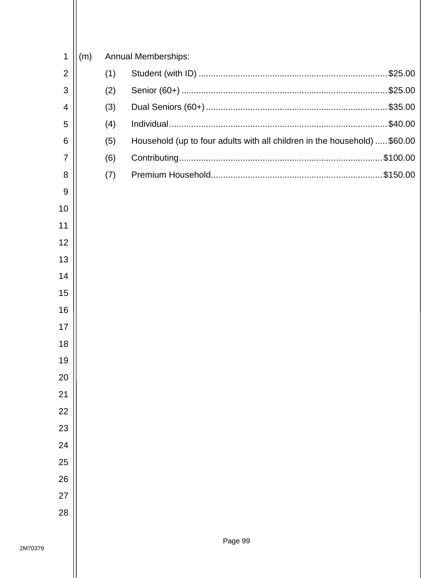| 1              |     |     |                                                                           |
|----------------|-----|-----|---------------------------------------------------------------------------|
|                | (m) |     | <b>Annual Memberships:</b>                                                |
| $\overline{2}$ |     | (1) |                                                                           |
| 3              |     | (2) |                                                                           |
| $\overline{4}$ |     | (3) |                                                                           |
| 5              |     | (4) | \$40.00                                                                   |
| 6              |     | (5) | Household (up to four adults with all children in the household)  \$60.00 |
| $\overline{7}$ |     | (6) |                                                                           |
| 8              |     | (7) |                                                                           |
| 9              |     |     |                                                                           |
| 10             |     |     |                                                                           |
| 11             |     |     |                                                                           |
| 12             |     |     |                                                                           |
| 13             |     |     |                                                                           |
| 14             |     |     |                                                                           |
| 15             |     |     |                                                                           |
| 16             |     |     |                                                                           |
| 17             |     |     |                                                                           |
| 18             |     |     |                                                                           |
| 19             |     |     |                                                                           |
| 20             |     |     |                                                                           |
| 21             |     |     |                                                                           |
| 22             |     |     |                                                                           |
| 23             |     |     |                                                                           |
| 24             |     |     |                                                                           |
| 25             |     |     |                                                                           |
|                |     |     |                                                                           |
| 26             |     |     |                                                                           |
| 27             |     |     |                                                                           |
| 28             |     |     |                                                                           |
|                |     |     |                                                                           |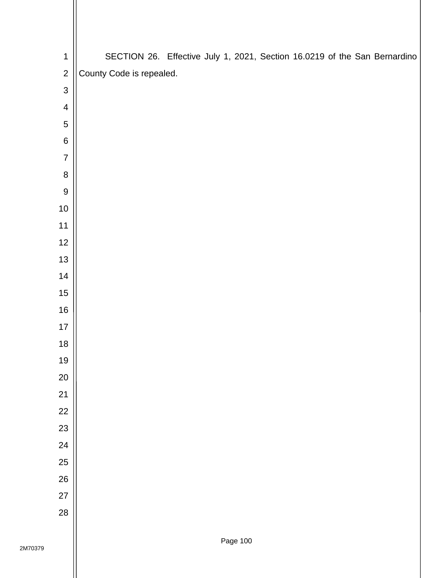| $\mathbf 1$      | SECTION 26. Effective July 1, 2021, Section 16.0219 of the San Bernardino |
|------------------|---------------------------------------------------------------------------|
| $\overline{2}$   | County Code is repealed.                                                  |
| $\mathfrak{S}$   |                                                                           |
| $\overline{4}$   |                                                                           |
| $\sqrt{5}$       |                                                                           |
| $\,6\,$          |                                                                           |
| $\overline{7}$   |                                                                           |
| $\bf 8$          |                                                                           |
| $\boldsymbol{9}$ |                                                                           |
| $10$             |                                                                           |
| 11               |                                                                           |
| 12               |                                                                           |
| 13               |                                                                           |
| 14               |                                                                           |
| 15               |                                                                           |
| $16$             |                                                                           |
| 17               |                                                                           |
| 18               |                                                                           |
| 19               |                                                                           |
| 20               |                                                                           |
| 21               |                                                                           |
| 22               |                                                                           |
| 23               |                                                                           |
| 24               |                                                                           |
| 25               |                                                                           |
| 26               |                                                                           |
| 27               |                                                                           |
| 28               |                                                                           |
|                  |                                                                           |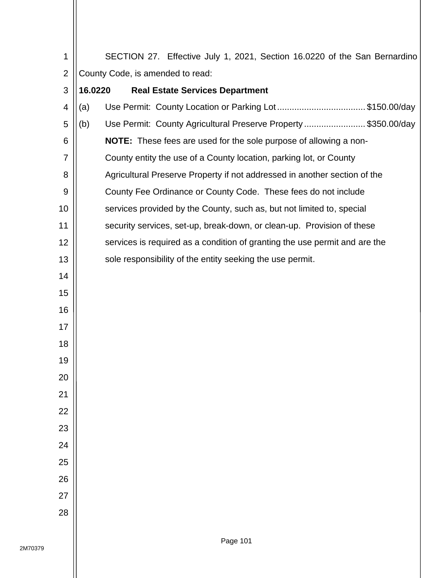SECTION 27. Effective July 1, 2021, Section 16.0220 of the San Bernardino County Code, is amended to read:

| 3  | 16.0220 | <b>Real Estate Services Department</b>                                     |
|----|---------|----------------------------------------------------------------------------|
| 4  | (a)     | Use Permit: County Location or Parking Lot \$150.00/day                    |
| 5  | (b)     | Use Permit: County Agricultural Preserve Property \$350.00/day             |
| 6  |         | NOTE: These fees are used for the sole purpose of allowing a non-          |
| 7  |         | County entity the use of a County location, parking lot, or County         |
| 8  |         | Agricultural Preserve Property if not addressed in another section of the  |
| 9  |         | County Fee Ordinance or County Code. These fees do not include             |
| 10 |         | services provided by the County, such as, but not limited to, special      |
| 11 |         | security services, set-up, break-down, or clean-up. Provision of these     |
| 12 |         | services is required as a condition of granting the use permit and are the |
| 13 |         | sole responsibility of the entity seeking the use permit.                  |
| 14 |         |                                                                            |
| 15 |         |                                                                            |
| 16 |         |                                                                            |
| 17 |         |                                                                            |
| 18 |         |                                                                            |
| 19 |         |                                                                            |
| 20 |         |                                                                            |
| 21 |         |                                                                            |
| 22 |         |                                                                            |
| 23 |         |                                                                            |
| 24 |         |                                                                            |
| 25 |         |                                                                            |
| 26 |         |                                                                            |
| 27 |         |                                                                            |
| 28 |         |                                                                            |
|    |         |                                                                            |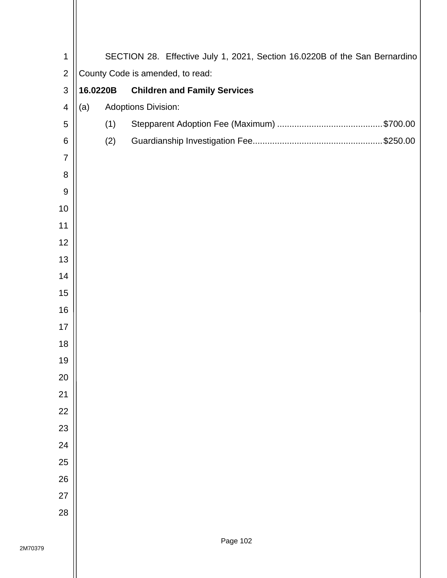| $\mathbf 1$      |          | SECTION 28. Effective July 1, 2021, Section 16.0220B of the San Bernardino |  |  |  |  |  |  |  |
|------------------|----------|----------------------------------------------------------------------------|--|--|--|--|--|--|--|
| $\overline{2}$   |          | County Code is amended, to read:                                           |  |  |  |  |  |  |  |
| $\mathsf 3$      | 16.0220B | <b>Children and Family Services</b>                                        |  |  |  |  |  |  |  |
| 4                | (a)      | <b>Adoptions Division:</b>                                                 |  |  |  |  |  |  |  |
| 5                | (1)      |                                                                            |  |  |  |  |  |  |  |
| 6                | (2)      |                                                                            |  |  |  |  |  |  |  |
| $\overline{7}$   |          |                                                                            |  |  |  |  |  |  |  |
| 8                |          |                                                                            |  |  |  |  |  |  |  |
| $\boldsymbol{9}$ |          |                                                                            |  |  |  |  |  |  |  |
| 10               |          |                                                                            |  |  |  |  |  |  |  |
| 11               |          |                                                                            |  |  |  |  |  |  |  |
| 12               |          |                                                                            |  |  |  |  |  |  |  |
| 13               |          |                                                                            |  |  |  |  |  |  |  |
| 14               |          |                                                                            |  |  |  |  |  |  |  |
| 15               |          |                                                                            |  |  |  |  |  |  |  |
| 16               |          |                                                                            |  |  |  |  |  |  |  |
| 17               |          |                                                                            |  |  |  |  |  |  |  |
| 18               |          |                                                                            |  |  |  |  |  |  |  |
| 19               |          |                                                                            |  |  |  |  |  |  |  |
| 20               |          |                                                                            |  |  |  |  |  |  |  |
| 21               |          |                                                                            |  |  |  |  |  |  |  |
| 22               |          |                                                                            |  |  |  |  |  |  |  |
| 23               |          |                                                                            |  |  |  |  |  |  |  |
| 24               |          |                                                                            |  |  |  |  |  |  |  |
| 25               |          |                                                                            |  |  |  |  |  |  |  |
| 26               |          |                                                                            |  |  |  |  |  |  |  |
| 27               |          |                                                                            |  |  |  |  |  |  |  |
| 28               |          |                                                                            |  |  |  |  |  |  |  |
|                  |          |                                                                            |  |  |  |  |  |  |  |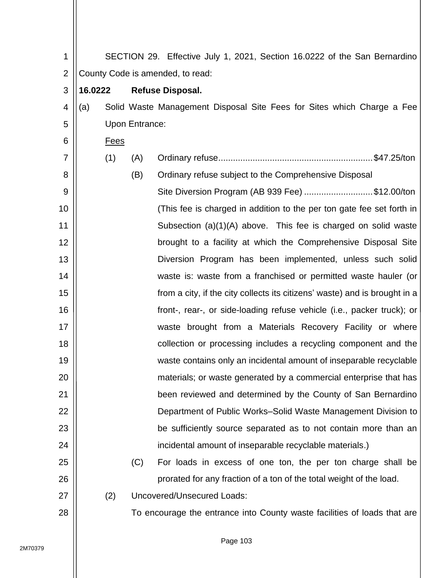| 1              |                                  |             |                       | SECTION 29. Effective July 1, 2021, Section 16.0222 of the San Bernardino  |  |  |  |
|----------------|----------------------------------|-------------|-----------------------|----------------------------------------------------------------------------|--|--|--|
| $\overline{2}$ | County Code is amended, to read: |             |                       |                                                                            |  |  |  |
| 3              | 16.0222                          |             |                       | <b>Refuse Disposal.</b>                                                    |  |  |  |
| 4              | (a)                              |             |                       | Solid Waste Management Disposal Site Fees for Sites which Charge a Fee     |  |  |  |
| 5              |                                  |             | <b>Upon Entrance:</b> |                                                                            |  |  |  |
| 6              |                                  | <b>Fees</b> |                       |                                                                            |  |  |  |
| $\overline{7}$ |                                  | (1)         | (A)                   |                                                                            |  |  |  |
| 8              |                                  |             | (B)                   | Ordinary refuse subject to the Comprehensive Disposal                      |  |  |  |
| 9              |                                  |             |                       | Site Diversion Program (AB 939 Fee) \$12.00/ton                            |  |  |  |
| 10             |                                  |             |                       | (This fee is charged in addition to the per ton gate fee set forth in      |  |  |  |
| 11             |                                  |             |                       | Subsection (a)(1)(A) above. This fee is charged on solid waste             |  |  |  |
| 12             |                                  |             |                       | brought to a facility at which the Comprehensive Disposal Site             |  |  |  |
| 13             |                                  |             |                       | Diversion Program has been implemented, unless such solid                  |  |  |  |
| 14             |                                  |             |                       | waste is: waste from a franchised or permitted waste hauler (or            |  |  |  |
| 15             |                                  |             |                       | from a city, if the city collects its citizens' waste) and is brought in a |  |  |  |
| 16             |                                  |             |                       | front-, rear-, or side-loading refuse vehicle (i.e., packer truck); or     |  |  |  |
| 17             |                                  |             |                       | waste brought from a Materials Recovery Facility or where                  |  |  |  |
| 18             |                                  |             |                       | collection or processing includes a recycling component and the            |  |  |  |
| 19             |                                  |             |                       | waste contains only an incidental amount of inseparable recyclable         |  |  |  |
| 20             |                                  |             |                       | materials; or waste generated by a commercial enterprise that has          |  |  |  |
| 21             |                                  |             |                       | been reviewed and determined by the County of San Bernardino               |  |  |  |
| 22             |                                  |             |                       | Department of Public Works-Solid Waste Management Division to              |  |  |  |
| 23             |                                  |             |                       | be sufficiently source separated as to not contain more than an            |  |  |  |
| 24             |                                  |             |                       | incidental amount of inseparable recyclable materials.)                    |  |  |  |
| 25             |                                  |             | (C)                   | For loads in excess of one ton, the per ton charge shall be                |  |  |  |
| 26             |                                  |             |                       | prorated for any fraction of a ton of the total weight of the load.        |  |  |  |
| 27             |                                  | (2)         |                       | <b>Uncovered/Unsecured Loads:</b>                                          |  |  |  |
| 28             |                                  |             |                       | To encourage the entrance into County waste facilities of loads that are   |  |  |  |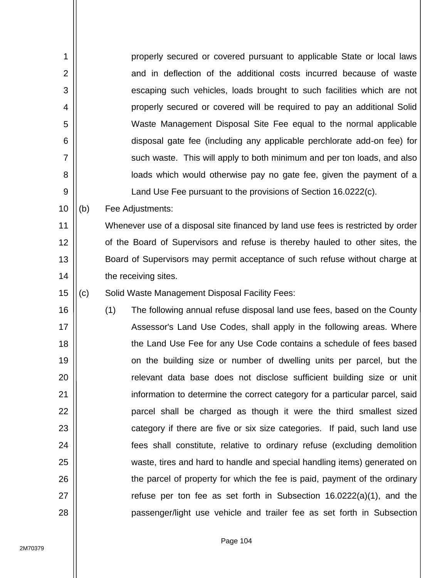| 1              |     | properly secured or covered pursuant to applicable State or local laws           |
|----------------|-----|----------------------------------------------------------------------------------|
| $\overline{2}$ |     | and in deflection of the additional costs incurred because of waste              |
| 3              |     | escaping such vehicles, loads brought to such facilities which are not           |
| 4              |     | properly secured or covered will be required to pay an additional Solid          |
| 5              |     | Waste Management Disposal Site Fee equal to the normal applicable                |
| 6              |     | disposal gate fee (including any applicable perchlorate add-on fee) for          |
| 7              |     | such waste. This will apply to both minimum and per ton loads, and also          |
| 8              |     | loads which would otherwise pay no gate fee, given the payment of a              |
| 9              |     | Land Use Fee pursuant to the provisions of Section 16.0222(c).                   |
| 10             | (b) | Fee Adjustments:                                                                 |
| 11             |     | Whenever use of a disposal site financed by land use fees is restricted by order |
| 12             |     | of the Board of Supervisors and refuse is thereby hauled to other sites, the     |
| 13             |     | Board of Supervisors may permit acceptance of such refuse without charge at      |
| 14             |     | the receiving sites.                                                             |
| 15             | (c) | Solid Waste Management Disposal Facility Fees:                                   |
| 16             |     | (1)<br>The following annual refuse disposal land use fees, based on the County   |
| 17             |     | Assessor's Land Use Codes, shall apply in the following areas. Where             |
| 18             |     | the Land Use Fee for any Use Code contains a schedule of fees based              |
| 19             |     | on the building size or number of dwelling units per parcel, but the             |
| 20             |     | relevant data base does not disclose sufficient building size or unit            |
| 21             |     | information to determine the correct category for a particular parcel, said      |
| 22             |     | parcel shall be charged as though it were the third smallest sized               |
| 23             |     | category if there are five or six size categories. If paid, such land use        |
| 24             |     | fees shall constitute, relative to ordinary refuse (excluding demolition         |
| 25             |     | waste, tires and hard to handle and special handling items) generated on         |
| 26             |     | the parcel of property for which the fee is paid, payment of the ordinary        |
| 27             |     | refuse per ton fee as set forth in Subsection $16.0222(a)(1)$ , and the          |
| 28             |     | passenger/light use vehicle and trailer fee as set forth in Subsection           |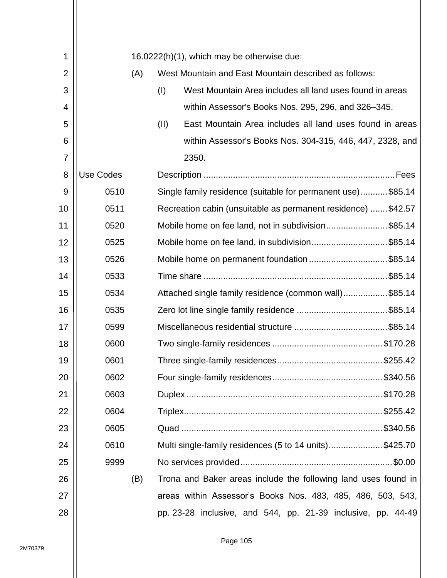| 1              |           |     |      | 16.0222(h)(1), which may be otherwise due:                     |
|----------------|-----------|-----|------|----------------------------------------------------------------|
| $\overline{2}$ |           | (A) |      | West Mountain and East Mountain described as follows:          |
| 3              |           |     | (1)  | West Mountain Area includes all land uses found in areas       |
| 4              |           |     |      | within Assessor's Books Nos. 295, 296, and 326–345.            |
| 5              |           |     | (II) | East Mountain Area includes all land uses found in areas       |
| 6              |           |     |      | within Assessor's Books Nos. 304-315, 446, 447, 2328, and      |
| 7              |           |     |      | 2350.                                                          |
| 8              | Use Codes |     |      |                                                                |
| 9              | 0510      |     |      | Single family residence (suitable for permanent use)\$85.14    |
|                | 0511      |     |      |                                                                |
| 10             |           |     |      | Recreation cabin (unsuitable as permanent residence) \$42.57   |
| 11             | 0520      |     |      | Mobile home on fee land, not in subdivision\$85.14             |
| 12             | 0525      |     |      | Mobile home on fee land, in subdivision\$85.14                 |
| 13             | 0526      |     |      | Mobile home on permanent foundation \$85.14                    |
| 14             | 0533      |     |      |                                                                |
| 15             | 0534      |     |      | Attached single family residence (common wall)\$85.14          |
| 16             | 0535      |     |      |                                                                |
| 17             | 0599      |     |      |                                                                |
| 18             | 0600      |     |      |                                                                |
| 19             | 0601      |     |      |                                                                |
| 20             | 0602      |     |      |                                                                |
| 21             | 0603      |     |      |                                                                |
| 22             | 0604      |     |      |                                                                |
| 23             | 0605      |     |      |                                                                |
| 24             | 0610      |     |      | Multi single-family residences (5 to 14 units)\$425.70         |
| 25             | 9999      |     |      |                                                                |
| 26             |           | (B) |      | Trona and Baker areas include the following land uses found in |
| 27             |           |     |      | areas within Assessor's Books Nos. 483, 485, 486, 503, 543,    |
| 28             |           |     |      | pp. 23-28 inclusive, and 544, pp. 21-39 inclusive, pp. 44-49   |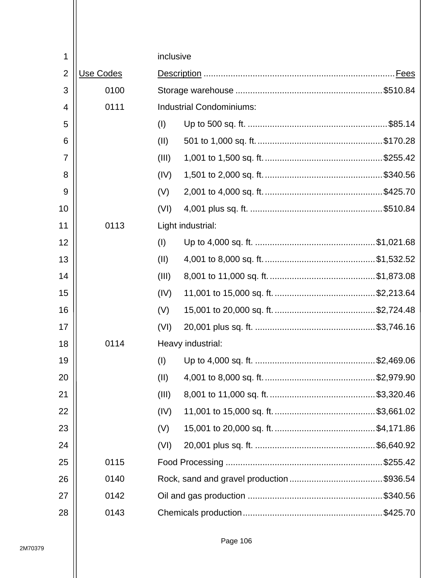| 1              |           | inclusive |                                 |
|----------------|-----------|-----------|---------------------------------|
| $\overline{2}$ | Use Codes |           |                                 |
| 3              | 0100      |           |                                 |
| 4              | 0111      |           | <b>Industrial Condominiums:</b> |
| 5              |           | (1)       |                                 |
| 6              |           | (II)      |                                 |
| $\overline{7}$ |           | (III)     |                                 |
| 8              |           | (IV)      |                                 |
| 9              |           | (V)       |                                 |
| 10             |           | (VI)      |                                 |
| 11             | 0113      |           | Light industrial:               |
| 12             |           | (1)       |                                 |
| 13             |           | (II)      |                                 |
| 14             |           | (III)     |                                 |
| 15             |           | (IV)      |                                 |
| 16             |           | (V)       |                                 |
| 17             |           | (VI)      |                                 |
| 18             | 0114      |           | Heavy industrial:               |
| 19             |           | (1)       |                                 |
| 20             |           | (II)      |                                 |
| 21             |           | (III)     |                                 |
| 22             |           | (IV)      |                                 |
| 23             |           | (V)       |                                 |
| 24             |           | (VI)      |                                 |
| 25             | 0115      |           |                                 |
| 26             | 0140      |           |                                 |
| 27             | 0142      |           |                                 |
| 28             | 0143      |           |                                 |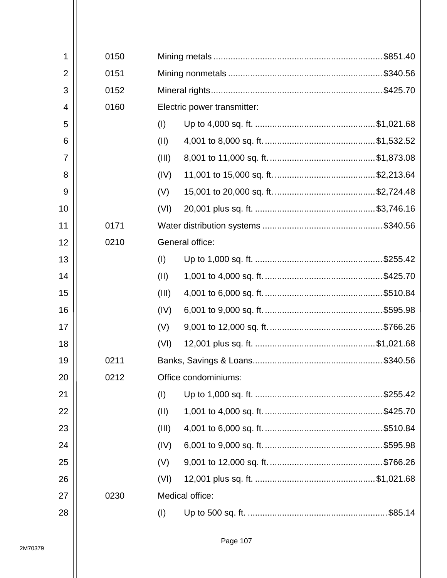| 1              | 0150 |       |                             |
|----------------|------|-------|-----------------------------|
| $\overline{2}$ | 0151 |       |                             |
| 3              | 0152 |       |                             |
| 4              | 0160 |       | Electric power transmitter: |
| 5              |      | (1)   |                             |
| 6              |      | (II)  |                             |
| $\overline{7}$ |      | (III) |                             |
| 8              |      | (IV)  |                             |
| 9              |      | (V)   |                             |
| 10             |      | (VI)  |                             |
| 11             | 0171 |       |                             |
| 12             | 0210 |       | General office:             |
| 13             |      | (1)   |                             |
| 14             |      | (II)  |                             |
| 15             |      | (III) |                             |
| 16             |      | (IV)  |                             |
| 17             |      | (V)   |                             |
| 18             |      | (VI)  |                             |
| 19             | 0211 |       |                             |
| 20             | 0212 |       | Office condominiums:        |
| 21             |      | (1)   |                             |
| 22             |      | (II)  |                             |
| 23             |      | (III) |                             |
| 24             |      | (IV)  |                             |
| 25             |      | (V)   |                             |
| 26             |      | (VI)  |                             |
| 27             | 0230 |       | Medical office:             |
| 28             |      | (I)   |                             |
|                |      |       |                             |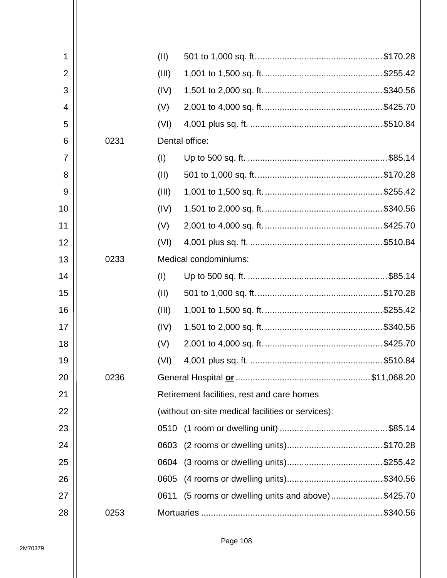| 1              |                               | (II)                                              |                                               |  |
|----------------|-------------------------------|---------------------------------------------------|-----------------------------------------------|--|
| $\overline{2}$ |                               | (III)                                             |                                               |  |
| 3              |                               | (IV)                                              |                                               |  |
| 4              |                               | (V)                                               |                                               |  |
| 5              |                               | (VI)                                              |                                               |  |
| 6              | 0231                          | Dental office:                                    |                                               |  |
| 7              |                               | (1)                                               |                                               |  |
| 8              |                               | (II)                                              |                                               |  |
| 9              |                               | (III)                                             |                                               |  |
| 10             |                               | (IV)                                              |                                               |  |
| 11             |                               | (V)                                               |                                               |  |
| 12             |                               | (VI)                                              |                                               |  |
| 13             | 0233<br>Medical condominiums: |                                                   |                                               |  |
| 14             |                               | (1)                                               |                                               |  |
| 15             |                               | (II)                                              |                                               |  |
| 16             |                               | (III)                                             |                                               |  |
| 17             |                               | (IV)                                              |                                               |  |
| 18             |                               | (V)                                               |                                               |  |
| 19             |                               | (VI)                                              |                                               |  |
| 20             | 0236                          |                                                   |                                               |  |
| 21             |                               | Retirement facilities, rest and care homes        |                                               |  |
| 22             |                               | (without on-site medical facilities or services): |                                               |  |
| 23             |                               |                                                   |                                               |  |
| 24             |                               | 0603                                              |                                               |  |
| 25             |                               | 0604                                              |                                               |  |
| 26             |                               | 0605                                              |                                               |  |
| 27             |                               | 0611                                              | (5 rooms or dwelling units and above)\$425.70 |  |
| 28             | 0253                          |                                                   |                                               |  |
|                |                               |                                                   |                                               |  |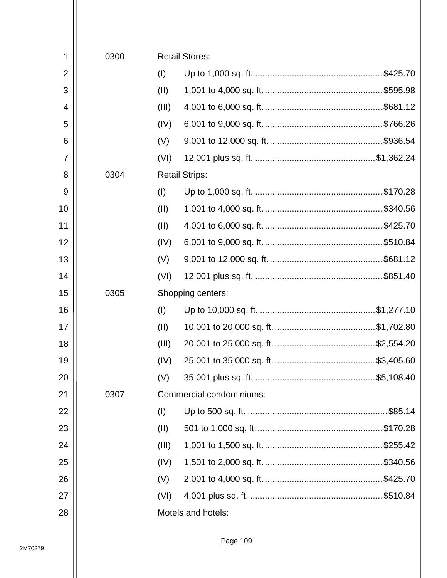| 1              | 0300 |       | <b>Retail Stores:</b>    |
|----------------|------|-------|--------------------------|
| $\overline{2}$ |      | (1)   |                          |
| 3              |      | (II)  |                          |
| 4              |      | (III) |                          |
| 5              |      | (IV)  |                          |
| 6              |      | (V)   |                          |
| 7              |      | (VI)  |                          |
| 8              | 0304 |       | <b>Retail Strips:</b>    |
| 9              |      | (1)   |                          |
| 10             |      | (II)  |                          |
| 11             |      | (II)  |                          |
| 12             |      | (IV)  |                          |
| 13             |      | (V)   |                          |
| 14             |      | (VI)  |                          |
| 15             | 0305 |       | Shopping centers:        |
| 16             |      | (1)   |                          |
| 17             |      | (II)  |                          |
| 18             |      | (III) |                          |
| 19             |      | (IV)  |                          |
| 20             |      | (V)   |                          |
| 21             | 0307 |       | Commercial condominiums: |
| 22             |      | (1)   |                          |
| 23             |      | (II)  |                          |
| 24             |      | (III) |                          |
| 25             |      | (IV)  |                          |
| 26             |      | (V)   |                          |
| 27             |      | (VI)  |                          |
| 28             |      |       | Motels and hotels:       |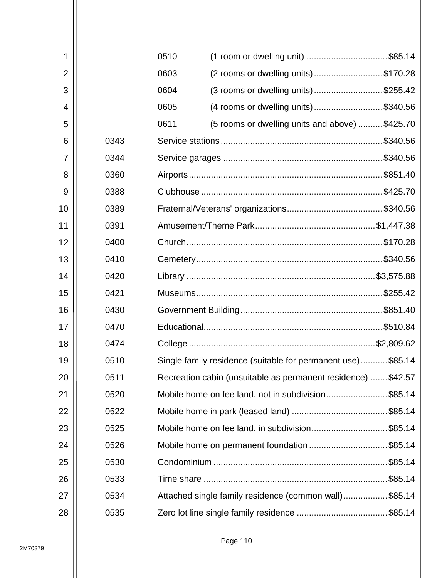| 1              |      | 0510 | (1 room or dwelling unit) \$85.14                             |  |
|----------------|------|------|---------------------------------------------------------------|--|
| $\overline{2}$ |      | 0603 | (2 rooms or dwelling units)\$170.28                           |  |
| 3              |      | 0604 | (3 rooms or dwelling units)\$255.42                           |  |
| 4              |      | 0605 | (4 rooms or dwelling units)\$340.56                           |  |
| 5              |      | 0611 | (5 rooms or dwelling units and above) \$425.70                |  |
| 6              | 0343 |      |                                                               |  |
| $\overline{7}$ | 0344 |      |                                                               |  |
| 8              | 0360 |      |                                                               |  |
| 9              | 0388 |      |                                                               |  |
| 10             | 0389 |      |                                                               |  |
| 11             | 0391 |      |                                                               |  |
| 12             | 0400 |      |                                                               |  |
| 13             | 0410 |      |                                                               |  |
| 14             | 0420 |      |                                                               |  |
| 15             | 0421 |      |                                                               |  |
| 16             | 0430 |      |                                                               |  |
| 17             | 0470 |      |                                                               |  |
| 18             | 0474 |      |                                                               |  |
| 19             | 0510 |      | Single family residence (suitable for permanent use) \$85.14  |  |
| 20             | 0511 |      | Recreation cabin (unsuitable as permanent residence)  \$42.57 |  |
| 21             | 0520 |      | Mobile home on fee land, not in subdivision\$85.14            |  |
| 22             | 0522 |      |                                                               |  |
| 23             | 0525 |      | Mobile home on fee land, in subdivision\$85.14                |  |
| 24             | 0526 |      | Mobile home on permanent foundation\$85.14                    |  |
| 25             | 0530 |      |                                                               |  |
| 26             | 0533 |      |                                                               |  |
| 27             | 0534 |      | Attached single family residence (common wall)\$85.14         |  |
| 28             | 0535 |      |                                                               |  |
|                |      |      |                                                               |  |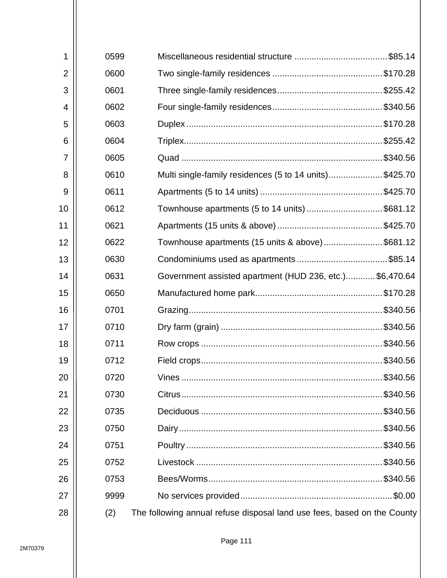| 1              | 0599 |                                                                         |
|----------------|------|-------------------------------------------------------------------------|
| $\overline{2}$ | 0600 |                                                                         |
| 3              | 0601 |                                                                         |
|                |      |                                                                         |
| 4              | 0602 |                                                                         |
| 5              | 0603 |                                                                         |
| 6              | 0604 |                                                                         |
| $\overline{7}$ | 0605 |                                                                         |
| 8              | 0610 | Multi single-family residences (5 to 14 units)\$425.70                  |
| 9              | 0611 |                                                                         |
| 10             | 0612 | Townhouse apartments (5 to 14 units) \$681.12                           |
| 11             | 0621 |                                                                         |
| 12             | 0622 | Townhouse apartments (15 units & above)\$681.12                         |
| 13             | 0630 |                                                                         |
| 14             | 0631 | Government assisted apartment (HUD 236, etc.)\$6,470.64                 |
| 15             | 0650 |                                                                         |
| 16             | 0701 |                                                                         |
| 17             | 0710 |                                                                         |
| 18             | 0711 |                                                                         |
| 19             | 0712 |                                                                         |
| 20             | 0720 |                                                                         |
| 21             | 0730 |                                                                         |
| 22             | 0735 |                                                                         |
| 23             | 0750 |                                                                         |
| 24             | 0751 |                                                                         |
| 25             | 0752 |                                                                         |
| 26             | 0753 |                                                                         |
| 27             | 9999 | $.$ \$0.00                                                              |
| 28             | (2)  | The following annual refuse disposal land use fees, based on the County |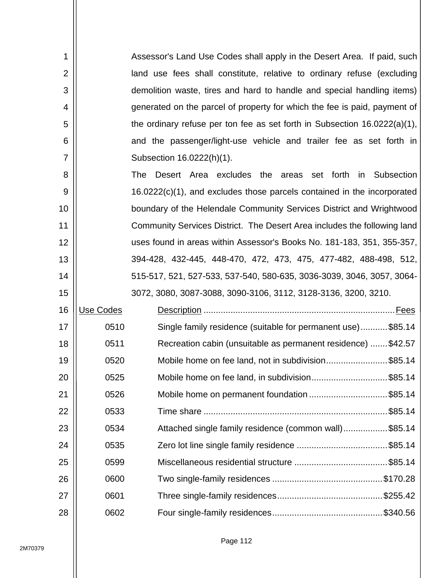| 1              |           | Assessor's Land Use Codes shall apply in the Desert Area. If paid, such      |
|----------------|-----------|------------------------------------------------------------------------------|
| $\overline{2}$ |           | land use fees shall constitute, relative to ordinary refuse (excluding       |
| 3              |           | demolition waste, tires and hard to handle and special handling items)       |
| 4              |           | generated on the parcel of property for which the fee is paid, payment of    |
| 5              |           | the ordinary refuse per ton fee as set forth in Subsection $16.0222(a)(1)$ , |
| 6              |           | and the passenger/light-use vehicle and trailer fee as set forth in          |
| 7              |           | Subsection 16.0222(h)(1).                                                    |
| 8              |           | Desert Area excludes the areas set forth in<br>Subsection<br><b>The</b>      |
| 9              |           | 16.0222(c)(1), and excludes those parcels contained in the incorporated      |
| 10             |           | boundary of the Helendale Community Services District and Wrightwood         |
| 11             |           | Community Services District. The Desert Area includes the following land     |
| 12             |           | uses found in areas within Assessor's Books No. 181-183, 351, 355-357,       |
| 13             |           | 394-428, 432-445, 448-470, 472, 473, 475, 477-482, 488-498, 512,             |
| 14             |           | 515-517, 521, 527-533, 537-540, 580-635, 3036-3039, 3046, 3057, 3064-        |
| 15             |           | 3072, 3080, 3087-3088, 3090-3106, 3112, 3128-3136, 3200, 3210.               |
| 16             | Use Codes |                                                                              |
| 17             | 0510      | Single family residence (suitable for permanent use)\$85.14                  |
| 18             | 0511      | Recreation cabin (unsuitable as permanent residence) \$42.57                 |
| 19             | 0520      | Mobile home on fee land, not in subdivision\$85.14                           |
| 20             | 0525      | Mobile home on fee land, in subdivision\$85.14                               |
| 21             | 0526      | Mobile home on permanent foundation\$85.14                                   |
| 22             | 0533      |                                                                              |
| 23             | 0534      | Attached single family residence (common wall)\$85.14                        |
| 24             | 0535      |                                                                              |
| 25             | 0599      |                                                                              |
| 26             | 0600      |                                                                              |
| 27             | 0601      |                                                                              |
| 28             | 0602      |                                                                              |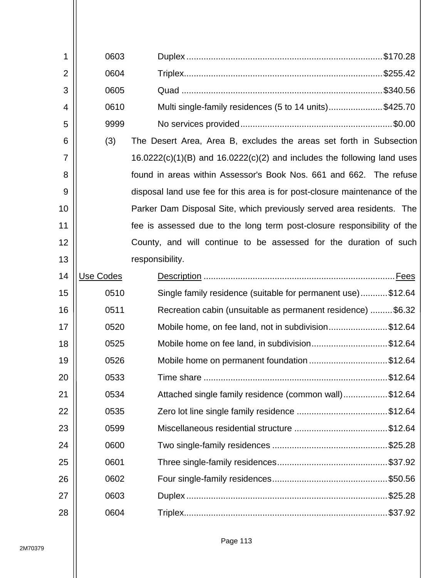| 1              | 0603      |                                                                             |
|----------------|-----------|-----------------------------------------------------------------------------|
| $\overline{2}$ | 0604      |                                                                             |
| 3              | 0605      |                                                                             |
| 4              | 0610      | Multi single-family residences (5 to 14 units)\$425.70                      |
| 5              | 9999      |                                                                             |
| 6              | (3)       | The Desert Area, Area B, excludes the areas set forth in Subsection         |
| 7              |           | $16.0222(c)(1)(B)$ and $16.0222(c)(2)$ and includes the following land uses |
| 8              |           | found in areas within Assessor's Book Nos. 661 and 662. The refuse          |
| 9              |           | disposal land use fee for this area is for post-closure maintenance of the  |
| 10             |           | Parker Dam Disposal Site, which previously served area residents. The       |
| 11             |           | fee is assessed due to the long term post-closure responsibility of the     |
| 12             |           | County, and will continue to be assessed for the duration of such           |
| 13             |           | responsibility.                                                             |
| 14             | Use Codes |                                                                             |
| 15             | 0510      | Single family residence (suitable for permanent use)\$12.64                 |
| 16             | 0511      | Recreation cabin (unsuitable as permanent residence) \$6.32                 |
| 17             | 0520      | Mobile home, on fee land, not in subdivision\$12.64                         |
| 18             | 0525      | Mobile home on fee land, in subdivision\$12.64                              |
| 19             | 0526      | Mobile home on permanent foundation \$12.64                                 |
| 20             | 0533      |                                                                             |
| 21             | 0534      | Attached single family residence (common wall)\$12.64                       |
| 22             | 0535      |                                                                             |
| 23             | 0599      |                                                                             |
| 24             | 0600      |                                                                             |
| 25             | 0601      |                                                                             |
| 26             | 0602      |                                                                             |
| 27             | 0603      |                                                                             |
| 28             | 0604      |                                                                             |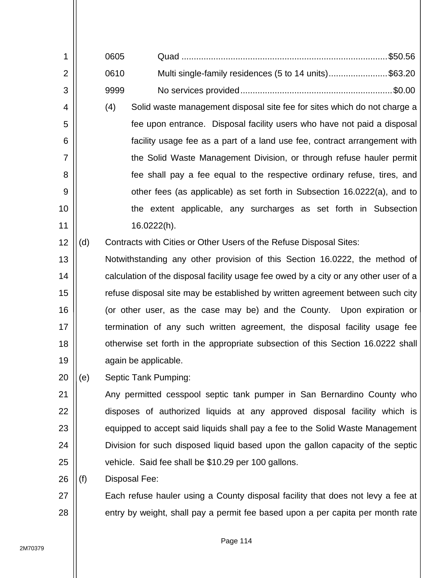| 1              |     | 0605                                                                       | \$50.56                                                                              |  |  |  |  |  |
|----------------|-----|----------------------------------------------------------------------------|--------------------------------------------------------------------------------------|--|--|--|--|--|
| $\overline{2}$ |     | 0610                                                                       | Multi single-family residences (5 to 14 units)\$63.20                                |  |  |  |  |  |
| 3              |     | 9999                                                                       |                                                                                      |  |  |  |  |  |
| 4              |     | (4)                                                                        | Solid waste management disposal site fee for sites which do not charge a             |  |  |  |  |  |
| 5              |     |                                                                            | fee upon entrance. Disposal facility users who have not paid a disposal              |  |  |  |  |  |
| 6              |     |                                                                            | facility usage fee as a part of a land use fee, contract arrangement with            |  |  |  |  |  |
| 7              |     |                                                                            | the Solid Waste Management Division, or through refuse hauler permit                 |  |  |  |  |  |
| 8              |     |                                                                            | fee shall pay a fee equal to the respective ordinary refuse, tires, and              |  |  |  |  |  |
| 9              |     |                                                                            | other fees (as applicable) as set forth in Subsection 16.0222(a), and to             |  |  |  |  |  |
| 10             |     |                                                                            | the extent applicable, any surcharges as set forth in Subsection                     |  |  |  |  |  |
| 11             |     |                                                                            | 16.0222(h).                                                                          |  |  |  |  |  |
| 12             | (d) |                                                                            | Contracts with Cities or Other Users of the Refuse Disposal Sites:                   |  |  |  |  |  |
| 13             |     |                                                                            | Notwithstanding any other provision of this Section 16.0222, the method of           |  |  |  |  |  |
| 14             |     |                                                                            | calculation of the disposal facility usage fee owed by a city or any other user of a |  |  |  |  |  |
| 15             |     |                                                                            | refuse disposal site may be established by written agreement between such city       |  |  |  |  |  |
| 16             |     | (or other user, as the case may be) and the County. Upon expiration or     |                                                                                      |  |  |  |  |  |
| 17             |     | termination of any such written agreement, the disposal facility usage fee |                                                                                      |  |  |  |  |  |
| 18             |     |                                                                            | otherwise set forth in the appropriate subsection of this Section 16.0222 shall      |  |  |  |  |  |
| 19             |     |                                                                            | again be applicable.                                                                 |  |  |  |  |  |
| 20             | (e) |                                                                            | Septic Tank Pumping:                                                                 |  |  |  |  |  |
| 21             |     |                                                                            | Any permitted cesspool septic tank pumper in San Bernardino County who               |  |  |  |  |  |
| 22             |     |                                                                            | disposes of authorized liquids at any approved disposal facility which is            |  |  |  |  |  |
| 23             |     |                                                                            | equipped to accept said liquids shall pay a fee to the Solid Waste Management        |  |  |  |  |  |
| 24             |     |                                                                            | Division for such disposed liquid based upon the gallon capacity of the septic       |  |  |  |  |  |
| 25             |     |                                                                            | vehicle. Said fee shall be \$10.29 per 100 gallons.                                  |  |  |  |  |  |
| 26             | (f) |                                                                            | Disposal Fee:                                                                        |  |  |  |  |  |
| 27             |     |                                                                            | Each refuse hauler using a County disposal facility that does not levy a fee at      |  |  |  |  |  |

entry by weight, shall pay a permit fee based upon a per capita per month rate

28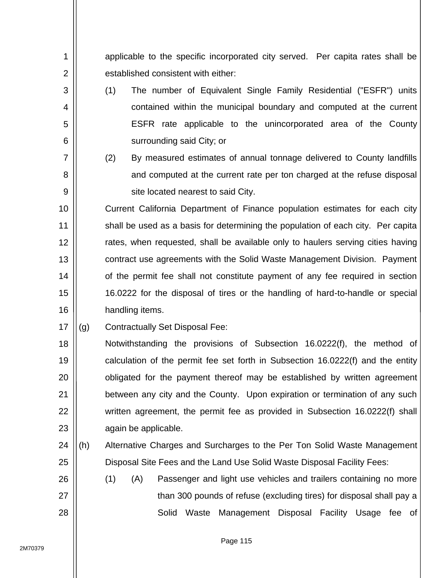applicable to the specific incorporated city served. Per capita rates shall be established consistent with either:

- (1) The number of Equivalent Single Family Residential ("ESFR") units contained within the municipal boundary and computed at the current ESFR rate applicable to the unincorporated area of the County surrounding said City; or
	- (2) By measured estimates of annual tonnage delivered to County landfills and computed at the current rate per ton charged at the refuse disposal site located nearest to said City.

10 11 12 13 14 15 16 Current California Department of Finance population estimates for each city shall be used as a basis for determining the population of each city. Per capita rates, when requested, shall be available only to haulers serving cities having contract use agreements with the Solid Waste Management Division. Payment of the permit fee shall not constitute payment of any fee required in section 16.0222 for the disposal of tires or the handling of hard-to-handle or special handling items.

17 (g) Contractually Set Disposal Fee:

1

2

3

4

5

6

7

8

9

18 19 20 21 22 23 Notwithstanding the provisions of Subsection 16.0222(f), the method of calculation of the permit fee set forth in Subsection 16.0222(f) and the entity obligated for the payment thereof may be established by written agreement between any city and the County. Upon expiration or termination of any such written agreement, the permit fee as provided in Subsection 16.0222(f) shall again be applicable.

- 24 25 (h) Alternative Charges and Surcharges to the Per Ton Solid Waste Management Disposal Site Fees and the Land Use Solid Waste Disposal Facility Fees:
- 26 27 28 (1) (A) Passenger and light use vehicles and trailers containing no more than 300 pounds of refuse (excluding tires) for disposal shall pay a Solid Waste Management Disposal Facility Usage fee of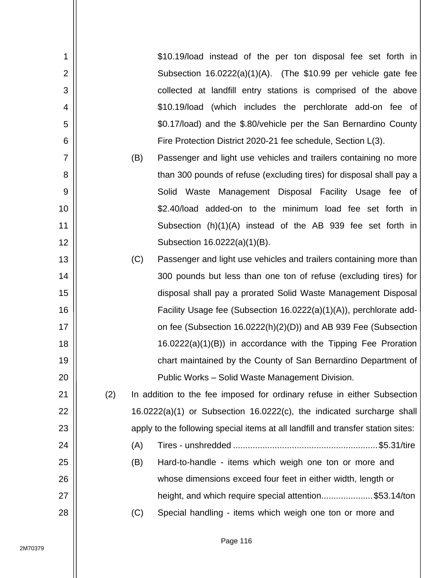| 1              |     |     | \$10.19/load instead of the per ton disposal fee set forth in                    |
|----------------|-----|-----|----------------------------------------------------------------------------------|
| $\overline{2}$ |     |     | Subsection 16.0222(a)(1)(A). (The \$10.99 per vehicle gate fee                   |
| 3              |     |     | collected at landfill entry stations is comprised of the above                   |
| 4              |     |     | \$10.19/load (which includes the perchlorate add-on fee of                       |
| 5              |     |     | \$0.17/load) and the \$.80/vehicle per the San Bernardino County                 |
| 6              |     |     | Fire Protection District 2020-21 fee schedule, Section L(3).                     |
| $\overline{7}$ |     | (B) | Passenger and light use vehicles and trailers containing no more                 |
| 8              |     |     | than 300 pounds of refuse (excluding tires) for disposal shall pay a             |
| 9              |     |     | Solid Waste Management Disposal Facility Usage fee of                            |
| 10             |     |     | \$2.40/load added-on to the minimum load fee set forth in                        |
| 11             |     |     | Subsection (h)(1)(A) instead of the AB 939 fee set forth in                      |
| 12             |     |     | Subsection 16.0222(a)(1)(B).                                                     |
| 13             |     | (C) | Passenger and light use vehicles and trailers containing more than               |
| 14             |     |     | 300 pounds but less than one ton of refuse (excluding tires) for                 |
| 15             |     |     | disposal shall pay a prorated Solid Waste Management Disposal                    |
| 16             |     |     | Facility Usage fee (Subsection 16.0222(a)(1)(A)), perchlorate add-               |
| 17             |     |     | on fee (Subsection 16.0222(h)(2)(D)) and AB 939 Fee (Subsection                  |
| 18             |     |     | $16.0222(a)(1)(B)$ in accordance with the Tipping Fee Proration                  |
| 19             |     |     | chart maintained by the County of San Bernardino Department of                   |
| 20             |     |     | Public Works - Solid Waste Management Division.                                  |
| 21             | (2) |     | In addition to the fee imposed for ordinary refuse in either Subsection          |
| 22             |     |     | 16.0222(a)(1) or Subsection 16.0222(c), the indicated surcharge shall            |
| 23             |     |     | apply to the following special items at all landfill and transfer station sites: |
| 24             |     | (A) |                                                                                  |
| 25             |     | (B) | Hard-to-handle - items which weigh one ton or more and                           |
| 26             |     |     | whose dimensions exceed four feet in either width, length or                     |
| 27             |     |     | height, and which require special attention\$53.14/ton                           |
| 28             |     | (C) | Special handling - items which weigh one ton or more and                         |
|                |     |     |                                                                                  |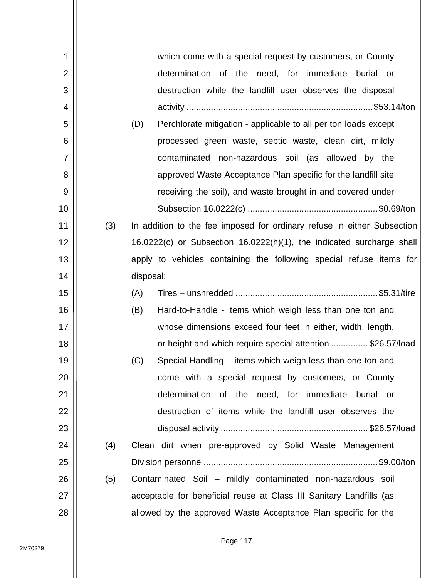| 1              |     | which come with a special request by customers, or County               |
|----------------|-----|-------------------------------------------------------------------------|
| $\overline{2}$ |     | determination of the need, for immediate burial or                      |
| 3              |     | destruction while the landfill user observes the disposal               |
| 4              |     |                                                                         |
| 5              |     | (D)<br>Perchlorate mitigation - applicable to all per ton loads except  |
| 6              |     | processed green waste, septic waste, clean dirt, mildly                 |
| 7              |     | contaminated non-hazardous soil (as allowed by the                      |
| 8              |     | approved Waste Acceptance Plan specific for the landfill site           |
| 9              |     | receiving the soil), and waste brought in and covered under             |
| 10             |     |                                                                         |
| 11             | (3) | In addition to the fee imposed for ordinary refuse in either Subsection |
| 12             |     | 16.0222(c) or Subsection 16.0222(h)(1), the indicated surcharge shall   |
| 13             |     | apply to vehicles containing the following special refuse items for     |
| 14             |     | disposal:                                                               |
| 15             |     | (A)                                                                     |
| 16             |     | Hard-to-Handle - items which weigh less than one ton and<br>(B)         |
| 17             |     | whose dimensions exceed four feet in either, width, length,             |
| 18             |     | or height and which require special attention \$26.57/load              |
| 19             |     | Special Handling - items which weigh less than one ton and<br>(C)       |
| 20             |     | come with a special request by customers, or County                     |
| 21             |     | determination of the need, for immediate burial or                      |
| 22             |     | destruction of items while the landfill user observes the               |
| 23             |     |                                                                         |
| 24             | (4) | Clean dirt when pre-approved by Solid Waste Management                  |
| 25             |     |                                                                         |
| 26             | (5) | Contaminated Soil - mildly contaminated non-hazardous soil              |
| 27             |     | acceptable for beneficial reuse at Class III Sanitary Landfills (as     |
| 28             |     | allowed by the approved Waste Acceptance Plan specific for the          |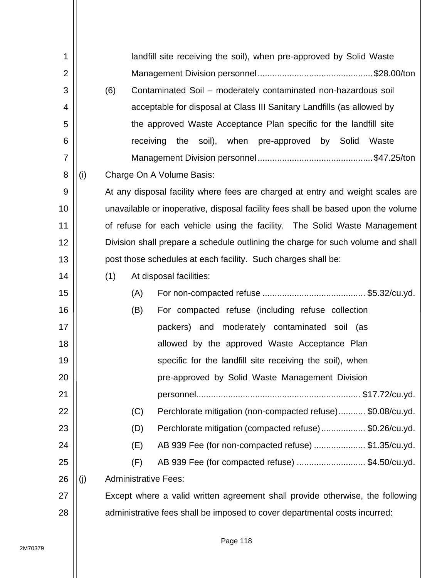| 1              |     |     |                                                                        | landfill site receiving the soil), when pre-approved by Solid Waste               |  |  |  |
|----------------|-----|-----|------------------------------------------------------------------------|-----------------------------------------------------------------------------------|--|--|--|
| $\overline{2}$ |     |     |                                                                        |                                                                                   |  |  |  |
| 3              |     | (6) | Contaminated Soil – moderately contaminated non-hazardous soil         |                                                                                   |  |  |  |
| 4              |     |     | acceptable for disposal at Class III Sanitary Landfills (as allowed by |                                                                                   |  |  |  |
| 5              |     |     | the approved Waste Acceptance Plan specific for the landfill site      |                                                                                   |  |  |  |
| 6              |     |     |                                                                        | receiving<br>the soil), when pre-approved by Solid<br>Waste                       |  |  |  |
| 7              |     |     |                                                                        |                                                                                   |  |  |  |
| 8              | (i) |     |                                                                        | Charge On A Volume Basis:                                                         |  |  |  |
| 9              |     |     |                                                                        | At any disposal facility where fees are charged at entry and weight scales are    |  |  |  |
| 10             |     |     |                                                                        | unavailable or inoperative, disposal facility fees shall be based upon the volume |  |  |  |
| 11             |     |     |                                                                        | of refuse for each vehicle using the facility. The Solid Waste Management         |  |  |  |
| 12             |     |     |                                                                        | Division shall prepare a schedule outlining the charge for such volume and shall  |  |  |  |
| 13             |     |     |                                                                        | post those schedules at each facility. Such charges shall be:                     |  |  |  |
| 14             |     | (1) |                                                                        | At disposal facilities:                                                           |  |  |  |
| 15             |     |     | (A)                                                                    |                                                                                   |  |  |  |
| 16             |     |     | (B)                                                                    | For compacted refuse (including refuse collection                                 |  |  |  |
| 17             |     |     |                                                                        | packers) and moderately contaminated soil (as                                     |  |  |  |
| 18             |     |     |                                                                        | allowed by the approved Waste Acceptance Plan                                     |  |  |  |
| 19             |     |     |                                                                        | specific for the landfill site receiving the soil), when                          |  |  |  |
| 20             |     |     |                                                                        | pre-approved by Solid Waste Management Division                                   |  |  |  |
| 21             |     |     |                                                                        |                                                                                   |  |  |  |
| 22             |     |     | (C)                                                                    | Perchlorate mitigation (non-compacted refuse) \$0.08/cu.yd.                       |  |  |  |
| 23             |     |     | (D)                                                                    | Perchlorate mitigation (compacted refuse)\$0.26/cu.yd.                            |  |  |  |
| 24             |     |     | (E)                                                                    | AB 939 Fee (for non-compacted refuse) \$1.35/cu.yd.                               |  |  |  |
| 25             |     |     | (F)                                                                    | AB 939 Fee (for compacted refuse) \$4.50/cu.yd.                                   |  |  |  |
| 26             | (j) |     |                                                                        | <b>Administrative Fees:</b>                                                       |  |  |  |
| 27             |     |     |                                                                        | Except where a valid written agreement shall provide otherwise, the following     |  |  |  |
| 28             |     |     |                                                                        | administrative fees shall be imposed to cover departmental costs incurred:        |  |  |  |
|                |     |     |                                                                        |                                                                                   |  |  |  |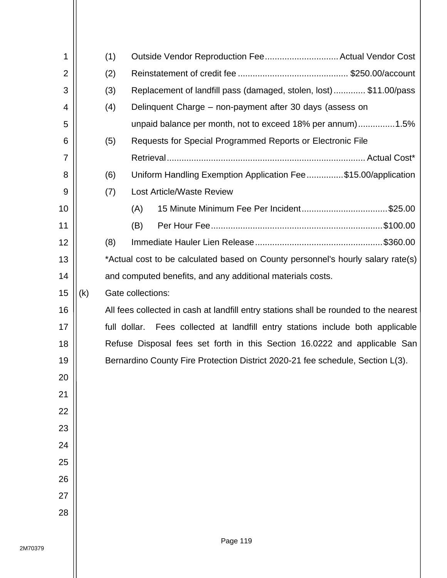| 1              |                                                                                | (1)                                                                                   | Outside Vendor Reproduction Fee Actual Vendor Cost                              |  |  |  |  |  |
|----------------|--------------------------------------------------------------------------------|---------------------------------------------------------------------------------------|---------------------------------------------------------------------------------|--|--|--|--|--|
| $\overline{2}$ |                                                                                | (2)                                                                                   |                                                                                 |  |  |  |  |  |
| 3              |                                                                                | (3)                                                                                   | Replacement of landfill pass (damaged, stolen, lost)\$11.00/pass                |  |  |  |  |  |
| 4              |                                                                                | (4)                                                                                   | Delinquent Charge – non-payment after 30 days (assess on                        |  |  |  |  |  |
| 5              |                                                                                |                                                                                       | unpaid balance per month, not to exceed 18% per annum)1.5%                      |  |  |  |  |  |
| 6              |                                                                                | (5)                                                                                   | Requests for Special Programmed Reports or Electronic File                      |  |  |  |  |  |
| 7              |                                                                                |                                                                                       |                                                                                 |  |  |  |  |  |
| 8              |                                                                                | (6)                                                                                   | Uniform Handling Exemption Application Fee\$15.00/application                   |  |  |  |  |  |
| 9              |                                                                                | (7)                                                                                   | <b>Lost Article/Waste Review</b>                                                |  |  |  |  |  |
| 10             |                                                                                |                                                                                       | 15 Minute Minimum Fee Per Incident\$25.00<br>(A)                                |  |  |  |  |  |
| 11             |                                                                                |                                                                                       | (B)                                                                             |  |  |  |  |  |
| 12             |                                                                                | (8)                                                                                   |                                                                                 |  |  |  |  |  |
| 13             |                                                                                |                                                                                       | *Actual cost to be calculated based on County personnel's hourly salary rate(s) |  |  |  |  |  |
| 14             |                                                                                |                                                                                       | and computed benefits, and any additional materials costs.                      |  |  |  |  |  |
| 15             | (k)                                                                            |                                                                                       | Gate collections:                                                               |  |  |  |  |  |
| 16             |                                                                                | All fees collected in cash at landfill entry stations shall be rounded to the nearest |                                                                                 |  |  |  |  |  |
| 17             |                                                                                | full dollar. Fees collected at landfill entry stations include both applicable        |                                                                                 |  |  |  |  |  |
| 18             | Refuse Disposal fees set forth in this Section 16.0222 and applicable San      |                                                                                       |                                                                                 |  |  |  |  |  |
| 19             | Bernardino County Fire Protection District 2020-21 fee schedule, Section L(3). |                                                                                       |                                                                                 |  |  |  |  |  |
| 20             |                                                                                |                                                                                       |                                                                                 |  |  |  |  |  |
| 21             |                                                                                |                                                                                       |                                                                                 |  |  |  |  |  |
| 22             |                                                                                |                                                                                       |                                                                                 |  |  |  |  |  |
| 23             |                                                                                |                                                                                       |                                                                                 |  |  |  |  |  |
| 24             |                                                                                |                                                                                       |                                                                                 |  |  |  |  |  |
| 25             |                                                                                |                                                                                       |                                                                                 |  |  |  |  |  |
| 26             |                                                                                |                                                                                       |                                                                                 |  |  |  |  |  |
| 27             |                                                                                |                                                                                       |                                                                                 |  |  |  |  |  |
| 28             |                                                                                |                                                                                       |                                                                                 |  |  |  |  |  |
|                |                                                                                |                                                                                       |                                                                                 |  |  |  |  |  |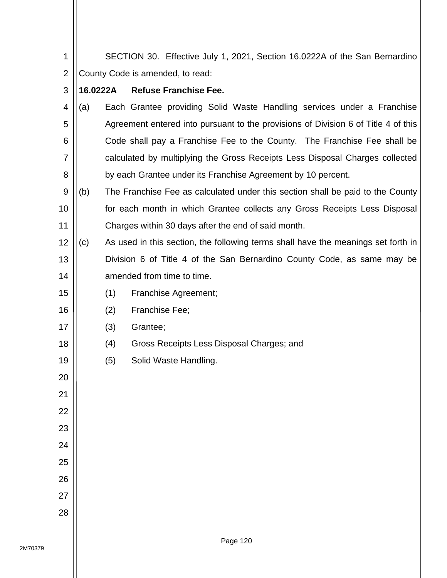1 2 SECTION 30. Effective July 1, 2021, Section 16.0222A of the San Bernardino County Code is amended, to read:

## **16.0222A Refuse Franchise Fee.**

3

16

17

18

19

20

21

22

23

24

25

26

27

28

- 4 5 6 7 8 (a) Each Grantee providing Solid Waste Handling services under a Franchise Agreement entered into pursuant to the provisions of Division 6 of Title 4 of this Code shall pay a Franchise Fee to the County. The Franchise Fee shall be calculated by multiplying the Gross Receipts Less Disposal Charges collected by each Grantee under its Franchise Agreement by 10 percent.
- 9 10 11 (b) The Franchise Fee as calculated under this section shall be paid to the County for each month in which Grantee collects any Gross Receipts Less Disposal Charges within 30 days after the end of said month.
- 12 13 14 (c) As used in this section, the following terms shall have the meanings set forth in Division 6 of Title 4 of the San Bernardino County Code, as same may be amended from time to time.
- 15 (1) Franchise Agreement;
	- (2) Franchise Fee;
	- (3) Grantee;
	- (4) Gross Receipts Less Disposal Charges; and
		- (5) Solid Waste Handling.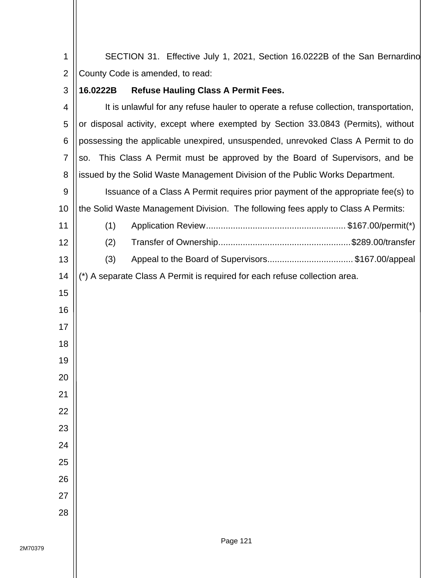SECTION 31. Effective July 1, 2021, Section 16.0222B of the San Bernardino County Code is amended, to read:

## **16.0222B Refuse Hauling Class A Permit Fees.**

| 4              | It is unlawful for any refuse hauler to operate a refuse collection, transportation, |  |
|----------------|--------------------------------------------------------------------------------------|--|
| 5              | or disposal activity, except where exempted by Section 33.0843 (Permits), without    |  |
| 6              | possessing the applicable unexpired, unsuspended, unrevoked Class A Permit to do     |  |
| $\overline{7}$ | This Class A Permit must be approved by the Board of Supervisors, and be<br>SO.      |  |
| 8              | issued by the Solid Waste Management Division of the Public Works Department.        |  |
| 9              | Issuance of a Class A Permit requires prior payment of the appropriate fee(s) to     |  |
| 10             | the Solid Waste Management Division. The following fees apply to Class A Permits:    |  |
| 11             | (1)                                                                                  |  |
| 12             | (2)                                                                                  |  |
| 13             | (3)                                                                                  |  |
| 14             | (*) A separate Class A Permit is required for each refuse collection area.           |  |
| 15             |                                                                                      |  |
| 16             |                                                                                      |  |
| 17             |                                                                                      |  |
| 18             |                                                                                      |  |
| 19             |                                                                                      |  |
| 20             |                                                                                      |  |
| 21             |                                                                                      |  |
| 22             |                                                                                      |  |
| 23             |                                                                                      |  |
| 24             |                                                                                      |  |
| 25             |                                                                                      |  |
| 26             |                                                                                      |  |
| 27             |                                                                                      |  |
| 28             |                                                                                      |  |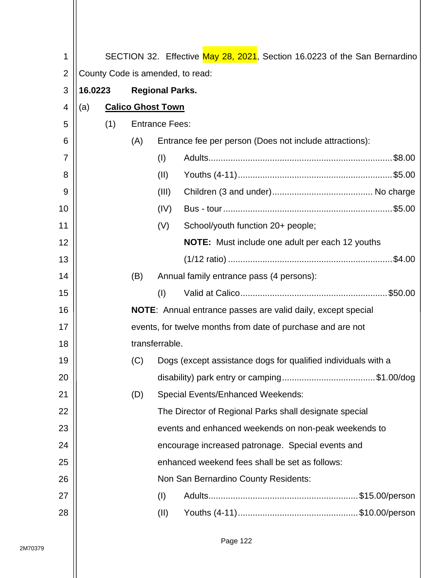| 1              |                                                             |     |     |                          | SECTION 32. Effective May 28, 2021, Section 16.0223 of the San Bernardino |
|----------------|-------------------------------------------------------------|-----|-----|--------------------------|---------------------------------------------------------------------------|
| $\overline{2}$ | County Code is amended, to read:                            |     |     |                          |                                                                           |
| 3              | 16.0223<br><b>Regional Parks.</b>                           |     |     |                          |                                                                           |
| 4              | (a)                                                         |     |     | <b>Calico Ghost Town</b> |                                                                           |
| 5              |                                                             | (1) |     | <b>Entrance Fees:</b>    |                                                                           |
| 6              |                                                             |     | (A) |                          | Entrance fee per person (Does not include attractions):                   |
| 7              |                                                             |     |     | (1)                      |                                                                           |
| 8              |                                                             |     |     | (II)                     |                                                                           |
| 9              |                                                             |     |     | (III)                    |                                                                           |
| 10             |                                                             |     |     | (IV)                     |                                                                           |
| 11             |                                                             |     |     | (V)                      | School/youth function 20+ people;                                         |
| 12             |                                                             |     |     |                          | <b>NOTE:</b> Must include one adult per each 12 youths                    |
| 13             |                                                             |     |     |                          |                                                                           |
| 14             |                                                             |     | (B) |                          | Annual family entrance pass (4 persons):                                  |
| 15             |                                                             |     |     | (1)                      |                                                                           |
| 16             |                                                             |     |     |                          | <b>NOTE:</b> Annual entrance passes are valid daily, except special       |
| 17             | events, for twelve months from date of purchase and are not |     |     |                          |                                                                           |
| 18             | transferrable.                                              |     |     |                          |                                                                           |
| 19             |                                                             |     | (C) |                          | Dogs (except assistance dogs for qualified individuals with a             |
| 20             |                                                             |     |     |                          |                                                                           |
| 21             |                                                             |     | (D) |                          | <b>Special Events/Enhanced Weekends:</b>                                  |
| 22             |                                                             |     |     |                          | The Director of Regional Parks shall designate special                    |
| 23             |                                                             |     |     |                          | events and enhanced weekends on non-peak weekends to                      |
| 24             |                                                             |     |     |                          | encourage increased patronage. Special events and                         |
| 25             |                                                             |     |     |                          | enhanced weekend fees shall be set as follows:                            |
| 26             |                                                             |     |     |                          | Non San Bernardino County Residents:                                      |
| 27             |                                                             |     |     | (1)                      |                                                                           |
| 28             |                                                             |     |     | (II)                     |                                                                           |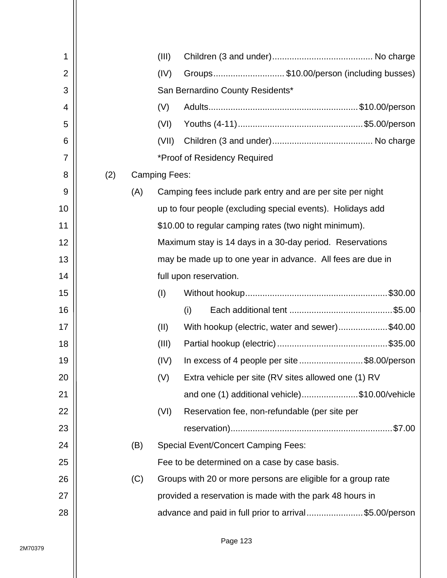| 1              |     |     | (III)                |                                                              |  |  |  |  |  |
|----------------|-----|-----|----------------------|--------------------------------------------------------------|--|--|--|--|--|
| $\overline{2}$ |     |     | (IV)                 | Groups\$10.00/person (including busses)                      |  |  |  |  |  |
| 3              |     |     |                      | San Bernardino County Residents*                             |  |  |  |  |  |
| 4              |     |     | (V)                  |                                                              |  |  |  |  |  |
| 5              |     |     | (VI)                 |                                                              |  |  |  |  |  |
| 6              |     |     | (VII)                |                                                              |  |  |  |  |  |
| $\overline{7}$ |     |     |                      | *Proof of Residency Required                                 |  |  |  |  |  |
| 8              | (2) |     | <b>Camping Fees:</b> |                                                              |  |  |  |  |  |
| 9              |     | (A) |                      | Camping fees include park entry and are per site per night   |  |  |  |  |  |
| 10             |     |     |                      | up to four people (excluding special events). Holidays add   |  |  |  |  |  |
| 11             |     |     |                      | \$10.00 to regular camping rates (two night minimum).        |  |  |  |  |  |
| 12             |     |     |                      | Maximum stay is 14 days in a 30-day period. Reservations     |  |  |  |  |  |
| 13             |     |     |                      | may be made up to one year in advance. All fees are due in   |  |  |  |  |  |
| 14             |     |     |                      | full upon reservation.                                       |  |  |  |  |  |
| 15             |     |     | (1)                  |                                                              |  |  |  |  |  |
| 16             |     |     |                      | (i)                                                          |  |  |  |  |  |
| 17             |     |     | (II)                 | With hookup (electric, water and sewer)\$40.00               |  |  |  |  |  |
| 18             |     |     | (III)                |                                                              |  |  |  |  |  |
| 19             |     |     | (IV)                 | In excess of 4 people per site \$8.00/person                 |  |  |  |  |  |
| 20             |     |     | (V)                  | Extra vehicle per site (RV sites allowed one (1) RV          |  |  |  |  |  |
| 21             |     |     |                      | and one (1) additional vehicle)\$10.00/vehicle               |  |  |  |  |  |
| 22             |     |     | (VI)                 | Reservation fee, non-refundable (per site per                |  |  |  |  |  |
| 23             |     |     |                      |                                                              |  |  |  |  |  |
| 24             |     | (B) |                      | <b>Special Event/Concert Camping Fees:</b>                   |  |  |  |  |  |
| 25             |     |     |                      | Fee to be determined on a case by case basis.                |  |  |  |  |  |
| 26             |     | (C) |                      | Groups with 20 or more persons are eligible for a group rate |  |  |  |  |  |
| 27             |     |     |                      | provided a reservation is made with the park 48 hours in     |  |  |  |  |  |
| 28             |     |     |                      | advance and paid in full prior to arrival\$5.00/person       |  |  |  |  |  |
|                |     |     |                      |                                                              |  |  |  |  |  |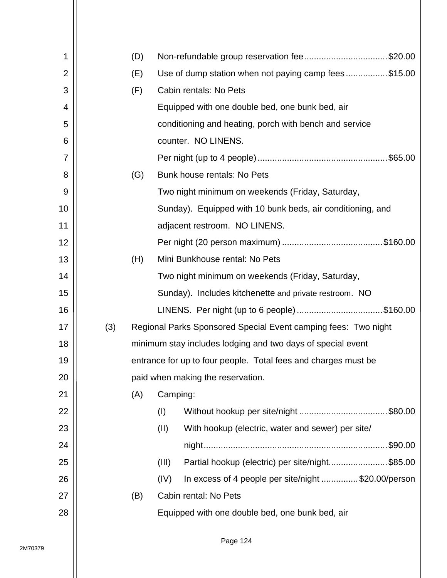| 1              |     | (D) |          | Non-refundable group reservation fee\$20.00                    |
|----------------|-----|-----|----------|----------------------------------------------------------------|
| $\overline{2}$ |     | (E) |          | Use of dump station when not paying camp fees\$15.00           |
| 3              |     | (F) |          | Cabin rentals: No Pets                                         |
| 4              |     |     |          | Equipped with one double bed, one bunk bed, air                |
| 5              |     |     |          | conditioning and heating, porch with bench and service         |
| 6              |     |     |          | counter. NO LINENS.                                            |
| 7              |     |     |          |                                                                |
| 8              |     | (G) |          | Bunk house rentals: No Pets                                    |
| 9              |     |     |          | Two night minimum on weekends (Friday, Saturday,               |
| 10             |     |     |          | Sunday). Equipped with 10 bunk beds, air conditioning, and     |
| 11             |     |     |          | adjacent restroom. NO LINENS.                                  |
| 12             |     |     |          |                                                                |
| 13             |     | (H) |          | Mini Bunkhouse rental: No Pets                                 |
| 14             |     |     |          | Two night minimum on weekends (Friday, Saturday,               |
| 15             |     |     |          | Sunday). Includes kitchenette and private restroom. NO         |
| 16             |     |     |          | LINENS. Per night (up to 6 people) \$160.00                    |
| 17             | (3) |     |          | Regional Parks Sponsored Special Event camping fees: Two night |
| 18             |     |     |          | minimum stay includes lodging and two days of special event    |
| 19             |     |     |          | entrance for up to four people. Total fees and charges must be |
| 20             |     |     |          | paid when making the reservation.                              |
| 21             |     | (A) | Camping: |                                                                |
| 22             |     |     | (I)      |                                                                |
| 23             |     |     | (II)     | With hookup (electric, water and sewer) per site/              |
| 24             |     |     |          | .\$90.00                                                       |
| 25             |     |     | (III)    | Partial hookup (electric) per site/night\$85.00                |
| 26             |     |     | (IV)     | In excess of 4 people per site/night \$20.00/person            |
| 27             |     | (B) |          | Cabin rental: No Pets                                          |
| 28             |     |     |          | Equipped with one double bed, one bunk bed, air                |
|                |     |     |          |                                                                |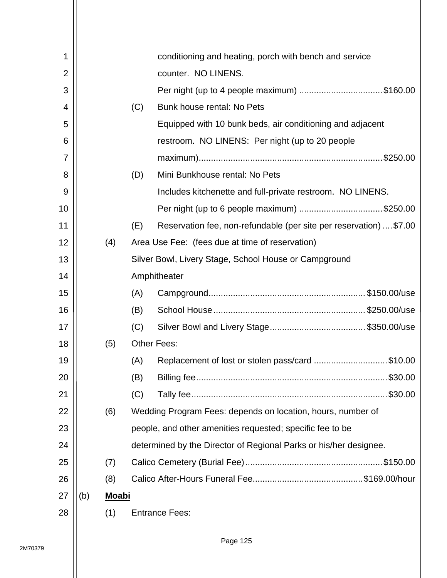| 1              |     |              |     | conditioning and heating, porch with bench and service             |  |
|----------------|-----|--------------|-----|--------------------------------------------------------------------|--|
| $\overline{2}$ |     |              |     | counter. NO LINENS.                                                |  |
| 3              |     |              |     | Per night (up to 4 people maximum) \$160.00                        |  |
| 4              |     |              | (C) | Bunk house rental: No Pets                                         |  |
| 5              |     |              |     | Equipped with 10 bunk beds, air conditioning and adjacent          |  |
| 6              |     |              |     | restroom. NO LINENS: Per night (up to 20 people)                   |  |
| 7              |     |              |     |                                                                    |  |
| 8              |     |              | (D) | Mini Bunkhouse rental: No Pets                                     |  |
| 9              |     |              |     | Includes kitchenette and full-private restroom. NO LINENS.         |  |
| 10             |     |              |     | Per night (up to 6 people maximum) \$250.00                        |  |
| 11             |     |              | (E) | Reservation fee, non-refundable (per site per reservation)  \$7.00 |  |
| 12             |     | (4)          |     | Area Use Fee: (fees due at time of reservation)                    |  |
| 13             |     |              |     | Silver Bowl, Livery Stage, School House or Campground              |  |
| 14             |     |              |     | Amphitheater                                                       |  |
| 15             |     |              | (A) |                                                                    |  |
| 16             |     |              | (B) |                                                                    |  |
| 17             |     |              | (C) |                                                                    |  |
| 18             |     | (5)          |     | <b>Other Fees:</b>                                                 |  |
| 19             |     |              | (A) | Replacement of lost or stolen pass/card \$10.00                    |  |
| 20             |     |              | (B) |                                                                    |  |
| 21             |     |              | (C) |                                                                    |  |
| 22             |     | (6)          |     | Wedding Program Fees: depends on location, hours, number of        |  |
| 23             |     |              |     | people, and other amenities requested; specific fee to be          |  |
| 24             |     |              |     | determined by the Director of Regional Parks or his/her designee.  |  |
| 25             |     | (7)          |     |                                                                    |  |
| 26             |     | (8)          |     |                                                                    |  |
| 27             | (b) | <b>Moabi</b> |     |                                                                    |  |
| 28             |     | (1)          |     | <b>Entrance Fees:</b>                                              |  |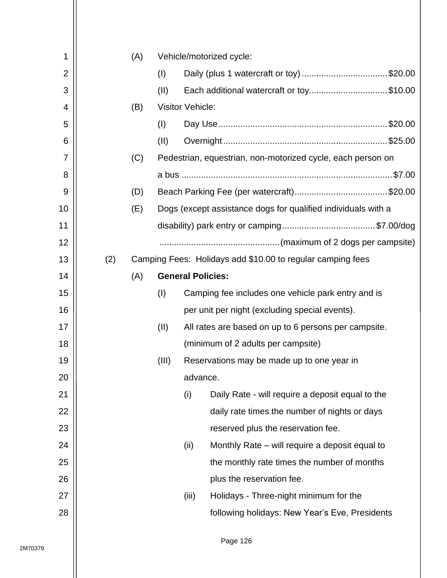| 1              |     | (A) |       |                         | Vehicle/motorized cycle:                                      |
|----------------|-----|-----|-------|-------------------------|---------------------------------------------------------------|
| $\overline{2}$ |     |     | (1)   |                         | Daily (plus 1 watercraft or toy) \$20.00                      |
| 3              |     |     | (II)  |                         | Each additional watercraft or toy\$10.00                      |
| 4              |     | (B) |       | <b>Visitor Vehicle:</b> |                                                               |
| 5              |     |     | (1)   |                         |                                                               |
| 6              |     |     | (II)  |                         |                                                               |
| 7              |     | (C) |       |                         | Pedestrian, equestrian, non-motorized cycle, each person on   |
| 8              |     |     |       |                         |                                                               |
| 9              |     | (D) |       |                         |                                                               |
| 10             |     | (E) |       |                         | Dogs (except assistance dogs for qualified individuals with a |
| 11             |     |     |       |                         |                                                               |
| 12             |     |     |       |                         |                                                               |
| 13             | (2) |     |       |                         | Camping Fees: Holidays add \$10.00 to regular camping fees    |
| 14             |     | (A) |       |                         | <b>General Policies:</b>                                      |
| 15             |     |     | (1)   |                         | Camping fee includes one vehicle park entry and is            |
| 16             |     |     |       |                         | per unit per night (excluding special events).                |
| 17             |     |     | (II)  |                         | All rates are based on up to 6 persons per campsite.          |
| 18             |     |     |       |                         | (minimum of 2 adults per campsite)                            |
| 19             |     |     | (III) |                         | Reservations may be made up to one year in                    |
| 20             |     |     |       | advance.                |                                                               |
| 21             |     |     |       | (i)                     | Daily Rate - will require a deposit equal to the              |
| 22             |     |     |       |                         | daily rate times the number of nights or days                 |
| 23             |     |     |       |                         | reserved plus the reservation fee.                            |
| 24             |     |     |       | (ii)                    | Monthly Rate – will require a deposit equal to                |
| 25             |     |     |       |                         | the monthly rate times the number of months                   |
| 26             |     |     |       |                         | plus the reservation fee.                                     |
| 27             |     |     |       | (iii)                   | Holidays - Three-night minimum for the                        |
| 28             |     |     |       |                         | following holidays: New Year's Eve, Presidents                |
|                |     |     |       |                         |                                                               |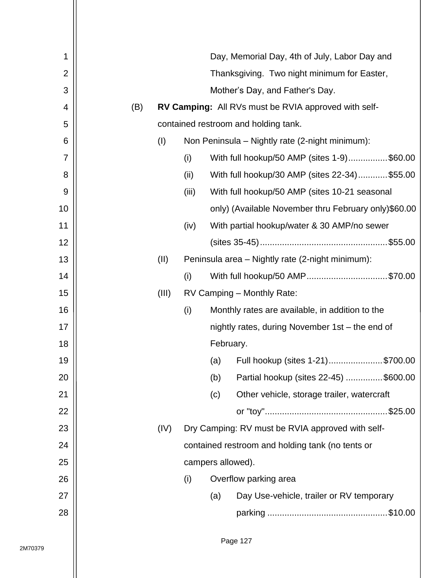| 1  |     |       |                                                  |                   | Day, Memorial Day, 4th of July, Labor Day and        |  |  |
|----|-----|-------|--------------------------------------------------|-------------------|------------------------------------------------------|--|--|
| 2  |     |       |                                                  |                   | Thanksgiving. Two night minimum for Easter,          |  |  |
| 3  |     |       |                                                  |                   | Mother's Day, and Father's Day.                      |  |  |
| 4  | (B) |       |                                                  |                   | RV Camping: All RVs must be RVIA approved with self- |  |  |
| 5  |     |       |                                                  |                   | contained restroom and holding tank.                 |  |  |
| 6  |     | (1)   |                                                  |                   | Non Peninsula - Nightly rate (2-night minimum):      |  |  |
| 7  |     |       | (i)                                              |                   | With full hookup/50 AMP (sites 1-9)\$60.00           |  |  |
| 8  |     |       | (ii)                                             |                   | With full hookup/30 AMP (sites 22-34)\$55.00         |  |  |
| 9  |     |       | (iii)                                            |                   | With full hookup/50 AMP (sites 10-21 seasonal        |  |  |
| 10 |     |       |                                                  |                   | only) (Available November thru February only)\$60.00 |  |  |
| 11 |     |       | (iv)                                             |                   | With partial hookup/water & 30 AMP/no sewer          |  |  |
| 12 |     |       |                                                  |                   |                                                      |  |  |
| 13 |     | (II)  | Peninsula area – Nightly rate (2-night minimum): |                   |                                                      |  |  |
| 14 |     |       | (i)                                              |                   | With full hookup/50 AMP\$70.00                       |  |  |
| 15 |     | (III) | RV Camping - Monthly Rate:                       |                   |                                                      |  |  |
| 16 |     |       | (i)                                              |                   | Monthly rates are available, in addition to the      |  |  |
| 17 |     |       |                                                  |                   | nightly rates, during November 1st - the end of      |  |  |
| 18 |     |       |                                                  | February.         |                                                      |  |  |
| 19 |     |       |                                                  | (a)               | Full hookup (sites 1-21)\$700.00                     |  |  |
| 20 |     |       |                                                  | (b)               | Partial hookup (sites 22-45) \$600.00                |  |  |
| 21 |     |       |                                                  | (c)               | Other vehicle, storage trailer, watercraft           |  |  |
| 22 |     |       |                                                  |                   |                                                      |  |  |
| 23 |     | (IV)  |                                                  |                   | Dry Camping: RV must be RVIA approved with self-     |  |  |
| 24 |     |       |                                                  |                   | contained restroom and holding tank (no tents or     |  |  |
| 25 |     |       |                                                  | campers allowed). |                                                      |  |  |
| 26 |     |       | (i)                                              |                   | Overflow parking area                                |  |  |
| 27 |     |       |                                                  | (a)               | Day Use-vehicle, trailer or RV temporary             |  |  |
| 28 |     |       |                                                  |                   |                                                      |  |  |
|    |     |       |                                                  |                   |                                                      |  |  |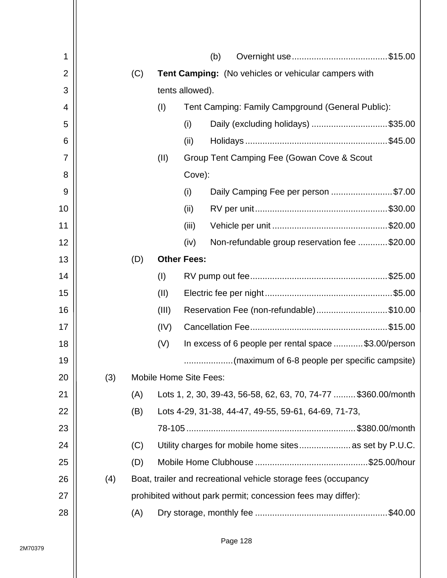| 1  |     |     |                               |                    | (b) |                                                                |  |  |  |  |  |  |
|----|-----|-----|-------------------------------|--------------------|-----|----------------------------------------------------------------|--|--|--|--|--|--|
| 2  |     | (C) |                               |                    |     | Tent Camping: (No vehicles or vehicular campers with           |  |  |  |  |  |  |
| 3  |     |     |                               | tents allowed).    |     |                                                                |  |  |  |  |  |  |
| 4  |     |     | (I)                           |                    |     | Tent Camping: Family Campground (General Public):              |  |  |  |  |  |  |
| 5  |     |     |                               | (i)                |     | Daily (excluding holidays) \$35.00                             |  |  |  |  |  |  |
| 6  |     |     |                               | (ii)               |     |                                                                |  |  |  |  |  |  |
| 7  |     |     | (II)                          |                    |     | Group Tent Camping Fee (Gowan Cove & Scout                     |  |  |  |  |  |  |
| 8  |     |     |                               | Cove):             |     |                                                                |  |  |  |  |  |  |
| 9  |     |     |                               | (i)                |     | Daily Camping Fee per person \$7.00                            |  |  |  |  |  |  |
| 10 |     |     |                               | (ii)               |     |                                                                |  |  |  |  |  |  |
| 11 |     |     |                               | (iii)              |     |                                                                |  |  |  |  |  |  |
| 12 |     |     |                               | (iv)               |     | Non-refundable group reservation fee \$20.00                   |  |  |  |  |  |  |
| 13 |     | (D) |                               | <b>Other Fees:</b> |     |                                                                |  |  |  |  |  |  |
| 14 |     |     | (1)                           |                    |     |                                                                |  |  |  |  |  |  |
| 15 |     |     | (II)                          |                    |     |                                                                |  |  |  |  |  |  |
| 16 |     |     | (III)                         |                    |     | Reservation Fee (non-refundable)\$10.00                        |  |  |  |  |  |  |
| 17 |     |     | (IV)                          |                    |     |                                                                |  |  |  |  |  |  |
| 18 |     |     | (V)                           |                    |     | In excess of 6 people per rental space \$3.00/person           |  |  |  |  |  |  |
| 19 |     |     |                               |                    |     | (maximum of 6-8 people per specific campsite)                  |  |  |  |  |  |  |
| 20 | (3) |     | <b>Mobile Home Site Fees:</b> |                    |     |                                                                |  |  |  |  |  |  |
| 21 |     | (A) |                               |                    |     | Lots 1, 2, 30, 39-43, 56-58, 62, 63, 70, 74-77  \$360.00/month |  |  |  |  |  |  |
| 22 |     | (B) |                               |                    |     | Lots 4-29, 31-38, 44-47, 49-55, 59-61, 64-69, 71-73,           |  |  |  |  |  |  |
| 23 |     |     |                               |                    |     |                                                                |  |  |  |  |  |  |
| 24 |     | (C) |                               |                    |     | Utility charges for mobile home sites as set by P.U.C.         |  |  |  |  |  |  |
| 25 |     | (D) |                               |                    |     |                                                                |  |  |  |  |  |  |
| 26 | (4) |     |                               |                    |     | Boat, trailer and recreational vehicle storage fees (occupancy |  |  |  |  |  |  |
| 27 |     |     |                               |                    |     | prohibited without park permit; concession fees may differ):   |  |  |  |  |  |  |
| 28 |     | (A) |                               |                    |     |                                                                |  |  |  |  |  |  |
|    |     |     |                               |                    |     |                                                                |  |  |  |  |  |  |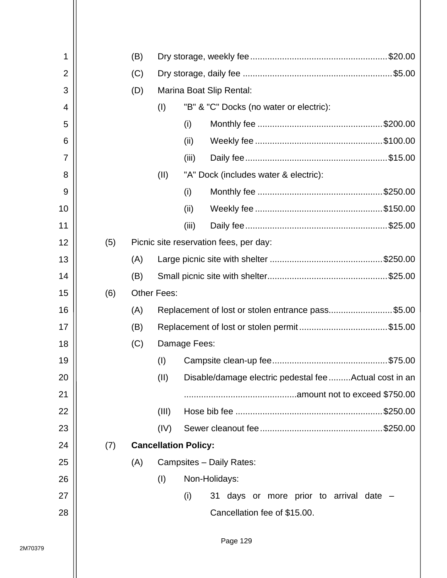| 1              |     | (B) |                    |                                                        |
|----------------|-----|-----|--------------------|--------------------------------------------------------|
| $\overline{2}$ |     | (C) |                    |                                                        |
| 3              |     | (D) |                    | Marina Boat Slip Rental:                               |
| 4              |     |     | (I)                | "B" & "C" Docks (no water or electric):                |
| 5              |     |     |                    | (i)                                                    |
| 6              |     |     |                    | (ii)                                                   |
| $\overline{7}$ |     |     |                    | (iii)                                                  |
| 8              |     |     | (11)               | "A" Dock (includes water & electric):                  |
| 9              |     |     |                    | (i)                                                    |
| 10             |     |     |                    | (ii)                                                   |
| 11             |     |     |                    | (iii)                                                  |
| 12             | (5) |     |                    | Picnic site reservation fees, per day:                 |
| 13             |     | (A) |                    |                                                        |
| 14             |     | (B) |                    |                                                        |
| 15             | (6) |     | <b>Other Fees:</b> |                                                        |
| 16             |     | (A) |                    | Replacement of lost or stolen entrance pass\$5.00      |
| 17             |     | (B) |                    | Replacement of lost or stolen permit\$15.00            |
| 18             |     | (C) |                    | Damage Fees:                                           |
| 19             |     |     | (I)                |                                                        |
| 20             |     |     | (II)               | Disable/damage electric pedestal fee Actual cost in an |
| 21             |     |     |                    |                                                        |
| 22             |     |     | (III)              |                                                        |
| 23             |     |     | (IV)               |                                                        |
| 24             | (7) |     |                    | <b>Cancellation Policy:</b>                            |
| 25             |     | (A) |                    | Campsites - Daily Rates:                               |
| 26             |     |     | (1)                | Non-Holidays:                                          |
| 27             |     |     |                    | (i)<br>31 days or more prior to arrival date -         |
| 28             |     |     |                    | Cancellation fee of \$15.00.                           |
|                |     |     |                    |                                                        |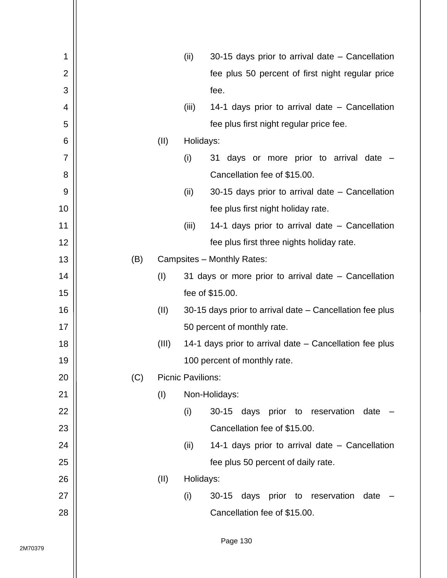| 1              |     |       | (ii)                     | 30-15 days prior to arrival date – Cancellation          |
|----------------|-----|-------|--------------------------|----------------------------------------------------------|
| $\overline{2}$ |     |       |                          | fee plus 50 percent of first night regular price         |
| 3              |     |       |                          | fee.                                                     |
| 4              |     |       | (iii)                    | 14-1 days prior to arrival date – Cancellation           |
| 5              |     |       |                          | fee plus first night regular price fee.                  |
| 6              |     | (II)  | Holidays:                |                                                          |
| 7              |     |       | (i)                      | 31 days or more prior to arrival date -                  |
| 8              |     |       |                          | Cancellation fee of \$15.00.                             |
| 9              |     |       | (ii)                     | 30-15 days prior to arrival date – Cancellation          |
| 10             |     |       |                          | fee plus first night holiday rate.                       |
| 11             |     |       | (iii)                    | 14-1 days prior to arrival date – Cancellation           |
| 12             |     |       |                          | fee plus first three nights holiday rate.                |
| 13             | (B) |       |                          | Campsites - Monthly Rates:                               |
| 14             |     | (1)   |                          | 31 days or more prior to arrival date - Cancellation     |
| 15             |     |       |                          | fee of \$15.00.                                          |
| 16             |     | (II)  |                          | 30-15 days prior to arrival date – Cancellation fee plus |
| 17             |     |       |                          | 50 percent of monthly rate.                              |
| 18             |     | (III) |                          | 14-1 days prior to arrival date – Cancellation fee plus  |
| 19             |     |       |                          | 100 percent of monthly rate.                             |
| 20             | (C) |       | <b>Picnic Pavilions:</b> |                                                          |
| 21             |     | (1)   |                          | Non-Holidays:                                            |
| 22             |     |       | (i)                      | $30 - 15$<br>days prior to<br>reservation<br>date        |
| 23             |     |       |                          | Cancellation fee of \$15.00.                             |
| 24             |     |       | (ii)                     | 14-1 days prior to arrival date - Cancellation           |
| 25             |     |       |                          | fee plus 50 percent of daily rate.                       |
| 26             |     | (II)  | Holidays:                |                                                          |
| 27             |     |       | (i)                      | days prior to reservation<br>$30 - 15$<br>date           |
| 28             |     |       |                          | Cancellation fee of \$15.00.                             |
|                |     |       |                          |                                                          |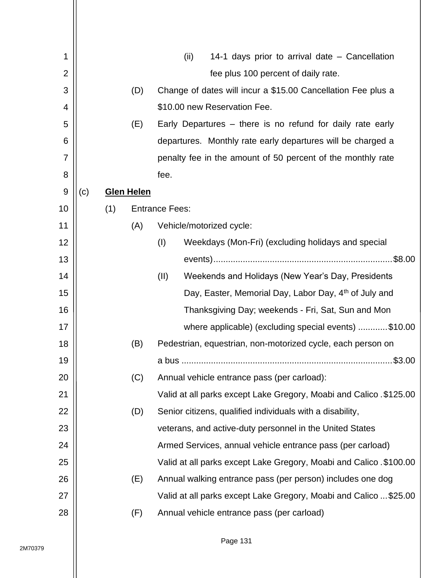| 1              |     |     |                   | (ii)                                                      | 14-1 days prior to arrival date - Cancellation                      |
|----------------|-----|-----|-------------------|-----------------------------------------------------------|---------------------------------------------------------------------|
| $\overline{2}$ |     |     |                   | fee plus 100 percent of daily rate.                       |                                                                     |
| 3              |     |     | (D)               |                                                           | Change of dates will incur a \$15.00 Cancellation Fee plus a        |
| 4              |     |     |                   | \$10.00 new Reservation Fee.                              |                                                                     |
| 5              |     |     | (E)               |                                                           | Early Departures – there is no refund for daily rate early          |
| 6              |     |     |                   |                                                           | departures. Monthly rate early departures will be charged a         |
| 7              |     |     |                   |                                                           | penalty fee in the amount of 50 percent of the monthly rate         |
| 8              |     |     |                   | fee.                                                      |                                                                     |
| 9              | (c) |     | <b>Glen Helen</b> |                                                           |                                                                     |
| 10             |     | (1) |                   | <b>Entrance Fees:</b>                                     |                                                                     |
| 11             |     |     | (A)               | Vehicle/motorized cycle:                                  |                                                                     |
| 12             |     |     |                   | (I)                                                       | Weekdays (Mon-Fri) (excluding holidays and special                  |
| 13             |     |     |                   |                                                           |                                                                     |
| 14             |     |     |                   | (II)                                                      | Weekends and Holidays (New Year's Day, Presidents                   |
| 15             |     |     |                   |                                                           | Day, Easter, Memorial Day, Labor Day, 4th of July and               |
| 16             |     |     |                   |                                                           | Thanksgiving Day; weekends - Fri, Sat, Sun and Mon                  |
| 17             |     |     |                   |                                                           | where applicable) (excluding special events) \$10.00                |
| 18             |     |     | (B)               |                                                           | Pedestrian, equestrian, non-motorized cycle, each person on         |
| 19             |     |     |                   |                                                           | \$3.00                                                              |
| 20             |     |     | (C)               | Annual vehicle entrance pass (per carload):               |                                                                     |
| 21             |     |     |                   |                                                           | Valid at all parks except Lake Gregory, Moabi and Calico . \$125.00 |
| 22             |     |     | (D)               | Senior citizens, qualified individuals with a disability, |                                                                     |
| 23             |     |     |                   | veterans, and active-duty personnel in the United States  |                                                                     |
| 24             |     |     |                   |                                                           | Armed Services, annual vehicle entrance pass (per carload)          |
| 25             |     |     |                   |                                                           | Valid at all parks except Lake Gregory, Moabi and Calico . \$100.00 |
| 26             |     |     | (E)               |                                                           | Annual walking entrance pass (per person) includes one dog          |
| 27             |     |     |                   |                                                           | Valid at all parks except Lake Gregory, Moabi and Calico  \$25.00   |
| 28             |     |     | (F)               | Annual vehicle entrance pass (per carload)                |                                                                     |
|                |     |     |                   |                                                           |                                                                     |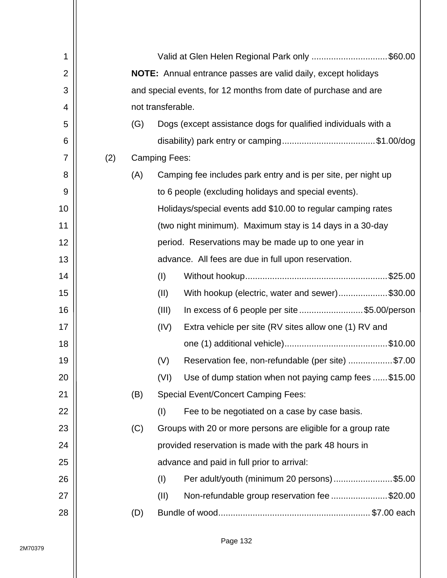| 1              |     | Valid at Glen Helen Regional Park only \$60.00                       |                                                                 |                                                               |  |  |  |  |  |
|----------------|-----|----------------------------------------------------------------------|-----------------------------------------------------------------|---------------------------------------------------------------|--|--|--|--|--|
| $\overline{2}$ |     | <b>NOTE:</b> Annual entrance passes are valid daily, except holidays |                                                                 |                                                               |  |  |  |  |  |
| 3              |     |                                                                      | and special events, for 12 months from date of purchase and are |                                                               |  |  |  |  |  |
| 4              |     |                                                                      | not transferable.                                               |                                                               |  |  |  |  |  |
| 5              |     | (G)                                                                  |                                                                 | Dogs (except assistance dogs for qualified individuals with a |  |  |  |  |  |
| 6              |     |                                                                      |                                                                 |                                                               |  |  |  |  |  |
| $\overline{7}$ | (2) |                                                                      | <b>Camping Fees:</b>                                            |                                                               |  |  |  |  |  |
| 8              |     | (A)                                                                  |                                                                 | Camping fee includes park entry and is per site, per night up |  |  |  |  |  |
| 9              |     |                                                                      |                                                                 | to 6 people (excluding holidays and special events).          |  |  |  |  |  |
| 10             |     |                                                                      |                                                                 | Holidays/special events add \$10.00 to regular camping rates  |  |  |  |  |  |
| 11             |     |                                                                      |                                                                 | (two night minimum). Maximum stay is 14 days in a 30-day      |  |  |  |  |  |
| 12             |     |                                                                      |                                                                 | period. Reservations may be made up to one year in            |  |  |  |  |  |
| 13             |     |                                                                      | advance. All fees are due in full upon reservation.             |                                                               |  |  |  |  |  |
| 14             |     |                                                                      | (1)                                                             |                                                               |  |  |  |  |  |
| 15             |     |                                                                      | (II)                                                            | With hookup (electric, water and sewer)\$30.00                |  |  |  |  |  |
| 16             |     |                                                                      | (III)                                                           | In excess of 6 people per site \$5.00/person                  |  |  |  |  |  |
| 17             |     |                                                                      | (IV)                                                            | Extra vehicle per site (RV sites allow one (1) RV and         |  |  |  |  |  |
| 18             |     |                                                                      |                                                                 |                                                               |  |  |  |  |  |
| 19             |     |                                                                      | (V)                                                             | Reservation fee, non-refundable (per site) \$7.00             |  |  |  |  |  |
| 20             |     |                                                                      | (VI)                                                            | Use of dump station when not paying camp fees \$15.00         |  |  |  |  |  |
| 21             |     | (B)                                                                  |                                                                 | <b>Special Event/Concert Camping Fees:</b>                    |  |  |  |  |  |
| 22             |     |                                                                      | (1)                                                             | Fee to be negotiated on a case by case basis.                 |  |  |  |  |  |
| 23             |     | (C)                                                                  |                                                                 | Groups with 20 or more persons are eligible for a group rate  |  |  |  |  |  |
| 24             |     |                                                                      |                                                                 | provided reservation is made with the park 48 hours in        |  |  |  |  |  |
| 25             |     |                                                                      |                                                                 | advance and paid in full prior to arrival:                    |  |  |  |  |  |
| 26             |     |                                                                      | (1)                                                             | Per adult/youth (minimum 20 persons)\$5.00                    |  |  |  |  |  |
| 27             |     |                                                                      | (II)                                                            | Non-refundable group reservation fee \$20.00                  |  |  |  |  |  |
| 28             |     | (D)                                                                  |                                                                 |                                                               |  |  |  |  |  |
|                |     |                                                                      |                                                                 |                                                               |  |  |  |  |  |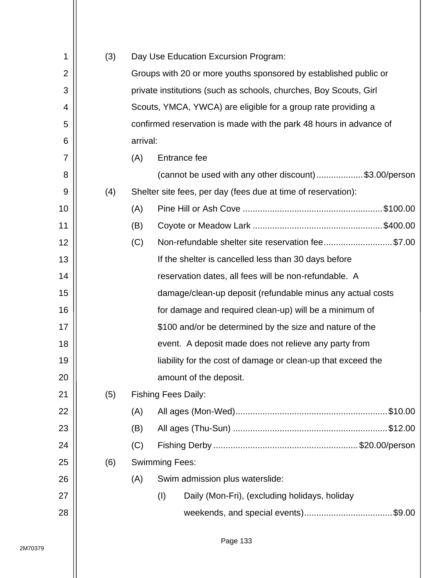| 1              | (3) |          |                                                                    | Day Use Education Excursion Program:                             |  |  |  |  |  |  |  |
|----------------|-----|----------|--------------------------------------------------------------------|------------------------------------------------------------------|--|--|--|--|--|--|--|
| $\overline{2}$ |     |          |                                                                    | Groups with 20 or more youths sponsored by established public or |  |  |  |  |  |  |  |
| 3              |     |          | private institutions (such as schools, churches, Boy Scouts, Girl  |                                                                  |  |  |  |  |  |  |  |
| 4              |     |          | Scouts, YMCA, YWCA) are eligible for a group rate providing a      |                                                                  |  |  |  |  |  |  |  |
| 5              |     |          | confirmed reservation is made with the park 48 hours in advance of |                                                                  |  |  |  |  |  |  |  |
| 6              |     | arrival: |                                                                    |                                                                  |  |  |  |  |  |  |  |
| $\overline{7}$ |     | (A)      |                                                                    | Entrance fee                                                     |  |  |  |  |  |  |  |
| 8              |     |          |                                                                    | (cannot be used with any other discount)\$3.00/person            |  |  |  |  |  |  |  |
| 9              | (4) |          |                                                                    | Shelter site fees, per day (fees due at time of reservation):    |  |  |  |  |  |  |  |
| 10             |     | (A)      |                                                                    |                                                                  |  |  |  |  |  |  |  |
| 11             |     | (B)      |                                                                    |                                                                  |  |  |  |  |  |  |  |
| 12             |     | (C)      |                                                                    | Non-refundable shelter site reservation fee\$7.00                |  |  |  |  |  |  |  |
| 13             |     |          |                                                                    | If the shelter is cancelled less than 30 days before             |  |  |  |  |  |  |  |
| 14             |     |          |                                                                    | reservation dates, all fees will be non-refundable. A            |  |  |  |  |  |  |  |
| 15             |     |          |                                                                    | damage/clean-up deposit (refundable minus any actual costs       |  |  |  |  |  |  |  |
| 16             |     |          |                                                                    | for damage and required clean-up) will be a minimum of           |  |  |  |  |  |  |  |
| 17             |     |          |                                                                    | \$100 and/or be determined by the size and nature of the         |  |  |  |  |  |  |  |
| 18             |     |          |                                                                    | event. A deposit made does not relieve any party from            |  |  |  |  |  |  |  |
| 19             |     |          |                                                                    | liability for the cost of damage or clean-up that exceed the     |  |  |  |  |  |  |  |
| 20             |     |          |                                                                    | amount of the deposit.                                           |  |  |  |  |  |  |  |
| 21             | (5) |          |                                                                    | <b>Fishing Fees Daily:</b>                                       |  |  |  |  |  |  |  |
| 22             |     | (A)      |                                                                    |                                                                  |  |  |  |  |  |  |  |
| 23             |     | (B)      |                                                                    |                                                                  |  |  |  |  |  |  |  |
| 24             |     | (C)      |                                                                    |                                                                  |  |  |  |  |  |  |  |
| 25             | (6) |          | <b>Swimming Fees:</b>                                              |                                                                  |  |  |  |  |  |  |  |
| 26             |     | (A)      |                                                                    | Swim admission plus waterslide:                                  |  |  |  |  |  |  |  |
| 27             |     |          | (1)                                                                | Daily (Mon-Fri), (excluding holidays, holiday                    |  |  |  |  |  |  |  |
| 28             |     |          |                                                                    |                                                                  |  |  |  |  |  |  |  |
|                |     |          |                                                                    |                                                                  |  |  |  |  |  |  |  |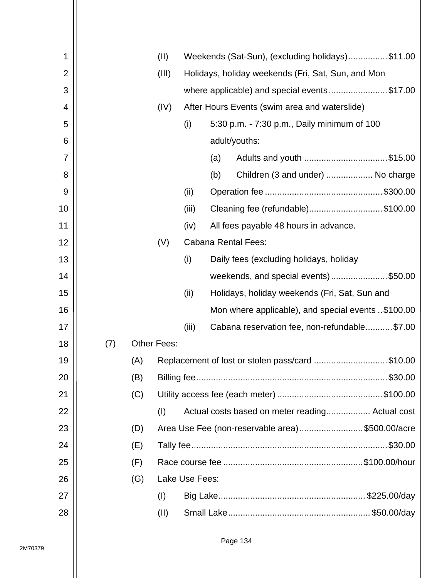| 1              |     |     | (II)               |                            | Weekends (Sat-Sun), (excluding holidays)\$11.00    |                                                    |  |  |  |  |  |
|----------------|-----|-----|--------------------|----------------------------|----------------------------------------------------|----------------------------------------------------|--|--|--|--|--|
| $\overline{2}$ |     |     | (III)              |                            | Holidays, holiday weekends (Fri, Sat, Sun, and Mon |                                                    |  |  |  |  |  |
| 3              |     |     |                    |                            | where applicable) and special events\$17.00        |                                                    |  |  |  |  |  |
| 4              |     |     | (IV)               |                            | After Hours Events (swim area and waterslide)      |                                                    |  |  |  |  |  |
| 5              |     |     |                    | (i)                        | 5:30 p.m. - 7:30 p.m., Daily minimum of 100        |                                                    |  |  |  |  |  |
| 6              |     |     |                    |                            |                                                    | adult/youths:                                      |  |  |  |  |  |
| 7              |     |     |                    |                            | (a)                                                | Adults and youth \$15.00                           |  |  |  |  |  |
| 8              |     |     |                    |                            | (b)                                                | Children (3 and under)  No charge                  |  |  |  |  |  |
| 9              |     |     |                    | (ii)                       |                                                    |                                                    |  |  |  |  |  |
| 10             |     |     |                    | (iii)                      |                                                    | Cleaning fee (refundable)\$100.00                  |  |  |  |  |  |
| 11             |     |     |                    | (iv)                       |                                                    | All fees payable 48 hours in advance.              |  |  |  |  |  |
| 12             |     |     | (V)                | <b>Cabana Rental Fees:</b> |                                                    |                                                    |  |  |  |  |  |
| 13             |     |     |                    | (i)                        |                                                    | Daily fees (excluding holidays, holiday            |  |  |  |  |  |
| 14             |     |     |                    |                            |                                                    | weekends, and special events)\$50.00               |  |  |  |  |  |
| 15             |     |     |                    | (ii)                       |                                                    | Holidays, holiday weekends (Fri, Sat, Sun and      |  |  |  |  |  |
| 16             |     |     |                    |                            |                                                    | Mon where applicable), and special events \$100.00 |  |  |  |  |  |
| 17             |     |     |                    | (iii)                      |                                                    | Cabana reservation fee, non-refundable\$7.00       |  |  |  |  |  |
| 18             | (7) |     | <b>Other Fees:</b> |                            |                                                    |                                                    |  |  |  |  |  |
| 19             |     | (A) |                    |                            |                                                    | Replacement of lost or stolen pass/card \$10.00    |  |  |  |  |  |
| 20             |     | (B) |                    |                            |                                                    |                                                    |  |  |  |  |  |
| 21             |     | (C) |                    |                            |                                                    |                                                    |  |  |  |  |  |
| 22             |     |     | (1)                |                            |                                                    | Actual costs based on meter reading Actual cost    |  |  |  |  |  |
| 23             |     | (D) |                    |                            |                                                    | Area Use Fee (non-reservable area)\$500.00/acre    |  |  |  |  |  |
| 24             |     | (E) |                    |                            |                                                    |                                                    |  |  |  |  |  |
| 25             |     | (F) |                    |                            |                                                    |                                                    |  |  |  |  |  |
| 26             |     | (G) |                    | Lake Use Fees:             |                                                    |                                                    |  |  |  |  |  |
| 27             |     |     | (1)                |                            |                                                    |                                                    |  |  |  |  |  |
| 28             |     |     | (II)               |                            |                                                    |                                                    |  |  |  |  |  |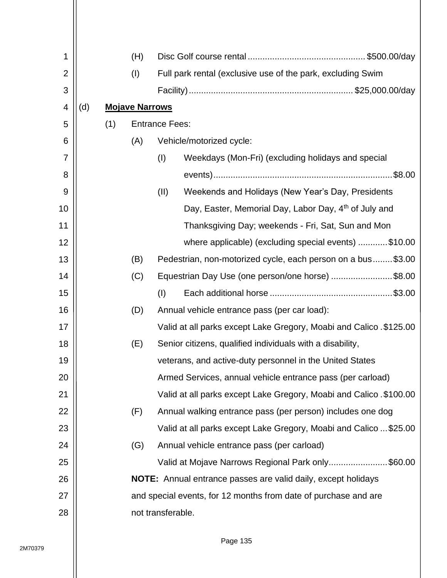| 1  |     |     | (H)                   |                       |                                                                      |  |  |  |  |
|----|-----|-----|-----------------------|-----------------------|----------------------------------------------------------------------|--|--|--|--|
| 2  |     |     | (1)                   |                       | Full park rental (exclusive use of the park, excluding Swim          |  |  |  |  |
| 3  |     |     |                       |                       |                                                                      |  |  |  |  |
| 4  | (d) |     | <b>Mojave Narrows</b> |                       |                                                                      |  |  |  |  |
| 5  |     | (1) |                       | <b>Entrance Fees:</b> |                                                                      |  |  |  |  |
| 6  |     |     | (A)                   |                       | Vehicle/motorized cycle:                                             |  |  |  |  |
| 7  |     |     |                       | (1)                   | Weekdays (Mon-Fri) (excluding holidays and special                   |  |  |  |  |
| 8  |     |     |                       |                       | .\$8.00                                                              |  |  |  |  |
| 9  |     |     |                       | (II)                  | Weekends and Holidays (New Year's Day, Presidents                    |  |  |  |  |
| 10 |     |     |                       |                       | Day, Easter, Memorial Day, Labor Day, 4 <sup>th</sup> of July and    |  |  |  |  |
| 11 |     |     |                       |                       | Thanksgiving Day; weekends - Fri, Sat, Sun and Mon                   |  |  |  |  |
| 12 |     |     |                       |                       | where applicable) (excluding special events) \$10.00                 |  |  |  |  |
| 13 |     |     | (B)                   |                       | Pedestrian, non-motorized cycle, each person on a bus\$3.00          |  |  |  |  |
| 14 |     |     | (C)                   |                       | Equestrian Day Use (one person/one horse) \$8.00                     |  |  |  |  |
| 15 |     |     |                       | (1)                   |                                                                      |  |  |  |  |
| 16 |     |     | (D)                   |                       | Annual vehicle entrance pass (per car load):                         |  |  |  |  |
| 17 |     |     |                       |                       | Valid at all parks except Lake Gregory, Moabi and Calico. \$125.00   |  |  |  |  |
| 18 |     |     | (E)                   |                       | Senior citizens, qualified individuals with a disability,            |  |  |  |  |
| 19 |     |     |                       |                       | veterans, and active-duty personnel in the United States             |  |  |  |  |
| 20 |     |     |                       |                       | Armed Services, annual vehicle entrance pass (per carload)           |  |  |  |  |
| 21 |     |     |                       |                       | Valid at all parks except Lake Gregory, Moabi and Calico . \$100.00  |  |  |  |  |
| 22 |     |     | (F)                   |                       | Annual walking entrance pass (per person) includes one dog           |  |  |  |  |
| 23 |     |     |                       |                       | Valid at all parks except Lake Gregory, Moabi and Calico  \$25.00    |  |  |  |  |
| 24 |     |     | (G)                   |                       | Annual vehicle entrance pass (per carload)                           |  |  |  |  |
| 25 |     |     |                       |                       | Valid at Mojave Narrows Regional Park only\$60.00                    |  |  |  |  |
| 26 |     |     |                       |                       | <b>NOTE:</b> Annual entrance passes are valid daily, except holidays |  |  |  |  |
| 27 |     |     |                       |                       | and special events, for 12 months from date of purchase and are      |  |  |  |  |
| 28 |     |     |                       | not transferable.     |                                                                      |  |  |  |  |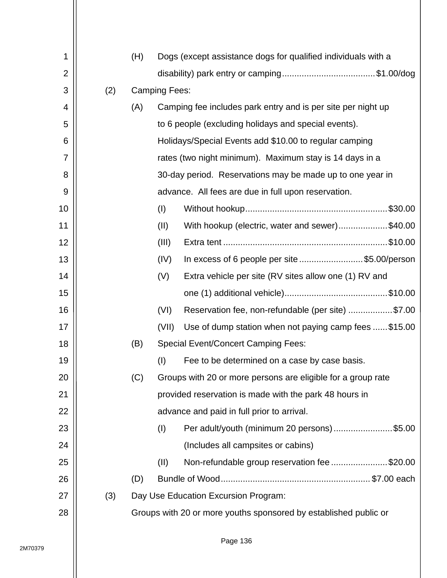| 1              |     | (H) |                      | Dogs (except assistance dogs for qualified individuals with a    |  |
|----------------|-----|-----|----------------------|------------------------------------------------------------------|--|
| $\overline{2}$ |     |     |                      |                                                                  |  |
| 3              | (2) |     | <b>Camping Fees:</b> |                                                                  |  |
| 4              |     | (A) |                      | Camping fee includes park entry and is per site per night up     |  |
| 5              |     |     |                      | to 6 people (excluding holidays and special events).             |  |
| 6              |     |     |                      | Holidays/Special Events add \$10.00 to regular camping           |  |
| $\overline{7}$ |     |     |                      | rates (two night minimum). Maximum stay is 14 days in a          |  |
| 8              |     |     |                      | 30-day period. Reservations may be made up to one year in        |  |
| 9              |     |     |                      | advance. All fees are due in full upon reservation.              |  |
| 10             |     |     | (1)                  |                                                                  |  |
| 11             |     |     | (II)                 | With hookup (electric, water and sewer)\$40.00                   |  |
| 12             |     |     | (III)                |                                                                  |  |
| 13             |     |     | (IV)                 | In excess of 6 people per site \$5.00/person                     |  |
| 14             |     |     | (V)                  | Extra vehicle per site (RV sites allow one (1) RV and            |  |
| 15             |     |     |                      |                                                                  |  |
| 16             |     |     | (VI)                 | Reservation fee, non-refundable (per site) \$7.00                |  |
| 17             |     |     | (VII)                | Use of dump station when not paying camp fees \$15.00            |  |
| 18             |     | (B) |                      | <b>Special Event/Concert Camping Fees:</b>                       |  |
| 19             |     |     | (1)                  | Fee to be determined on a case by case basis.                    |  |
| 20             |     | (C) |                      | Groups with 20 or more persons are eligible for a group rate     |  |
| 21             |     |     |                      | provided reservation is made with the park 48 hours in           |  |
| 22             |     |     |                      | advance and paid in full prior to arrival.                       |  |
| 23             |     |     | (1)                  | Per adult/youth (minimum 20 persons) \$5.00                      |  |
| 24             |     |     |                      | (Includes all campsites or cabins)                               |  |
| 25             |     |     | (II)                 | Non-refundable group reservation fee \$20.00                     |  |
| 26             |     | (D) |                      |                                                                  |  |
| 27             | (3) |     |                      | Day Use Education Excursion Program:                             |  |
| 28             |     |     |                      | Groups with 20 or more youths sponsored by established public or |  |
|                |     |     |                      |                                                                  |  |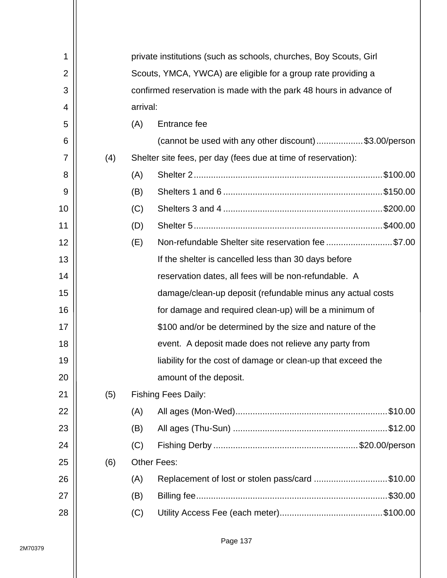| 1              |     |     | private institutions (such as schools, churches, Boy Scouts, Girl  |  |  |  |  |  |  |
|----------------|-----|-----|--------------------------------------------------------------------|--|--|--|--|--|--|
| $\overline{2}$ |     |     | Scouts, YMCA, YWCA) are eligible for a group rate providing a      |  |  |  |  |  |  |
| 3              |     |     | confirmed reservation is made with the park 48 hours in advance of |  |  |  |  |  |  |
| 4              |     |     | arrival:                                                           |  |  |  |  |  |  |
| 5              |     | (A) | Entrance fee                                                       |  |  |  |  |  |  |
| 6              |     |     | (cannot be used with any other discount)\$3.00/person              |  |  |  |  |  |  |
| $\overline{7}$ | (4) |     | Shelter site fees, per day (fees due at time of reservation):      |  |  |  |  |  |  |
| 8              |     | (A) |                                                                    |  |  |  |  |  |  |
| 9              |     | (B) |                                                                    |  |  |  |  |  |  |
| 10             |     | (C) |                                                                    |  |  |  |  |  |  |
| 11             |     | (D) |                                                                    |  |  |  |  |  |  |
| 12             |     | (E) | Non-refundable Shelter site reservation fee \$7.00                 |  |  |  |  |  |  |
| 13             |     |     | If the shelter is cancelled less than 30 days before               |  |  |  |  |  |  |
| 14             |     |     | reservation dates, all fees will be non-refundable. A              |  |  |  |  |  |  |
| 15             |     |     | damage/clean-up deposit (refundable minus any actual costs         |  |  |  |  |  |  |
| 16             |     |     | for damage and required clean-up) will be a minimum of             |  |  |  |  |  |  |
| 17             |     |     | \$100 and/or be determined by the size and nature of the           |  |  |  |  |  |  |
| 18             |     |     | event. A deposit made does not relieve any party from              |  |  |  |  |  |  |
| 19             |     |     | liability for the cost of damage or clean-up that exceed the       |  |  |  |  |  |  |
| 20             |     |     | amount of the deposit.                                             |  |  |  |  |  |  |
| 21             | (5) |     | <b>Fishing Fees Daily:</b>                                         |  |  |  |  |  |  |
| 22             |     | (A) |                                                                    |  |  |  |  |  |  |
| 23             |     | (B) |                                                                    |  |  |  |  |  |  |
| 24             |     | (C) |                                                                    |  |  |  |  |  |  |
| 25             | (6) |     | <b>Other Fees:</b>                                                 |  |  |  |  |  |  |
| 26             |     | (A) | Replacement of lost or stolen pass/card \$10.00                    |  |  |  |  |  |  |
| 27             |     | (B) |                                                                    |  |  |  |  |  |  |
| 28             |     | (C) |                                                                    |  |  |  |  |  |  |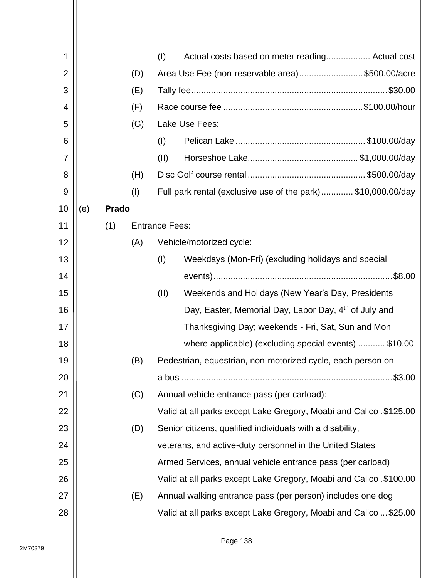| 1              |     |              |     | (1)                   | Actual costs based on meter reading Actual cost                     |
|----------------|-----|--------------|-----|-----------------------|---------------------------------------------------------------------|
| $\overline{2}$ |     |              | (D) |                       | Area Use Fee (non-reservable area)\$500.00/acre                     |
| 3              |     |              | (E) |                       |                                                                     |
| 4              |     |              | (F) |                       |                                                                     |
| 5              |     |              | (G) |                       | Lake Use Fees:                                                      |
| 6              |     |              |     | (I)                   |                                                                     |
| 7              |     |              |     | (II)                  |                                                                     |
| 8              |     |              | (H) |                       |                                                                     |
| 9              |     |              | (1) |                       | Full park rental (exclusive use of the park)\$10,000.00/day         |
| 10             | (e) | <b>Prado</b> |     |                       |                                                                     |
| 11             |     | (1)          |     | <b>Entrance Fees:</b> |                                                                     |
| 12             |     |              | (A) |                       | Vehicle/motorized cycle:                                            |
| 13             |     |              |     | (1)                   | Weekdays (Mon-Fri) (excluding holidays and special                  |
| 14             |     |              |     |                       |                                                                     |
| 15             |     |              |     | (II)                  | Weekends and Holidays (New Year's Day, Presidents                   |
| 16             |     |              |     |                       | Day, Easter, Memorial Day, Labor Day, 4 <sup>th</sup> of July and   |
| 17             |     |              |     |                       | Thanksgiving Day; weekends - Fri, Sat, Sun and Mon                  |
| 18             |     |              |     |                       | where applicable) (excluding special events)  \$10.00               |
| 19             |     |              | (B) |                       | Pedestrian, equestrian, non-motorized cycle, each person on         |
| 20             |     |              |     |                       | $.$ \$3.00                                                          |
| 21             |     |              | (C) |                       | Annual vehicle entrance pass (per carload):                         |
| 22             |     |              |     |                       | Valid at all parks except Lake Gregory, Moabi and Calico . \$125.00 |
| 23             |     |              | (D) |                       | Senior citizens, qualified individuals with a disability,           |
| 24             |     |              |     |                       | veterans, and active-duty personnel in the United States            |
| 25             |     |              |     |                       | Armed Services, annual vehicle entrance pass (per carload)          |
| 26             |     |              |     |                       | Valid at all parks except Lake Gregory, Moabi and Calico . \$100.00 |
| 27             |     |              | (E) |                       | Annual walking entrance pass (per person) includes one dog          |
| 28             |     |              |     |                       | Valid at all parks except Lake Gregory, Moabi and Calico  \$25.00   |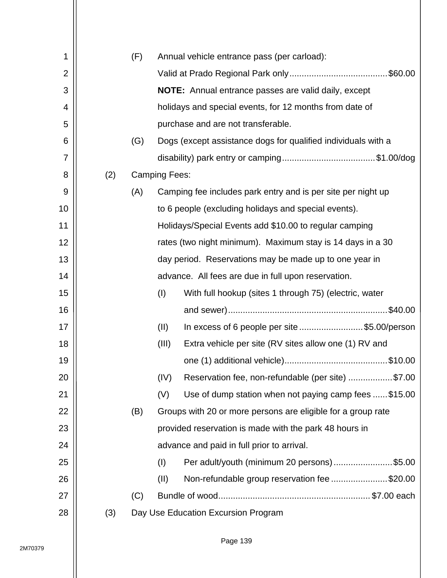| 1              |     | (F) |                      | Annual vehicle entrance pass (per carload):                   |
|----------------|-----|-----|----------------------|---------------------------------------------------------------|
| $\overline{2}$ |     |     |                      |                                                               |
| 3              |     |     |                      | <b>NOTE:</b> Annual entrance passes are valid daily, except   |
| 4              |     |     |                      | holidays and special events, for 12 months from date of       |
| 5              |     |     |                      | purchase and are not transferable.                            |
| 6              |     | (G) |                      | Dogs (except assistance dogs for qualified individuals with a |
| 7              |     |     |                      |                                                               |
| 8              | (2) |     | <b>Camping Fees:</b> |                                                               |
| 9              |     | (A) |                      | Camping fee includes park entry and is per site per night up  |
| 10             |     |     |                      | to 6 people (excluding holidays and special events).          |
| 11             |     |     |                      | Holidays/Special Events add \$10.00 to regular camping        |
| 12             |     |     |                      | rates (two night minimum). Maximum stay is 14 days in a 30    |
| 13             |     |     |                      | day period. Reservations may be made up to one year in        |
| 14             |     |     |                      | advance. All fees are due in full upon reservation.           |
| 15             |     |     | (1)                  | With full hookup (sites 1 through 75) (electric, water        |
| 16             |     |     |                      | \$40.00                                                       |
| 17             |     |     | (II)                 | In excess of 6 people per site \$5.00/person                  |
| 18             |     |     | (III)                | Extra vehicle per site (RV sites allow one (1) RV and         |
| 19             |     |     |                      |                                                               |
| 20             |     |     | (IV)                 | Reservation fee, non-refundable (per site) \$7.00             |
| 21             |     |     | (V)                  | Use of dump station when not paying camp fees \$15.00         |
| 22             |     | (B) |                      | Groups with 20 or more persons are eligible for a group rate  |
| 23             |     |     |                      | provided reservation is made with the park 48 hours in        |
| 24             |     |     |                      | advance and paid in full prior to arrival.                    |
| 25             |     |     | (1)                  | Per adult/youth (minimum 20 persons)\$5.00                    |
| 26             |     |     | (II)                 | Non-refundable group reservation fee \$20.00                  |
| 27             |     | (C) |                      |                                                               |
| 28             | (3) |     |                      | Day Use Education Excursion Program                           |
|                |     |     |                      |                                                               |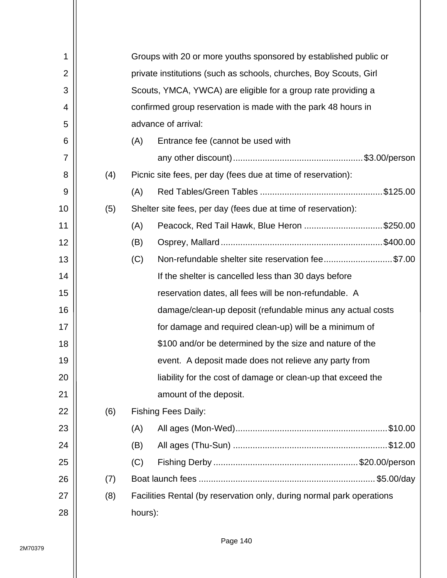| 1  |     | Groups with 20 or more youths sponsored by established public or |                                                                       |  |  |  |  |  |  |
|----|-----|------------------------------------------------------------------|-----------------------------------------------------------------------|--|--|--|--|--|--|
| 2  |     |                                                                  | private institutions (such as schools, churches, Boy Scouts, Girl     |  |  |  |  |  |  |
| 3  |     |                                                                  | Scouts, YMCA, YWCA) are eligible for a group rate providing a         |  |  |  |  |  |  |
| 4  |     |                                                                  | confirmed group reservation is made with the park 48 hours in         |  |  |  |  |  |  |
| 5  |     |                                                                  | advance of arrival:                                                   |  |  |  |  |  |  |
| 6  |     | (A)                                                              | Entrance fee (cannot be used with                                     |  |  |  |  |  |  |
| 7  |     |                                                                  |                                                                       |  |  |  |  |  |  |
| 8  | (4) |                                                                  | Picnic site fees, per day (fees due at time of reservation):          |  |  |  |  |  |  |
| 9  |     | (A)                                                              |                                                                       |  |  |  |  |  |  |
| 10 | (5) |                                                                  | Shelter site fees, per day (fees due at time of reservation):         |  |  |  |  |  |  |
| 11 |     | (A)                                                              | Peacock, Red Tail Hawk, Blue Heron \$250.00                           |  |  |  |  |  |  |
| 12 |     | (B)                                                              |                                                                       |  |  |  |  |  |  |
| 13 |     | (C)                                                              | Non-refundable shelter site reservation fee\$7.00                     |  |  |  |  |  |  |
| 14 |     |                                                                  | If the shelter is cancelled less than 30 days before                  |  |  |  |  |  |  |
| 15 |     |                                                                  | reservation dates, all fees will be non-refundable. A                 |  |  |  |  |  |  |
| 16 |     |                                                                  | damage/clean-up deposit (refundable minus any actual costs            |  |  |  |  |  |  |
| 17 |     |                                                                  | for damage and required clean-up) will be a minimum of                |  |  |  |  |  |  |
| 18 |     |                                                                  | \$100 and/or be determined by the size and nature of the              |  |  |  |  |  |  |
| 19 |     |                                                                  | event. A deposit made does not relieve any party from                 |  |  |  |  |  |  |
| 20 |     |                                                                  | liability for the cost of damage or clean-up that exceed the          |  |  |  |  |  |  |
| 21 |     |                                                                  | amount of the deposit.                                                |  |  |  |  |  |  |
| 22 | (6) |                                                                  | <b>Fishing Fees Daily:</b>                                            |  |  |  |  |  |  |
| 23 |     | (A)                                                              |                                                                       |  |  |  |  |  |  |
| 24 |     | (B)                                                              |                                                                       |  |  |  |  |  |  |
| 25 |     | (C)                                                              |                                                                       |  |  |  |  |  |  |
| 26 | (7) |                                                                  |                                                                       |  |  |  |  |  |  |
| 27 | (8) |                                                                  | Facilities Rental (by reservation only, during normal park operations |  |  |  |  |  |  |
| 28 |     | hours):                                                          |                                                                       |  |  |  |  |  |  |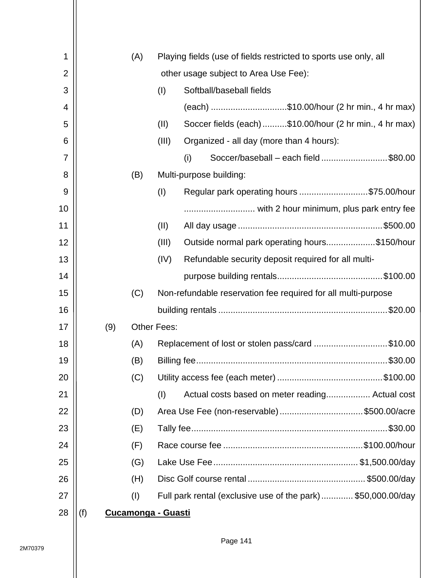| 1              | (A) |                           | Playing fields (use of fields restricted to sports use only, all |
|----------------|-----|---------------------------|------------------------------------------------------------------|
| $\overline{2}$ |     |                           | other usage subject to Area Use Fee):                            |
| 3              |     | (I)                       | Softball/baseball fields                                         |
| 4              |     |                           | (each) \$10.00/hour (2 hr min., 4 hr max)                        |
| 5              |     | (II)                      | Soccer fields (each)\$10.00/hour (2 hr min., 4 hr max)           |
| 6              |     | (III)                     | Organized - all day (more than 4 hours):                         |
| 7              |     |                           | (i)<br>Soccer/baseball – each field\$80.00                       |
| 8              | (B) |                           | Multi-purpose building:                                          |
| 9              |     | (1)                       | Regular park operating hours \$75.00/hour                        |
| 10             |     |                           |                                                                  |
| 11             |     | (II)                      |                                                                  |
| 12             |     | (III)                     | Outside normal park operating hours\$150/hour                    |
| 13             |     | (IV)                      | Refundable security deposit required for all multi-              |
| 14             |     |                           |                                                                  |
| 15             | (C) |                           | Non-refundable reservation fee required for all multi-purpose    |
| 16             |     |                           |                                                                  |
| 17             | (9) | <b>Other Fees:</b>        |                                                                  |
| 18             | (A) |                           | Replacement of lost or stolen pass/card \$10.00                  |
| 19             | (B) |                           |                                                                  |
| 20             | (C) |                           |                                                                  |
| 21             |     | (1)                       | Actual costs based on meter reading Actual cost                  |
| 22             | (D) |                           | Area Use Fee (non-reservable)\$500.00/acre                       |
| 23             | (E) |                           |                                                                  |
| 24             | (F) |                           |                                                                  |
| 25             | (G) |                           |                                                                  |
| 26             | (H) |                           |                                                                  |
| 27             | (I) |                           | Full park rental (exclusive use of the park)\$50,000.00/day      |
| 28             | (f) | <b>Cucamonga - Guasti</b> |                                                                  |
|                |     |                           |                                                                  |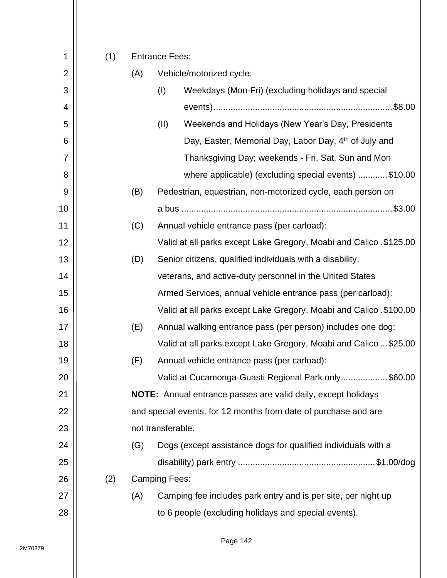|                     |     |     | <b>Entrance Fees:</b> |                                                                     |  |  |  |
|---------------------|-----|-----|-----------------------|---------------------------------------------------------------------|--|--|--|
| 1<br>$\overline{2}$ | (1) | (A) |                       | Vehicle/motorized cycle:                                            |  |  |  |
| 3                   |     |     |                       | Weekdays (Mon-Fri) (excluding holidays and special                  |  |  |  |
|                     |     |     | (I)                   |                                                                     |  |  |  |
| 4                   |     |     |                       |                                                                     |  |  |  |
| 5                   |     |     | (II)                  | Weekends and Holidays (New Year's Day, Presidents                   |  |  |  |
| 6                   |     |     |                       | Day, Easter, Memorial Day, Labor Day, 4 <sup>th</sup> of July and   |  |  |  |
| 7                   |     |     |                       | Thanksgiving Day; weekends - Fri, Sat, Sun and Mon                  |  |  |  |
| 8                   |     |     |                       | where applicable) (excluding special events) \$10.00                |  |  |  |
| 9                   |     | (B) |                       | Pedestrian, equestrian, non-motorized cycle, each person on         |  |  |  |
| 10                  |     |     |                       |                                                                     |  |  |  |
| 11                  |     | (C) |                       | Annual vehicle entrance pass (per carload):                         |  |  |  |
| 12                  |     |     |                       | Valid at all parks except Lake Gregory, Moabi and Calico. \$125.00  |  |  |  |
| 13                  |     | (D) |                       | Senior citizens, qualified individuals with a disability,           |  |  |  |
| 14                  |     |     |                       | veterans, and active-duty personnel in the United States            |  |  |  |
| 15                  |     |     |                       | Armed Services, annual vehicle entrance pass (per carload):         |  |  |  |
| 16                  |     |     |                       | Valid at all parks except Lake Gregory, Moabi and Calico . \$100.00 |  |  |  |
| 17                  |     | (E) |                       | Annual walking entrance pass (per person) includes one dog:         |  |  |  |
| 18                  |     |     |                       | Valid at all parks except Lake Gregory, Moabi and Calico  \$25.00   |  |  |  |
| 19                  |     | (F) |                       | Annual vehicle entrance pass (per carload):                         |  |  |  |
| 20                  |     |     |                       | Valid at Cucamonga-Guasti Regional Park only\$60.00                 |  |  |  |
| 21                  |     |     |                       | NOTE: Annual entrance passes are valid daily, except holidays       |  |  |  |
| 22                  |     |     |                       | and special events, for 12 months from date of purchase and are     |  |  |  |
| 23                  |     |     | not transferable.     |                                                                     |  |  |  |
| 24                  |     | (G) |                       | Dogs (except assistance dogs for qualified individuals with a       |  |  |  |
| 25                  |     |     |                       |                                                                     |  |  |  |
| 26                  | (2) |     | <b>Camping Fees:</b>  |                                                                     |  |  |  |
| 27                  |     | (A) |                       | Camping fee includes park entry and is per site, per night up       |  |  |  |
| 28                  |     |     |                       | to 6 people (excluding holidays and special events).                |  |  |  |
|                     |     |     |                       |                                                                     |  |  |  |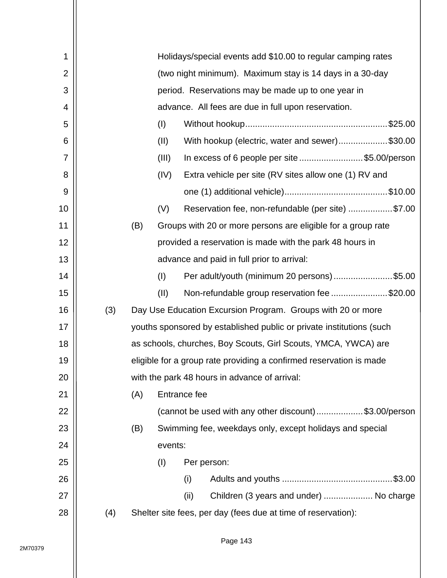| 1              |     |     |         | Holidays/special events add \$10.00 to regular camping rates         |
|----------------|-----|-----|---------|----------------------------------------------------------------------|
| $\overline{2}$ |     |     |         | (two night minimum). Maximum stay is 14 days in a 30-day             |
| 3              |     |     |         | period. Reservations may be made up to one year in                   |
| 4              |     |     |         | advance. All fees are due in full upon reservation.                  |
| 5              |     |     | (1)     |                                                                      |
| 6              |     |     | (II)    | With hookup (electric, water and sewer)\$30.00                       |
| 7              |     |     | (III)   | In excess of 6 people per site \$5.00/person                         |
| 8              |     |     | (IV)    | Extra vehicle per site (RV sites allow one (1) RV and                |
| 9              |     |     |         |                                                                      |
| 10             |     |     | (V)     | Reservation fee, non-refundable (per site) \$7.00                    |
| 11             |     | (B) |         | Groups with 20 or more persons are eligible for a group rate         |
| 12             |     |     |         | provided a reservation is made with the park 48 hours in             |
| 13             |     |     |         | advance and paid in full prior to arrival:                           |
| 14             |     |     | (1)     | Per adult/youth (minimum 20 persons) \$5.00                          |
| 15             |     |     | (II)    | Non-refundable group reservation fee \$20.00                         |
| 16             | (3) |     |         | Day Use Education Excursion Program. Groups with 20 or more          |
| 17             |     |     |         | youths sponsored by established public or private institutions (such |
| 18             |     |     |         | as schools, churches, Boy Scouts, Girl Scouts, YMCA, YWCA) are       |
| 19             |     |     |         | eligible for a group rate providing a confirmed reservation is made  |
| 20             |     |     |         | with the park 48 hours in advance of arrival:                        |
| 21             |     | (A) |         | Entrance fee                                                         |
| 22             |     |     |         | (cannot be used with any other discount)\$3.00/person                |
| 23             |     | (B) |         | Swimming fee, weekdays only, except holidays and special             |
| 24             |     |     | events: |                                                                      |
| 25             |     |     | (I)     | Per person:                                                          |
| 26             |     |     |         | (i)                                                                  |
| 27             |     |     |         | Children (3 years and under)  No charge<br>(ii)                      |
| 28             | (4) |     |         | Shelter site fees, per day (fees due at time of reservation):        |
|                |     |     |         |                                                                      |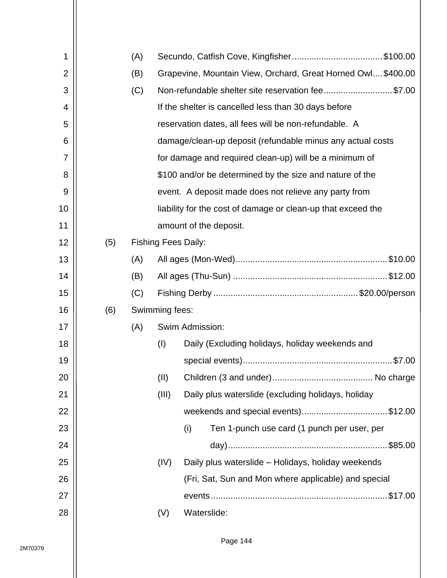| 1              |     | (A) |                |                                                              |
|----------------|-----|-----|----------------|--------------------------------------------------------------|
| $\overline{2}$ |     | (B) |                | Grapevine, Mountain View, Orchard, Great Horned Owl\$400.00  |
| 3              |     | (C) |                | Non-refundable shelter site reservation fee\$7.00            |
| 4              |     |     |                | If the shelter is cancelled less than 30 days before         |
| 5              |     |     |                | reservation dates, all fees will be non-refundable. A        |
| 6              |     |     |                | damage/clean-up deposit (refundable minus any actual costs   |
| 7              |     |     |                | for damage and required clean-up) will be a minimum of       |
| 8              |     |     |                | \$100 and/or be determined by the size and nature of the     |
| 9              |     |     |                | event. A deposit made does not relieve any party from        |
| 10             |     |     |                | liability for the cost of damage or clean-up that exceed the |
| 11             |     |     |                | amount of the deposit.                                       |
| 12             | (5) |     |                | <b>Fishing Fees Daily:</b>                                   |
| 13             |     | (A) |                |                                                              |
| 14             |     | (B) |                |                                                              |
| 15             |     | (C) |                |                                                              |
| 16             | (6) |     | Swimming fees: |                                                              |
| 17             |     | (A) |                | Swim Admission:                                              |
| 18             |     |     | (1)            | Daily (Excluding holidays, holiday weekends and              |
| 19             |     |     |                |                                                              |
| 20             |     |     | (II)           |                                                              |
| 21             |     |     | (III)          | Daily plus waterslide (excluding holidays, holiday           |
| 22             |     |     |                | weekends and special events)\$12.00                          |
| 23             |     |     |                | (i)<br>Ten 1-punch use card (1 punch per user, per           |
| 24             |     |     |                |                                                              |
| 25             |     |     | (IV)           | Daily plus waterslide - Holidays, holiday weekends           |
| 26             |     |     |                | (Fri, Sat, Sun and Mon where applicable) and special         |
| 27             |     |     |                |                                                              |
| 28             |     |     | (V)            | Waterslide:                                                  |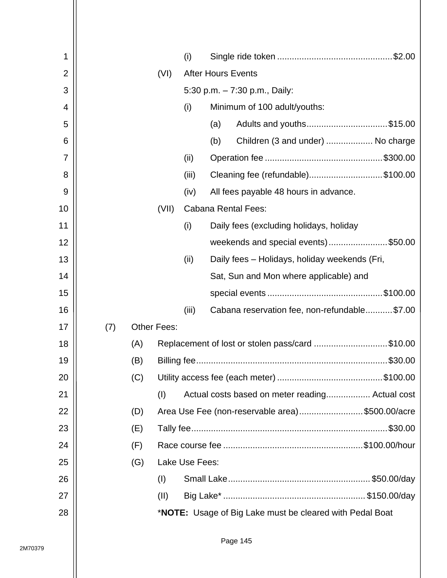| 1              |     |     |                    | (i)            |                           |                                                                  |  |
|----------------|-----|-----|--------------------|----------------|---------------------------|------------------------------------------------------------------|--|
| $\overline{2}$ |     |     | (VI)               |                | <b>After Hours Events</b> |                                                                  |  |
| 3              |     |     |                    |                |                           | 5:30 p.m. - 7:30 p.m., Daily:                                    |  |
| 4              |     |     |                    | (i)            |                           | Minimum of 100 adult/youths:                                     |  |
| 5              |     |     |                    |                | (a)                       | Adults and youths\$15.00                                         |  |
| 6              |     |     |                    |                | (b)                       | Children (3 and under)  No charge                                |  |
| 7              |     |     |                    | (ii)           |                           |                                                                  |  |
| 8              |     |     |                    | (iii)          |                           | Cleaning fee (refundable)\$100.00                                |  |
| 9              |     |     |                    | (iv)           |                           | All fees payable 48 hours in advance.                            |  |
| 10             |     |     | (VII)              |                |                           | <b>Cabana Rental Fees:</b>                                       |  |
| 11             |     |     |                    | (i)            |                           | Daily fees (excluding holidays, holiday                          |  |
| 12             |     |     |                    |                |                           | weekends and special events)\$50.00                              |  |
| 13             |     |     |                    | (ii)           |                           | Daily fees - Holidays, holiday weekends (Fri,                    |  |
| 14             |     |     |                    |                |                           | Sat, Sun and Mon where applicable) and                           |  |
| 15             |     |     |                    |                |                           |                                                                  |  |
| 16             |     |     |                    | (iii)          |                           | Cabana reservation fee, non-refundable\$7.00                     |  |
| 17             | (7) |     | <b>Other Fees:</b> |                |                           |                                                                  |  |
| 18             |     | (A) |                    |                |                           | Replacement of lost or stolen pass/card \$10.00                  |  |
| 19             |     | (B) |                    |                |                           |                                                                  |  |
| 20             |     | (C) |                    |                |                           |                                                                  |  |
| 21             |     |     | (1)                |                |                           | Actual costs based on meter reading Actual cost                  |  |
| 22             |     | (D) |                    |                |                           | Area Use Fee (non-reservable area)\$500.00/acre                  |  |
| 23             |     | (E) |                    |                |                           |                                                                  |  |
| 24             |     | (F) |                    |                |                           |                                                                  |  |
| 25             |     | (G) |                    | Lake Use Fees: |                           |                                                                  |  |
| 26             |     |     | (1)                |                |                           |                                                                  |  |
| 27             |     |     | (11)               |                |                           |                                                                  |  |
| 28             |     |     |                    |                |                           | * <b>NOTE:</b> Usage of Big Lake must be cleared with Pedal Boat |  |
|                |     |     |                    |                |                           |                                                                  |  |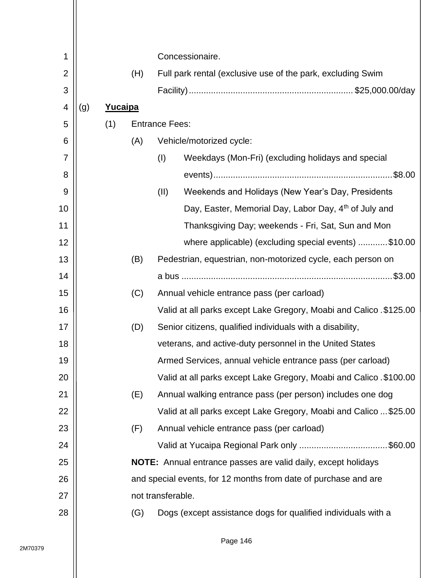| 1              |     |         |     | Concessionaire.       |                                                                      |  |  |
|----------------|-----|---------|-----|-----------------------|----------------------------------------------------------------------|--|--|
| $\overline{2}$ |     |         | (H) |                       | Full park rental (exclusive use of the park, excluding Swim          |  |  |
| 3              |     |         |     |                       |                                                                      |  |  |
| 4              | (g) | Yucaipa |     |                       |                                                                      |  |  |
| 5              |     | (1)     |     | <b>Entrance Fees:</b> |                                                                      |  |  |
| 6              |     |         | (A) |                       | Vehicle/motorized cycle:                                             |  |  |
| 7              |     |         |     | (1)                   | Weekdays (Mon-Fri) (excluding holidays and special                   |  |  |
| 8              |     |         |     |                       |                                                                      |  |  |
| 9              |     |         |     | (II)                  | Weekends and Holidays (New Year's Day, Presidents                    |  |  |
| 10             |     |         |     |                       | Day, Easter, Memorial Day, Labor Day, 4th of July and                |  |  |
| 11             |     |         |     |                       | Thanksgiving Day; weekends - Fri, Sat, Sun and Mon                   |  |  |
| 12             |     |         |     |                       | where applicable) (excluding special events) \$10.00                 |  |  |
| 13             |     |         | (B) |                       | Pedestrian, equestrian, non-motorized cycle, each person on          |  |  |
| 14             |     |         |     |                       |                                                                      |  |  |
| 15             |     |         | (C) |                       | Annual vehicle entrance pass (per carload)                           |  |  |
| 16             |     |         |     |                       | Valid at all parks except Lake Gregory, Moabi and Calico. \$125.00   |  |  |
| 17             |     |         | (D) |                       | Senior citizens, qualified individuals with a disability,            |  |  |
| 18             |     |         |     |                       | veterans, and active-duty personnel in the United States             |  |  |
| 19             |     |         |     |                       | Armed Services, annual vehicle entrance pass (per carload)           |  |  |
| 20             |     |         |     |                       | Valid at all parks except Lake Gregory, Moabi and Calico . \$100.00  |  |  |
| 21             |     |         | (E) |                       | Annual walking entrance pass (per person) includes one dog           |  |  |
| 22             |     |         |     |                       | Valid at all parks except Lake Gregory, Moabi and Calico  \$25.00    |  |  |
| 23             |     |         | (F) |                       | Annual vehicle entrance pass (per carload)                           |  |  |
| 24             |     |         |     |                       | Valid at Yucaipa Regional Park only \$60.00                          |  |  |
| 25             |     |         |     |                       | <b>NOTE:</b> Annual entrance passes are valid daily, except holidays |  |  |
| 26             |     |         |     |                       | and special events, for 12 months from date of purchase and are      |  |  |
| 27             |     |         |     | not transferable.     |                                                                      |  |  |
| 28             |     |         | (G) |                       | Dogs (except assistance dogs for qualified individuals with a        |  |  |
|                |     |         |     |                       |                                                                      |  |  |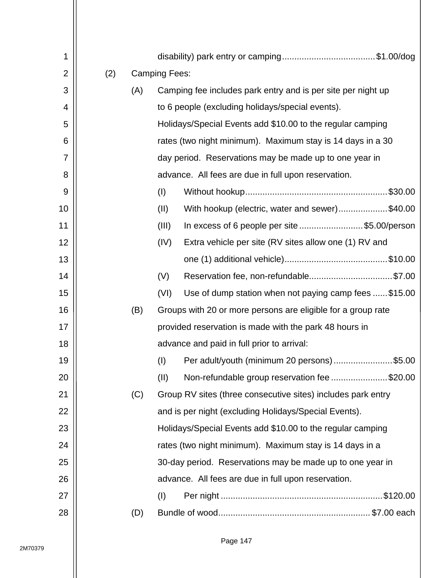| 1              |     |     |                      |                                                              |
|----------------|-----|-----|----------------------|--------------------------------------------------------------|
| $\overline{2}$ | (2) |     | <b>Camping Fees:</b> |                                                              |
| 3              |     | (A) |                      | Camping fee includes park entry and is per site per night up |
| 4              |     |     |                      | to 6 people (excluding holidays/special events).             |
| 5              |     |     |                      | Holidays/Special Events add \$10.00 to the regular camping   |
| 6              |     |     |                      | rates (two night minimum). Maximum stay is 14 days in a 30   |
| 7              |     |     |                      | day period. Reservations may be made up to one year in       |
| 8              |     |     |                      | advance. All fees are due in full upon reservation.          |
| 9              |     |     | (I)                  |                                                              |
| 10             |     |     | (II)                 | With hookup (electric, water and sewer)\$40.00               |
| 11             |     |     | (III)                | In excess of 6 people per site \$5.00/person                 |
| 12             |     |     | (IV)                 | Extra vehicle per site (RV sites allow one (1) RV and        |
| 13             |     |     |                      |                                                              |
| 14             |     |     | (V)                  | Reservation fee, non-refundable\$7.00                        |
| 15             |     |     | (VI)                 | Use of dump station when not paying camp fees \$15.00        |
| 16             |     | (B) |                      | Groups with 20 or more persons are eligible for a group rate |
| 17             |     |     |                      | provided reservation is made with the park 48 hours in       |
| 18             |     |     |                      | advance and paid in full prior to arrival:                   |
| 19             |     |     | (1)                  | Per adult/youth (minimum 20 persons)\$5.00                   |
| 20             |     |     | (II)                 | Non-refundable group reservation fee \$20.00                 |
| 21             |     | (C) |                      | Group RV sites (three consecutive sites) includes park entry |
| 22             |     |     |                      | and is per night (excluding Holidays/Special Events).        |
| 23             |     |     |                      | Holidays/Special Events add \$10.00 to the regular camping   |
| 24             |     |     |                      | rates (two night minimum). Maximum stay is 14 days in a      |
| 25             |     |     |                      | 30-day period. Reservations may be made up to one year in    |
| 26             |     |     |                      | advance. All fees are due in full upon reservation.          |
| 27             |     |     | (1)                  |                                                              |
| 28             |     | (D) |                      |                                                              |
|                |     |     |                      |                                                              |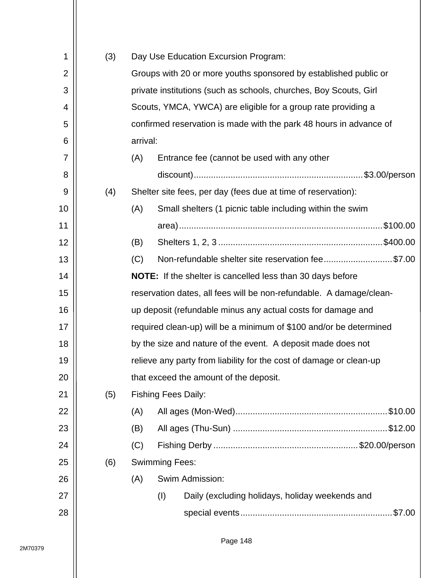| 1              | (3) |                                                                  |                                                                    | Day Use Education Excursion Program:                                |  |  |  |  |
|----------------|-----|------------------------------------------------------------------|--------------------------------------------------------------------|---------------------------------------------------------------------|--|--|--|--|
| $\overline{2}$ |     | Groups with 20 or more youths sponsored by established public or |                                                                    |                                                                     |  |  |  |  |
| 3              |     |                                                                  |                                                                    | private institutions (such as schools, churches, Boy Scouts, Girl   |  |  |  |  |
| 4              |     |                                                                  |                                                                    | Scouts, YMCA, YWCA) are eligible for a group rate providing a       |  |  |  |  |
| 5              |     |                                                                  |                                                                    | confirmed reservation is made with the park 48 hours in advance of  |  |  |  |  |
| 6              |     | arrival:                                                         |                                                                    |                                                                     |  |  |  |  |
| 7              |     | (A)                                                              |                                                                    | Entrance fee (cannot be used with any other                         |  |  |  |  |
| 8              |     |                                                                  |                                                                    |                                                                     |  |  |  |  |
| 9              | (4) |                                                                  |                                                                    | Shelter site fees, per day (fees due at time of reservation):       |  |  |  |  |
| 10             |     | (A)                                                              |                                                                    | Small shelters (1 picnic table including within the swim            |  |  |  |  |
| 11             |     |                                                                  |                                                                    |                                                                     |  |  |  |  |
| 12             |     | (B)                                                              |                                                                    |                                                                     |  |  |  |  |
| 13             |     | (C)                                                              |                                                                    | Non-refundable shelter site reservation fee\$7.00                   |  |  |  |  |
| 14             |     |                                                                  |                                                                    | <b>NOTE:</b> If the shelter is cancelled less than 30 days before   |  |  |  |  |
| 15             |     |                                                                  |                                                                    | reservation dates, all fees will be non-refundable. A damage/clean- |  |  |  |  |
| 16             |     |                                                                  |                                                                    | up deposit (refundable minus any actual costs for damage and        |  |  |  |  |
| 17             |     |                                                                  | required clean-up) will be a minimum of \$100 and/or be determined |                                                                     |  |  |  |  |
| 18             |     |                                                                  |                                                                    | by the size and nature of the event. A deposit made does not        |  |  |  |  |
| 19             |     |                                                                  |                                                                    | relieve any party from liability for the cost of damage or clean-up |  |  |  |  |
| 20             |     |                                                                  |                                                                    | that exceed the amount of the deposit.                              |  |  |  |  |
| 21             | (5) |                                                                  |                                                                    | <b>Fishing Fees Daily:</b>                                          |  |  |  |  |
| 22             |     | (A)                                                              |                                                                    |                                                                     |  |  |  |  |
| 23             |     | (B)                                                              |                                                                    |                                                                     |  |  |  |  |
| 24             |     | (C)                                                              |                                                                    |                                                                     |  |  |  |  |
| 25             | (6) |                                                                  | <b>Swimming Fees:</b>                                              |                                                                     |  |  |  |  |
| 26             |     | (A)                                                              |                                                                    | Swim Admission:                                                     |  |  |  |  |
| 27             |     |                                                                  | (1)                                                                | Daily (excluding holidays, holiday weekends and                     |  |  |  |  |
| 28             |     |                                                                  |                                                                    |                                                                     |  |  |  |  |
|                |     |                                                                  |                                                                    |                                                                     |  |  |  |  |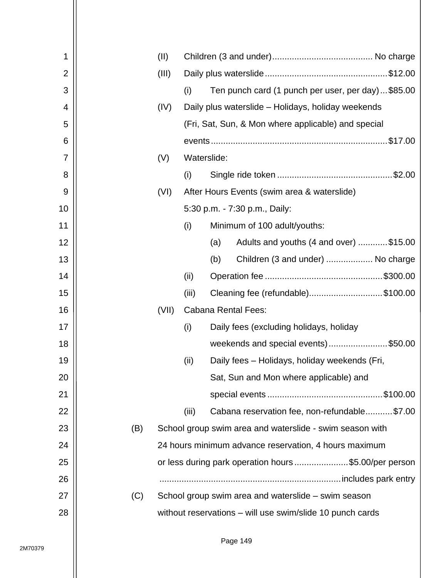| 1              |     | (II)  |       |                                                           |
|----------------|-----|-------|-------|-----------------------------------------------------------|
| $\overline{2}$ |     | (III) |       |                                                           |
| 3              |     |       | (i)   | Ten punch card (1 punch per user, per day)\$85.00         |
| 4              |     | (IV)  |       | Daily plus waterslide - Holidays, holiday weekends        |
| 5              |     |       |       | (Fri, Sat, Sun, & Mon where applicable) and special       |
| 6              |     |       |       |                                                           |
| 7              |     | (V)   |       | Waterslide:                                               |
| 8              |     |       | (i)   |                                                           |
| 9              |     | (VI)  |       | After Hours Events (swim area & waterslide)               |
| 10             |     |       |       | 5:30 p.m. - 7:30 p.m., Daily:                             |
| 11             |     |       | (i)   | Minimum of 100 adult/youths:                              |
| 12             |     |       |       | Adults and youths (4 and over) \$15.00<br>(a)             |
| 13             |     |       |       | Children (3 and under)  No charge<br>(b)                  |
| 14             |     |       | (ii)  |                                                           |
| 15             |     |       | (iii) | Cleaning fee (refundable)\$100.00                         |
| 16             |     | (VII) |       | <b>Cabana Rental Fees:</b>                                |
| 17             |     |       | (i)   | Daily fees (excluding holidays, holiday                   |
| 18             |     |       |       | weekends and special events)\$50.00                       |
| 19             |     |       | (ii)  | Daily fees - Holidays, holiday weekends (Fri,             |
| 20             |     |       |       | Sat, Sun and Mon where applicable) and                    |
| 21             |     |       |       |                                                           |
| 22             |     |       | (iii) | Cabana reservation fee, non-refundable\$7.00              |
| 23             | (B) |       |       | School group swim area and waterslide - swim season with  |
| 24             |     |       |       | 24 hours minimum advance reservation, 4 hours maximum     |
| 25             |     |       |       | or less during park operation hours \$5.00/per person     |
| 26             |     |       |       |                                                           |
| 27             | (C) |       |       | School group swim area and waterslide – swim season       |
| 28             |     |       |       | without reservations - will use swim/slide 10 punch cards |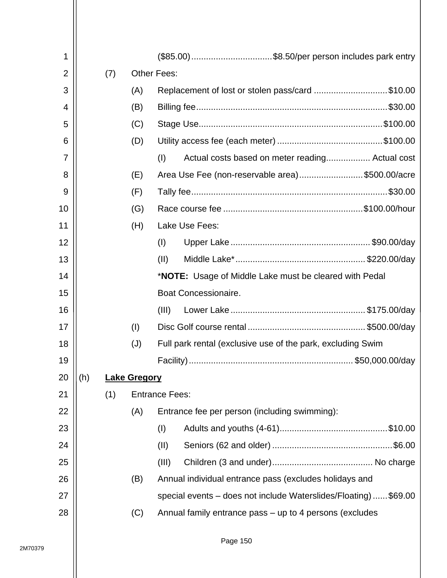| 1              |     |     |                     |                       | (\$85.00) \$8.50/per person includes park entry                |  |  |  |
|----------------|-----|-----|---------------------|-----------------------|----------------------------------------------------------------|--|--|--|
| $\overline{2}$ |     | (7) |                     | <b>Other Fees:</b>    |                                                                |  |  |  |
| 3              |     |     | (A)                 |                       | Replacement of lost or stolen pass/card \$10.00                |  |  |  |
| 4              |     |     | (B)                 |                       |                                                                |  |  |  |
| 5              |     |     | (C)                 |                       |                                                                |  |  |  |
| 6              |     |     | (D)                 |                       |                                                                |  |  |  |
| 7              |     |     |                     | (I)                   | Actual costs based on meter reading Actual cost                |  |  |  |
| 8              |     |     | (E)                 |                       | Area Use Fee (non-reservable area)\$500.00/acre                |  |  |  |
| 9              |     |     | (F)                 |                       |                                                                |  |  |  |
| 10             |     |     | (G)                 |                       |                                                                |  |  |  |
| 11             |     |     | (H)                 |                       | Lake Use Fees:                                                 |  |  |  |
| 12             |     |     |                     | (I)                   |                                                                |  |  |  |
| 13             |     |     |                     | (11)                  |                                                                |  |  |  |
| 14             |     |     |                     |                       | * <b>NOTE:</b> Usage of Middle Lake must be cleared with Pedal |  |  |  |
| 15             |     |     |                     |                       | Boat Concessionaire.                                           |  |  |  |
| 16             |     |     |                     | (III)                 |                                                                |  |  |  |
| 17             |     |     | (1)                 |                       |                                                                |  |  |  |
| 18             |     |     | (J)                 |                       | Full park rental (exclusive use of the park, excluding Swim    |  |  |  |
| 19             |     |     |                     |                       |                                                                |  |  |  |
| 20             | (h) |     | <b>Lake Gregory</b> |                       |                                                                |  |  |  |
| 21             |     | (1) |                     | <b>Entrance Fees:</b> |                                                                |  |  |  |
| 22             |     |     | (A)                 |                       | Entrance fee per person (including swimming):                  |  |  |  |
| 23             |     |     |                     | (1)                   |                                                                |  |  |  |
| 24             |     |     |                     | (II)                  |                                                                |  |  |  |
| 25             |     |     |                     | (III)                 |                                                                |  |  |  |
| 26             |     |     | (B)                 |                       | Annual individual entrance pass (excludes holidays and         |  |  |  |
| 27             |     |     |                     |                       | special events – does not include Waterslides/Floating)\$69.00 |  |  |  |
| 28             |     |     | (C)                 |                       | Annual family entrance pass – up to 4 persons (excludes        |  |  |  |
|                |     |     |                     |                       |                                                                |  |  |  |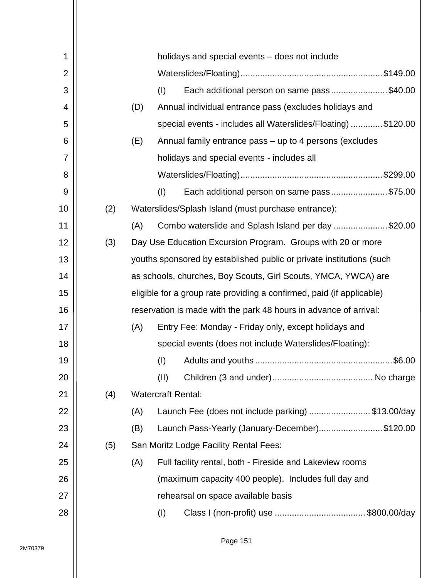| 1              |     |     |      | holidays and special events – does not include                        |
|----------------|-----|-----|------|-----------------------------------------------------------------------|
| $\overline{2}$ |     |     |      |                                                                       |
| 3              |     |     | (1)  | Each additional person on same pass\$40.00                            |
| 4              |     | (D) |      | Annual individual entrance pass (excludes holidays and                |
| 5              |     |     |      | special events - includes all Waterslides/Floating) \$120.00          |
| 6              |     | (E) |      | Annual family entrance pass – up to 4 persons (excludes               |
| 7              |     |     |      | holidays and special events - includes all                            |
| 8              |     |     |      |                                                                       |
| 9              |     |     | (1)  | Each additional person on same pass\$75.00                            |
| 10             | (2) |     |      | Waterslides/Splash Island (must purchase entrance):                   |
| 11             |     | (A) |      | Combo waterslide and Splash Island per day \$20.00                    |
| 12             | (3) |     |      | Day Use Education Excursion Program. Groups with 20 or more           |
| 13             |     |     |      | youths sponsored by established public or private institutions (such  |
| 14             |     |     |      | as schools, churches, Boy Scouts, Girl Scouts, YMCA, YWCA) are        |
| 15             |     |     |      | eligible for a group rate providing a confirmed, paid (if applicable) |
| 16             |     |     |      | reservation is made with the park 48 hours in advance of arrival:     |
| 17             |     | (A) |      | Entry Fee: Monday - Friday only, except holidays and                  |
| 18             |     |     |      | special events (does not include Waterslides/Floating):               |
| 19             |     |     | (1)  |                                                                       |
| 20             |     |     | (II) |                                                                       |
| 21             | (4) |     |      | <b>Watercraft Rental:</b>                                             |
| 22             |     | (A) |      | Launch Fee (does not include parking) \$13.00/day                     |
| 23             |     | (B) |      | Launch Pass-Yearly (January-December)\$120.00                         |
| 24             | (5) |     |      | San Moritz Lodge Facility Rental Fees:                                |
| 25             |     | (A) |      | Full facility rental, both - Fireside and Lakeview rooms              |
| 26             |     |     |      | (maximum capacity 400 people). Includes full day and                  |
| 27             |     |     |      | rehearsal on space available basis                                    |
| 28             |     |     | (I)  |                                                                       |
|                |     |     |      |                                                                       |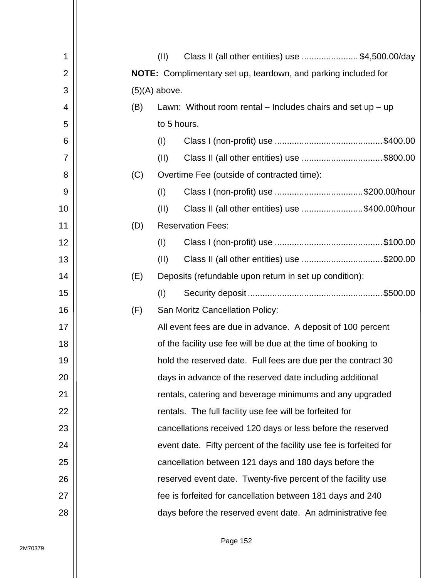| 1              | Class II (all other entities) use \$4,500.00/day<br>(II)               |
|----------------|------------------------------------------------------------------------|
| 2              | <b>NOTE:</b> Complimentary set up, teardown, and parking included for  |
| 3              | $(5)(A)$ above.                                                        |
| 4              | (B)<br>Lawn: Without room rental $-$ Includes chairs and set up $-$ up |
| 5              | to 5 hours.                                                            |
| 6              | (1)                                                                    |
| $\overline{7}$ | (II)<br>Class II (all other entities) use \$800.00                     |
| 8              | (C)<br>Overtime Fee (outside of contracted time):                      |
| 9              | (I)<br>Class I (non-profit) use \$200.00/hour                          |
| 10             | (II)<br>Class II (all other entities) use \$400.00/hour                |
| 11             | <b>Reservation Fees:</b><br>(D)                                        |
| 12             | (1)                                                                    |
| 13             | (II)<br>Class II (all other entities) use \$200.00                     |
| 14             | (E)<br>Deposits (refundable upon return in set up condition):          |
| 15             | (1)                                                                    |
| 16             | (F)<br>San Moritz Cancellation Policy:                                 |
| 17             | All event fees are due in advance. A deposit of 100 percent            |
| 18             | of the facility use fee will be due at the time of booking to          |
| 19             | hold the reserved date. Full fees are due per the contract 30          |
| 20             | days in advance of the reserved date including additional              |
| 21             | rentals, catering and beverage minimums and any upgraded               |
| 22             | rentals. The full facility use fee will be forfeited for               |
| 23             | cancellations received 120 days or less before the reserved            |
| 24             | event date. Fifty percent of the facility use fee is forfeited for     |
| 25             | cancellation between 121 days and 180 days before the                  |
| 26             | reserved event date. Twenty-five percent of the facility use           |
| 27             | fee is forfeited for cancellation between 181 days and 240             |
| 28             | days before the reserved event date. An administrative fee             |
|                |                                                                        |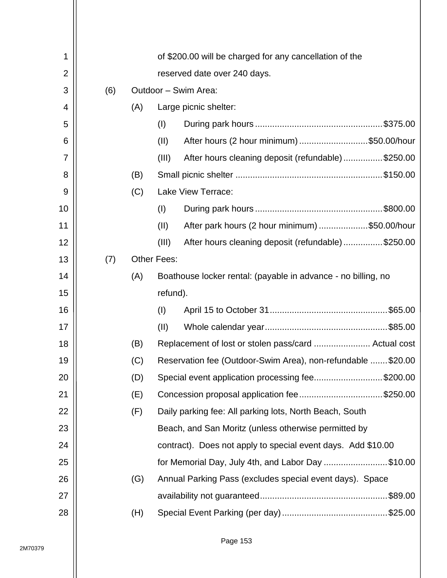| 1  |     |     | of \$200.00 will be charged for any cancellation of the |                                                               |  |  |  |
|----|-----|-----|---------------------------------------------------------|---------------------------------------------------------------|--|--|--|
| 2  |     |     | reserved date over 240 days.                            |                                                               |  |  |  |
| 3  | (6) |     |                                                         | Outdoor - Swim Area:                                          |  |  |  |
| 4  |     | (A) |                                                         | Large picnic shelter:                                         |  |  |  |
| 5  |     |     | (1)                                                     |                                                               |  |  |  |
| 6  |     |     | (II)                                                    | After hours (2 hour minimum) \$50.00/hour                     |  |  |  |
| 7  |     |     | (III)                                                   | After hours cleaning deposit (refundable)\$250.00             |  |  |  |
| 8  |     | (B) |                                                         |                                                               |  |  |  |
| 9  |     | (C) |                                                         | Lake View Terrace:                                            |  |  |  |
| 10 |     |     | (I)                                                     |                                                               |  |  |  |
| 11 |     |     | (II)                                                    | After park hours (2 hour minimum) \$50.00/hour                |  |  |  |
| 12 |     |     | (III)                                                   | After hours cleaning deposit (refundable)\$250.00             |  |  |  |
| 13 | (7) |     | <b>Other Fees:</b>                                      |                                                               |  |  |  |
| 14 |     | (A) |                                                         | Boathouse locker rental: (payable in advance - no billing, no |  |  |  |
| 15 |     |     | refund).                                                |                                                               |  |  |  |
| 16 |     |     | (1)                                                     |                                                               |  |  |  |
| 17 |     |     | (II)                                                    |                                                               |  |  |  |
| 18 |     | (B) |                                                         |                                                               |  |  |  |
| 19 |     | (C) |                                                         | Reservation fee (Outdoor-Swim Area), non-refundable  \$20.00  |  |  |  |
| 20 |     | (D) |                                                         | Special event application processing fee\$200.00              |  |  |  |
| 21 |     | (E) |                                                         | Concession proposal application fee\$250.00                   |  |  |  |
| 22 |     | (F) |                                                         | Daily parking fee: All parking lots, North Beach, South       |  |  |  |
| 23 |     |     |                                                         | Beach, and San Moritz (unless otherwise permitted by          |  |  |  |
| 24 |     |     |                                                         | contract). Does not apply to special event days. Add \$10.00  |  |  |  |
| 25 |     |     |                                                         | for Memorial Day, July 4th, and Labor Day \$10.00             |  |  |  |
| 26 |     | (G) |                                                         | Annual Parking Pass (excludes special event days). Space      |  |  |  |
| 27 |     |     |                                                         | .\$89.00                                                      |  |  |  |
| 28 |     | (H) |                                                         |                                                               |  |  |  |
|    |     |     |                                                         |                                                               |  |  |  |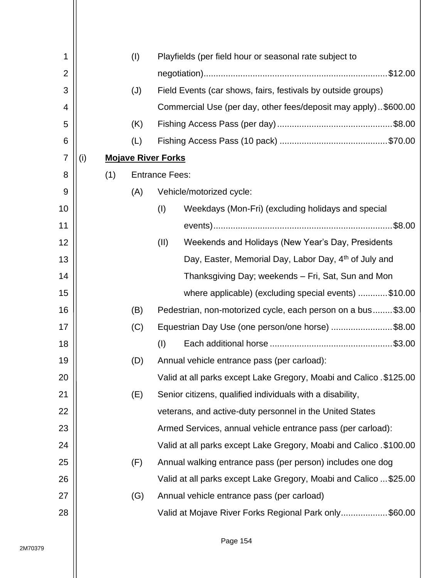| 1              |     |     | (1)                       |                       | Playfields (per field hour or seasonal rate subject to              |
|----------------|-----|-----|---------------------------|-----------------------|---------------------------------------------------------------------|
| $\overline{2}$ |     |     |                           |                       |                                                                     |
| 3              |     |     | (J)                       |                       | Field Events (car shows, fairs, festivals by outside groups)        |
| 4              |     |     |                           |                       | Commercial Use (per day, other fees/deposit may apply). \$600.00    |
| 5              |     |     | (K)                       |                       |                                                                     |
| 6              |     |     | (L)                       |                       |                                                                     |
| $\overline{7}$ | (i) |     | <b>Mojave River Forks</b> |                       |                                                                     |
| 8              |     | (1) |                           | <b>Entrance Fees:</b> |                                                                     |
| 9              |     |     | (A)                       |                       | Vehicle/motorized cycle:                                            |
| 10             |     |     |                           | (1)                   | Weekdays (Mon-Fri) (excluding holidays and special                  |
| 11             |     |     |                           |                       |                                                                     |
| 12             |     |     |                           | (II)                  | Weekends and Holidays (New Year's Day, Presidents                   |
| 13             |     |     |                           |                       | Day, Easter, Memorial Day, Labor Day, 4th of July and               |
| 14             |     |     |                           |                       | Thanksgiving Day; weekends – Fri, Sat, Sun and Mon                  |
| 15             |     |     |                           |                       | where applicable) (excluding special events) \$10.00                |
| 16             |     |     | (B)                       |                       | Pedestrian, non-motorized cycle, each person on a bus\$3.00         |
| 17             |     |     | (C)                       |                       | Equestrian Day Use (one person/one horse) \$8.00                    |
| 18             |     |     |                           | (1)                   |                                                                     |
| 19             |     |     | (D)                       |                       | Annual vehicle entrance pass (per carload):                         |
| 20             |     |     |                           |                       | Valid at all parks except Lake Gregory, Moabi and Calico . \$125.00 |
| 21             |     |     | (E)                       |                       | Senior citizens, qualified individuals with a disability,           |
| 22             |     |     |                           |                       | veterans, and active-duty personnel in the United States            |
| 23             |     |     |                           |                       | Armed Services, annual vehicle entrance pass (per carload):         |
| 24             |     |     |                           |                       | Valid at all parks except Lake Gregory, Moabi and Calico . \$100.00 |
| 25             |     |     | (F)                       |                       | Annual walking entrance pass (per person) includes one dog          |
| 26             |     |     |                           |                       | Valid at all parks except Lake Gregory, Moabi and Calico  \$25.00   |
| 27             |     |     | (G)                       |                       | Annual vehicle entrance pass (per carload)                          |
| 28             |     |     |                           |                       | Valid at Mojave River Forks Regional Park only\$60.00               |
|                |     |     |                           |                       |                                                                     |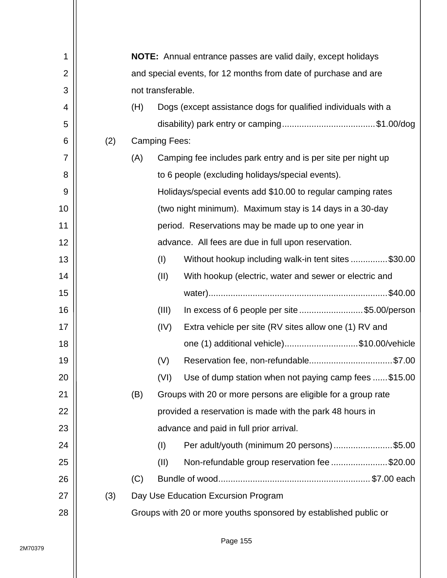| 1              |     |                                                                 |                      | <b>NOTE:</b> Annual entrance passes are valid daily, except holidays |  |  |  |
|----------------|-----|-----------------------------------------------------------------|----------------------|----------------------------------------------------------------------|--|--|--|
| $\overline{2}$ |     | and special events, for 12 months from date of purchase and are |                      |                                                                      |  |  |  |
| 3              |     |                                                                 | not transferable.    |                                                                      |  |  |  |
| 4              |     | (H)                                                             |                      | Dogs (except assistance dogs for qualified individuals with a        |  |  |  |
| 5              |     |                                                                 |                      |                                                                      |  |  |  |
| 6              | (2) |                                                                 | <b>Camping Fees:</b> |                                                                      |  |  |  |
| 7              |     | (A)                                                             |                      | Camping fee includes park entry and is per site per night up         |  |  |  |
| 8              |     |                                                                 |                      | to 6 people (excluding holidays/special events).                     |  |  |  |
| 9              |     |                                                                 |                      | Holidays/special events add \$10.00 to regular camping rates         |  |  |  |
| 10             |     |                                                                 |                      | (two night minimum). Maximum stay is 14 days in a 30-day             |  |  |  |
| 11             |     |                                                                 |                      | period. Reservations may be made up to one year in                   |  |  |  |
| 12             |     |                                                                 |                      | advance. All fees are due in full upon reservation.                  |  |  |  |
| 13             |     |                                                                 | (1)                  | Without hookup including walk-in tent sites \$30.00                  |  |  |  |
| 14             |     |                                                                 | (II)                 | With hookup (electric, water and sewer or electric and               |  |  |  |
| 15             |     |                                                                 |                      |                                                                      |  |  |  |
| 16             |     |                                                                 | (III)                | In excess of 6 people per site \$5.00/person                         |  |  |  |
| 17             |     |                                                                 | (IV)                 | Extra vehicle per site (RV sites allow one (1) RV and                |  |  |  |
| 18             |     |                                                                 |                      | one (1) additional vehicle)\$10.00/vehicle                           |  |  |  |
| 19             |     |                                                                 | (V)                  | Reservation fee, non-refundable\$7.00                                |  |  |  |
| 20             |     |                                                                 | (VI)                 | Use of dump station when not paying camp fees  \$15.00               |  |  |  |
| 21             |     | (B)                                                             |                      | Groups with 20 or more persons are eligible for a group rate         |  |  |  |
| 22             |     |                                                                 |                      | provided a reservation is made with the park 48 hours in             |  |  |  |
| 23             |     |                                                                 |                      | advance and paid in full prior arrival.                              |  |  |  |
| 24             |     |                                                                 | (1)                  | Per adult/youth (minimum 20 persons)\$5.00                           |  |  |  |
| 25             |     |                                                                 | (II)                 | Non-refundable group reservation fee \$20.00                         |  |  |  |
| 26             |     | (C)                                                             |                      |                                                                      |  |  |  |
| 27             | (3) |                                                                 |                      | Day Use Education Excursion Program                                  |  |  |  |
|                |     |                                                                 |                      |                                                                      |  |  |  |
| 28             |     |                                                                 |                      | Groups with 20 or more youths sponsored by established public or     |  |  |  |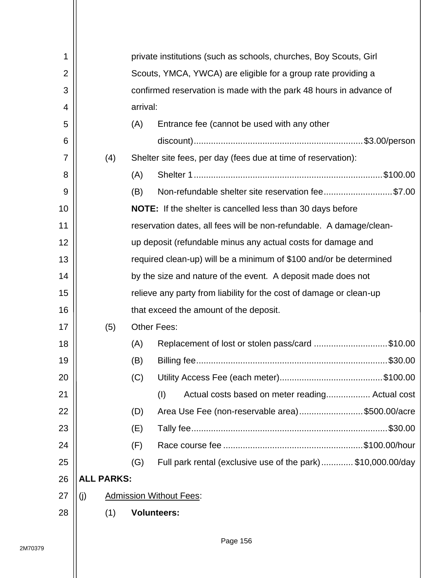| 1              |                   | private institutions (such as schools, churches, Boy Scouts, Girl |          |                                                                    |                                                                     |  |  |  |  |
|----------------|-------------------|-------------------------------------------------------------------|----------|--------------------------------------------------------------------|---------------------------------------------------------------------|--|--|--|--|
| $\overline{2}$ |                   |                                                                   |          | Scouts, YMCA, YWCA) are eligible for a group rate providing a      |                                                                     |  |  |  |  |
| 3              |                   |                                                                   |          | confirmed reservation is made with the park 48 hours in advance of |                                                                     |  |  |  |  |
| 4              |                   |                                                                   | arrival: |                                                                    |                                                                     |  |  |  |  |
| 5              |                   |                                                                   | (A)      |                                                                    | Entrance fee (cannot be used with any other                         |  |  |  |  |
| 6              |                   |                                                                   |          |                                                                    |                                                                     |  |  |  |  |
| 7              |                   | (4)                                                               |          |                                                                    | Shelter site fees, per day (fees due at time of reservation):       |  |  |  |  |
| 8              |                   |                                                                   | (A)      |                                                                    |                                                                     |  |  |  |  |
| 9              |                   |                                                                   | (B)      |                                                                    | Non-refundable shelter site reservation fee\$7.00                   |  |  |  |  |
| 10             |                   |                                                                   |          |                                                                    | <b>NOTE:</b> If the shelter is cancelled less than 30 days before   |  |  |  |  |
| 11             |                   |                                                                   |          |                                                                    | reservation dates, all fees will be non-refundable. A damage/clean- |  |  |  |  |
| 12             |                   |                                                                   |          |                                                                    | up deposit (refundable minus any actual costs for damage and        |  |  |  |  |
| 13             |                   |                                                                   |          |                                                                    | required clean-up) will be a minimum of \$100 and/or be determined  |  |  |  |  |
| 14             |                   |                                                                   |          |                                                                    | by the size and nature of the event. A deposit made does not        |  |  |  |  |
| 15             |                   |                                                                   |          |                                                                    | relieve any party from liability for the cost of damage or clean-up |  |  |  |  |
| 16             |                   |                                                                   |          |                                                                    | that exceed the amount of the deposit.                              |  |  |  |  |
| 17             |                   | (5)                                                               |          | <b>Other Fees:</b>                                                 |                                                                     |  |  |  |  |
| 18             |                   |                                                                   | (A)      |                                                                    | Replacement of lost or stolen pass/card \$10.00                     |  |  |  |  |
| 19             |                   |                                                                   | (B)      |                                                                    |                                                                     |  |  |  |  |
| 20             |                   |                                                                   | (C)      |                                                                    |                                                                     |  |  |  |  |
| 21             |                   |                                                                   |          | (1)                                                                | Actual costs based on meter reading Actual cost                     |  |  |  |  |
| 22             |                   |                                                                   | (D)      |                                                                    | Area Use Fee (non-reservable area)\$500.00/acre                     |  |  |  |  |
| 23             |                   |                                                                   | (E)      |                                                                    |                                                                     |  |  |  |  |
| 24             |                   |                                                                   | (F)      |                                                                    |                                                                     |  |  |  |  |
| 25             |                   |                                                                   | (G)      |                                                                    | Full park rental (exclusive use of the park) \$10,000.00/day        |  |  |  |  |
| 26             | <b>ALL PARKS:</b> |                                                                   |          |                                                                    |                                                                     |  |  |  |  |
| 27             | (j)               |                                                                   |          | <b>Admission Without Fees:</b>                                     |                                                                     |  |  |  |  |
| 28             |                   | (1)                                                               |          | <b>Volunteers:</b>                                                 |                                                                     |  |  |  |  |
|                |                   |                                                                   |          |                                                                    |                                                                     |  |  |  |  |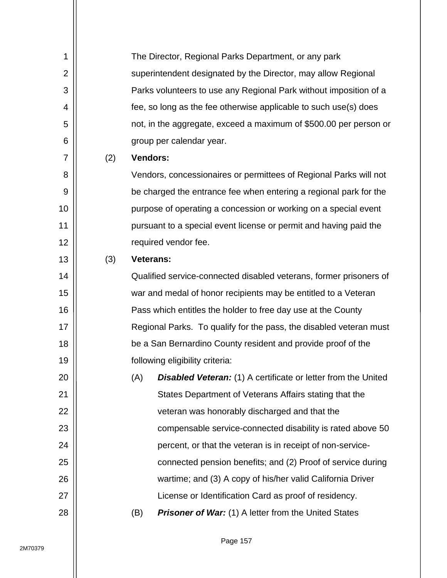| 1              |     |                  | The Director, Regional Parks Department, or any park                 |
|----------------|-----|------------------|----------------------------------------------------------------------|
| $\overline{2}$ |     |                  | superintendent designated by the Director, may allow Regional        |
| 3              |     |                  | Parks volunteers to use any Regional Park without imposition of a    |
| 4              |     |                  | fee, so long as the fee otherwise applicable to such use(s) does     |
| 5              |     |                  | not, in the aggregate, exceed a maximum of \$500.00 per person or    |
| 6              |     |                  | group per calendar year.                                             |
| 7              | (2) | <b>Vendors:</b>  |                                                                      |
| 8              |     |                  | Vendors, concessionaires or permittees of Regional Parks will not    |
| 9              |     |                  | be charged the entrance fee when entering a regional park for the    |
| 10             |     |                  | purpose of operating a concession or working on a special event      |
| 11             |     |                  | pursuant to a special event license or permit and having paid the    |
| 12             |     |                  | required vendor fee.                                                 |
| 13             | (3) | <b>Veterans:</b> |                                                                      |
| 14             |     |                  | Qualified service-connected disabled veterans, former prisoners of   |
| 15             |     |                  | war and medal of honor recipients may be entitled to a Veteran       |
| 16             |     |                  | Pass which entitles the holder to free day use at the County         |
| 17             |     |                  | Regional Parks. To qualify for the pass, the disabled veteran must   |
| 18             |     |                  | be a San Bernardino County resident and provide proof of the         |
| 19             |     |                  | following eligibility criteria:                                      |
| 20             |     | (A)              | <b>Disabled Veteran:</b> (1) A certificate or letter from the United |
| 21             |     |                  | States Department of Veterans Affairs stating that the               |
| 22             |     |                  | veteran was honorably discharged and that the                        |
| 23             |     |                  | compensable service-connected disability is rated above 50           |
| 24             |     |                  | percent, or that the veteran is in receipt of non-service-           |
| 25             |     |                  | connected pension benefits; and (2) Proof of service during          |
| 26             |     |                  | wartime; and (3) A copy of his/her valid California Driver           |
| 27             |     |                  | License or Identification Card as proof of residency.                |
| 28             |     | (B)              | <b>Prisoner of War:</b> (1) A letter from the United States          |
|                |     |                  |                                                                      |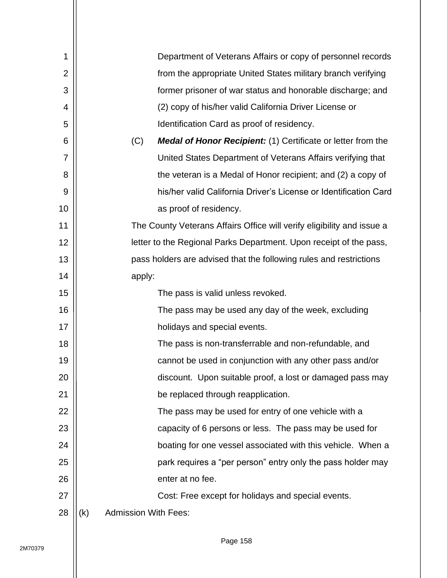| 1              |     | Department of Veterans Affairs or copy of personnel records                |
|----------------|-----|----------------------------------------------------------------------------|
| $\overline{2}$ |     | from the appropriate United States military branch verifying               |
| 3              |     | former prisoner of war status and honorable discharge; and                 |
| 4              |     | (2) copy of his/her valid California Driver License or                     |
| 5              |     | Identification Card as proof of residency.                                 |
| 6              |     | (C)<br><b>Medal of Honor Recipient:</b> (1) Certificate or letter from the |
| 7              |     | United States Department of Veterans Affairs verifying that                |
| 8              |     | the veteran is a Medal of Honor recipient; and (2) a copy of               |
| 9              |     | his/her valid California Driver's License or Identification Card           |
| 10             |     | as proof of residency.                                                     |
| 11             |     | The County Veterans Affairs Office will verify eligibility and issue a     |
| 12             |     | letter to the Regional Parks Department. Upon receipt of the pass,         |
| 13             |     | pass holders are advised that the following rules and restrictions         |
| 14             |     | apply:                                                                     |
| 15             |     | The pass is valid unless revoked.                                          |
| 16             |     | The pass may be used any day of the week, excluding                        |
| 17             |     | holidays and special events.                                               |
| 18             |     | The pass is non-transferrable and non-refundable, and                      |
| 19             |     | cannot be used in conjunction with any other pass and/or                   |
| 20             |     | discount. Upon suitable proof, a lost or damaged pass may                  |
| 21             |     | be replaced through reapplication.                                         |
| 22             |     | The pass may be used for entry of one vehicle with a                       |
| 23             |     | capacity of 6 persons or less. The pass may be used for                    |
| 24             |     | boating for one vessel associated with this vehicle. When a                |
| 25             |     | park requires a "per person" entry only the pass holder may                |
| 26             |     | enter at no fee.                                                           |
| 27             |     | Cost: Free except for holidays and special events.                         |
| 28             | (k) | <b>Admission With Fees:</b>                                                |
|                |     |                                                                            |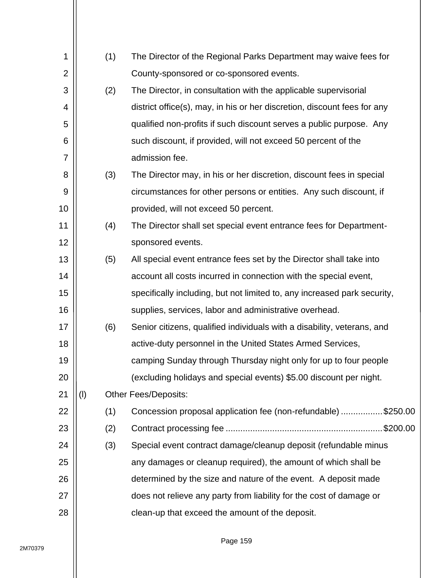| 1              |     | (1) | The Director of the Regional Parks Department may waive fees for         |
|----------------|-----|-----|--------------------------------------------------------------------------|
| $\overline{2}$ |     |     | County-sponsored or co-sponsored events.                                 |
| 3              |     | (2) | The Director, in consultation with the applicable supervisorial          |
| 4              |     |     | district office(s), may, in his or her discretion, discount fees for any |
| 5              |     |     | qualified non-profits if such discount serves a public purpose. Any      |
| 6              |     |     | such discount, if provided, will not exceed 50 percent of the            |
| 7              |     |     | admission fee.                                                           |
| 8              |     | (3) | The Director may, in his or her discretion, discount fees in special     |
| 9              |     |     | circumstances for other persons or entities. Any such discount, if       |
| 10             |     |     | provided, will not exceed 50 percent.                                    |
| 11             |     | (4) | The Director shall set special event entrance fees for Department-       |
| 12             |     |     | sponsored events.                                                        |
| 13             |     | (5) | All special event entrance fees set by the Director shall take into      |
| 14             |     |     | account all costs incurred in connection with the special event,         |
| 15             |     |     | specifically including, but not limited to, any increased park security, |
| 16             |     |     | supplies, services, labor and administrative overhead.                   |
| 17             |     | (6) | Senior citizens, qualified individuals with a disability, veterans, and  |
| 18             |     |     | active-duty personnel in the United States Armed Services,               |
| 19             |     |     | camping Sunday through Thursday night only for up to four people         |
| 20             |     |     | (excluding holidays and special events) \$5.00 discount per night.       |
| 21             | (1) |     | <b>Other Fees/Deposits:</b>                                              |
| 22             |     | (1) | Concession proposal application fee (non-refundable)\$250.00             |
| 23             |     | (2) |                                                                          |
| 24             |     | (3) | Special event contract damage/cleanup deposit (refundable minus          |
| 25             |     |     | any damages or cleanup required), the amount of which shall be           |
| 26             |     |     | determined by the size and nature of the event. A deposit made           |
| 27             |     |     | does not relieve any party from liability for the cost of damage or      |
| 28             |     |     | clean-up that exceed the amount of the deposit.                          |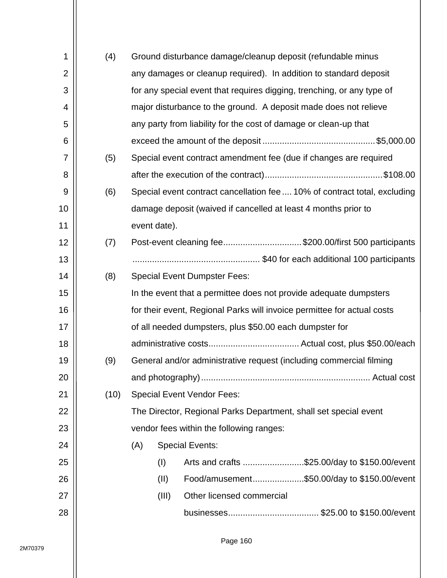| 1              | (4)  | Ground disturbance damage/cleanup deposit (refundable minus               |  |  |  |  |  |  |
|----------------|------|---------------------------------------------------------------------------|--|--|--|--|--|--|
| $\overline{2}$ |      | any damages or cleanup required). In addition to standard deposit         |  |  |  |  |  |  |
| 3              |      | for any special event that requires digging, trenching, or any type of    |  |  |  |  |  |  |
| 4              |      | major disturbance to the ground. A deposit made does not relieve          |  |  |  |  |  |  |
| 5              |      | any party from liability for the cost of damage or clean-up that          |  |  |  |  |  |  |
| 6              |      |                                                                           |  |  |  |  |  |  |
| 7              | (5)  | Special event contract amendment fee (due if changes are required         |  |  |  |  |  |  |
| 8              |      |                                                                           |  |  |  |  |  |  |
| 9              | (6)  | Special event contract cancellation fee  10% of contract total, excluding |  |  |  |  |  |  |
| 10             |      | damage deposit (waived if cancelled at least 4 months prior to            |  |  |  |  |  |  |
| 11             |      | event date).                                                              |  |  |  |  |  |  |
| 12             | (7)  | Post-event cleaning fee\$200.00/first 500 participants                    |  |  |  |  |  |  |
| 13             |      |                                                                           |  |  |  |  |  |  |
| 14             | (8)  | <b>Special Event Dumpster Fees:</b>                                       |  |  |  |  |  |  |
| 15             |      | In the event that a permittee does not provide adequate dumpsters         |  |  |  |  |  |  |
| 16             |      | for their event, Regional Parks will invoice permittee for actual costs   |  |  |  |  |  |  |
| 17             |      | of all needed dumpsters, plus \$50.00 each dumpster for                   |  |  |  |  |  |  |
| 18             |      |                                                                           |  |  |  |  |  |  |
| 19             | (9)  | General and/or administrative request (including commercial filming       |  |  |  |  |  |  |
| 20             |      |                                                                           |  |  |  |  |  |  |
| 21             | (10) | <b>Special Event Vendor Fees:</b>                                         |  |  |  |  |  |  |
| 22             |      | The Director, Regional Parks Department, shall set special event          |  |  |  |  |  |  |
| 23             |      | vendor fees within the following ranges:                                  |  |  |  |  |  |  |
| 24             |      | <b>Special Events:</b><br>(A)                                             |  |  |  |  |  |  |
| 25             |      | Arts and crafts \$25.00/day to \$150.00/event<br>(1)                      |  |  |  |  |  |  |
| 26             |      | Food/amusement\$50.00/day to \$150.00/event<br>(II)                       |  |  |  |  |  |  |
| 27             |      | (III)<br>Other licensed commercial                                        |  |  |  |  |  |  |
| 28             |      |                                                                           |  |  |  |  |  |  |
|                |      |                                                                           |  |  |  |  |  |  |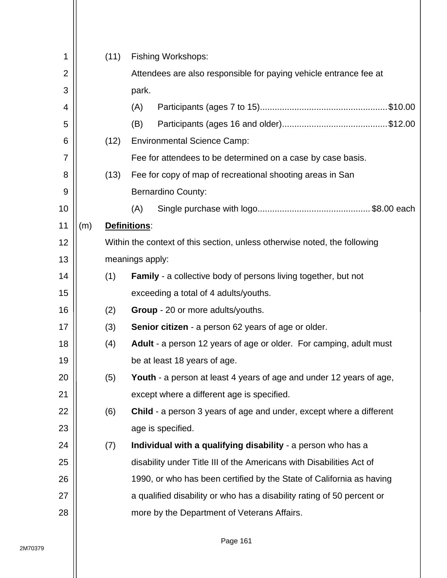| 1              |     | (11) | <b>Fishing Workshops:</b>                                                  |  |  |  |  |  |
|----------------|-----|------|----------------------------------------------------------------------------|--|--|--|--|--|
| $\overline{2}$ |     |      | Attendees are also responsible for paying vehicle entrance fee at          |  |  |  |  |  |
| 3              |     |      | park.                                                                      |  |  |  |  |  |
| 4              |     |      | (A)                                                                        |  |  |  |  |  |
| 5              |     |      | (B)                                                                        |  |  |  |  |  |
| 6              |     | (12) | <b>Environmental Science Camp:</b>                                         |  |  |  |  |  |
| 7              |     |      | Fee for attendees to be determined on a case by case basis.                |  |  |  |  |  |
| 8              |     | (13) | Fee for copy of map of recreational shooting areas in San                  |  |  |  |  |  |
| 9              |     |      | <b>Bernardino County:</b>                                                  |  |  |  |  |  |
| 10             |     |      | (A)                                                                        |  |  |  |  |  |
| 11             | (m) |      | Definitions:                                                               |  |  |  |  |  |
| 12             |     |      | Within the context of this section, unless otherwise noted, the following  |  |  |  |  |  |
| 13             |     |      | meanings apply:                                                            |  |  |  |  |  |
| 14             |     | (1)  | <b>Family</b> - a collective body of persons living together, but not      |  |  |  |  |  |
| 15             |     |      | exceeding a total of 4 adults/youths.                                      |  |  |  |  |  |
| 16             |     | (2)  | Group - 20 or more adults/youths.                                          |  |  |  |  |  |
| 17             |     | (3)  | <b>Senior citizen</b> - a person 62 years of age or older.                 |  |  |  |  |  |
| 18             |     | (4)  | Adult - a person 12 years of age or older. For camping, adult must         |  |  |  |  |  |
| 19             |     |      | be at least 18 years of age.                                               |  |  |  |  |  |
| 20             |     | (5)  | Youth - a person at least 4 years of age and under 12 years of age,        |  |  |  |  |  |
| 21             |     |      | except where a different age is specified.                                 |  |  |  |  |  |
| 22             |     | (6)  | <b>Child</b> - a person 3 years of age and under, except where a different |  |  |  |  |  |
| 23             |     |      | age is specified.                                                          |  |  |  |  |  |
| 24             |     | (7)  | Individual with a qualifying disability - a person who has a               |  |  |  |  |  |
| 25             |     |      | disability under Title III of the Americans with Disabilities Act of       |  |  |  |  |  |
| 26             |     |      | 1990, or who has been certified by the State of California as having       |  |  |  |  |  |
| 27             |     |      | a qualified disability or who has a disability rating of 50 percent or     |  |  |  |  |  |
| 28             |     |      | more by the Department of Veterans Affairs.                                |  |  |  |  |  |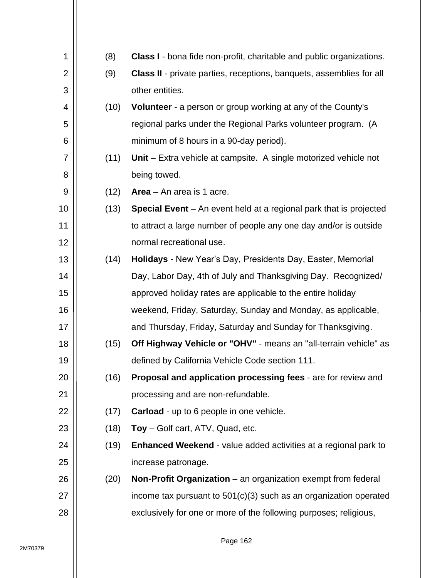| 1              | (8)  | <b>Class I</b> - bona fide non-profit, charitable and public organizations. |
|----------------|------|-----------------------------------------------------------------------------|
| $\overline{2}$ | (9)  | <b>Class II</b> - private parties, receptions, banquets, assemblies for all |
| 3              |      | other entities.                                                             |
| 4              | (10) | Volunteer - a person or group working at any of the County's                |
| 5              |      | regional parks under the Regional Parks volunteer program. (A               |
| 6              |      | minimum of 8 hours in a 90-day period).                                     |
| $\overline{7}$ | (11) | <b>Unit</b> – Extra vehicle at campsite. A single motorized vehicle not     |
| 8              |      | being towed.                                                                |
| 9              | (12) | Area $-$ An area is 1 acre.                                                 |
| 10             | (13) | Special Event – An event held at a regional park that is projected          |
| 11             |      | to attract a large number of people any one day and/or is outside           |
| 12             |      | normal recreational use.                                                    |
| 13             | (14) | Holidays - New Year's Day, Presidents Day, Easter, Memorial                 |
| 14             |      | Day, Labor Day, 4th of July and Thanksgiving Day. Recognized/               |
| 15             |      | approved holiday rates are applicable to the entire holiday                 |
| 16             |      | weekend, Friday, Saturday, Sunday and Monday, as applicable,                |
| 17             |      | and Thursday, Friday, Saturday and Sunday for Thanksgiving.                 |
| 18             | (15) | Off Highway Vehicle or "OHV" - means an "all-terrain vehicle" as            |
| 19             |      | defined by California Vehicle Code section 111.                             |
| 20             | (16) | Proposal and application processing fees - are for review and               |
| 21             |      | processing and are non-refundable.                                          |
| 22             | (17) | <b>Carload</b> - up to 6 people in one vehicle.                             |
| 23             | (18) | Toy - Golf cart, ATV, Quad, etc.                                            |
| 24             | (19) | <b>Enhanced Weekend - value added activities at a regional park to</b>      |
| 25             |      | increase patronage.                                                         |
| 26             | (20) | Non-Profit Organization – an organization exempt from federal               |
| 27             |      | income tax pursuant to $501(c)(3)$ such as an organization operated         |
| 28             |      | exclusively for one or more of the following purposes; religious,           |
|                |      |                                                                             |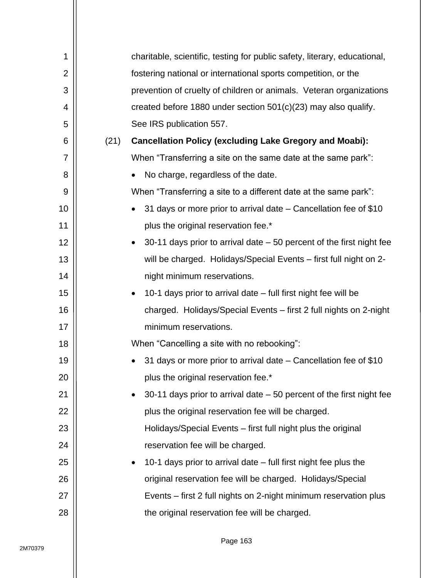| 1              |      | charitable, scientific, testing for public safety, literary, educational,          |
|----------------|------|------------------------------------------------------------------------------------|
| $\overline{2}$ |      | fostering national or international sports competition, or the                     |
| 3              |      | prevention of cruelty of children or animals. Veteran organizations                |
| 4              |      | created before 1880 under section $501(c)(23)$ may also qualify.                   |
| 5              |      | See IRS publication 557.                                                           |
| 6              | (21) | <b>Cancellation Policy (excluding Lake Gregory and Moabi):</b>                     |
| 7              |      | When "Transferring a site on the same date at the same park":                      |
| 8              |      | No charge, regardless of the date.<br>$\bullet$                                    |
| 9              |      | When "Transferring a site to a different date at the same park":                   |
| 10             |      | 31 days or more prior to arrival date – Cancellation fee of \$10<br>$\bullet$      |
| 11             |      | plus the original reservation fee.*                                                |
| 12             |      | 30-11 days prior to arrival date $-50$ percent of the first night fee<br>$\bullet$ |
| 13             |      | will be charged. Holidays/Special Events - first full night on 2-                  |
| 14             |      | night minimum reservations.                                                        |
| 15             |      | 10-1 days prior to arrival date – full first night fee will be<br>$\bullet$        |
| 16             |      | charged. Holidays/Special Events - first 2 full nights on 2-night                  |
| 17             |      | minimum reservations.                                                              |
| 18             |      | When "Cancelling a site with no rebooking":                                        |
| 19             |      | 31 days or more prior to arrival date - Cancellation fee of \$10                   |
| 20             |      | plus the original reservation fee.*                                                |
| 21             |      | 30-11 days prior to arrival date $-50$ percent of the first night fee<br>$\bullet$ |
| 22             |      | plus the original reservation fee will be charged.                                 |
| 23             |      | Holidays/Special Events – first full night plus the original                       |
| 24             |      | reservation fee will be charged.                                                   |
| 25             |      | 10-1 days prior to arrival date - full first night fee plus the<br>$\bullet$       |
| 26             |      | original reservation fee will be charged. Holidays/Special                         |
| 27             |      | Events – first 2 full nights on 2-night minimum reservation plus                   |
| 28             |      | the original reservation fee will be charged.                                      |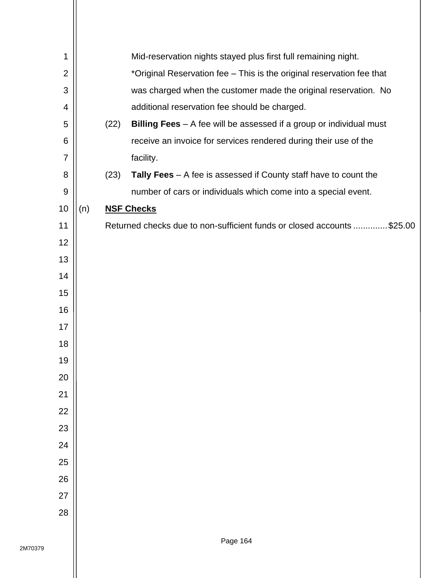| 1              |     |      | Mid-reservation nights stayed plus first full remaining night.         |
|----------------|-----|------|------------------------------------------------------------------------|
| $\overline{2}$ |     |      | *Original Reservation fee - This is the original reservation fee that  |
| 3              |     |      | was charged when the customer made the original reservation. No        |
| 4              |     |      | additional reservation fee should be charged.                          |
| 5              |     | (22) | Billing Fees - A fee will be assessed if a group or individual must    |
| 6              |     |      | receive an invoice for services rendered during their use of the       |
| 7              |     |      | facility.                                                              |
| 8              |     | (23) | Tally Fees $-$ A fee is assessed if County staff have to count the     |
| 9              |     |      | number of cars or individuals which come into a special event.         |
| 10             | (n) |      | <b>NSF Checks</b>                                                      |
| 11             |     |      | Returned checks due to non-sufficient funds or closed accounts \$25.00 |
| 12             |     |      |                                                                        |
| 13             |     |      |                                                                        |
| 14             |     |      |                                                                        |
| 15             |     |      |                                                                        |
| 16             |     |      |                                                                        |
| 17             |     |      |                                                                        |
| 18             |     |      |                                                                        |
| 19             |     |      |                                                                        |
| 20             |     |      |                                                                        |
| 21             |     |      |                                                                        |
| 22             |     |      |                                                                        |
| 23             |     |      |                                                                        |
| 24             |     |      |                                                                        |
| 25             |     |      |                                                                        |
| 26             |     |      |                                                                        |
| 27             |     |      |                                                                        |
| 28             |     |      |                                                                        |
|                |     |      |                                                                        |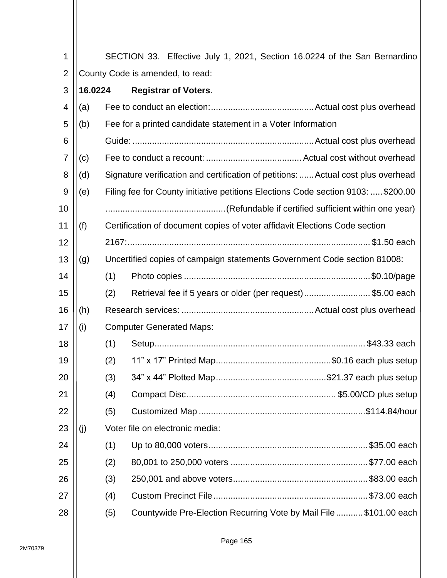| 1              |                                        |     |  |                                                                            |  |  |  |  |  | SECTION 33. Effective July 1, 2021, Section 16.0224 of the San Bernardino         |
|----------------|----------------------------------------|-----|--|----------------------------------------------------------------------------|--|--|--|--|--|-----------------------------------------------------------------------------------|
| $\overline{2}$ | County Code is amended, to read:       |     |  |                                                                            |  |  |  |  |  |                                                                                   |
| 3              | 16.0224<br><b>Registrar of Voters.</b> |     |  |                                                                            |  |  |  |  |  |                                                                                   |
| 4              | (a)                                    |     |  |                                                                            |  |  |  |  |  |                                                                                   |
| 5              | (b)                                    |     |  | Fee for a printed candidate statement in a Voter Information               |  |  |  |  |  |                                                                                   |
| 6              |                                        |     |  |                                                                            |  |  |  |  |  |                                                                                   |
| $\overline{7}$ | (c)                                    |     |  |                                                                            |  |  |  |  |  |                                                                                   |
| 8              | (d)                                    |     |  |                                                                            |  |  |  |  |  | Signature verification and certification of petitions:  Actual cost plus overhead |
| 9              | (e)                                    |     |  |                                                                            |  |  |  |  |  | Filing fee for County initiative petitions Elections Code section 9103:  \$200.00 |
| 10             |                                        |     |  |                                                                            |  |  |  |  |  |                                                                                   |
| 11             | (f)                                    |     |  | Certification of document copies of voter affidavit Elections Code section |  |  |  |  |  |                                                                                   |
| 12             |                                        |     |  |                                                                            |  |  |  |  |  |                                                                                   |
| 13             | (g)                                    |     |  | Uncertified copies of campaign statements Government Code section 81008:   |  |  |  |  |  |                                                                                   |
| 14             |                                        | (1) |  |                                                                            |  |  |  |  |  |                                                                                   |
| 15             |                                        | (2) |  |                                                                            |  |  |  |  |  | Retrieval fee if 5 years or older (per request)\$5.00 each                        |
| 16             | (h)                                    |     |  |                                                                            |  |  |  |  |  |                                                                                   |
| 17             | (i)                                    |     |  | <b>Computer Generated Maps:</b>                                            |  |  |  |  |  |                                                                                   |
| 18             |                                        | (1) |  |                                                                            |  |  |  |  |  |                                                                                   |
| 19             |                                        | (2) |  |                                                                            |  |  |  |  |  |                                                                                   |
| 20             |                                        | (3) |  |                                                                            |  |  |  |  |  |                                                                                   |
| 21             |                                        | (4) |  |                                                                            |  |  |  |  |  |                                                                                   |
| 22             |                                        | (5) |  |                                                                            |  |  |  |  |  |                                                                                   |
| 23             | (j)                                    |     |  | Voter file on electronic media:                                            |  |  |  |  |  |                                                                                   |
| 24             |                                        | (1) |  |                                                                            |  |  |  |  |  |                                                                                   |
| 25             |                                        | (2) |  |                                                                            |  |  |  |  |  |                                                                                   |
| 26             |                                        | (3) |  |                                                                            |  |  |  |  |  |                                                                                   |
| 27             |                                        | (4) |  |                                                                            |  |  |  |  |  |                                                                                   |
| 28             |                                        | (5) |  |                                                                            |  |  |  |  |  | Countywide Pre-Election Recurring Vote by Mail File\$101.00 each                  |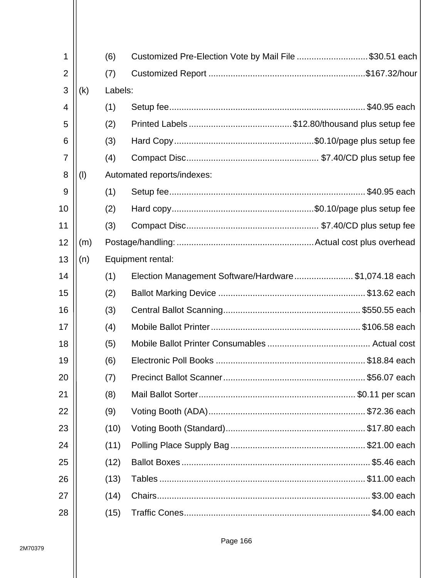| 1              |     | (6)     | Customized Pre-Election Vote by Mail File \$30.51 each |  |
|----------------|-----|---------|--------------------------------------------------------|--|
| $\overline{2}$ |     | (7)     |                                                        |  |
| 3              | (k) | Labels: |                                                        |  |
| 4              |     | (1)     |                                                        |  |
| 5              |     | (2)     |                                                        |  |
| 6              |     | (3)     |                                                        |  |
| 7              |     | (4)     |                                                        |  |
| 8              | (1) |         | Automated reports/indexes:                             |  |
| 9              |     | (1)     |                                                        |  |
| 10             |     | (2)     |                                                        |  |
| 11             |     | (3)     |                                                        |  |
| 12             | (m) |         |                                                        |  |
| 13             | (n) |         | Equipment rental:                                      |  |
| 14             |     | (1)     | Election Management Software/Hardware\$1,074.18 each   |  |
| 15             |     | (2)     |                                                        |  |
| 16             |     | (3)     |                                                        |  |
| 17             |     | (4)     |                                                        |  |
| 18             |     | (5)     |                                                        |  |
| 19             |     | (6)     |                                                        |  |
| 20             |     | (7)     |                                                        |  |
| 21             |     | (8)     |                                                        |  |
| 22             |     | (9)     |                                                        |  |
| 23             |     | (10)    |                                                        |  |
| 24             |     | (11)    |                                                        |  |
| 25             |     | (12)    |                                                        |  |
| 26             |     | (13)    |                                                        |  |
| 27             |     | (14)    |                                                        |  |
| 28             |     | (15)    |                                                        |  |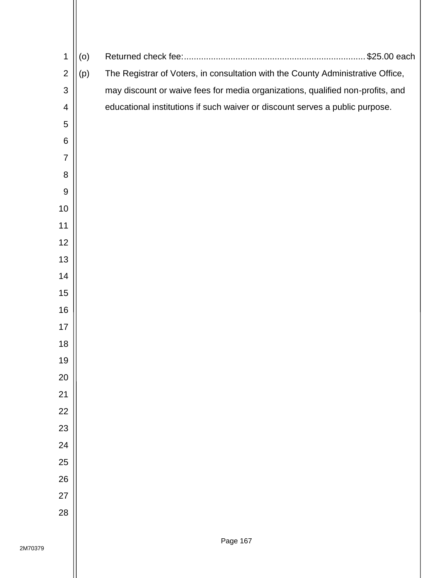| 1                | (0) |                                                                                 |
|------------------|-----|---------------------------------------------------------------------------------|
| $\overline{2}$   | (p) | The Registrar of Voters, in consultation with the County Administrative Office, |
| 3                |     | may discount or waive fees for media organizations, qualified non-profits, and  |
| 4                |     | educational institutions if such waiver or discount serves a public purpose.    |
| 5                |     |                                                                                 |
| 6                |     |                                                                                 |
| $\overline{7}$   |     |                                                                                 |
| 8                |     |                                                                                 |
| $\boldsymbol{9}$ |     |                                                                                 |
| 10               |     |                                                                                 |
| 11               |     |                                                                                 |
| 12               |     |                                                                                 |
| 13               |     |                                                                                 |
| 14               |     |                                                                                 |
| 15               |     |                                                                                 |
| 16               |     |                                                                                 |
| 17               |     |                                                                                 |
| 18               |     |                                                                                 |
| 19               |     |                                                                                 |
| 20               |     |                                                                                 |
| 21               |     |                                                                                 |
| 22               |     |                                                                                 |
| 23               |     |                                                                                 |
| 24               |     |                                                                                 |
| 25               |     |                                                                                 |
| 26               |     |                                                                                 |
| 27               |     |                                                                                 |
| 28               |     |                                                                                 |
|                  |     |                                                                                 |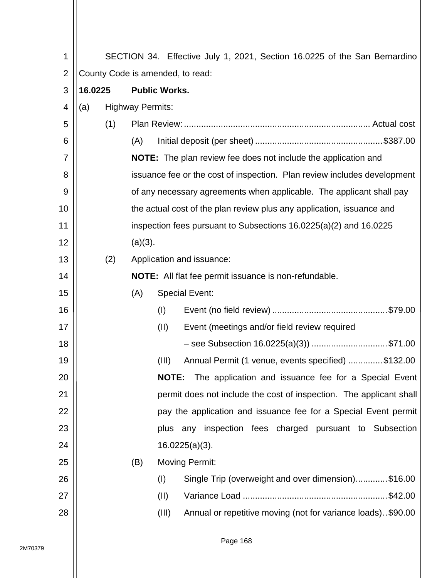| 1              |                                  |     |                         |                      | SECTION 34. Effective July 1, 2021, Section 16.0225 of the San Bernardino |  |
|----------------|----------------------------------|-----|-------------------------|----------------------|---------------------------------------------------------------------------|--|
| $\overline{2}$ | County Code is amended, to read: |     |                         |                      |                                                                           |  |
| 3              | 16.0225                          |     |                         | <b>Public Works.</b> |                                                                           |  |
| $\overline{4}$ | (a)                              |     | <b>Highway Permits:</b> |                      |                                                                           |  |
| 5              |                                  | (1) |                         |                      |                                                                           |  |
| 6              |                                  |     | (A)                     |                      |                                                                           |  |
| 7              |                                  |     |                         |                      | NOTE: The plan review fee does not include the application and            |  |
| 8              |                                  |     |                         |                      | issuance fee or the cost of inspection. Plan review includes development  |  |
| 9              |                                  |     |                         |                      | of any necessary agreements when applicable. The applicant shall pay      |  |
| 10             |                                  |     |                         |                      | the actual cost of the plan review plus any application, issuance and     |  |
| 11             |                                  |     |                         |                      | inspection fees pursuant to Subsections $16.0225(a)(2)$ and $16.0225$     |  |
| 12             |                                  |     | (a)(3).                 |                      |                                                                           |  |
| 13             |                                  | (2) |                         |                      | Application and issuance:                                                 |  |
| 14             |                                  |     |                         |                      | NOTE: All flat fee permit issuance is non-refundable.                     |  |
| 15             |                                  |     | (A)                     |                      | <b>Special Event:</b>                                                     |  |
| 16             |                                  |     |                         | (1)                  |                                                                           |  |
| 17             |                                  |     |                         | (II)                 | Event (meetings and/or field review required                              |  |
| 18             |                                  |     |                         |                      | - see Subsection 16.0225(a)(3)) \$71.00                                   |  |
| 19             |                                  |     |                         | (III)                | Annual Permit (1 venue, events specified) \$132.00                        |  |
| 20             |                                  |     |                         | <b>NOTE:</b>         | The application and issuance fee for a Special Event                      |  |
| 21             |                                  |     |                         |                      | permit does not include the cost of inspection. The applicant shall       |  |
| 22             |                                  |     |                         |                      | pay the application and issuance fee for a Special Event permit           |  |
| 23             |                                  |     |                         |                      | plus any inspection fees charged pursuant to Subsection                   |  |
| 24             |                                  |     |                         |                      | $16.0225(a)(3)$ .                                                         |  |
| 25             |                                  |     | (B)                     |                      | <b>Moving Permit:</b>                                                     |  |
| 26             |                                  |     |                         | (1)                  | Single Trip (overweight and over dimension)\$16.00                        |  |
| 27             |                                  |     |                         | (II)                 |                                                                           |  |
| 28             |                                  |     |                         | (III)                | Annual or repetitive moving (not for variance loads). \$90.00             |  |
|                |                                  |     |                         |                      |                                                                           |  |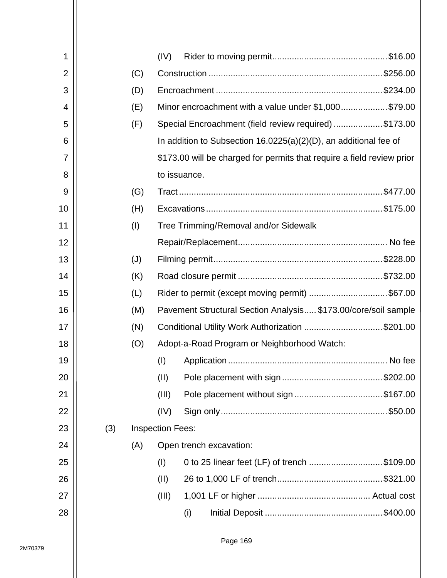| 1              |     |     | (IV)                    |                                                                        |
|----------------|-----|-----|-------------------------|------------------------------------------------------------------------|
| $\overline{2}$ |     | (C) |                         |                                                                        |
| 3              |     | (D) |                         |                                                                        |
| 4              |     | (E) |                         | Minor encroachment with a value under \$1,000 \$79.00                  |
| 5              |     | (F) |                         | Special Encroachment (field review required) \$173.00                  |
| 6              |     |     |                         | In addition to Subsection $16.0225(a)(2)(D)$ , an additional fee of    |
| 7              |     |     |                         | \$173.00 will be charged for permits that require a field review prior |
| 8              |     |     |                         | to issuance.                                                           |
| 9              |     | (G) |                         |                                                                        |
| 10             |     | (H) |                         |                                                                        |
| 11             |     | (I) |                         | Tree Trimming/Removal and/or Sidewalk                                  |
| 12             |     |     |                         |                                                                        |
| 13             |     | (J) |                         |                                                                        |
| 14             |     | (K) |                         |                                                                        |
| 15             |     | (L) |                         | Rider to permit (except moving permit) \$67.00                         |
| 16             |     | (M) |                         | Pavement Structural Section Analysis \$173.00/core/soil sample         |
| 17             |     | (N) |                         | Conditional Utility Work Authorization \$201.00                        |
| 18             |     | (O) |                         | Adopt-a-Road Program or Neighborhood Watch:                            |
| 19             |     |     | (1)                     |                                                                        |
| 20             |     |     | (II)                    |                                                                        |
| 21             |     |     | (III)                   |                                                                        |
| 22             |     |     | (IV)                    |                                                                        |
| 23             | (3) |     | <b>Inspection Fees:</b> |                                                                        |
| 24             |     | (A) |                         | Open trench excavation:                                                |
| 25             |     |     | (1)                     | 0 to 25 linear feet (LF) of trench \$109.00                            |
| 26             |     |     | (II)                    |                                                                        |
| 27             |     |     | (III)                   |                                                                        |
| 28             |     |     |                         | (i)                                                                    |
|                |     |     |                         |                                                                        |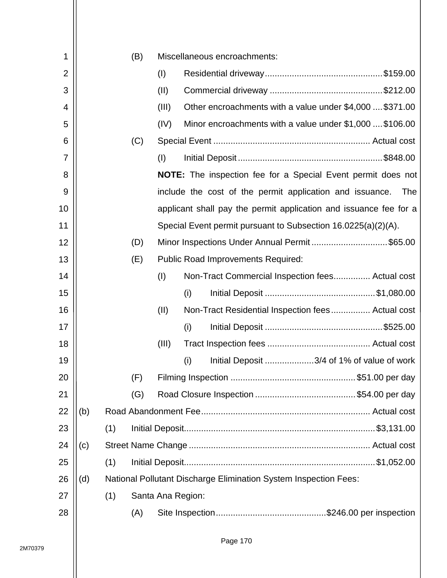| 1              |     |     | (B) |       | Miscellaneous encroachments:                                            |
|----------------|-----|-----|-----|-------|-------------------------------------------------------------------------|
| $\overline{2}$ |     |     |     | (1)   |                                                                         |
| 3              |     |     |     | (II)  |                                                                         |
| 4              |     |     |     | (III) | Other encroachments with a value under \$4,000  \$371.00                |
| 5              |     |     |     | (IV)  | Minor encroachments with a value under \$1,000  \$106.00                |
| 6              |     |     | (C) |       |                                                                         |
| 7              |     |     |     | (1)   |                                                                         |
| 8              |     |     |     |       | <b>NOTE:</b> The inspection fee for a Special Event permit does not     |
| 9              |     |     |     |       | include the cost of the permit application and issuance.<br>The         |
| 10             |     |     |     |       | applicant shall pay the permit application and issuance fee for a       |
| 11             |     |     |     |       | Special Event permit pursuant to Subsection 16.0225(a)(2)(A).           |
| 12             |     |     | (D) |       | Minor Inspections Under Annual Permit\$65.00                            |
| 13             |     |     | (E) |       | <b>Public Road Improvements Required:</b>                               |
| 14             |     |     |     | (1)   | Non-Tract Commercial Inspection fees Actual cost                        |
| 15             |     |     |     |       | (i)                                                                     |
| 16             |     |     |     | (II)  | Non-Tract Residential Inspection fees Actual cost                       |
| 17             |     |     |     |       | (i)                                                                     |
| 18             |     |     |     | (III) |                                                                         |
| 19             |     |     |     |       | (i)<br>Initial Deposit 3/4 of 1% of value of work                       |
| 20             |     |     | (F) |       |                                                                         |
| 21             |     |     | (G) |       |                                                                         |
| 22             | (b) |     |     |       |                                                                         |
| 23             |     | (1) |     |       |                                                                         |
| 24             | (c) |     |     |       |                                                                         |
| 25             |     | (1) |     |       |                                                                         |
| 26             | (d) |     |     |       | <b>National Pollutant Discharge Elimination System Inspection Fees:</b> |
| 27             |     | (1) |     |       | Santa Ana Region:                                                       |
| 28             |     |     | (A) |       |                                                                         |
|                |     |     |     |       |                                                                         |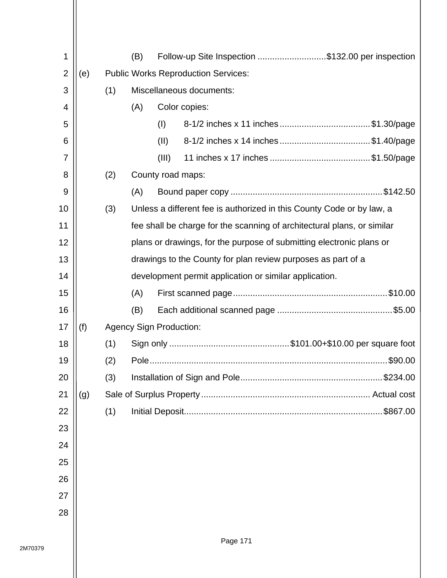| 1              |     |     | (B) |                                | Follow-up Site Inspection \$132.00 per inspection                       |
|----------------|-----|-----|-----|--------------------------------|-------------------------------------------------------------------------|
| $\overline{2}$ | (e) |     |     |                                | <b>Public Works Reproduction Services:</b>                              |
| 3              |     | (1) |     |                                | Miscellaneous documents:                                                |
| 4              |     |     | (A) |                                | Color copies:                                                           |
| 5              |     |     |     | (1)                            | 8-1/2 inches x 11 inches \$1.30/page                                    |
| 6              |     |     |     | (II)                           | 8-1/2 inches x 14 inches \$1.40/page                                    |
| 7              |     |     |     | (III)                          |                                                                         |
| 8              |     | (2) |     |                                | County road maps:                                                       |
| 9              |     |     | (A) |                                |                                                                         |
| 10             |     | (3) |     |                                | Unless a different fee is authorized in this County Code or by law, a   |
| 11             |     |     |     |                                | fee shall be charge for the scanning of architectural plans, or similar |
| 12             |     |     |     |                                | plans or drawings, for the purpose of submitting electronic plans or    |
| 13             |     |     |     |                                | drawings to the County for plan review purposes as part of a            |
| 14             |     |     |     |                                | development permit application or similar application.                  |
| 15             |     |     | (A) |                                |                                                                         |
| 16             |     |     | (B) |                                |                                                                         |
| 17             | (f) |     |     | <b>Agency Sign Production:</b> |                                                                         |
| 18             |     | (1) |     |                                |                                                                         |
| 19             |     | (2) |     |                                | \$90.00                                                                 |
| 20             |     | (3) |     |                                | \$234.00                                                                |
| 21             | (g) |     |     |                                |                                                                         |
| 22             |     | (1) |     |                                |                                                                         |
| 23             |     |     |     |                                |                                                                         |
| 24             |     |     |     |                                |                                                                         |
| 25             |     |     |     |                                |                                                                         |
| 26             |     |     |     |                                |                                                                         |
| 27             |     |     |     |                                |                                                                         |
| 28             |     |     |     |                                |                                                                         |
|                |     |     |     |                                |                                                                         |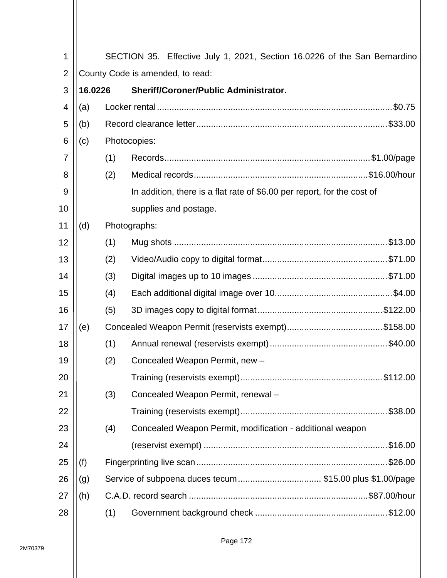| 1              |         |                                  | SECTION 35. Effective July 1, 2021, Section 16.0226 of the San Bernardino |  |  |  |  |  |  |
|----------------|---------|----------------------------------|---------------------------------------------------------------------------|--|--|--|--|--|--|
| $\overline{2}$ |         | County Code is amended, to read: |                                                                           |  |  |  |  |  |  |
| 3              | 16.0226 |                                  | Sheriff/Coroner/Public Administrator.                                     |  |  |  |  |  |  |
| 4              | (a)     |                                  |                                                                           |  |  |  |  |  |  |
| 5              | (b)     |                                  |                                                                           |  |  |  |  |  |  |
| 6              | (c)     |                                  | Photocopies:                                                              |  |  |  |  |  |  |
| $\overline{7}$ |         | (1)                              |                                                                           |  |  |  |  |  |  |
| 8              |         | (2)                              |                                                                           |  |  |  |  |  |  |
| 9              |         |                                  | In addition, there is a flat rate of \$6.00 per report, for the cost of   |  |  |  |  |  |  |
| 10             |         |                                  | supplies and postage.                                                     |  |  |  |  |  |  |
| 11             | (d)     |                                  | Photographs:                                                              |  |  |  |  |  |  |
| 12             |         | (1)                              |                                                                           |  |  |  |  |  |  |
| 13             |         | (2)                              |                                                                           |  |  |  |  |  |  |
| 14             |         | (3)                              |                                                                           |  |  |  |  |  |  |
| 15             |         | (4)                              |                                                                           |  |  |  |  |  |  |
| 16             |         | (5)                              |                                                                           |  |  |  |  |  |  |
| 17             | (e)     |                                  |                                                                           |  |  |  |  |  |  |
| 18             |         | (1)                              |                                                                           |  |  |  |  |  |  |
| 19             |         | (2)                              | Concealed Weapon Permit, new -                                            |  |  |  |  |  |  |
| 20             |         |                                  |                                                                           |  |  |  |  |  |  |
| 21             |         | (3)                              | Concealed Weapon Permit, renewal -                                        |  |  |  |  |  |  |
| 22             |         |                                  |                                                                           |  |  |  |  |  |  |
| 23             |         | (4)                              | Concealed Weapon Permit, modification - additional weapon                 |  |  |  |  |  |  |
| 24             |         |                                  |                                                                           |  |  |  |  |  |  |
| 25             | (f)     |                                  |                                                                           |  |  |  |  |  |  |
| 26             | (g)     |                                  | Service of subpoena duces tecum\$15.00 plus \$1.00/page                   |  |  |  |  |  |  |
| 27             | (h)     |                                  |                                                                           |  |  |  |  |  |  |
| 28             |         | (1)                              |                                                                           |  |  |  |  |  |  |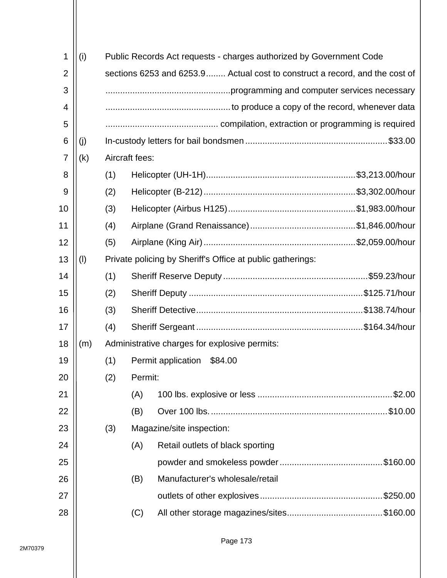| 1              | (i) |     |                | Public Records Act requests - charges authorized by Government Code         |  |
|----------------|-----|-----|----------------|-----------------------------------------------------------------------------|--|
| $\overline{2}$ |     |     |                | sections 6253 and 6253.9 Actual cost to construct a record, and the cost of |  |
| 3              |     |     |                |                                                                             |  |
| 4              |     |     |                |                                                                             |  |
| 5              |     |     |                |                                                                             |  |
| 6              | (i) |     |                |                                                                             |  |
| 7              | (k) |     | Aircraft fees: |                                                                             |  |
| 8              |     | (1) |                |                                                                             |  |
| 9              |     | (2) |                |                                                                             |  |
| 10             |     | (3) |                |                                                                             |  |
| 11             |     | (4) |                |                                                                             |  |
| 12             |     | (5) |                |                                                                             |  |
| 13             | (1) |     |                | Private policing by Sheriff's Office at public gatherings:                  |  |
| 14             |     | (1) |                |                                                                             |  |
| 15             |     | (2) |                |                                                                             |  |
| 16             |     | (3) |                |                                                                             |  |
| 17             |     | (4) |                |                                                                             |  |
| 18             | (m) |     |                | Administrative charges for explosive permits:                               |  |
| 19             |     | (1) |                | Permit application<br>\$84.00                                               |  |
| 20             |     | (2) | Permit:        |                                                                             |  |
| 21             |     |     | (A)            |                                                                             |  |
| 22             |     |     | (B)            |                                                                             |  |
| 23             |     | (3) |                | Magazine/site inspection:                                                   |  |
| 24             |     |     | (A)            | Retail outlets of black sporting                                            |  |
| 25             |     |     |                |                                                                             |  |
| 26             |     |     | (B)            | Manufacturer's wholesale/retail                                             |  |
| 27             |     |     |                |                                                                             |  |
| 28             |     |     | (C)            |                                                                             |  |
|                |     |     |                |                                                                             |  |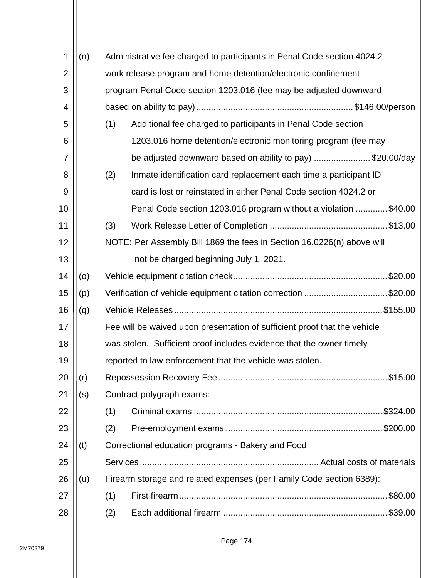| 1              | (n) |                                                               | Administrative fee charged to participants in Penal Code section 4024.2   |  |  |  |  |  |  |
|----------------|-----|---------------------------------------------------------------|---------------------------------------------------------------------------|--|--|--|--|--|--|
| $\overline{2}$ |     |                                                               | work release program and home detention/electronic confinement            |  |  |  |  |  |  |
| 3              |     |                                                               | program Penal Code section 1203.016 (fee may be adjusted downward         |  |  |  |  |  |  |
| 4              |     |                                                               |                                                                           |  |  |  |  |  |  |
| 5              |     | (1)                                                           | Additional fee charged to participants in Penal Code section              |  |  |  |  |  |  |
| 6              |     |                                                               | 1203.016 home detention/electronic monitoring program (fee may            |  |  |  |  |  |  |
| 7              |     |                                                               | be adjusted downward based on ability to pay) \$20.00/day                 |  |  |  |  |  |  |
| 8              |     | (2)                                                           | Inmate identification card replacement each time a participant ID         |  |  |  |  |  |  |
| 9              |     |                                                               | card is lost or reinstated in either Penal Code section 4024.2 or         |  |  |  |  |  |  |
| 10             |     |                                                               | Penal Code section 1203.016 program without a violation \$40.00           |  |  |  |  |  |  |
| 11             |     | (3)                                                           |                                                                           |  |  |  |  |  |  |
| 12             |     |                                                               | NOTE: Per Assembly Bill 1869 the fees in Section 16.0226(n) above will    |  |  |  |  |  |  |
| 13             |     |                                                               | not be charged beginning July 1, 2021.                                    |  |  |  |  |  |  |
| 14             | (0) |                                                               | .\$20.00                                                                  |  |  |  |  |  |  |
| 15             | (p) | Verification of vehicle equipment citation correction \$20.00 |                                                                           |  |  |  |  |  |  |
| 16             | (q) |                                                               |                                                                           |  |  |  |  |  |  |
| 17             |     |                                                               | Fee will be waived upon presentation of sufficient proof that the vehicle |  |  |  |  |  |  |
| 18             |     |                                                               | was stolen. Sufficient proof includes evidence that the owner timely      |  |  |  |  |  |  |
| 19             |     |                                                               | reported to law enforcement that the vehicle was stolen.                  |  |  |  |  |  |  |
| 20             | (r) |                                                               |                                                                           |  |  |  |  |  |  |
| 21             | (s) |                                                               | Contract polygraph exams:                                                 |  |  |  |  |  |  |
| 22             |     | (1)                                                           |                                                                           |  |  |  |  |  |  |
| 23             |     | (2)                                                           |                                                                           |  |  |  |  |  |  |
| 24             | (t) |                                                               | Correctional education programs - Bakery and Food                         |  |  |  |  |  |  |
| 25             |     |                                                               |                                                                           |  |  |  |  |  |  |
| 26             | (u) |                                                               | Firearm storage and related expenses (per Family Code section 6389):      |  |  |  |  |  |  |
| 27             |     | (1)                                                           | .\$80.00                                                                  |  |  |  |  |  |  |
| 28             |     | (2)                                                           | .\$39.00                                                                  |  |  |  |  |  |  |
|                |     |                                                               |                                                                           |  |  |  |  |  |  |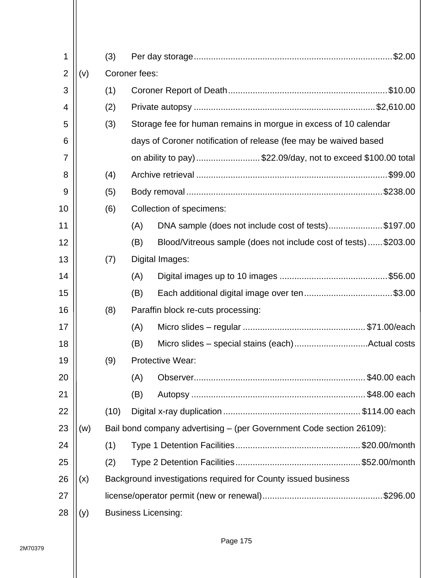| 1              |     | (3)  |     |                                                                      | $.$ \$2.00 |  |  |  |  |
|----------------|-----|------|-----|----------------------------------------------------------------------|------------|--|--|--|--|
| $\overline{2}$ | (v) |      |     | Coroner fees:                                                        |            |  |  |  |  |
| 3              |     | (1)  |     |                                                                      |            |  |  |  |  |
| 4              |     | (2)  |     |                                                                      |            |  |  |  |  |
| 5              |     | (3)  |     | Storage fee for human remains in morgue in excess of 10 calendar     |            |  |  |  |  |
| 6              |     |      |     | days of Coroner notification of release (fee may be waived based     |            |  |  |  |  |
| 7              |     |      |     | on ability to pay) \$22.09/day, not to exceed \$100.00 total         |            |  |  |  |  |
| 8              |     | (4)  |     |                                                                      |            |  |  |  |  |
| 9              |     | (5)  |     |                                                                      |            |  |  |  |  |
| 10             |     | (6)  |     | Collection of specimens:                                             |            |  |  |  |  |
| 11             |     |      | (A) | DNA sample (does not include cost of tests)\$197.00                  |            |  |  |  |  |
| 12             |     |      | (B) | Blood/Vitreous sample (does not include cost of tests)\$203.00       |            |  |  |  |  |
| 13             |     | (7)  |     | Digital Images:                                                      |            |  |  |  |  |
| 14             |     |      | (A) |                                                                      |            |  |  |  |  |
| 15             |     |      | (B) | Each additional digital image over ten\$3.00                         |            |  |  |  |  |
| 16             |     | (8)  |     | Paraffin block re-cuts processing:                                   |            |  |  |  |  |
| 17             |     |      | (A) |                                                                      |            |  |  |  |  |
| 18             |     |      | (B) |                                                                      |            |  |  |  |  |
| 19             |     | (9)  |     | <b>Protective Wear:</b>                                              |            |  |  |  |  |
| 20             |     |      | (A) |                                                                      |            |  |  |  |  |
| 21             |     |      | (B) |                                                                      |            |  |  |  |  |
| 22             |     | (10) |     |                                                                      |            |  |  |  |  |
| 23             | (w) |      |     | Bail bond company advertising – (per Government Code section 26109): |            |  |  |  |  |
| 24             |     | (1)  |     |                                                                      |            |  |  |  |  |
| 25             |     | (2)  |     |                                                                      |            |  |  |  |  |
| 26             | (x) |      |     | Background investigations required for County issued business        |            |  |  |  |  |
| 27             |     |      |     |                                                                      |            |  |  |  |  |
| 28             | (y) |      |     | <b>Business Licensing:</b>                                           |            |  |  |  |  |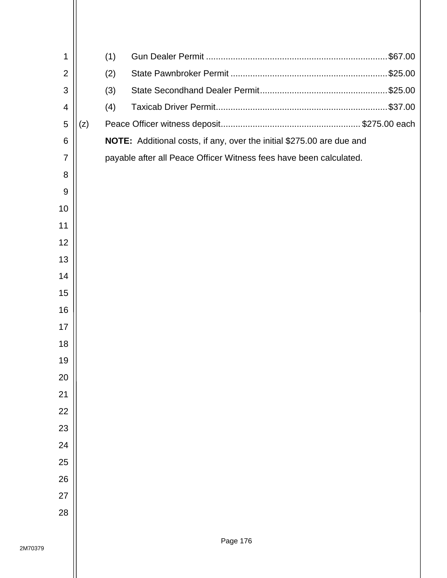| 1              |     | (1) |                                                                       |
|----------------|-----|-----|-----------------------------------------------------------------------|
| $\overline{2}$ |     | (2) |                                                                       |
| 3              |     | (3) |                                                                       |
| 4              |     | (4) |                                                                       |
| 5              | (z) |     |                                                                       |
| 6              |     |     | NOTE: Additional costs, if any, over the initial \$275.00 are due and |
| $\overline{7}$ |     |     | payable after all Peace Officer Witness fees have been calculated.    |
| 8              |     |     |                                                                       |
| 9              |     |     |                                                                       |
| 10             |     |     |                                                                       |
| 11             |     |     |                                                                       |
| 12             |     |     |                                                                       |
| 13             |     |     |                                                                       |
| 14             |     |     |                                                                       |
| 15             |     |     |                                                                       |
| 16             |     |     |                                                                       |
| 17             |     |     |                                                                       |
| 18             |     |     |                                                                       |
| 19             |     |     |                                                                       |
| 20             |     |     |                                                                       |
| 21             |     |     |                                                                       |
| 22             |     |     |                                                                       |
| 23             |     |     |                                                                       |
| 24             |     |     |                                                                       |
| 25             |     |     |                                                                       |
| 26             |     |     |                                                                       |
| 27             |     |     |                                                                       |
| 28             |     |     |                                                                       |
|                |     |     |                                                                       |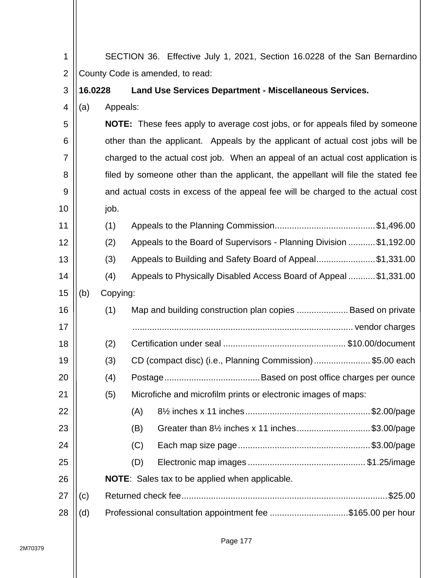| 1              |                                  |          | SECTION 36. Effective July 1, 2021, Section 16.0228 of the San Bernardino           |  |  |  |  |
|----------------|----------------------------------|----------|-------------------------------------------------------------------------------------|--|--|--|--|
| $\overline{2}$ | County Code is amended, to read: |          |                                                                                     |  |  |  |  |
| 3              | 16.0228                          |          | <b>Land Use Services Department - Miscellaneous Services.</b>                       |  |  |  |  |
| 4              | (a)                              | Appeals: |                                                                                     |  |  |  |  |
| 5              |                                  |          | <b>NOTE:</b> These fees apply to average cost jobs, or for appeals filed by someone |  |  |  |  |
| 6              |                                  |          | other than the applicant. Appeals by the applicant of actual cost jobs will be      |  |  |  |  |
| $\overline{7}$ |                                  |          | charged to the actual cost job. When an appeal of an actual cost application is     |  |  |  |  |
| 8              |                                  |          | filed by someone other than the applicant, the appellant will file the stated fee   |  |  |  |  |
| 9              |                                  |          | and actual costs in excess of the appeal fee will be charged to the actual cost     |  |  |  |  |
| 10             |                                  | job.     |                                                                                     |  |  |  |  |
| 11             |                                  | (1)      |                                                                                     |  |  |  |  |
| 12             |                                  | (2)      | Appeals to the Board of Supervisors - Planning Division  \$1,192.00                 |  |  |  |  |
| 13             |                                  | (3)      | Appeals to Building and Safety Board of Appeal\$1,331.00                            |  |  |  |  |
| 14             |                                  | (4)      | Appeals to Physically Disabled Access Board of Appeal  \$1,331.00                   |  |  |  |  |
| 15             | (b)                              | Copying: |                                                                                     |  |  |  |  |
| 16             |                                  | (1)      | Map and building construction plan copies  Based on private                         |  |  |  |  |
| 17             |                                  |          |                                                                                     |  |  |  |  |
| 18             |                                  | (2)      |                                                                                     |  |  |  |  |
| 19             |                                  | (3)      | CD (compact disc) (i.e., Planning Commission)\$5.00 each                            |  |  |  |  |
| 20             |                                  | (4)      |                                                                                     |  |  |  |  |
| 21             |                                  | (5)      | Microfiche and microfilm prints or electronic images of maps:                       |  |  |  |  |
| 22             |                                  |          | (A)                                                                                 |  |  |  |  |
| 23             |                                  |          | Greater than 8 <sup>1/2</sup> inches x 11 inches\$3.00/page<br>(B)                  |  |  |  |  |
| 24             |                                  |          | (C)                                                                                 |  |  |  |  |
| 25             |                                  |          | (D)                                                                                 |  |  |  |  |
| 26             |                                  |          | <b>NOTE:</b> Sales tax to be applied when applicable.                               |  |  |  |  |
| 27             | (c)                              |          |                                                                                     |  |  |  |  |
| 28             | (d)                              |          | Professional consultation appointment fee \$165.00 per hour                         |  |  |  |  |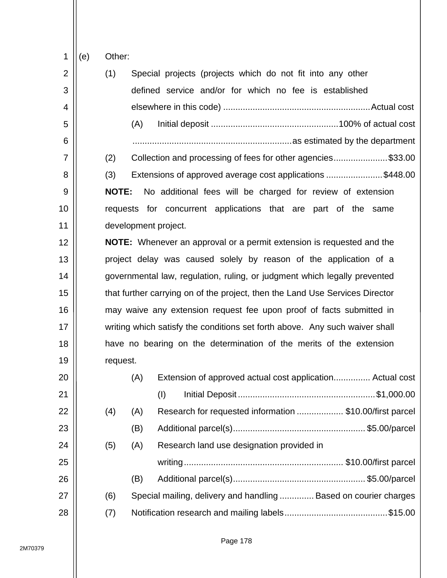1 (e) Other:

| $\overline{2}$ | (1)<br>Special projects (projects which do not fit into any other            |
|----------------|------------------------------------------------------------------------------|
| 3              | defined service and/or for which no fee is established                       |
| 4              |                                                                              |
| 5              | (A)                                                                          |
| 6              |                                                                              |
| $\overline{7}$ | Collection and processing of fees for other agencies\$33.00<br>(2)           |
| 8              | Extensions of approved average cost applications \$448.00<br>(3)             |
| 9              | No additional fees will be charged for review of extension<br><b>NOTE:</b>   |
| 10             | requests for concurrent applications that are part of the same               |
| 11             | development project.                                                         |
| 12             | <b>NOTE:</b> Whenever an approval or a permit extension is requested and the |
| 13             | project delay was caused solely by reason of the application of a            |
| 14             | governmental law, regulation, ruling, or judgment which legally prevented    |
| 15             | that further carrying on of the project, then the Land Use Services Director |
| 16             | may waive any extension request fee upon proof of facts submitted in         |
| 17             | writing which satisfy the conditions set forth above. Any such waiver shall  |
| 18             | have no bearing on the determination of the merits of the extension          |
| 19             | request.                                                                     |
| 20             | Extension of approved actual cost application Actual cost<br>(A)             |
| 21             |                                                                              |
| 22             | Research for requested information  \$10.00/first parcel<br>(4)<br>(A)       |
| 23             | (B)                                                                          |
| 24             | (A)<br>Research land use designation provided in<br>(5)                      |
| 25             |                                                                              |
| 26             | (B)                                                                          |
| 27             | Special mailing, delivery and handling  Based on courier charges<br>(6)      |
| 28             | (7)                                                                          |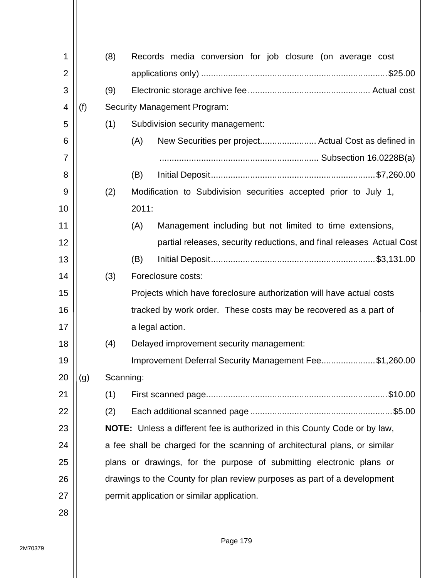| 1              |     | (8)       | Records media conversion for job closure (on average cost                  |
|----------------|-----|-----------|----------------------------------------------------------------------------|
| $\overline{2}$ |     |           |                                                                            |
| 3              |     | (9)       |                                                                            |
| 4              | (f) |           | <b>Security Management Program:</b>                                        |
| 5              |     | (1)       | Subdivision security management:                                           |
| 6              |     |           | New Securities per project Actual Cost as defined in<br>(A)                |
| 7              |     |           |                                                                            |
| 8              |     |           | (B)                                                                        |
| 9              |     | (2)       | Modification to Subdivision securities accepted prior to July 1,           |
| 10             |     |           | 2011:                                                                      |
| 11             |     |           | (A)<br>Management including but not limited to time extensions,            |
| 12             |     |           | partial releases, security reductions, and final releases Actual Cost      |
| 13             |     |           | (B)                                                                        |
| 14             |     | (3)       | Foreclosure costs:                                                         |
| 15             |     |           | Projects which have foreclosure authorization will have actual costs       |
| 16             |     |           | tracked by work order. These costs may be recovered as a part of           |
| 17             |     |           | a legal action.                                                            |
| 18             |     | (4)       | Delayed improvement security management:                                   |
| 19             |     |           | Improvement Deferral Security Management Fee\$1,260.00                     |
| 20             | (g) | Scanning: |                                                                            |
| 21             |     | (1)       |                                                                            |
| 22             |     | (2)       |                                                                            |
| 23             |     |           | NOTE: Unless a different fee is authorized in this County Code or by law,  |
| 24             |     |           | a fee shall be charged for the scanning of architectural plans, or similar |
| 25             |     |           | plans or drawings, for the purpose of submitting electronic plans or       |
| 26             |     |           | drawings to the County for plan review purposes as part of a development   |
| 27             |     |           | permit application or similar application.                                 |
| 28             |     |           |                                                                            |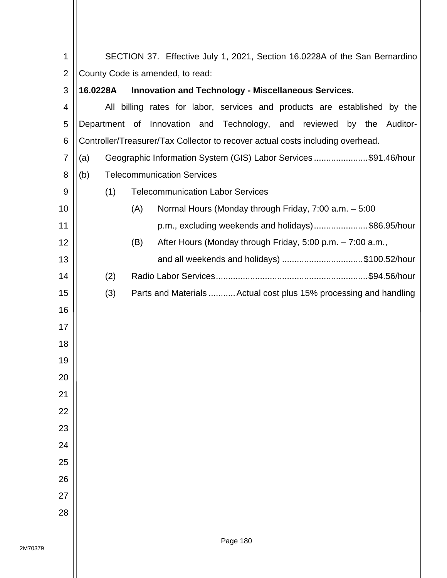| 1              |                                  | SECTION 37. Effective July 1, 2021, Section 16.0228A of the San Bernardino     |  |  |  |  |  |  |  |  |
|----------------|----------------------------------|--------------------------------------------------------------------------------|--|--|--|--|--|--|--|--|
| $\overline{2}$ | County Code is amended, to read: |                                                                                |  |  |  |  |  |  |  |  |
| 3              | 16.0228A                         | <b>Innovation and Technology - Miscellaneous Services.</b>                     |  |  |  |  |  |  |  |  |
| 4              |                                  | All billing rates for labor, services and products are established by the      |  |  |  |  |  |  |  |  |
| 5              |                                  | Department of Innovation and Technology, and reviewed by the Auditor-          |  |  |  |  |  |  |  |  |
| 6              |                                  | Controller/Treasurer/Tax Collector to recover actual costs including overhead. |  |  |  |  |  |  |  |  |
| $\overline{7}$ | (a)                              | Geographic Information System (GIS) Labor Services\$91.46/hour                 |  |  |  |  |  |  |  |  |
| 8              | (b)                              | <b>Telecommunication Services</b>                                              |  |  |  |  |  |  |  |  |
| 9              | (1)                              | <b>Telecommunication Labor Services</b>                                        |  |  |  |  |  |  |  |  |
| 10             |                                  | Normal Hours (Monday through Friday, 7:00 a.m. - 5:00<br>(A)                   |  |  |  |  |  |  |  |  |
| 11             |                                  | p.m., excluding weekends and holidays)\$86.95/hour                             |  |  |  |  |  |  |  |  |
| 12             |                                  | (B)<br>After Hours (Monday through Friday, 5:00 p.m. - 7:00 a.m.,              |  |  |  |  |  |  |  |  |
| 13             |                                  | and all weekends and holidays) \$100.52/hour                                   |  |  |  |  |  |  |  |  |
| 14             | (2)                              |                                                                                |  |  |  |  |  |  |  |  |
| 15             | (3)                              | Parts and Materials  Actual cost plus 15% processing and handling              |  |  |  |  |  |  |  |  |
| 16             |                                  |                                                                                |  |  |  |  |  |  |  |  |
| 17             |                                  |                                                                                |  |  |  |  |  |  |  |  |
| 18             |                                  |                                                                                |  |  |  |  |  |  |  |  |
| 19             |                                  |                                                                                |  |  |  |  |  |  |  |  |
| 20             |                                  |                                                                                |  |  |  |  |  |  |  |  |
| 21             |                                  |                                                                                |  |  |  |  |  |  |  |  |
| 22             |                                  |                                                                                |  |  |  |  |  |  |  |  |
| 23             |                                  |                                                                                |  |  |  |  |  |  |  |  |
| 24             |                                  |                                                                                |  |  |  |  |  |  |  |  |
| 25             |                                  |                                                                                |  |  |  |  |  |  |  |  |
| 26             |                                  |                                                                                |  |  |  |  |  |  |  |  |
| 27             |                                  |                                                                                |  |  |  |  |  |  |  |  |
| 28             |                                  |                                                                                |  |  |  |  |  |  |  |  |
|                |                                  |                                                                                |  |  |  |  |  |  |  |  |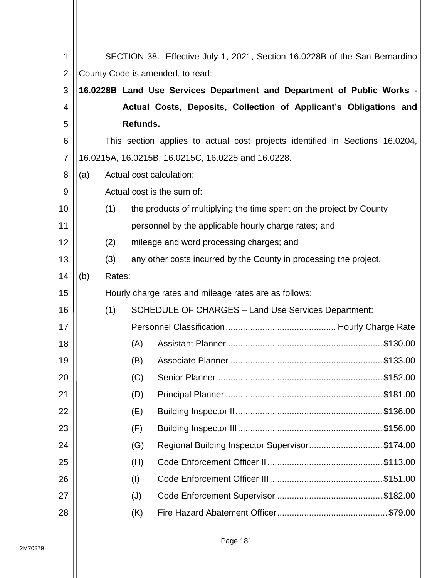| 1              |     |        |          | SECTION 38. Effective July 1, 2021, Section 16.0228B of the San Bernardino   |
|----------------|-----|--------|----------|------------------------------------------------------------------------------|
| $\overline{2}$ |     |        |          | County Code is amended, to read:                                             |
| 3              |     |        |          | 16.0228B Land Use Services Department and Department of Public Works -       |
| 4              |     |        |          | Actual Costs, Deposits, Collection of Applicant's Obligations and            |
| 5              |     |        | Refunds. |                                                                              |
| 6              |     |        |          | This section applies to actual cost projects identified in Sections 16.0204, |
| 7              |     |        |          | 16.0215A, 16.0215B, 16.0215C, 16.0225 and 16.0228.                           |
| 8              | (a) |        |          | Actual cost calculation:                                                     |
| 9              |     |        |          | Actual cost is the sum of:                                                   |
| 10             |     | (1)    |          | the products of multiplying the time spent on the project by County          |
| 11             |     |        |          | personnel by the applicable hourly charge rates; and                         |
| 12             |     | (2)    |          | mileage and word processing charges; and                                     |
| 13             |     | (3)    |          | any other costs incurred by the County in processing the project.            |
| 14             | (b) | Rates: |          |                                                                              |
| 15             |     |        |          | Hourly charge rates and mileage rates are as follows:                        |
| 16             |     | (1)    |          | <b>SCHEDULE OF CHARGES - Land Use Services Department:</b>                   |
| 17             |     |        |          |                                                                              |
| 18             |     |        | (A)      | \$130.00                                                                     |
| 19             |     |        | (B)      |                                                                              |
| 20             |     |        | (C)      |                                                                              |
| 21             |     |        | (D)      |                                                                              |
| 22             |     |        | (E)      |                                                                              |
| 23             |     |        | (F)      |                                                                              |
| 24             |     |        | (G)      | Regional Building Inspector Supervisor\$174.00                               |
| 25             |     |        | (H)      |                                                                              |
| 26             |     |        | (1)      |                                                                              |
| 27             |     |        | (J)      |                                                                              |
| 28             |     |        | (K)      |                                                                              |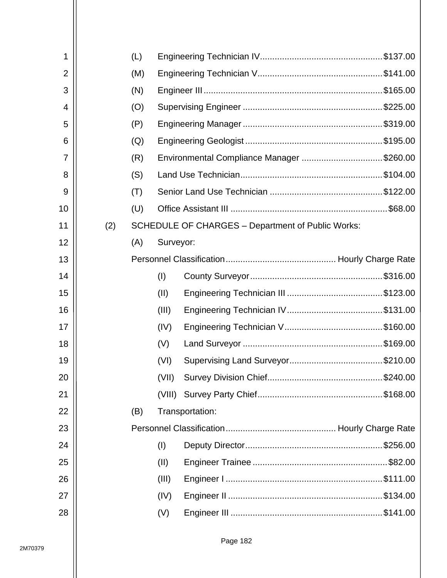| 1              |     | (L) |           |                                                          |  |
|----------------|-----|-----|-----------|----------------------------------------------------------|--|
| $\overline{2}$ |     | (M) |           |                                                          |  |
| 3              |     | (N) |           |                                                          |  |
| 4              |     | (O) |           |                                                          |  |
| 5              |     | (P) |           |                                                          |  |
| 6              |     | (Q) |           |                                                          |  |
| $\overline{7}$ |     | (R) |           | Environmental Compliance Manager \$260.00                |  |
| 8              |     | (S) |           |                                                          |  |
| 9              |     | (T) |           |                                                          |  |
| 10             |     | (U) |           |                                                          |  |
| 11             | (2) |     |           | <b>SCHEDULE OF CHARGES - Department of Public Works:</b> |  |
| 12             |     | (A) | Surveyor: |                                                          |  |
| 13             |     |     |           |                                                          |  |
| 14             |     |     | (1)       |                                                          |  |
| 15             |     |     | (II)      |                                                          |  |
| 16             |     |     | (III)     |                                                          |  |
| 17             |     |     | (IV)      |                                                          |  |
| 18             |     |     | (V)       |                                                          |  |
| 19             |     |     | (VI)      |                                                          |  |
| 20             |     |     | (VII)     |                                                          |  |
| 21             |     |     | (VIII)    |                                                          |  |
| 22             |     | (B) |           | Transportation:                                          |  |
| 23             |     |     |           |                                                          |  |
| 24             |     |     | (1)       |                                                          |  |
| 25             |     |     | (II)      |                                                          |  |
| 26             |     |     | (III)     |                                                          |  |
| 27             |     |     | (IV)      |                                                          |  |
| 28             |     |     | (V)       |                                                          |  |
|                |     |     |           |                                                          |  |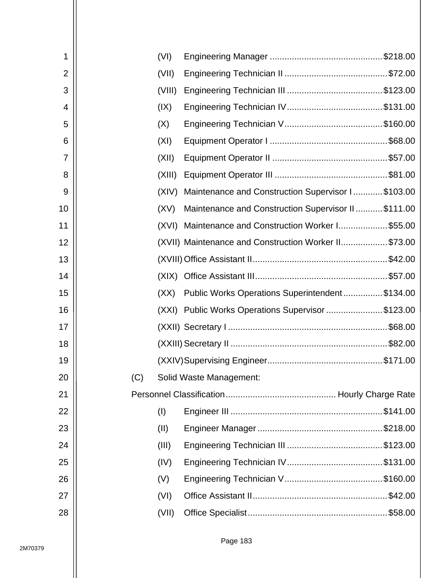| 1  |     | (VI)   |                                                      |  |
|----|-----|--------|------------------------------------------------------|--|
| 2  |     | (VII)  |                                                      |  |
| 3  |     | (VIII) |                                                      |  |
| 4  |     | (IX)   |                                                      |  |
| 5  |     | (X)    |                                                      |  |
| 6  |     | (XI)   |                                                      |  |
| 7  |     | (XII)  |                                                      |  |
| 8  |     | (XIII) |                                                      |  |
| 9  |     | (XIV)  | Maintenance and Construction Supervisor I \$103.00   |  |
| 10 |     | (XV)   | Maintenance and Construction Supervisor II\$111.00   |  |
| 11 |     | (XVI)  | Maintenance and Construction Worker I \$55.00        |  |
| 12 |     |        | (XVII) Maintenance and Construction Worker II\$73.00 |  |
| 13 |     |        |                                                      |  |
| 14 |     |        |                                                      |  |
| 15 |     | (XX)   | Public Works Operations Superintendent\$134.00       |  |
| 16 |     |        | (XXI) Public Works Operations Supervisor \$123.00    |  |
| 17 |     |        |                                                      |  |
| 18 |     |        |                                                      |  |
| 19 |     |        |                                                      |  |
| 20 | (C) |        | Solid Waste Management:                              |  |
| 21 |     |        |                                                      |  |
| 22 |     | (I)    |                                                      |  |
| 23 |     | (II)   |                                                      |  |
| 24 |     | (III)  |                                                      |  |
| 25 |     | (IV)   |                                                      |  |
| 26 |     | (V)    |                                                      |  |
| 27 |     | (VI)   |                                                      |  |
| 28 |     | (VII)  |                                                      |  |
|    |     |        |                                                      |  |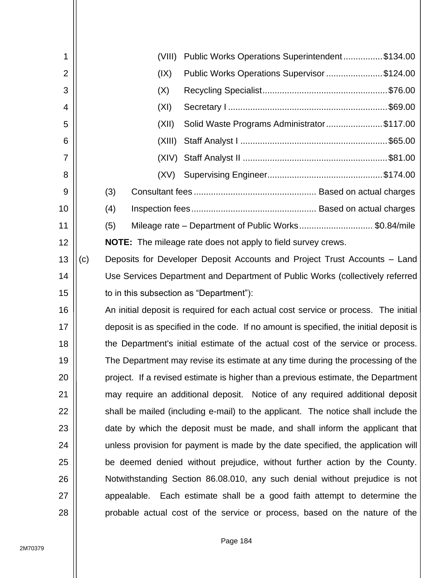| 1  |     |     |             | (VIII) | Public Works Operations Superintendent\$134.00                                         |
|----|-----|-----|-------------|--------|----------------------------------------------------------------------------------------|
| 2  |     |     |             | (IX)   | Public Works Operations Supervisor \$124.00                                            |
| 3  |     |     |             | (X)    |                                                                                        |
| 4  |     |     |             | (XI)   |                                                                                        |
| 5  |     |     |             | (XII)  | Solid Waste Programs Administrator\$117.00                                             |
| 6  |     |     |             | (XIII) |                                                                                        |
| 7  |     |     |             | (XIV)  |                                                                                        |
| 8  |     |     |             | (XV)   |                                                                                        |
| 9  |     | (3) |             |        |                                                                                        |
| 10 |     | (4) |             |        |                                                                                        |
| 11 |     | (5) |             |        | Mileage rate – Department of Public Works\$0.84/mile                                   |
| 12 |     |     |             |        | <b>NOTE:</b> The mileage rate does not apply to field survey crews.                    |
| 13 | (c) |     |             |        | Deposits for Developer Deposit Accounts and Project Trust Accounts – Land              |
| 14 |     |     |             |        | Use Services Department and Department of Public Works (collectively referred          |
| 15 |     |     |             |        | to in this subsection as "Department"):                                                |
| 16 |     |     |             |        | An initial deposit is required for each actual cost service or process. The initial    |
| 17 |     |     |             |        | deposit is as specified in the code. If no amount is specified, the initial deposit is |
| 18 |     |     |             |        | the Department's initial estimate of the actual cost of the service or process.        |
| 19 |     |     |             |        | The Department may revise its estimate at any time during the processing of the        |
| 20 |     |     |             |        | project. If a revised estimate is higher than a previous estimate, the Department      |
| 21 |     |     |             |        | may require an additional deposit. Notice of any required additional deposit           |
| 22 |     |     |             |        | shall be mailed (including e-mail) to the applicant. The notice shall include the      |
| 23 |     |     |             |        | date by which the deposit must be made, and shall inform the applicant that            |
| 24 |     |     |             |        | unless provision for payment is made by the date specified, the application will       |
| 25 |     |     |             |        | be deemed denied without prejudice, without further action by the County.              |
| 26 |     |     |             |        | Notwithstanding Section 86.08.010, any such denial without prejudice is not            |
| 27 |     |     | appealable. |        | Each estimate shall be a good faith attempt to determine the                           |
| 28 |     |     |             |        | probable actual cost of the service or process, based on the nature of the             |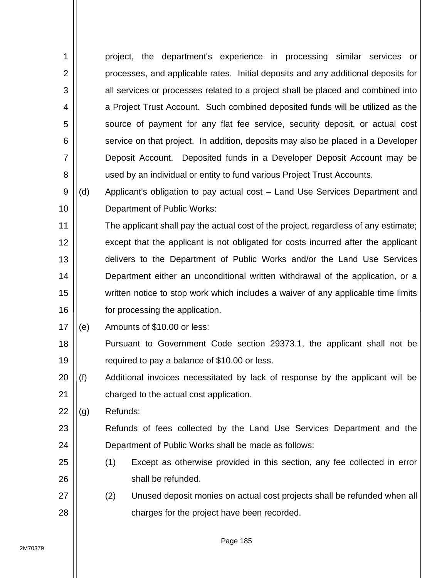| 1              | project, the department's experience in processing similar services or            |
|----------------|-----------------------------------------------------------------------------------|
| $\overline{2}$ | processes, and applicable rates. Initial deposits and any additional deposits for |
| 3              | all services or processes related to a project shall be placed and combined into  |
| 4              | a Project Trust Account. Such combined deposited funds will be utilized as the    |
| 5              | source of payment for any flat fee service, security deposit, or actual cost      |
| 6              | service on that project. In addition, deposits may also be placed in a Developer  |
| 7              | Deposit Account. Deposited funds in a Developer Deposit Account may be            |
| 8              | used by an individual or entity to fund various Project Trust Accounts.           |
|                |                                                                                   |

9 10 (d) Applicant's obligation to pay actual cost – Land Use Services Department and Department of Public Works:

11 12 13 14 15 16 The applicant shall pay the actual cost of the project, regardless of any estimate; except that the applicant is not obligated for costs incurred after the applicant delivers to the Department of Public Works and/or the Land Use Services Department either an unconditional written withdrawal of the application, or a written notice to stop work which includes a waiver of any applicable time limits for processing the application.

- 17 (e) Amounts of \$10.00 or less:
- 18 19 Pursuant to Government Code section 29373.1, the applicant shall not be required to pay a balance of \$10.00 or less.
- 20 21 (f) Additional invoices necessitated by lack of response by the applicant will be charged to the actual cost application.
- 22 (g) Refunds:
- 23 24 Refunds of fees collected by the Land Use Services Department and the Department of Public Works shall be made as follows:
- 25 26 (1) Except as otherwise provided in this section, any fee collected in error shall be refunded.
- 27 28 (2) Unused deposit monies on actual cost projects shall be refunded when all charges for the project have been recorded.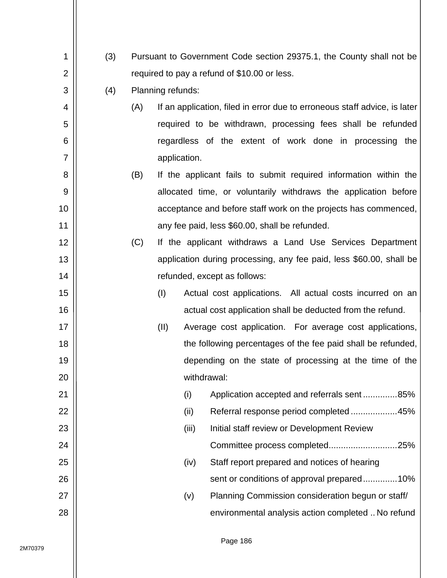| 1              | (3) |     |                   |              | Pursuant to Government Code section 29375.1, the County shall not be      |
|----------------|-----|-----|-------------------|--------------|---------------------------------------------------------------------------|
| $\overline{2}$ |     |     |                   |              | required to pay a refund of \$10.00 or less.                              |
| 3              | (4) |     | Planning refunds: |              |                                                                           |
| 4              |     | (A) |                   |              | If an application, filed in error due to erroneous staff advice, is later |
| 5              |     |     |                   |              | required to be withdrawn, processing fees shall be refunded               |
| 6              |     |     |                   |              | regardless of the extent of work done in processing the                   |
| $\overline{7}$ |     |     |                   | application. |                                                                           |
| 8              |     | (B) |                   |              | If the applicant fails to submit required information within the          |
| 9              |     |     |                   |              | allocated time, or voluntarily withdraws the application before           |
| 10             |     |     |                   |              | acceptance and before staff work on the projects has commenced,           |
| 11             |     |     |                   |              | any fee paid, less \$60.00, shall be refunded.                            |
| 12             |     | (C) |                   |              | If the applicant withdraws a Land Use Services Department                 |
| 13             |     |     |                   |              | application during processing, any fee paid, less \$60.00, shall be       |
| 14             |     |     |                   |              | refunded, except as follows:                                              |
| 15             |     |     | (1)               |              | Actual cost applications. All actual costs incurred on an                 |
| 16             |     |     |                   |              | actual cost application shall be deducted from the refund.                |
| 17             |     |     | (II)              |              | Average cost application. For average cost applications,                  |
| 18             |     |     |                   |              | the following percentages of the fee paid shall be refunded,              |
| 19             |     |     |                   |              | depending on the state of processing at the time of the                   |
| 20             |     |     |                   |              | withdrawal:                                                               |
| 21             |     |     |                   | (i)          | Application accepted and referrals sent85%                                |
| 22             |     |     |                   | (ii)         | Referral response period completed45%                                     |
| 23             |     |     |                   | (iii)        | Initial staff review or Development Review                                |
| 24             |     |     |                   |              | Committee process completed25%                                            |
| 25             |     |     |                   | (iv)         | Staff report prepared and notices of hearing                              |
| 26             |     |     |                   |              | sent or conditions of approval prepared10%                                |
| 27             |     |     |                   | (v)          | Planning Commission consideration begun or staff/                         |
| 28             |     |     |                   |              | environmental analysis action completed  No refund                        |
|                |     |     |                   |              |                                                                           |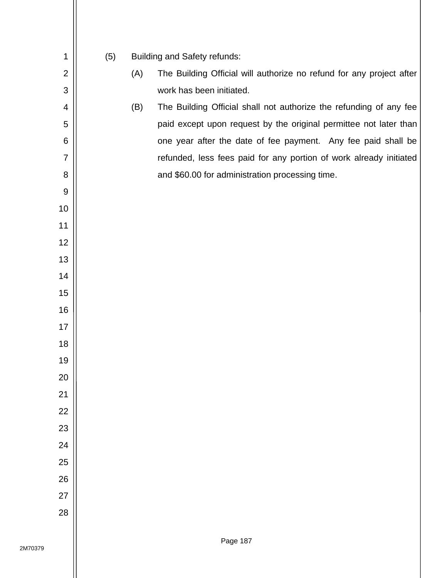(5) Building and Safety refunds:

- (A) The Building Official will authorize no refund for any project after work has been initiated.
- (B) The Building Official shall not authorize the refunding of any fee paid except upon request by the original permittee not later than one year after the date of fee payment. Any fee paid shall be refunded, less fees paid for any portion of work already initiated and \$60.00 for administration processing time.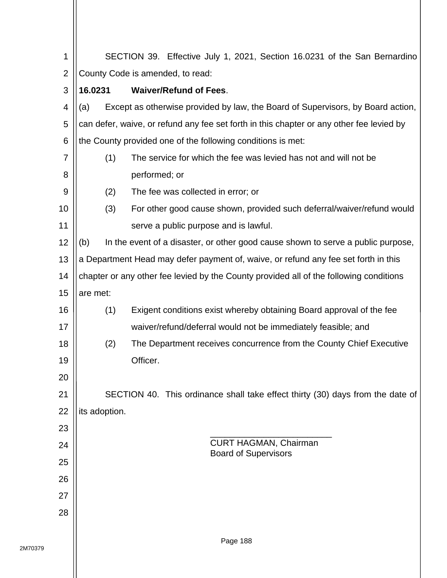| 1              |               | SECTION 39. Effective July 1, 2021, Section 16.0231 of the San Bernardino                |
|----------------|---------------|------------------------------------------------------------------------------------------|
| $\overline{2}$ |               | County Code is amended, to read:                                                         |
| 3              | 16.0231       | <b>Waiver/Refund of Fees.</b>                                                            |
| 4              | (a)           | Except as otherwise provided by law, the Board of Supervisors, by Board action,          |
| 5              |               | can defer, waive, or refund any fee set forth in this chapter or any other fee levied by |
| 6              |               | the County provided one of the following conditions is met:                              |
| 7              | (1)           | The service for which the fee was levied has not and will not be                         |
| 8              |               | performed; or                                                                            |
| 9              | (2)           | The fee was collected in error; or                                                       |
| 10             | (3)           | For other good cause shown, provided such deferral/waiver/refund would                   |
| 11             |               | serve a public purpose and is lawful.                                                    |
| 12             | (b)           | In the event of a disaster, or other good cause shown to serve a public purpose,         |
| 13             |               | a Department Head may defer payment of, waive, or refund any fee set forth in this       |
| 14             |               | chapter or any other fee levied by the County provided all of the following conditions   |
| 15             | are met:      |                                                                                          |
| 16             | (1)           | Exigent conditions exist whereby obtaining Board approval of the fee                     |
| 17             |               | waiver/refund/deferral would not be immediately feasible; and                            |
| 18             | (2)           | The Department receives concurrence from the County Chief Executive                      |
| 19             |               | Officer.                                                                                 |
| 20             |               |                                                                                          |
| 21             |               | SECTION 40. This ordinance shall take effect thirty (30) days from the date of           |
| 22             | its adoption. |                                                                                          |
| 23             |               |                                                                                          |
| 24             |               | <b>CURT HAGMAN, Chairman</b><br><b>Board of Supervisors</b>                              |
| 25             |               |                                                                                          |
| 26             |               |                                                                                          |
| 27             |               |                                                                                          |
| 28             |               |                                                                                          |
|                |               | Dogo 100                                                                                 |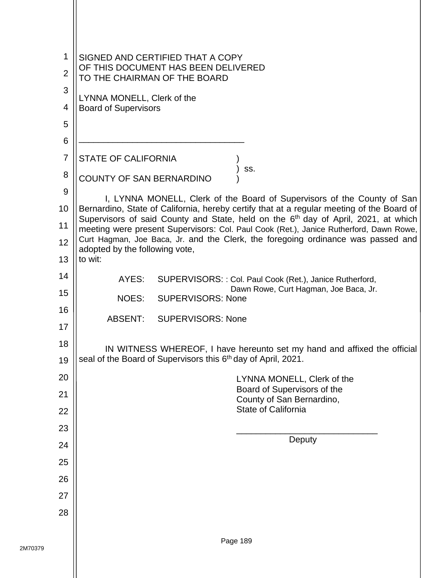| 1<br>$\overline{2}$<br>3 | SIGNED AND CERTIFIED THAT A COPY<br>OF THIS DOCUMENT HAS BEEN DELIVERED<br>TO THE CHAIRMAN OF THE BOARD                                                                                     |
|--------------------------|---------------------------------------------------------------------------------------------------------------------------------------------------------------------------------------------|
|                          | LYNNA MONELL, Clerk of the                                                                                                                                                                  |
| 4                        | <b>Board of Supervisors</b>                                                                                                                                                                 |
| 5<br>6                   |                                                                                                                                                                                             |
| $\overline{7}$           |                                                                                                                                                                                             |
|                          | <b>STATE OF CALIFORNIA</b><br>SS.                                                                                                                                                           |
| 8                        | <b>COUNTY OF SAN BERNARDINO</b>                                                                                                                                                             |
| 9                        | I, LYNNA MONELL, Clerk of the Board of Supervisors of the County of San                                                                                                                     |
| 10<br>11                 | Bernardino, State of California, hereby certify that at a regular meeting of the Board of<br>Supervisors of said County and State, held on the 6 <sup>th</sup> day of April, 2021, at which |
| 12                       | meeting were present Supervisors: Col. Paul Cook (Ret.), Janice Rutherford, Dawn Rowe,<br>Curt Hagman, Joe Baca, Jr. and the Clerk, the foregoing ordinance was passed and                  |
| 13                       | adopted by the following vote,<br>to wit:                                                                                                                                                   |
| 14                       |                                                                                                                                                                                             |
| 15                       | AYES:<br>SUPERVISORS: : Col. Paul Cook (Ret.), Janice Rutherford,<br>Dawn Rowe, Curt Hagman, Joe Baca, Jr.                                                                                  |
| 16                       | <b>NOES:</b><br><b>SUPERVISORS: None</b>                                                                                                                                                    |
| 17                       | <b>ABSENT:</b><br><b>SUPERVISORS: None</b>                                                                                                                                                  |
| 18                       |                                                                                                                                                                                             |
| 19                       | IN WITNESS WHEREOF, I have hereunto set my hand and affixed the official<br>seal of the Board of Supervisors this 6th day of April, 2021.                                                   |
| 20                       | LYNNA MONELL, Clerk of the                                                                                                                                                                  |
| 21                       | Board of Supervisors of the                                                                                                                                                                 |
| 22                       | County of San Bernardino,<br>State of California                                                                                                                                            |
| 23                       |                                                                                                                                                                                             |
| 24                       | Deputy                                                                                                                                                                                      |
| 25                       |                                                                                                                                                                                             |
| 26                       |                                                                                                                                                                                             |
| 27                       |                                                                                                                                                                                             |
| 28                       |                                                                                                                                                                                             |
|                          |                                                                                                                                                                                             |